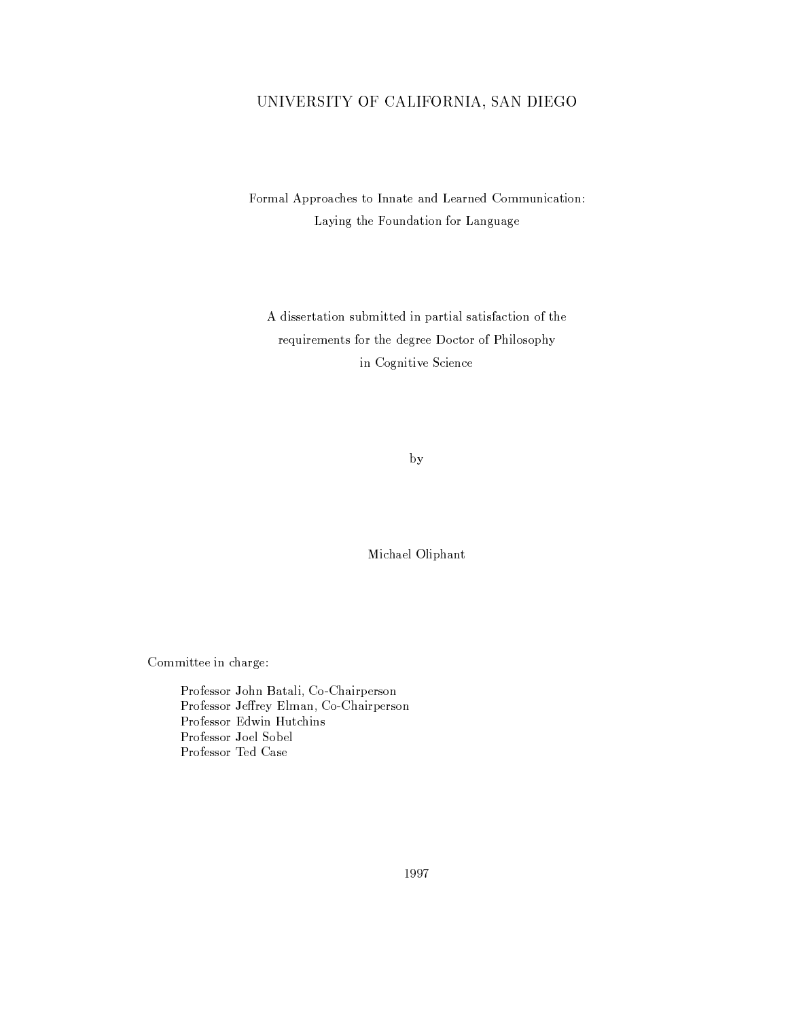## UNIVERSITY OF CALIFORNIA, SAN DIEGO

Formal Approaches to Innate and Learned Communication: Laying the Foundation for Language

A dissertation submitted in partial satisfaction of the requirements for the degree Doctor of Philosophy in Cognitive Science

by

Michael Oliphant

Committee in charge:

Professor John Batali, Co-Chairperson Professor Jeffrey Elman, Co-Chairperson Professor Edwin Hutchins Professor Joel Sobel Professor Ted Case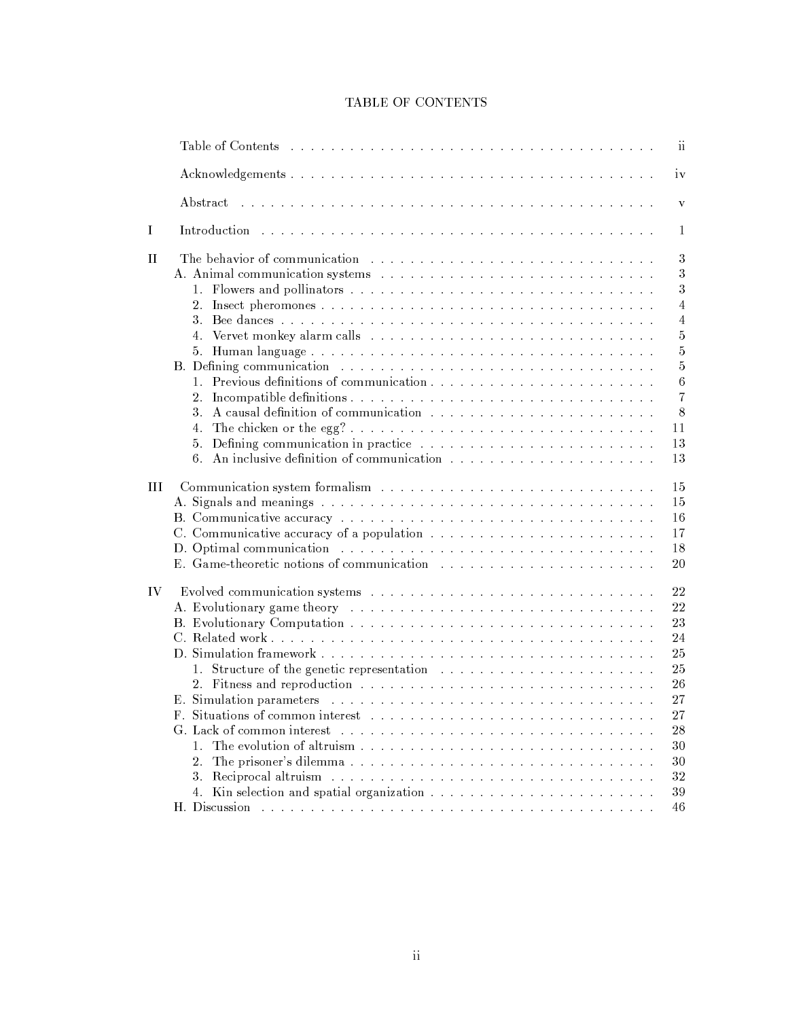|  | <b>TABLE OF CONTENTS</b> |
|--|--------------------------|
|  |                          |

|    | $\overline{\mathbf{u}}$<br>Table of Contents and arranged to the contract of the contract of the contract of the contract of the contract of the contract of the contract of the contract of the contract of the contract of the contract of the contract                                                                                                                                                                                                                                                                                                                                                                                                                                                                                                                                                     |
|----|---------------------------------------------------------------------------------------------------------------------------------------------------------------------------------------------------------------------------------------------------------------------------------------------------------------------------------------------------------------------------------------------------------------------------------------------------------------------------------------------------------------------------------------------------------------------------------------------------------------------------------------------------------------------------------------------------------------------------------------------------------------------------------------------------------------|
|    | iv                                                                                                                                                                                                                                                                                                                                                                                                                                                                                                                                                                                                                                                                                                                                                                                                            |
|    | .<br>In the second complete the second complete that the second complete the second complete that the second complete<br>Abstract<br>V                                                                                                                                                                                                                                                                                                                                                                                                                                                                                                                                                                                                                                                                        |
| I  | Introduction the contract of the contract of the contract of the contract of the contract of the contract of the contract of the contract of the contract of the contract of the contract of the contract of the contract of t<br>$\mathbf{1}$                                                                                                                                                                                                                                                                                                                                                                                                                                                                                                                                                                |
| H  | The behavior of communication enterstanding the set of the set of the set of the set of the set of the set of the set of the set of the set of the set of the set of the set of the set of the set of the set of the set of th<br>$\sqrt{3}$<br>$\sqrt{3}$<br>$\sqrt{3}$<br>$\overline{4}$<br>$\overline{4}$<br>4. Vervet monkey alarm calls with a subsequently and a subsequently contained a subsequently set of the set of $\mathbb{R}^n$<br>$\bf 5$<br>$\bf 5$<br>$\bf 5$<br>B. Defining communication enterstated by the contract of the contract of the contract of the contract of the contract of the contract of the contract of the contract of the contract of the contract of the contract of the c<br>$\,6\,$<br>$1_{-}$<br>$\overline{7}$<br>2.<br>8<br>3.<br>11<br>4.<br>13<br>5.<br>13<br>6. |
| Ш  | Communication system formalism (b) b contained by containing the system of the system of the system of the system of the system of the system of the system of the system of the system of the system of the system of the sys<br>15<br>15<br>16<br>17<br>18<br>D. Optimal communication enterity and and all the contract of the contract of the contract of the contract of the contract of the contract of the contract of the contract of the contract of the contract of the contract of<br>20                                                                                                                                                                                                                                                                                                           |
| IV | Evolved communication systems response to the contract of the contract of the contract of the contract of the contract of the contract of the contract of the contract of the contract of the contract of the contract of the<br>22<br>$2\sqrt{2}$<br>A. Evolutionary game theory resources and contained a series of the series of the series of the series of the<br>23<br>24<br>25<br>25<br>26<br>27<br>27<br>${\bf F}$ .<br>G. Lack of common interest<br>28<br>.<br>The contract of the contract of the contract of the contract of the contract of the contract of the contract of<br>1.<br>30<br>30<br>2.<br>Reciprocal altruism and altreasure and altreasure and altreasure altreasure and altreasure altreasure and altreasure<br>32<br>3.<br>39<br>46                                              |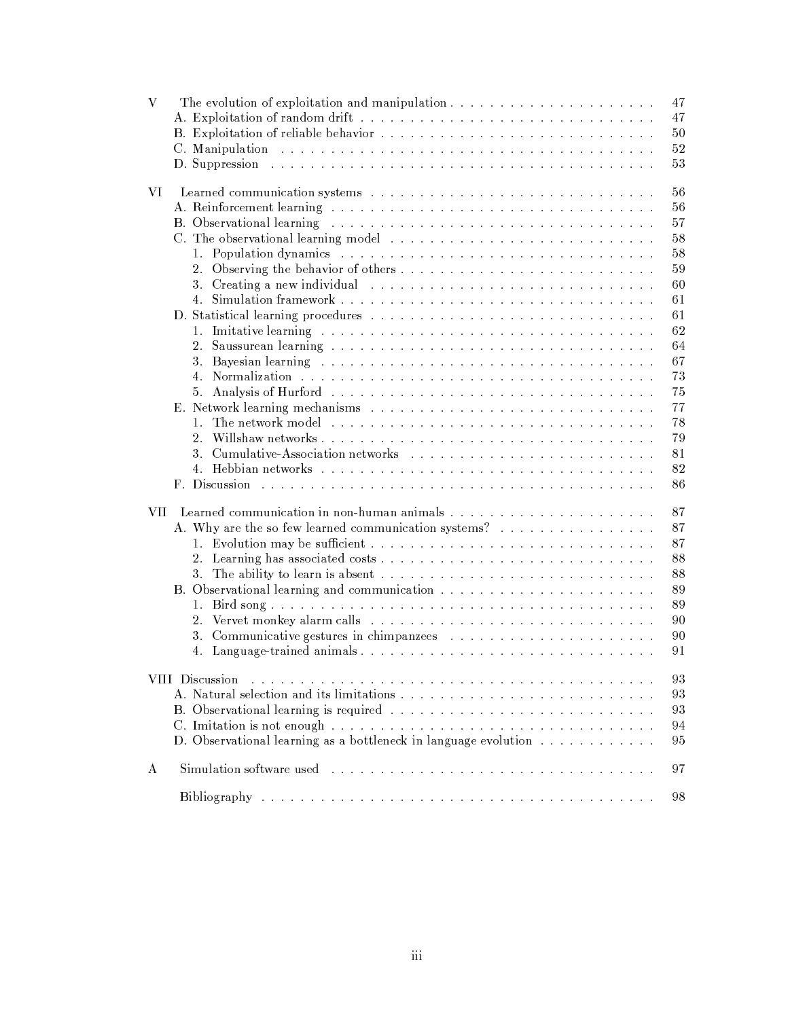| 47<br>50<br>52<br>53<br>D. Suppression and an annual contract the contract of the contract of the contract of the contract of the contract of the contract of the contract of the contract of the contract of the contract of the contract of the cont<br>56<br>VI<br>56<br>57<br>58<br>C. The observational learning model<br>1. Population dynamics contract research resources and resources are resources and<br>58<br>59<br>60<br>3. Creating a new individual contract to a contract the contract of the contract of the contract of the contract of the contract of the contract of the contract of the contract of the contract of the contract of the contra<br>61<br>4.<br>61<br>62<br>64<br>2.<br>67<br>73<br>Analysis of Hurford Albert Library and Albert Library and Albert Hurford Albert Library and Albert Library and<br>75<br>5.<br>77<br>78<br>2.5<br>79<br>81<br>82<br>86<br>87<br>VII-<br>A. Why are the so few learned communication systems?<br>87<br>87<br>88<br>88<br>89<br>89<br>1.<br>90<br>$\overline{2}$ .<br>90<br>91<br>4.<br>.<br>The contract of the contract of the contract of the contract of the contract of the contract of the contract of<br>93<br>VIII Discussion<br>93<br>93<br>94<br>D. Observational learning as a bottleneck in language evolution<br>95<br>97<br>A<br>Bibliography and an annual contract and an annual contract and an annual contract of the Bibliography<br>98 | V | 47 |
|----------------------------------------------------------------------------------------------------------------------------------------------------------------------------------------------------------------------------------------------------------------------------------------------------------------------------------------------------------------------------------------------------------------------------------------------------------------------------------------------------------------------------------------------------------------------------------------------------------------------------------------------------------------------------------------------------------------------------------------------------------------------------------------------------------------------------------------------------------------------------------------------------------------------------------------------------------------------------------------------------------------------------------------------------------------------------------------------------------------------------------------------------------------------------------------------------------------------------------------------------------------------------------------------------------------------------------------------------------------------------------------------------------------------------------|---|----|
|                                                                                                                                                                                                                                                                                                                                                                                                                                                                                                                                                                                                                                                                                                                                                                                                                                                                                                                                                                                                                                                                                                                                                                                                                                                                                                                                                                                                                                  |   |    |
|                                                                                                                                                                                                                                                                                                                                                                                                                                                                                                                                                                                                                                                                                                                                                                                                                                                                                                                                                                                                                                                                                                                                                                                                                                                                                                                                                                                                                                  |   |    |
|                                                                                                                                                                                                                                                                                                                                                                                                                                                                                                                                                                                                                                                                                                                                                                                                                                                                                                                                                                                                                                                                                                                                                                                                                                                                                                                                                                                                                                  |   |    |
|                                                                                                                                                                                                                                                                                                                                                                                                                                                                                                                                                                                                                                                                                                                                                                                                                                                                                                                                                                                                                                                                                                                                                                                                                                                                                                                                                                                                                                  |   |    |
|                                                                                                                                                                                                                                                                                                                                                                                                                                                                                                                                                                                                                                                                                                                                                                                                                                                                                                                                                                                                                                                                                                                                                                                                                                                                                                                                                                                                                                  |   |    |
|                                                                                                                                                                                                                                                                                                                                                                                                                                                                                                                                                                                                                                                                                                                                                                                                                                                                                                                                                                                                                                                                                                                                                                                                                                                                                                                                                                                                                                  |   |    |
|                                                                                                                                                                                                                                                                                                                                                                                                                                                                                                                                                                                                                                                                                                                                                                                                                                                                                                                                                                                                                                                                                                                                                                                                                                                                                                                                                                                                                                  |   |    |
|                                                                                                                                                                                                                                                                                                                                                                                                                                                                                                                                                                                                                                                                                                                                                                                                                                                                                                                                                                                                                                                                                                                                                                                                                                                                                                                                                                                                                                  |   |    |
|                                                                                                                                                                                                                                                                                                                                                                                                                                                                                                                                                                                                                                                                                                                                                                                                                                                                                                                                                                                                                                                                                                                                                                                                                                                                                                                                                                                                                                  |   |    |
|                                                                                                                                                                                                                                                                                                                                                                                                                                                                                                                                                                                                                                                                                                                                                                                                                                                                                                                                                                                                                                                                                                                                                                                                                                                                                                                                                                                                                                  |   |    |
|                                                                                                                                                                                                                                                                                                                                                                                                                                                                                                                                                                                                                                                                                                                                                                                                                                                                                                                                                                                                                                                                                                                                                                                                                                                                                                                                                                                                                                  |   |    |
|                                                                                                                                                                                                                                                                                                                                                                                                                                                                                                                                                                                                                                                                                                                                                                                                                                                                                                                                                                                                                                                                                                                                                                                                                                                                                                                                                                                                                                  |   |    |
|                                                                                                                                                                                                                                                                                                                                                                                                                                                                                                                                                                                                                                                                                                                                                                                                                                                                                                                                                                                                                                                                                                                                                                                                                                                                                                                                                                                                                                  |   |    |
|                                                                                                                                                                                                                                                                                                                                                                                                                                                                                                                                                                                                                                                                                                                                                                                                                                                                                                                                                                                                                                                                                                                                                                                                                                                                                                                                                                                                                                  |   |    |
|                                                                                                                                                                                                                                                                                                                                                                                                                                                                                                                                                                                                                                                                                                                                                                                                                                                                                                                                                                                                                                                                                                                                                                                                                                                                                                                                                                                                                                  |   |    |
|                                                                                                                                                                                                                                                                                                                                                                                                                                                                                                                                                                                                                                                                                                                                                                                                                                                                                                                                                                                                                                                                                                                                                                                                                                                                                                                                                                                                                                  |   |    |
|                                                                                                                                                                                                                                                                                                                                                                                                                                                                                                                                                                                                                                                                                                                                                                                                                                                                                                                                                                                                                                                                                                                                                                                                                                                                                                                                                                                                                                  |   |    |
|                                                                                                                                                                                                                                                                                                                                                                                                                                                                                                                                                                                                                                                                                                                                                                                                                                                                                                                                                                                                                                                                                                                                                                                                                                                                                                                                                                                                                                  |   |    |
|                                                                                                                                                                                                                                                                                                                                                                                                                                                                                                                                                                                                                                                                                                                                                                                                                                                                                                                                                                                                                                                                                                                                                                                                                                                                                                                                                                                                                                  |   |    |
|                                                                                                                                                                                                                                                                                                                                                                                                                                                                                                                                                                                                                                                                                                                                                                                                                                                                                                                                                                                                                                                                                                                                                                                                                                                                                                                                                                                                                                  |   |    |
|                                                                                                                                                                                                                                                                                                                                                                                                                                                                                                                                                                                                                                                                                                                                                                                                                                                                                                                                                                                                                                                                                                                                                                                                                                                                                                                                                                                                                                  |   |    |
|                                                                                                                                                                                                                                                                                                                                                                                                                                                                                                                                                                                                                                                                                                                                                                                                                                                                                                                                                                                                                                                                                                                                                                                                                                                                                                                                                                                                                                  |   |    |
|                                                                                                                                                                                                                                                                                                                                                                                                                                                                                                                                                                                                                                                                                                                                                                                                                                                                                                                                                                                                                                                                                                                                                                                                                                                                                                                                                                                                                                  |   |    |
|                                                                                                                                                                                                                                                                                                                                                                                                                                                                                                                                                                                                                                                                                                                                                                                                                                                                                                                                                                                                                                                                                                                                                                                                                                                                                                                                                                                                                                  |   |    |
|                                                                                                                                                                                                                                                                                                                                                                                                                                                                                                                                                                                                                                                                                                                                                                                                                                                                                                                                                                                                                                                                                                                                                                                                                                                                                                                                                                                                                                  |   |    |
|                                                                                                                                                                                                                                                                                                                                                                                                                                                                                                                                                                                                                                                                                                                                                                                                                                                                                                                                                                                                                                                                                                                                                                                                                                                                                                                                                                                                                                  |   |    |
|                                                                                                                                                                                                                                                                                                                                                                                                                                                                                                                                                                                                                                                                                                                                                                                                                                                                                                                                                                                                                                                                                                                                                                                                                                                                                                                                                                                                                                  |   |    |
|                                                                                                                                                                                                                                                                                                                                                                                                                                                                                                                                                                                                                                                                                                                                                                                                                                                                                                                                                                                                                                                                                                                                                                                                                                                                                                                                                                                                                                  |   |    |
|                                                                                                                                                                                                                                                                                                                                                                                                                                                                                                                                                                                                                                                                                                                                                                                                                                                                                                                                                                                                                                                                                                                                                                                                                                                                                                                                                                                                                                  |   |    |
|                                                                                                                                                                                                                                                                                                                                                                                                                                                                                                                                                                                                                                                                                                                                                                                                                                                                                                                                                                                                                                                                                                                                                                                                                                                                                                                                                                                                                                  |   |    |
|                                                                                                                                                                                                                                                                                                                                                                                                                                                                                                                                                                                                                                                                                                                                                                                                                                                                                                                                                                                                                                                                                                                                                                                                                                                                                                                                                                                                                                  |   |    |
|                                                                                                                                                                                                                                                                                                                                                                                                                                                                                                                                                                                                                                                                                                                                                                                                                                                                                                                                                                                                                                                                                                                                                                                                                                                                                                                                                                                                                                  |   |    |
|                                                                                                                                                                                                                                                                                                                                                                                                                                                                                                                                                                                                                                                                                                                                                                                                                                                                                                                                                                                                                                                                                                                                                                                                                                                                                                                                                                                                                                  |   |    |
|                                                                                                                                                                                                                                                                                                                                                                                                                                                                                                                                                                                                                                                                                                                                                                                                                                                                                                                                                                                                                                                                                                                                                                                                                                                                                                                                                                                                                                  |   |    |
|                                                                                                                                                                                                                                                                                                                                                                                                                                                                                                                                                                                                                                                                                                                                                                                                                                                                                                                                                                                                                                                                                                                                                                                                                                                                                                                                                                                                                                  |   |    |
|                                                                                                                                                                                                                                                                                                                                                                                                                                                                                                                                                                                                                                                                                                                                                                                                                                                                                                                                                                                                                                                                                                                                                                                                                                                                                                                                                                                                                                  |   |    |
|                                                                                                                                                                                                                                                                                                                                                                                                                                                                                                                                                                                                                                                                                                                                                                                                                                                                                                                                                                                                                                                                                                                                                                                                                                                                                                                                                                                                                                  |   |    |
|                                                                                                                                                                                                                                                                                                                                                                                                                                                                                                                                                                                                                                                                                                                                                                                                                                                                                                                                                                                                                                                                                                                                                                                                                                                                                                                                                                                                                                  |   |    |
|                                                                                                                                                                                                                                                                                                                                                                                                                                                                                                                                                                                                                                                                                                                                                                                                                                                                                                                                                                                                                                                                                                                                                                                                                                                                                                                                                                                                                                  |   |    |
|                                                                                                                                                                                                                                                                                                                                                                                                                                                                                                                                                                                                                                                                                                                                                                                                                                                                                                                                                                                                                                                                                                                                                                                                                                                                                                                                                                                                                                  |   |    |
|                                                                                                                                                                                                                                                                                                                                                                                                                                                                                                                                                                                                                                                                                                                                                                                                                                                                                                                                                                                                                                                                                                                                                                                                                                                                                                                                                                                                                                  |   |    |
|                                                                                                                                                                                                                                                                                                                                                                                                                                                                                                                                                                                                                                                                                                                                                                                                                                                                                                                                                                                                                                                                                                                                                                                                                                                                                                                                                                                                                                  |   |    |
|                                                                                                                                                                                                                                                                                                                                                                                                                                                                                                                                                                                                                                                                                                                                                                                                                                                                                                                                                                                                                                                                                                                                                                                                                                                                                                                                                                                                                                  |   |    |
|                                                                                                                                                                                                                                                                                                                                                                                                                                                                                                                                                                                                                                                                                                                                                                                                                                                                                                                                                                                                                                                                                                                                                                                                                                                                                                                                                                                                                                  |   |    |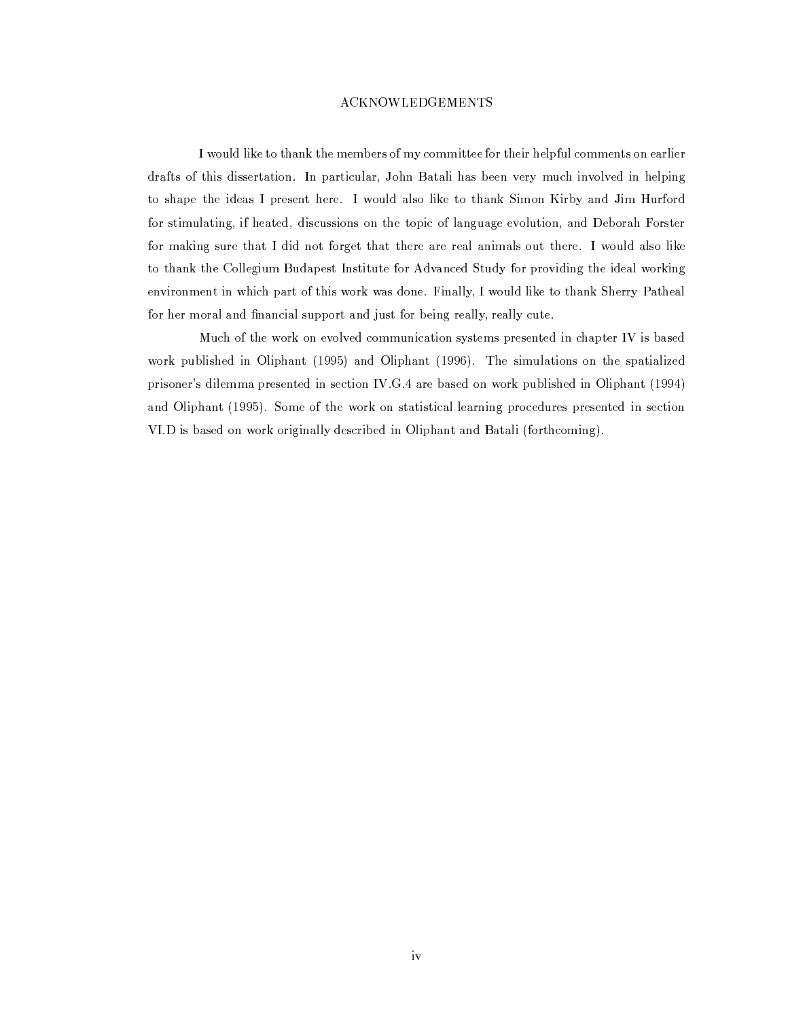## **ACKNOWLEDGEMENTS**

I would like to thank the members of my committee for their helpful comments on earlier drafts of this dissertation. In particular, John Batali has been very much involved in helping to shape the ideas I present here. I would also like to thank Simon Kirby and Jim Hurford for stimulating, if heated, discussions on the topic of language evolution, and Deborah Forster for making sure that I did not forget that there are real animals out there. I would also like to thank the Collegium Budapest Institute for Advanced Study for providing the ideal working environment in which part of this work was done. Finally, I would like to thank Sherry Patheal for her moral and financial support and just for being really, really cute.

Much of the work on evolved communication systems presented in chapter IV is based work published in Oliphant (1995) and Oliphant (1996). The simulations on the spatialized prisoner's dilemma presented in section IV.G.4 are based on work published in Oliphant (1994) and Oliphant (1995). Some of the work on statistical learning procedures presented in section VI.D is based on work originally described in Oliphant and Batali (forthcoming).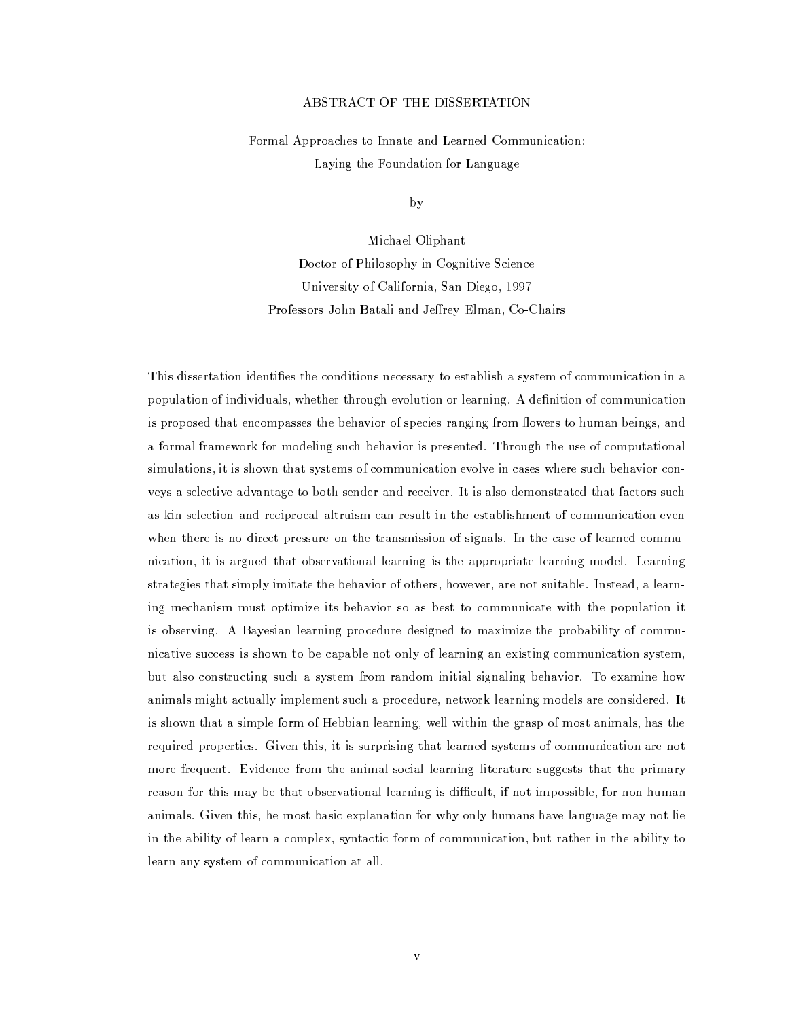## ABSTRACT OF THE DISSERTATION

Formal Approaches to Innate and Learned Communication: Laying the Foundation for Language

by

Michael Oliphant Doctor of Philosophy in Cognitive Science University of California, San Diego, 1997 Professors John Batali and Jeffrey Elman, Co-Chairs

This dissertation identifies the conditions necessary to establish a system of communication in a population of individuals, whether through evolution or learning. A definition of communication is proposed that encompasses the behavior of species ranging from flowers to human beings, and a formal framework for modeling such behavior is presented. Through the use of computational simulations, it is shown that systems of communication evolve in cases where such behavior conveys a selective advantage to both sender and receiver. It is also demonstrated that factors such as kin selection and reciprocal altruism can result in the establishment of communication even when there is no direct pressure on the transmission of signals. In the case of learned communication, it is argued that observational learning is the appropriate learning model. Learning strategies that simply imitate the behavior of others, however, are not suitable. Instead, a learning mechanism must optimize its behavior so as best to communicate with the population it is observing. A Bayesian learning procedure designed to maximize the probability of communicative success is shown to be capable not only of learning an existing communication system, but also constructing such a system from random initial signaling behavior. To examine how animals might actually implement such a procedure, network learning models are considered. It is shown that a simple form of Hebbian learning, well within the grasp of most animals, has the required properties. Given this, it is surprising that learned systems of communication are not more frequent. Evidence from the animal social learning literature suggests that the primary reason for this may be that observational learning is difficult, if not impossible, for non-human animals. Given this, he most basic explanation for why only humans have language may not lie in the ability of learn a complex, syntactic form of communication, but rather in the ability to learn any system of communication at all.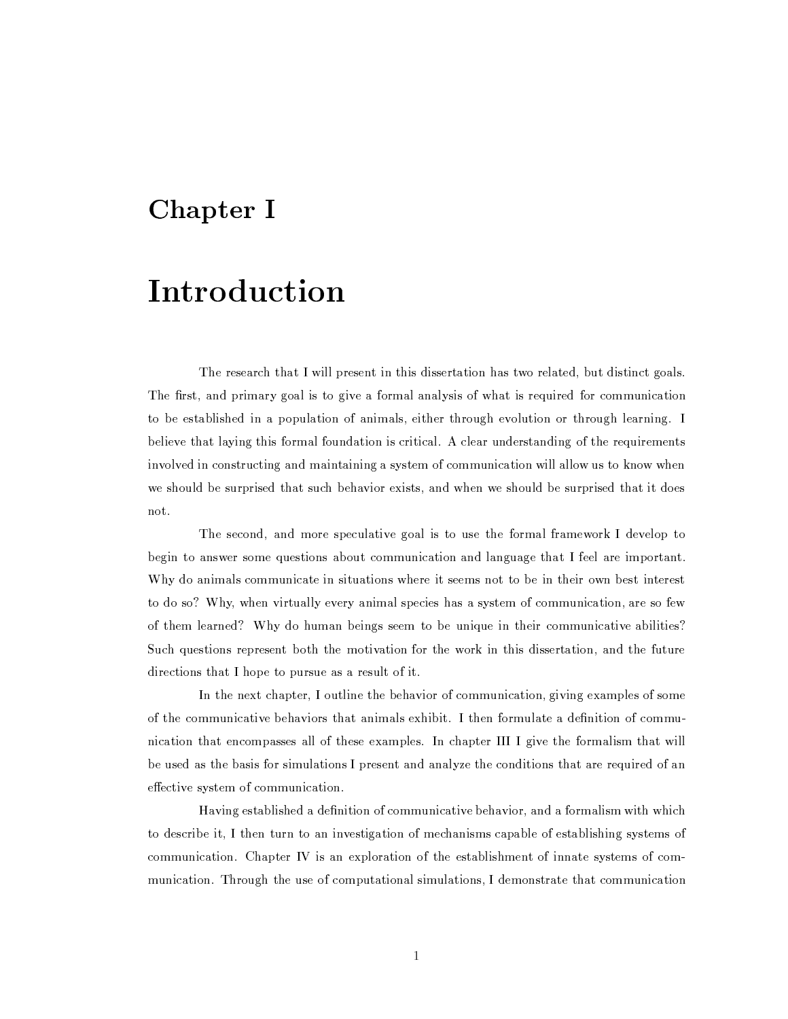## Chapter I

# Introduction

The research that I will present in this dissertation has two related, but distinct goals. The first, and primary goal is to give a formal analysis of what is required for communication to be established in a population of animals, either through evolution or through learning. I believe that laying this formal foundation is critical. A clear understanding of the requirements involved in constructing and maintaining a system of communication will allow us to know when we should be surprised that such behavior exists, and when we should be surprised that it does not.

The second, and more speculative goal is to use the formal framework I develop to begin to answer some questions about communication and language that I feel are important. Why do animals communicate in situations where it seems not to be in their own best interest to do so? Why, when virtually every animal species has a system of communication, are so few of them learned? Why do human beings seem to be unique in their communicative abilities? Such questions represent both the motivation for the work in this dissertation, and the future directions that I hope to pursue as a result of it.

In the next chapter, I outline the behavior of communication, giving examples of some of the communicative behaviors that animals exhibit. I then formulate a definition of communication that encompasses all of these examples. In chapter III I give the formalism that will be used as the basis for simulations I present and analyze the conditions that are required of an effective system of communication.

Having established a definition of communicative behavior, and a formalism with which to describe it, I then turn to an investigation of mechanisms capable of establishing systems of communication. Chapter IV is an exploration of the establishment of innate systems of communication. Through the use of computational simulations, I demonstrate that communication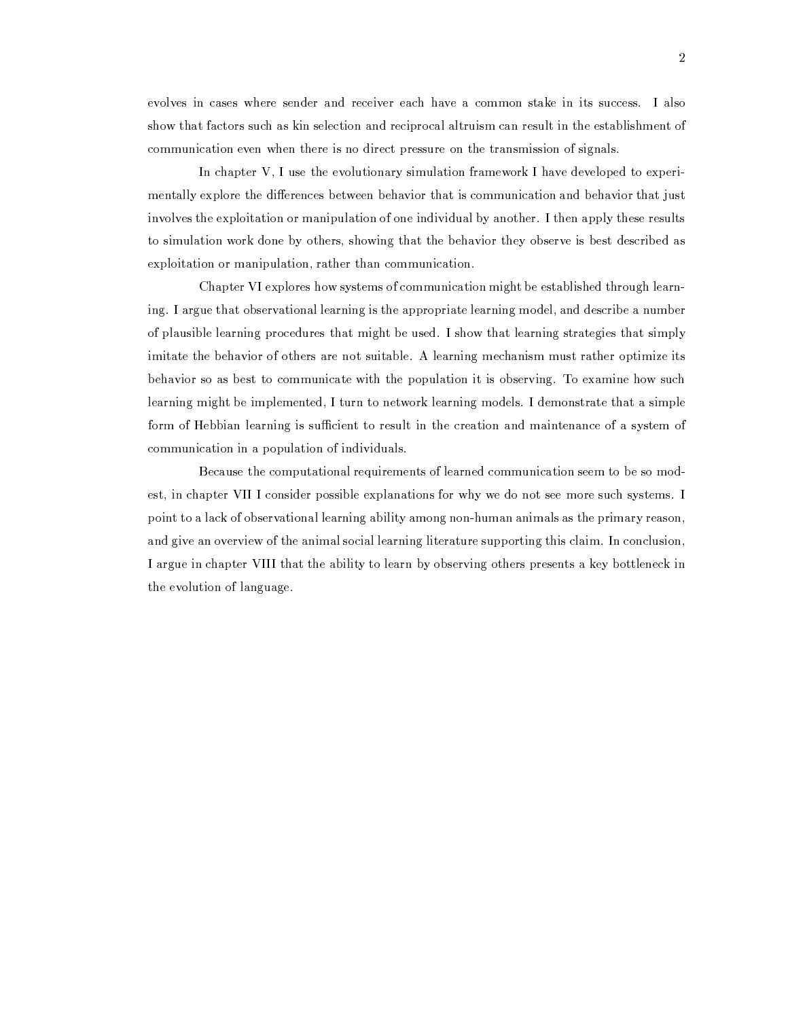evolves in cases where sender and receiver each have a common stake in its success. I also show that factors such as kin selection and reciprocal altruism can result in the establishment of communication even when there is no direct pressure on the transmission of signals.

In chapter V, I use the evolutionary simulation framework I have developed to experimentally explore the differences between behavior that is communication and behavior that just involves the exploitation or manipulation of one individual by another. I then apply these results to simulation work done by others, showing that the behavior they observe is best described as exploitation or manipulation, rather than communication.

Chapter VI explores how systems of communication might be established through learning. I argue that observational learning is the appropriate learning model, and describe a number of plausible learning procedures that might be used. I show that learning strategies that simply imitate the behavior of others are not suitable. A learning mechanism must rather optimize its behavior so as best to communicate with the population it is observing. To examine how such learning might be implemented, I turn to network learning models. I demonstrate that a simple form of Hebbian learning is sufficient to result in the creation and maintenance of a system of communication in a population of individuals.

Because the computational requirements of learned communication seem to be so modest, in chapter VII I consider possible explanations for why we do not see more such systems. I point to a lack of observational learning ability among non-human animals as the primary reason, and give an overview of the animal social learning literature supporting this claim. In conclusion, I argue in chapter VIII that the ability to learn by observing others presents a key bottleneck in the evolution of language.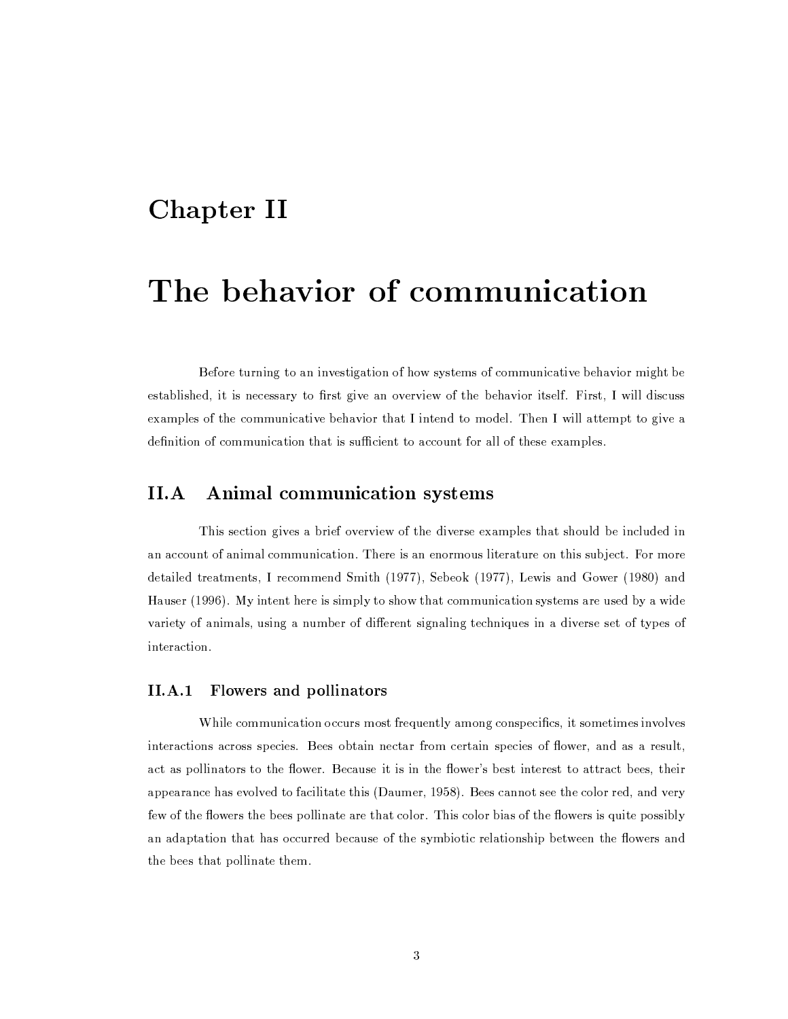## Chapter II

# The behavior of communication

Before turning to an investigation of how systems of communicative behavior might be established, it is necessary to first give an overview of the behavior itself. First, I will discuss examples of the communicative behavior that I intend to model. Then I will attempt to give a definition of communication that is sufficient to account for all of these examples.

## $II.A$ Animal communication systems

This section gives a brief overview of the diverse examples that should be included in an account of animal communication. There is an enormous literature on this subject. For more detailed treatments, I recommend Smith (1977), Sebeok (1977), Lewis and Gower (1980) and Hauser (1996). My intent here is simply to show that communication systems are used by a wide variety of animals, using a number of different signaling techniques in a diverse set of types of interaction.

#### $II.A.1$ Flowers and pollinators

While communication occurs most frequently among conspecifics, it sometimes involves interactions across species. Bees obtain nectar from certain species of flower, and as a result, act as pollinators to the flower. Because it is in the flower's best interest to attract bees, their appearance has evolved to facilitate this (Daumer, 1958). Bees cannot see the color red, and very few of the flowers the bees pollinate are that color. This color bias of the flowers is quite possibly an adaptation that has occurred because of the symbiotic relationship between the flowers and the bees that pollinate them.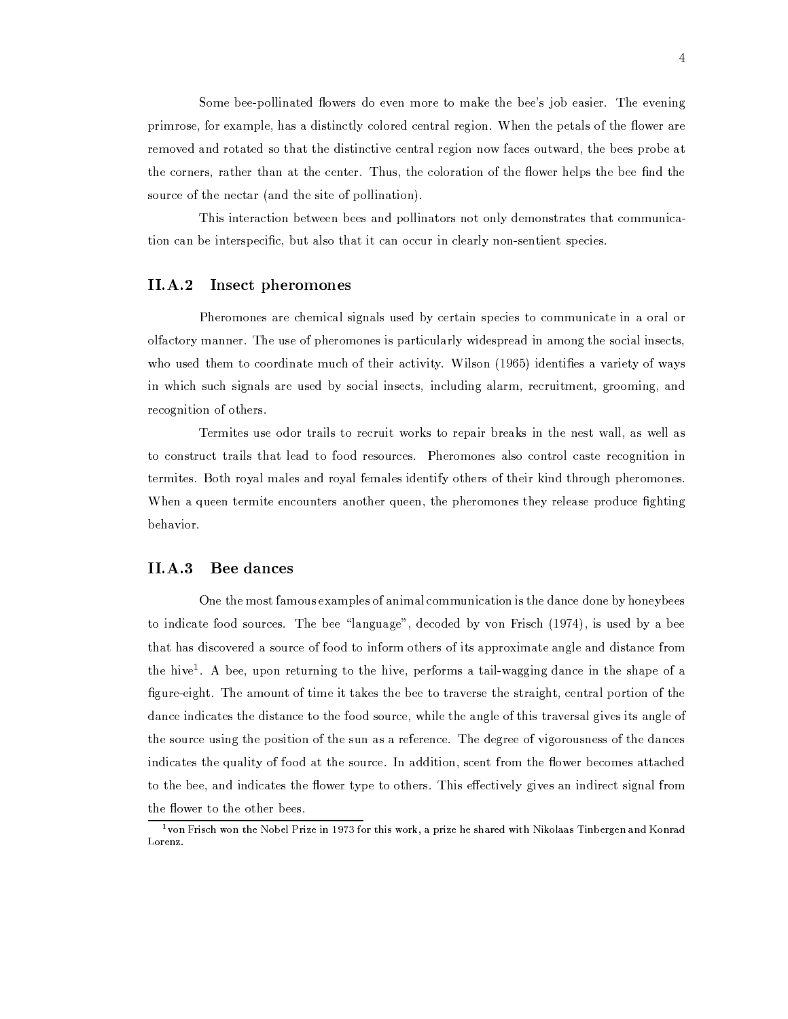Some bee-pollinated flowers do even more to make the bee's job easier. The evening primrose, for example, has a distinctly colored central region. When the petals of the flower are removed and rotated so that the distinctive central region now faces outward, the bees probe at the corners, rather than at the center. Thus, the coloration of the flower helps the bee find the source of the nectar (and the site of pollination).

This interaction between bees and pollinators not only demonstrates that communication can be interspecific, but also that it can occur in clearly non-sentient species.

#### $II.A.2$ Insect pheromones

Pheromones are chemical signals used by certain species to communicate in a oral or olfactory manner. The use of pheromones is particularly widespread in among the social insects, who used them to coordinate much of their activity. Wilson (1965) identifies a variety of ways in which such signals are used by social insects, including alarm, recruitment, grooming, and recognition of others.

Termites use odor trails to recruit works to repair breaks in the nest wall, as well as to construct trails that lead to food resources. Pheromones also control caste recognition in termites. Both royal males and royal females identify others of their kind through pheromones. When a queen termite encounters another queen, the pheromones they release produce fighting behavior.

#### $II.A.3$ Bee dances

One the most famous examples of animal communication is the dance done by honeybees to indicate food sources. The bee "language", decoded by von Frisch (1974), is used by a bee that has discovered a source of food to inform others of its approximate angle and distance from the hive<sup>1</sup>. A bee, upon returning to the hive, performs a tail-wagging dance in the shape of a figure-eight. The amount of time it takes the bee to traverse the straight, central portion of the dance indicates the distance to the food source, while the angle of this traversal gives its angle of the source using the position of the sun as a reference. The degree of vigorousness of the dances indicates the quality of food at the source. In addition, scent from the flower becomes attached to the bee, and indicates the flower type to others. This effectively gives an indirect signal from the flower to the other bees.

<sup>&</sup>lt;sup>1</sup> von Frisch won the Nobel Prize in 1973 for this work, a prize he shared with Nikolaas Tinbergen and Konrad Lorenz.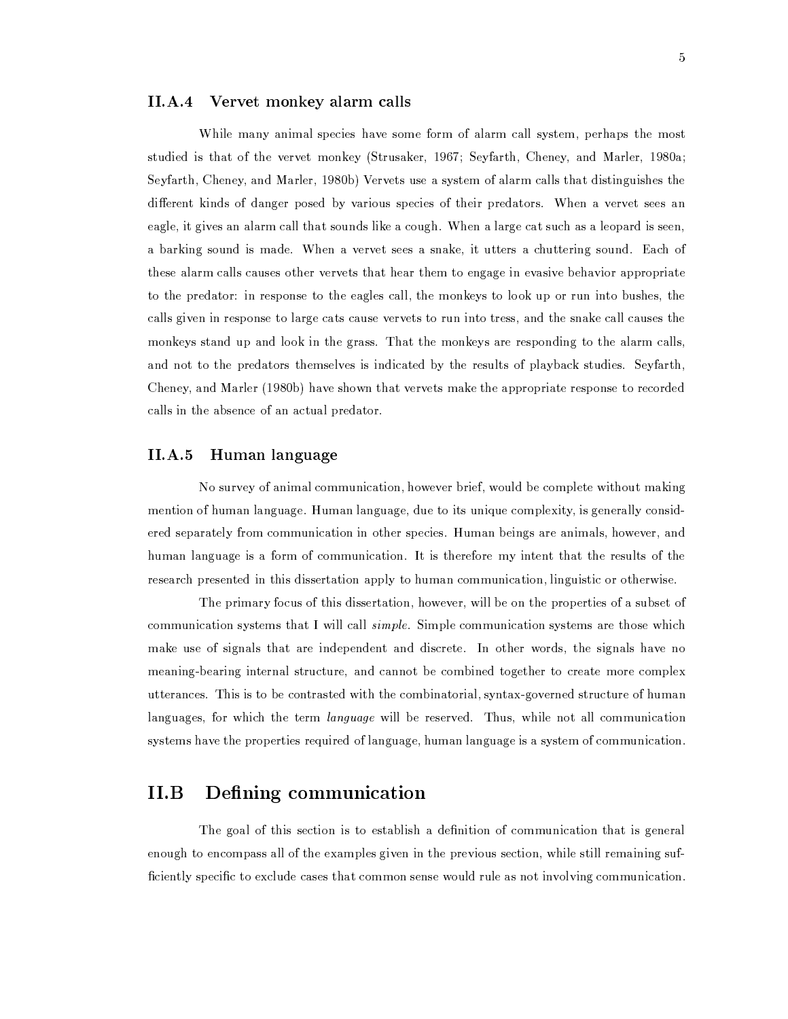#### $II.A.4$ Vervet monkey alarm calls

While many animal species have some form of alarm call system, perhaps the most studied is that of the vervet monkey (Strusaker, 1967; Seyfarth, Cheney, and Marler, 1980a; Seyfarth, Cheney, and Marler, 1980b) Vervets use a system of alarm calls that distinguishes the different kinds of danger posed by various species of their predators. When a vervet sees an eagle, it gives an alarm call that sounds like a cough. When a large cat such as a leopard is seen, a barking sound is made. When a vervet sees a snake, it utters a chuttering sound. Each of these alarm calls causes other vervets that hear them to engage in evasive behavior appropriate to the predator: in response to the eagles call, the monkeys to look up or run into bushes, the calls given in response to large cats cause vervets to run into tress, and the snake call causes the monkeys stand up and look in the grass. That the monkeys are responding to the alarm calls, and not to the predators themselves is indicated by the results of playback studies. Seyfarth, Cheney, and Marler (1980b) have shown that vervets make the appropriate response to recorded calls in the absence of an actual predator.

#### $II.A.5$ Human language

No survey of animal communication, however brief, would be complete without making mention of human language. Human language, due to its unique complexity, is generally considered separately from communication in other species. Human beings are animals, however, and human language is a form of communication. It is therefore my intent that the results of the research presented in this dissertation apply to human communication, linguistic or otherwise.

The primary focus of this dissertation, however, will be on the properties of a subset of communication systems that I will call *simple*. Simple communication systems are those which make use of signals that are independent and discrete. In other words, the signals have no meaning-bearing internal structure, and cannot be combined together to create more complex utterances. This is to be contrasted with the combinatorial, syntax-governed structure of human languages, for which the term *language* will be reserved. Thus, while not all communication systems have the properties required of language, human language is a system of communication.

## $II.B$ Defining communication

The goal of this section is to establish a definition of communication that is general enough to encompass all of the examples given in the previous section, while still remaining sufficiently specific to exclude cases that common sense would rule as not involving communication.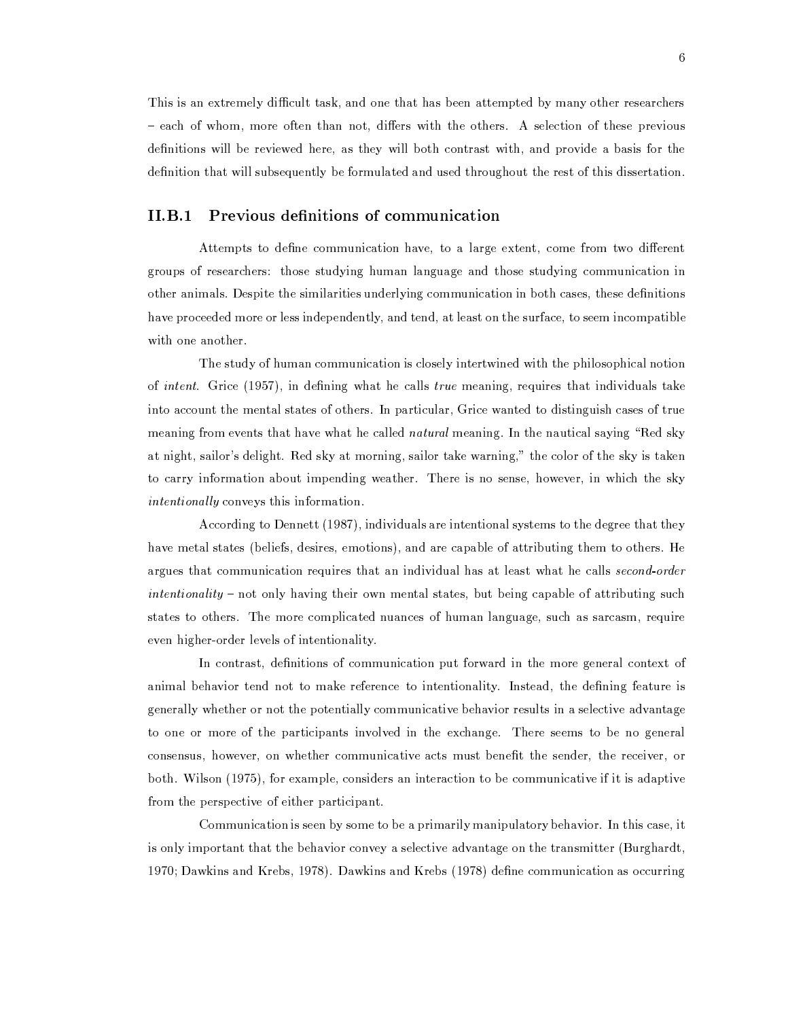This is an extremely difficult task, and one that has been attempted by many other researchers - each of whom, more often than not, differs with the others. A selection of these previous definitions will be reviewed here, as they will both contrast with, and provide a basis for the definition that will subsequently be formulated and used throughout the rest of this dissertation.

## Previous definitions of communication  $II.B.1$

Attempts to define communication have, to a large extent, come from two different groups of researchers: those studying human language and those studying communication in other animals. Despite the similarities underlying communication in both cases, these definitions have proceeded more or less independently, and tend, at least on the surface, to seem incompatible with one another.

The study of human communication is closely intertwined with the philosophical notion of *intent.* Grice (1957), in defining what he calls *true* meaning, requires that individuals take into account the mental states of others. In particular, Grice wanted to distinguish cases of true meaning from events that have what he called *natural* meaning. In the nautical saying "Red sky at night, sailor's delight. Red sky at morning, sailor take warning," the color of the sky is taken to carry information about impending weather. There is no sense, however, in which the sky *intentionally* conveys this information.

According to Dennett (1987), individuals are intentional systems to the degree that they have metal states (beliefs, desires, emotions), and are capable of attributing them to others. He argues that communication requires that an individual has at least what he calls second-order intentionality – not only having their own mental states, but being capable of attributing such states to others. The more complicated nuances of human language, such as sarcasm, require even higher-order levels of intentionality.

In contrast, definitions of communication put forward in the more general context of animal behavior tend not to make reference to intentionality. Instead, the defining feature is generally whether or not the potentially communicative behavior results in a selective advantage to one or more of the participants involved in the exchange. There seems to be no general consensus, however, on whether communicative acts must benefit the sender, the receiver, or both. Wilson (1975), for example, considers an interaction to be communicative if it is adaptive from the perspective of either participant.

Communication is seen by some to be a primarily manipulatory behavior. In this case, it is only important that the behavior convey a selective advantage on the transmitter (Burghardt, 1970; Dawkins and Krebs, 1978). Dawkins and Krebs (1978) define communication as occurring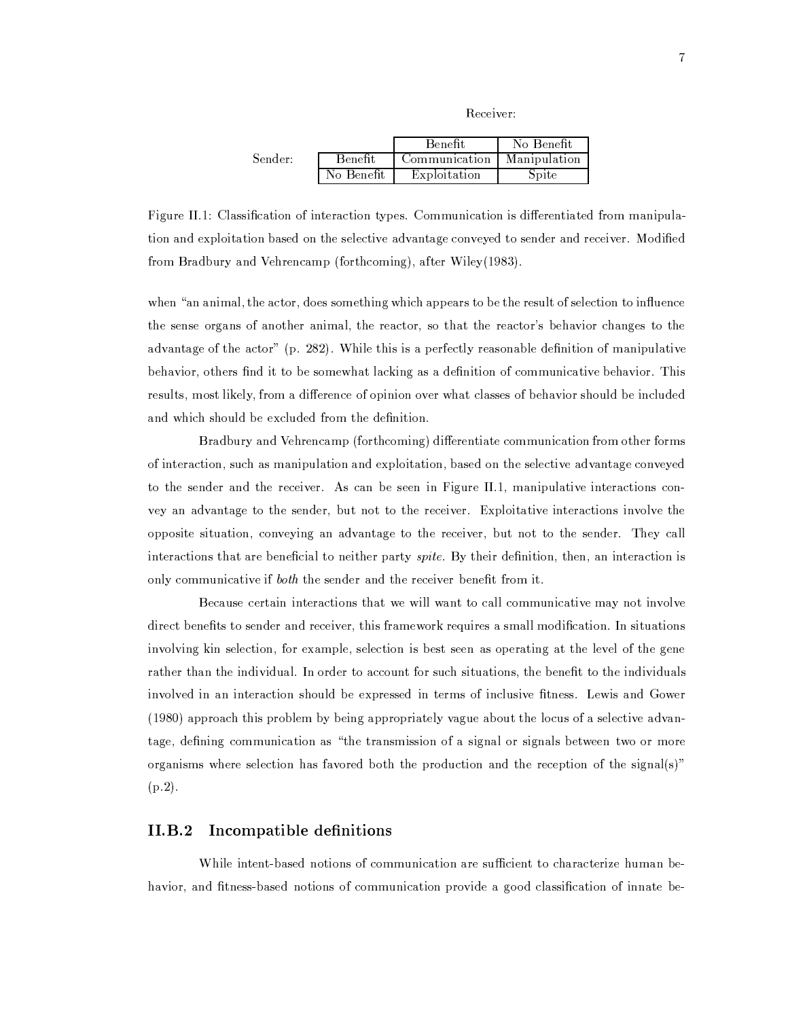```
Receiver:
```

|         |            | <b>Benefit</b> | No Benefit   |
|---------|------------|----------------|--------------|
| Sender: | Benefit    | Communication  | Manipulation |
|         | No Benefit | Exploitation   | Spite        |

Figure II.1: Classification of interaction types. Communication is differentiated from manipulation and exploitation based on the selective advantage conveved to sender and receiver. Modified from Bradbury and Vehrencamp (forthcoming), after Wiley(1983).

when "an animal, the actor, does something which appears to be the result of selection to influence the sense organs of another animal, the reactor, so that the reactor's behavior changes to the advantage of the actor" (p. 282). While this is a perfectly reasonable definition of manipulative behavior, others find it to be somewhat lacking as a definition of communicative behavior. This results, most likely, from a difference of opinion over what classes of behavior should be included and which should be excluded from the definition.

Bradbury and Vehrencamp (forthcoming) differentiate communication from other forms of interaction, such as manipulation and exploitation, based on the selective advantage conveyed to the sender and the receiver. As can be seen in Figure II.1, manipulative interactions convey an advantage to the sender, but not to the receiver. Exploitative interactions involve the opposite situation, conveying an advantage to the receiver, but not to the sender. They call interactions that are beneficial to neither party *spite*. By their definition, then, an interaction is only communicative if both the sender and the receiver benefit from it.

Because certain interactions that we will want to call communicative may not involve direct benefits to sender and receiver, this framework requires a small modification. In situations involving kin selection, for example, selection is best seen as operating at the level of the gene rather than the individual. In order to account for such situations, the benefit to the individuals involved in an interaction should be expressed in terms of inclusive fitness. Lewis and Gower (1980) approach this problem by being appropriately vague about the locus of a selective advantage, defining communication as "the transmission of a signal or signals between two or more organisms where selection has favored both the production and the reception of the signal(s)"  $(p.2).$ 

## Incompatible definitions  $II.B.2$

While intent-based notions of communication are sufficient to characterize human behavior, and fitness-based notions of communication provide a good classification of innate be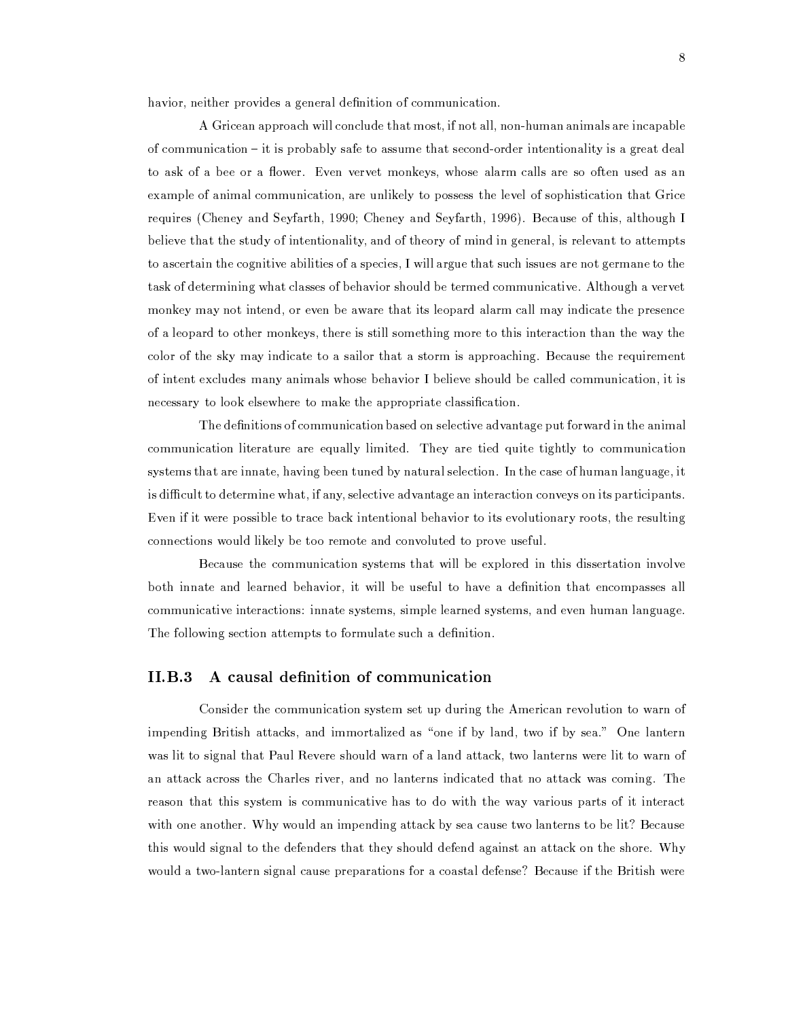havior, neither provides a general definition of communication.

A Gricean approach will conclude that most, if not all, non-human animals are incapable of communication – it is probably safe to assume that second-order intentionality is a great deal to ask of a bee or a flower. Even vervet monkeys, whose alarm calls are so often used as an example of animal communication, are unlikely to possess the level of sophistication that Grice requires (Cheney and Seyfarth, 1990; Cheney and Seyfarth, 1996). Because of this, although I believe that the study of intentionality, and of theory of mind in general, is relevant to attempts to ascertain the cognitive abilities of a species. I will argue that such issues are not germane to the task of determining what classes of behavior should be termed communicative. Although a vervet monkey may not intend, or even be aware that its leopard alarm call may indicate the presence of a leopard to other monkeys, there is still something more to this interaction than the way the color of the sky may indicate to a sailor that a storm is approaching. Because the requirement of intent excludes many animals whose behavior I believe should be called communication, it is necessary to look elsewhere to make the appropriate classification.

The definitions of communication based on selective advantage put forward in the animal communication literature are equally limited. They are tied quite tightly to communication systems that are innate, having been tuned by natural selection. In the case of human language, it is difficult to determine what, if any, selective advantage an interaction conveys on its participants. Even if it were possible to trace back intentional behavior to its evolutionary roots, the resulting connections would likely be too remote and convoluted to prove useful.

Because the communication systems that will be explored in this dissertation involve both innate and learned behavior, it will be useful to have a definition that encompasses all communicative interactions: innate systems, simple learned systems, and even human language. The following section attempts to formulate such a definition.

#### $II.B.3$ A causal definition of communication

Consider the communication system set up during the American revolution to warn of impending British attacks, and immortalized as "one if by land, two if by sea." One lantern was lit to signal that Paul Revere should warn of a land attack, two lanterns were lit to warn of an attack across the Charles river, and no lanterns indicated that no attack was coming. The reason that this system is communicative has to do with the way various parts of it interact with one another. Why would an impending attack by sea cause two lanterns to be lit? Because this would signal to the defenders that they should defend against an attack on the shore. Why would a two-lantern signal cause preparations for a coastal defense? Because if the British were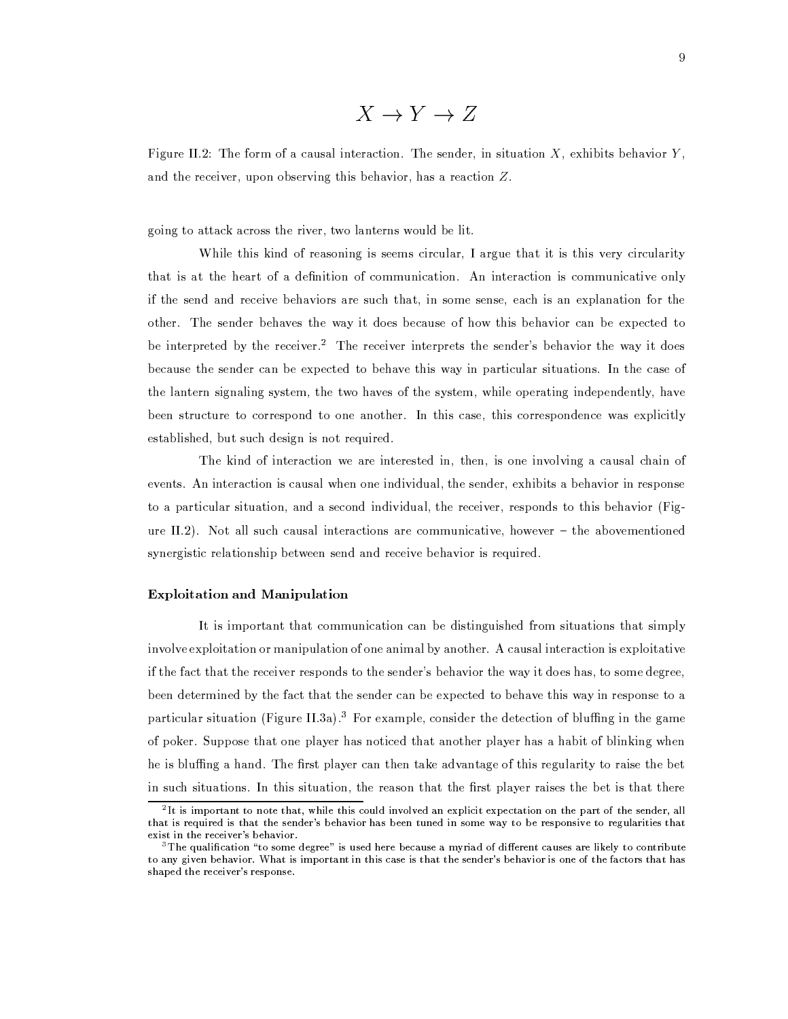$$
X \to Y \to Z
$$

Figure II.2: The form of a causal interaction. The sender, in situation X, exhibits behavior Y. and the receiver, upon observing this behavior, has a reaction  $Z$ .

going to attack across the river, two lanterns would be lit.

While this kind of reasoning is seems circular, I argue that it is this very circularity that is at the heart of a definition of communication. An interaction is communicative only if the send and receive behaviors are such that, in some sense, each is an explanation for the other. The sender behaves the way it does because of how this behavior can be expected to be interpreted by the receiver.<sup>2</sup> The receiver interprets the sender's behavior the way it does because the sender can be expected to behave this way in particular situations. In the case of the lantern signaling system, the two haves of the system, while operating independently, have been structure to correspond to one another. In this case, this correspondence was explicitly established, but such design is not required.

The kind of interaction we are interested in, then, is one involving a causal chain of events. An interaction is causal when one individual, the sender, exhibits a behavior in response to a particular situation, and a second individual, the receiver, responds to this behavior (Figure II.2). Not all such causal interactions are communicative, however  $-$  the abovementioned synergistic relationship between send and receive behavior is required.

## **Exploitation and Manipulation**

It is important that communication can be distinguished from situations that simply involve exploitation or manipulation of one animal by another. A causal interaction is exploitative if the fact that the receiver responds to the sender's behavior the way it does has, to some degree, been determined by the fact that the sender can be expected to behave this way in response to a particular situation (Figure II.3a).<sup>3</sup> For example, consider the detection of bluffing in the game of poker. Suppose that one player has noticed that another player has a habit of blinking when he is bluffing a hand. The first player can then take advantage of this regularity to raise the bet in such situations. In this situation, the reason that the first player raises the bet is that there

 $2$ It is important to note that, while this could involved an explicit expectation on the part of the sender, all that is required is that the sender's behavior has been tuned in some way to be responsive to regularities that exist in the receiver's behavior.

 $3$ The qualification "to some degree" is used here because a myriad of different causes are likely to contribute to any given behavior. What is important in this case is that the sender's behavior is one of the factors that has shaped the receiver's response.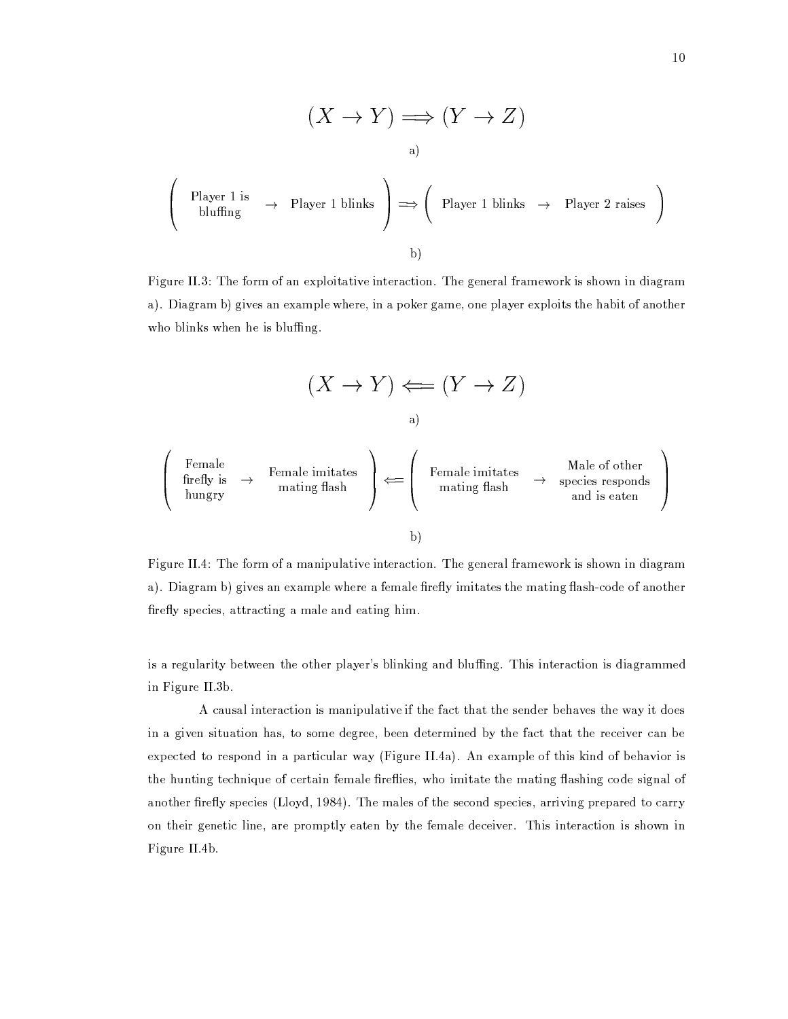$$
(X \to Y) \Longrightarrow (Y \to Z)
$$
\na)

\nPlayer 1 is  
bluffling

\n
$$
\rightarrow \text{Player 1 blinks} \rightarrow \text{Player 1 blinks} \rightarrow \text{Player 2 raises}
$$
\nb)

Figure II.3: The form of an exploitative interaction. The general framework is shown in diagram a). Diagram b) gives an example where, in a poker game, one player exploits the habit of another who blinks when he is bluffing.

$$
(X \to Y) \Longleftarrow (Y \to Z)
$$
\n1

\na)

\nfemale

\nfirstly is  $\rightarrow$  Female imitates  
\nhungry

\n1

\n2

\n3

\n3

\n4

\n3

\n5

\n6

\n6

\n6

\n6

\n7

\n8

\n8

\n9

\n10

\n11

\n12

\n13

\n14

\n15

\n16

\n16

\n17

\n18

\n19

\n10

\n11

\n11

\n12

\n13

\n14

\n15

\n16

\n16

\n17

\n18

\n19

\n10

\n11

\n11

\n12

\n13

\n14

\n15

\n16

\n16

\n17

\n18

\n19

\n10

\n11

\n11

\n12

\n13

\n14

\n15

\n16

\n16

\n17

\n18

\n19

\n10

\n11

\n11

\n12

\n13

\n14

\n15

\n16

\n16

\n17

\n18

\n19

\n10

\n11

\n11

\n12

\n13

\n14

\n15

\n16

\n17

\n18

\n19

\n10

\n11

\n11

\n12

\n

Figure II.4: The form of a manipulative interaction. The general framework is shown in diagram a). Diagram b) gives an example where a female firefly imitates the mating flash-code of another firefly species, attracting a male and eating him.

is a regularity between the other player's blinking and bluffing. This interaction is diagrammed in Figure II.3b.

A causal interaction is manipulative if the fact that the sender behaves the way it does in a given situation has, to some degree, been determined by the fact that the receiver can be expected to respond in a particular way (Figure II.4a). An example of this kind of behavior is the hunting technique of certain female fireflies, who imitate the mating flashing code signal of another firefly species (Lloyd, 1984). The males of the second species, arriving prepared to carry on their genetic line, are promptly eaten by the female deceiver. This interaction is shown in Figure II.4b.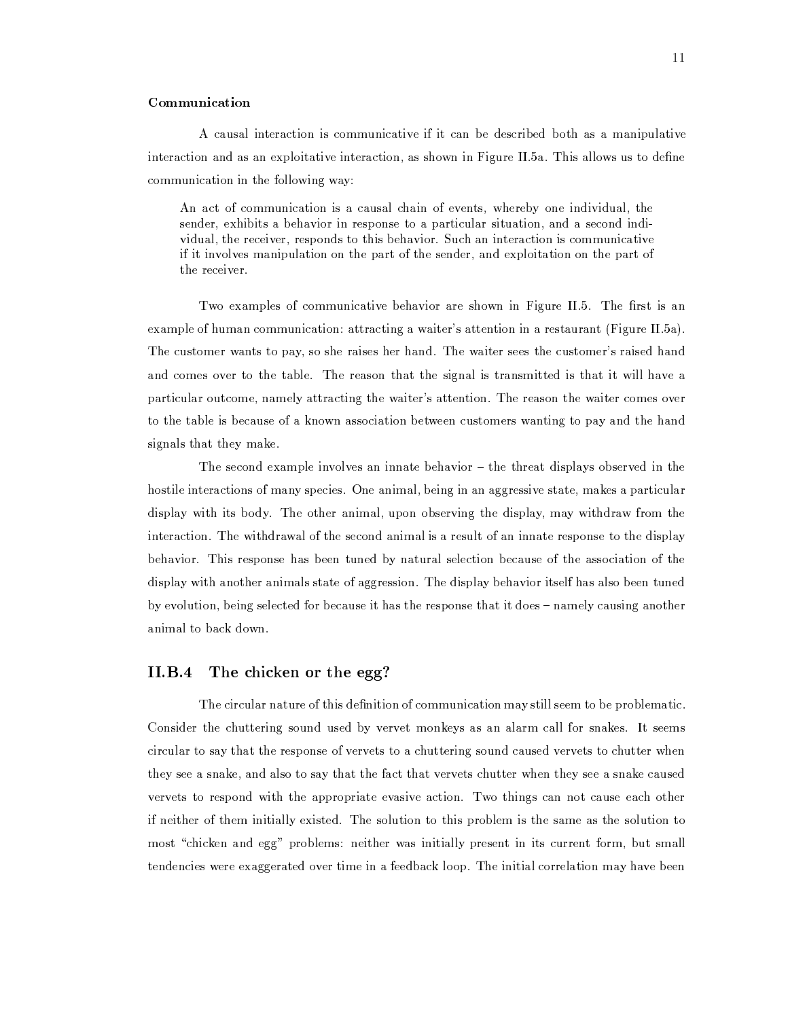## Communication

A causal interaction is communicative if it can be described both as a manipulative interaction and as an exploitative interaction, as shown in Figure II.5a. This allows us to define communication in the following way:

An act of communication is a causal chain of events, whereby one individual, the sender, exhibits a behavior in response to a particular situation, and a second individual, the receiver, responds to this behavior. Such an interaction is communicative if it involves manipulation on the part of the sender, and exploitation on the part of the receiver.

Two examples of communicative behavior are shown in Figure II.5. The first is an example of human communication: attracting a waiter's attention in a restaurant (Figure II.5a). The customer wants to pay, so she raises her hand. The waiter sees the customer's raised hand and comes over to the table. The reason that the signal is transmitted is that it will have a particular outcome, namely attracting the waiter's attention. The reason the waiter comes over to the table is because of a known association between customers wanting to pay and the hand signals that they make.

The second example involves an innate behavior – the threat displays observed in the hostile interactions of many species. One animal, being in an aggressive state, makes a particular display with its body. The other animal, upon observing the display, may withdraw from the interaction. The withdrawal of the second animal is a result of an innate response to the display behavior. This response has been tuned by natural selection because of the association of the display with another animals state of aggression. The display behavior itself has also been tuned by evolution, being selected for because it has the response that it does - namely causing another animal to back down.

## The chicken or the egg?  $II.B.4$

The circular nature of this definition of communication may still seem to be problematic. Consider the chuttering sound used by vervet monkeys as an alarm call for snakes. It seems circular to say that the response of vervets to a chuttering sound caused vervets to chutter when they see a snake, and also to say that the fact that vervets chutter when they see a snake caused vervets to respond with the appropriate evasive action. Two things can not cause each other if neither of them initially existed. The solution to this problem is the same as the solution to most "chicken and egg" problems: neither was initially present in its current form, but small tendencies were exaggerated over time in a feedback loop. The initial correlation may have been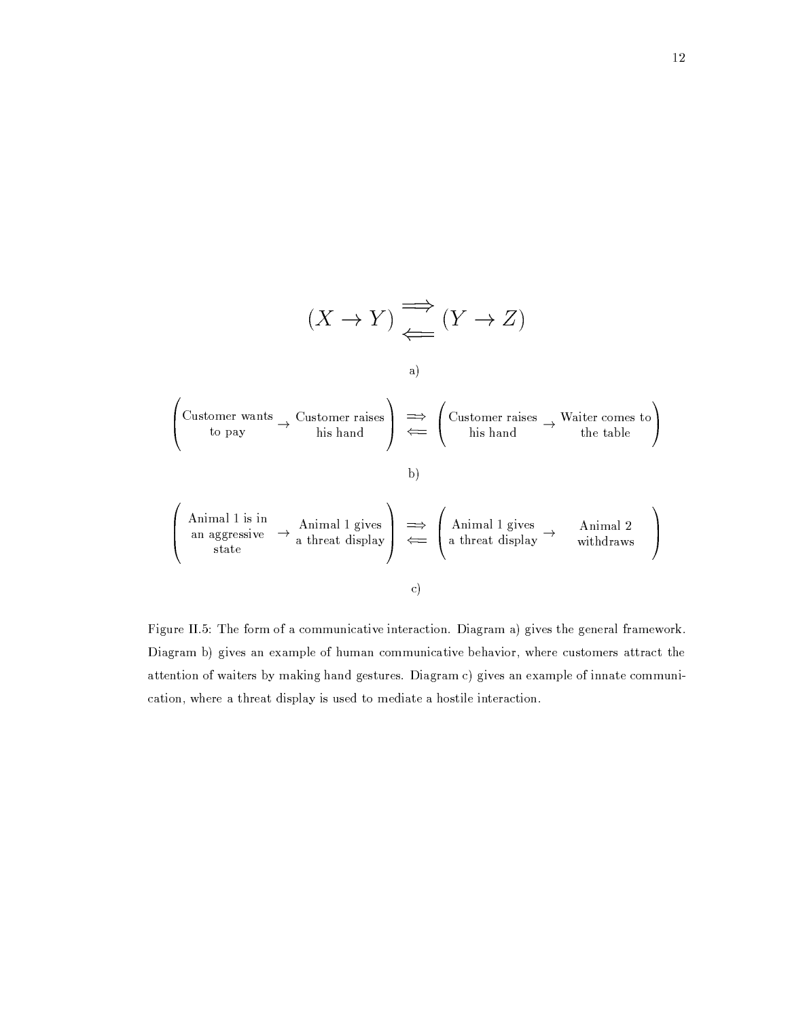

Figure II.5: The form of a communicative interaction. Diagram a) gives the general framework. Diagram b) gives an example of human communicative behavior, where customers attract the attention of waiters by making hand gestures. Diagram c) gives an example of innate communication, where a threat display is used to mediate a hostile interaction.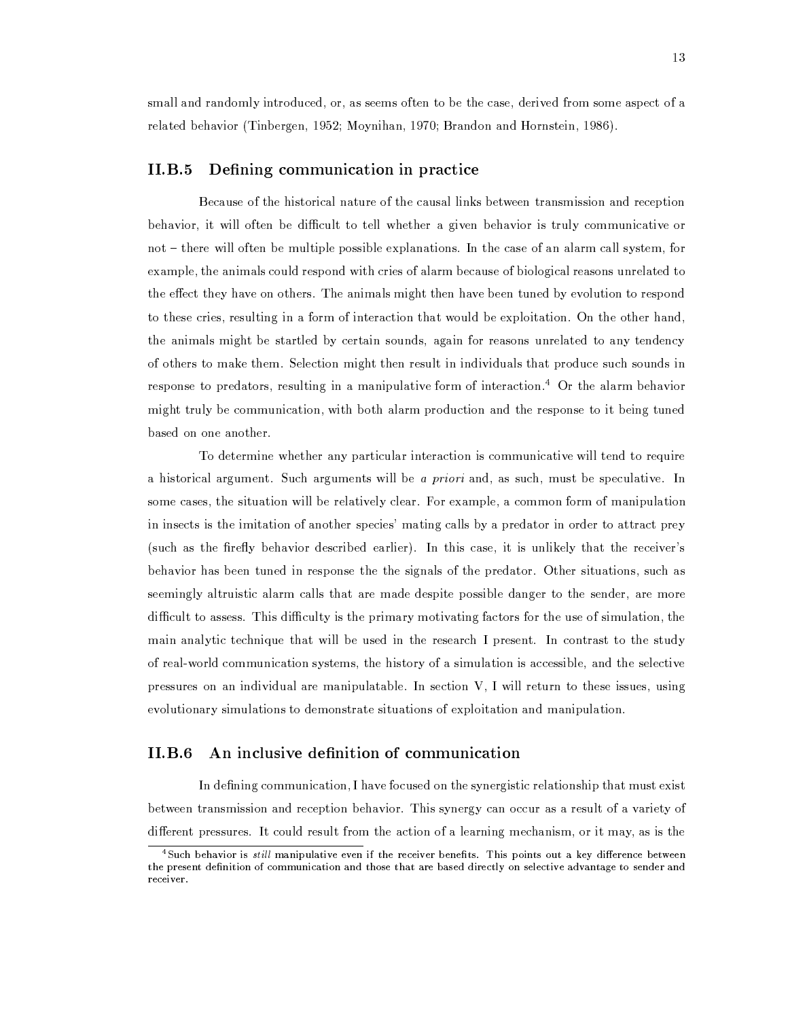small and randomly introduced, or, as seems often to be the case, derived from some aspect of a related behavior (Tinbergen, 1952; Moynihan, 1970; Brandon and Hornstein, 1986).

## $II.B.5$ Defining communication in practice

Because of the historical nature of the causal links between transmission and reception behavior, it will often be difficult to tell whether a given behavior is truly communicative or not – there will often be multiple possible explanations. In the case of an alarm call system, for example, the animals could respond with cries of alarm because of biological reasons unrelated to the effect they have on others. The animals might then have been tuned by evolution to respond to these cries, resulting in a form of interaction that would be exploitation. On the other hand, the animals might be startled by certain sounds, again for reasons unrelated to any tendency of others to make them. Selection might then result in individuals that produce such sounds in response to predators, resulting in a manipulative form of interaction.<sup>4</sup> Or the alarm behavior might truly be communication, with both alarm production and the response to it being tuned based on one another.

To determine whether any particular interaction is communicative will tend to require a historical argument. Such arguments will be a priori and, as such, must be speculative. In some cases, the situation will be relatively clear. For example, a common form of manipulation in insects is the imitation of another species' mating calls by a predator in order to attract prey (such as the firefly behavior described earlier). In this case, it is unlikely that the receiver's behavior has been tuned in response the the signals of the predator. Other situations, such as seemingly altruistic alarm calls that are made despite possible danger to the sender, are more difficult to assess. This difficulty is the primary motivating factors for the use of simulation, the main analytic technique that will be used in the research I present. In contrast to the study of real-world communication systems, the history of a simulation is accessible, and the selective pressures on an individual are manipulatable. In section V, I will return to these issues, using evolutionary simulations to demonstrate situations of exploitation and manipulation.

#### $II.B.6$ An inclusive definition of communication

In defining communication, I have focused on the synergistic relationship that must exist between transmission and reception behavior. This synergy can occur as a result of a variety of different pressures. It could result from the action of a learning mechanism, or it may, as is the

<sup>&</sup>lt;sup>4</sup>Such behavior is *still* manipulative even if the receiver benefits. This points out a key difference between the present definition of communication and those that are based directly on selective advantage to sender and receiver.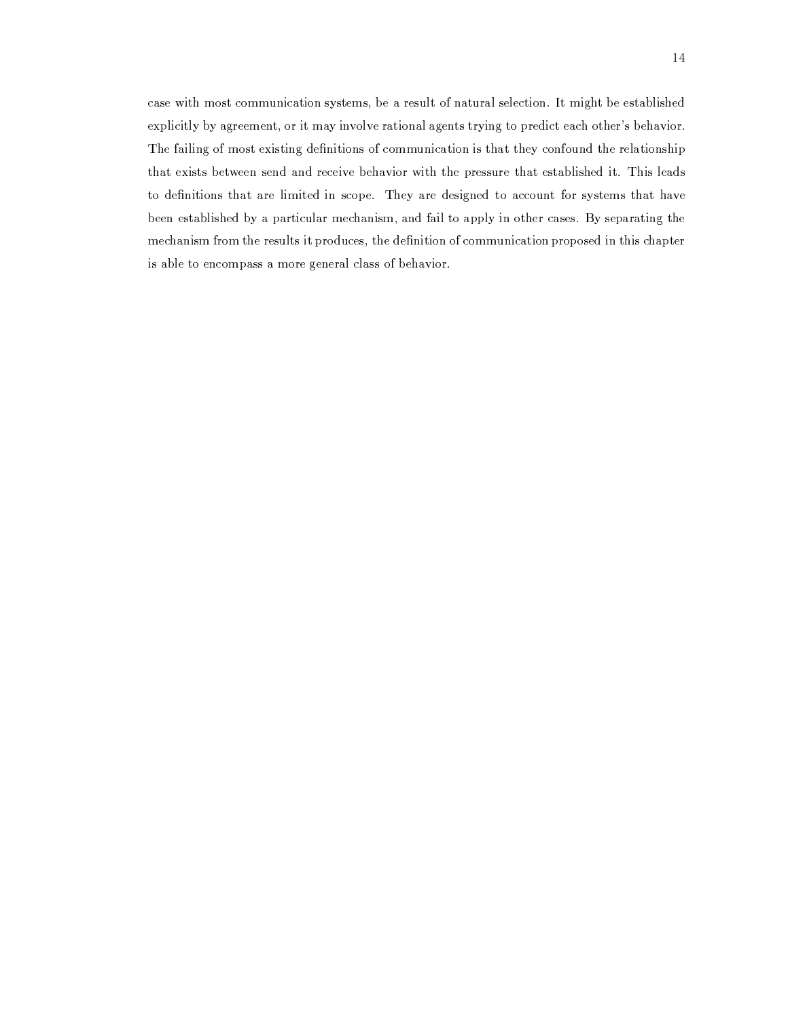case with most communication systems, be a result of natural selection. It might be established explicitly by agreement, or it may involve rational agents trying to predict each other's behavior. The failing of most existing definitions of communication is that they confound the relationship that exists between send and receive behavior with the pressure that established it. This leads to definitions that are limited in scope. They are designed to account for systems that have been established by a particular mechanism, and fail to apply in other cases. By separating the mechanism from the results it produces, the definition of communication proposed in this chapter is able to encompass a more general class of behavior.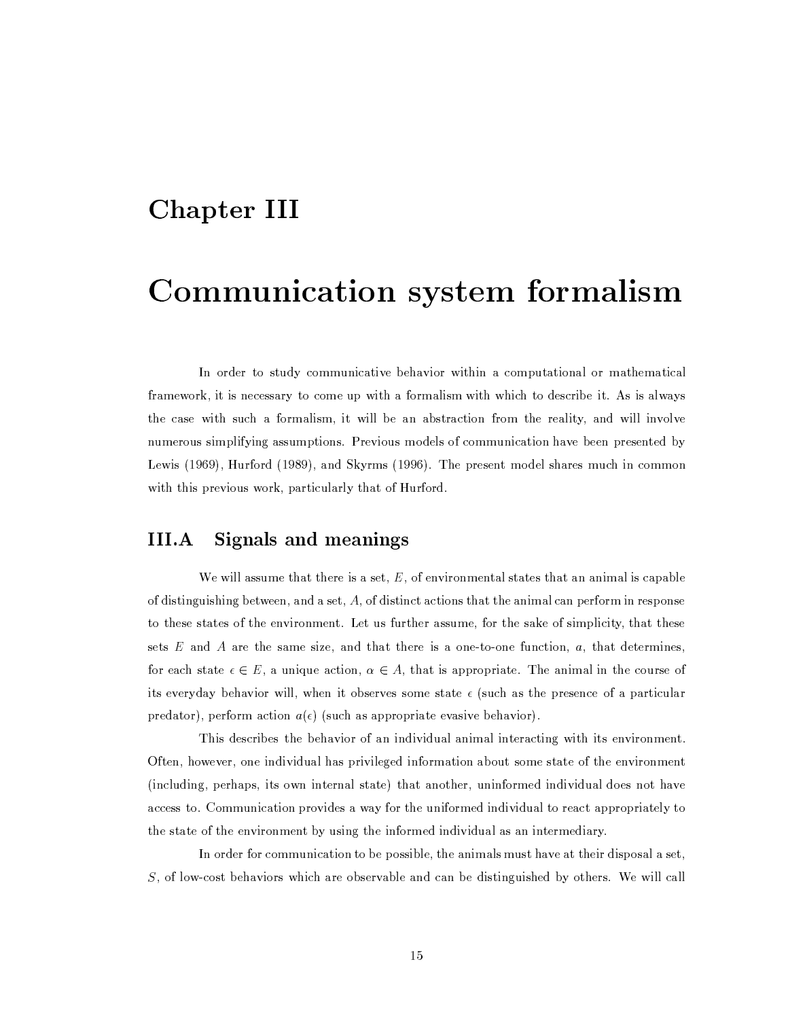## **Chapter III**

# Communication system formalism

In order to study communicative behavior within a computational or mathematical framework, it is necessary to come up with a formalism with which to describe it. As is always the case with such a formalism, it will be an abstraction from the reality, and will involve numerous simplifying assumptions. Previous models of communication have been presented by Lewis (1969), Hurford (1989), and Skyrms (1996). The present model shares much in common with this previous work, particularly that of Hurford.

## III.A Signals and meanings

We will assume that there is a set,  $E$ , of environmental states that an animal is capable of distinguishing between, and a set,  $A$ , of distinct actions that the animal can perform in response to these states of the environment. Let us further assume, for the sake of simplicity, that these sets  $E$  and  $A$  are the same size, and that there is a one-to-one function,  $a$ , that determines, for each state  $\epsilon \in E$ , a unique action,  $\alpha \in A$ , that is appropriate. The animal in the course of its everyday behavior will, when it observes some state  $\epsilon$  (such as the presence of a particular predator), perform action  $a(\epsilon)$  (such as appropriate evasive behavior).

This describes the behavior of an individual animal interacting with its environment. Often, however, one individual has privileged information about some state of the environment (including, perhaps, its own internal state) that another, uninformed individual does not have access to. Communication provides a way for the uniformed individual to react appropriately to the state of the environment by using the informed individual as an intermediary.

In order for communication to be possible, the animals must have at their disposal a set, S, of low-cost behaviors which are observable and can be distinguished by others. We will call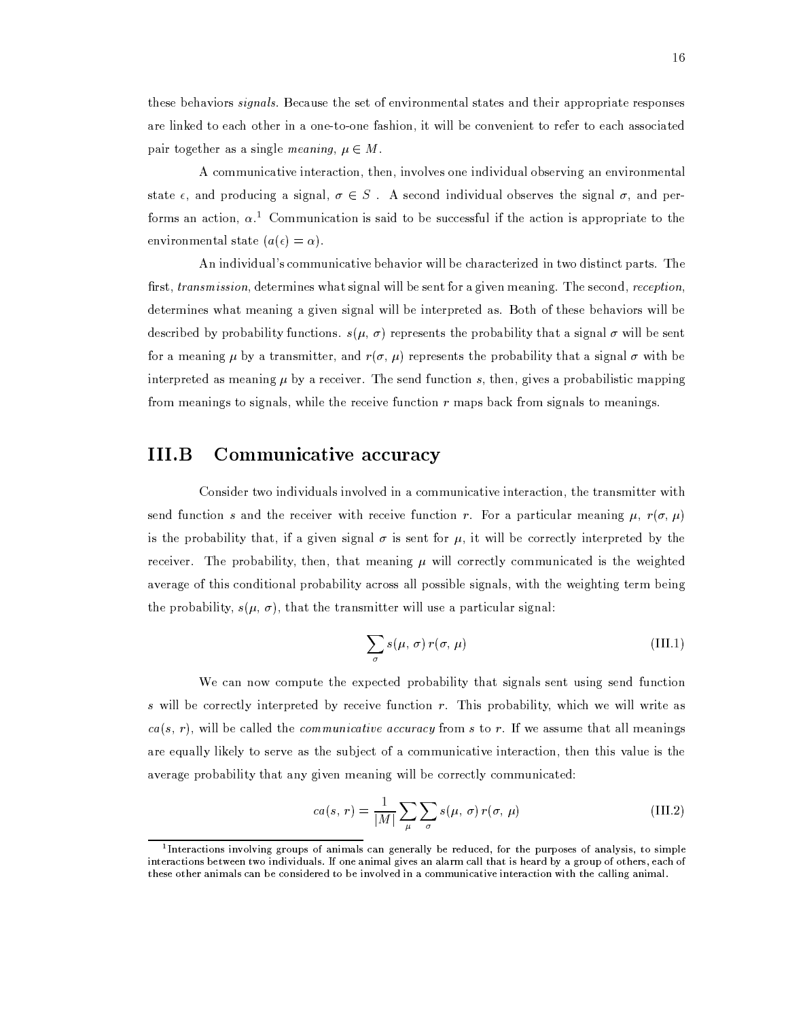these behaviors *signals*. Because the set of environmental states and their appropriate responses are linked to each other in a one-to-one fashion, it will be convenient to refer to each associated pair together as a single *meaning*,  $\mu \in M$ .

A communicative interaction, then, involves one individual observing an environmental state  $\epsilon$ , and producing a signal,  $\sigma \in S$ . A second individual observes the signal  $\sigma$ , and performs an action,  $\alpha$ <sup>1</sup>. Communication is said to be successful if the action is appropriate to the environmental state  $(a(\epsilon) = \alpha)$ .

An individual's communicative behavior will be characterized in two distinct parts. The first, transmission, determines what signal will be sent for a given meaning. The second, reception, determines what meaning a given signal will be interpreted as. Both of these behaviors will be described by probability functions.  $s(\mu, \sigma)$  represents the probability that a signal  $\sigma$  will be sent for a meaning  $\mu$  by a transmitter, and  $r(\sigma, \mu)$  represents the probability that a signal  $\sigma$  with be interpreted as meaning  $\mu$  by a receiver. The send function s, then, gives a probabilistic mapping from meanings to signals, while the receive function  $r$  maps back from signals to meanings.

## Communicative accuracy  $III.B$

Consider two individuals involved in a communicative interaction, the transmitter with send function s and the receiver with receive function r. For a particular meaning  $\mu$ ,  $r(\sigma, \mu)$ is the probability that, if a given signal  $\sigma$  is sent for  $\mu$ , it will be correctly interpreted by the receiver. The probability, then, that meaning  $\mu$  will correctly communicated is the weighted average of this conditional probability across all possible signals, with the weighting term being the probability,  $s(\mu, \sigma)$ , that the transmitter will use a particular signal:

$$
\sum_{\sigma} s(\mu, \sigma) r(\sigma, \mu) \tag{III.1}
$$

We can now compute the expected probability that signals sent using send function s will be correctly interpreted by receive function  $r$ . This probability, which we will write as  $ca(s, r)$ , will be called the *communicative accuracy* from s to r. If we assume that all meanings are equally likely to serve as the subject of a communicative interaction, then this value is the average probability that any given meaning will be correctly communicated:

$$
ca(s, r) = \frac{1}{|M|} \sum_{\mu} \sum_{\sigma} s(\mu, \sigma) r(\sigma, \mu)
$$
 (III.2)

<sup>&</sup>lt;sup>1</sup> Interactions involving groups of animals can generally be reduced, for the purposes of analysis, to simple interactions between two individuals. If one animal gives an alarm call that is heard by a group of others, each of these other animals can be considered to be involved in a communicative interaction with the calling animal.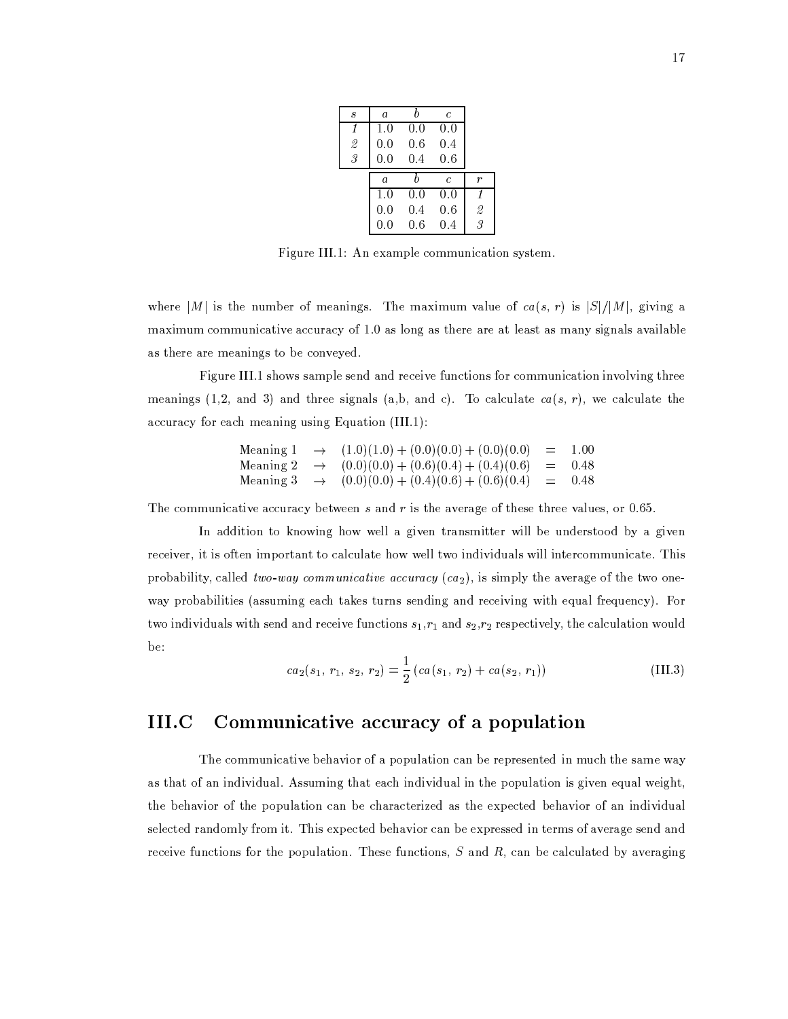| $\boldsymbol{s}$         | a              |     | Ċ   |               |
|--------------------------|----------------|-----|-----|---------------|
| 1                        | 1.0            | 0.0 | 0.0 |               |
| $\overline{\mathcal{Z}}$ | 0.0            | 0.6 | 0.4 |               |
| $\overline{\mathcal{S}}$ | 0.0            | 0.4 | 0.6 |               |
|                          |                |     |     |               |
|                          | $\overline{a}$ | h   | C   | r             |
|                          | 1.0            | 0.0 | 0.0 | 1             |
|                          | 0.0            | 0.4 | 0.6 | $\mathcal{Q}$ |
|                          | 0.0            | 0.6 | 0.4 | 3             |

Figure III.1: An example communication system.

where |M| is the number of meanings. The maximum value of  $ca(s, r)$  is  $|S|/|M|$ , giving a maximum communicative accuracy of 1.0 as long as there are at least as many signals available as there are meanings to be conveyed.

Figure III.1 shows sample send and receive functions for communication involving three meanings (1,2, and 3) and three signals (a,b, and c). To calculate  $ca(s, r)$ , we calculate the accuracy for each meaning using Equation (III.1):

| Meaning 1 | $\rightarrow (1.0)(1.0) + (0.0)(0.0) + (0.0)(0.0)$                    | $=$ 1.00 |
|-----------|-----------------------------------------------------------------------|----------|
|           | Meaning 2 $\rightarrow$ $(0.0)(0.0) + (0.6)(0.4) + (0.4)(0.6) = 0.48$ |          |
|           | Meaning 3 $\rightarrow$ $(0.0)(0.0) + (0.4)(0.6) + (0.6)(0.4) = 0.48$ |          |

The communicative accuracy between  $s$  and  $r$  is the average of these three values, or 0.65.

In addition to knowing how well a given transmitter will be understood by a given receiver, it is often important to calculate how well two individuals will intercommunicate. This probability, called two-way communicative accuracy  $(c\alpha_2)$ , is simply the average of the two oneway probabilities (assuming each takes turns sending and receiving with equal frequency). For two individuals with send and receive functions  $s_1$ ,  $r_1$  and  $s_2$ ,  $r_2$  respectively, the calculation would be:

$$
ca_2(s_1, r_1, s_2, r_2) = \frac{1}{2} \left( ca(s_1, r_2) + ca(s_2, r_1) \right)
$$
 (III.3)

## III.C Communicative accuracy of a population

The communicative behavior of a population can be represented in much the same way as that of an individual. Assuming that each individual in the population is given equal weight, the behavior of the population can be characterized as the expected behavior of an individual selected randomly from it. This expected behavior can be expressed in terms of average send and receive functions for the population. These functions,  $S$  and  $R$ , can be calculated by averaging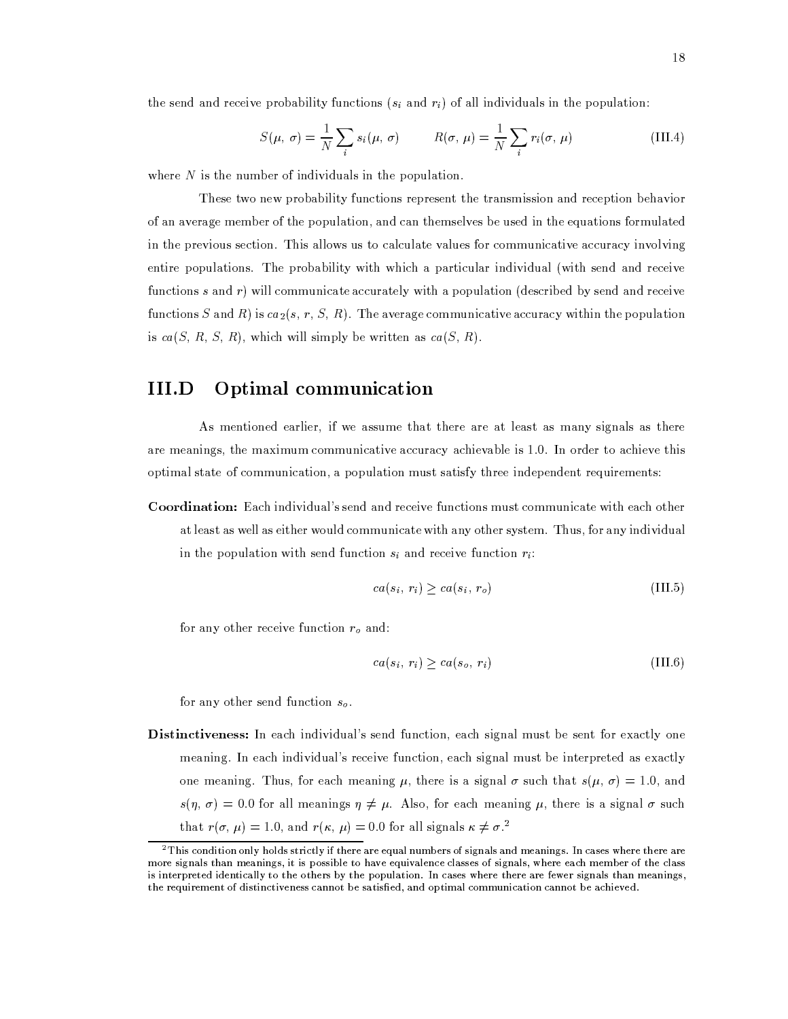the send and receive probability functions  $(s_i \text{ and } r_i)$  of all individuals in the population:

$$
S(\mu, \sigma) = \frac{1}{N} \sum_{i} s_i(\mu, \sigma) \qquad R(\sigma, \mu) = \frac{1}{N} \sum_{i} r_i(\sigma, \mu)
$$
 (III.4)

where  $N$  is the number of individuals in the population.

These two new probability functions represent the transmission and reception behavior of an average member of the population, and can themselves be used in the equations formulated in the previous section. This allows us to calculate values for communicative accuracy involving entire populations. The probability with which a particular individual (with send and receive functions  $s$  and  $r$ ) will communicate accurately with a population (described by send and receive functions S and R) is  $ca_2(s, r, S, R)$ . The average communicative accuracy within the population is  $ca(S, R, S, R)$ , which will simply be written as  $ca(S, R)$ .

## Optimal communication III.D

As mentioned earlier, if we assume that there are at least as many signals as there are meanings, the maximum communicative accuracy achievable is 1.0. In order to achieve this optimal state of communication, a population must satisfy three independent requirements:

**Coordination:** Each individual's send and receive functions must communicate with each other at least as well as either would communicate with any other system. Thus, for any individual in the population with send function  $s_i$  and receive function  $r_i$ .

$$
ca(s_i, r_i) \ge ca(s_i, r_o) \tag{III.5}
$$

for any other receive function  $r_o$  and:

$$
ca(s_i, r_i) \ge ca(s_o, r_i) \tag{III.6}
$$

for any other send function  $s_o$ .

**Distinctiveness:** In each individual's send function, each signal must be sent for exactly one meaning. In each individual's receive function, each signal must be interpreted as exactly one meaning. Thus, for each meaning  $\mu$ , there is a signal  $\sigma$  such that  $s(\mu, \sigma) = 1.0$ , and  $s(\eta, \sigma) = 0.0$  for all meanings  $\eta \neq \mu$ . Also, for each meaning  $\mu$ , there is a signal  $\sigma$  such that  $r(\sigma, \mu) = 1.0$ , and  $r(\kappa, \mu) = 0.0$  for all signals  $\kappa \neq \sigma^2$ .

 $^2$ This condition only holds strictly if there are equal numbers of signals and meanings. In cases where there are more signals than meanings, it is possible to have equivalence classes of signals, where each member of the class is interpreted identically to the others by the population. In cases where there are fewer signals than meanings, the requirement of distinctiveness cannot be satisfied, and optimal communication cannot be achieved.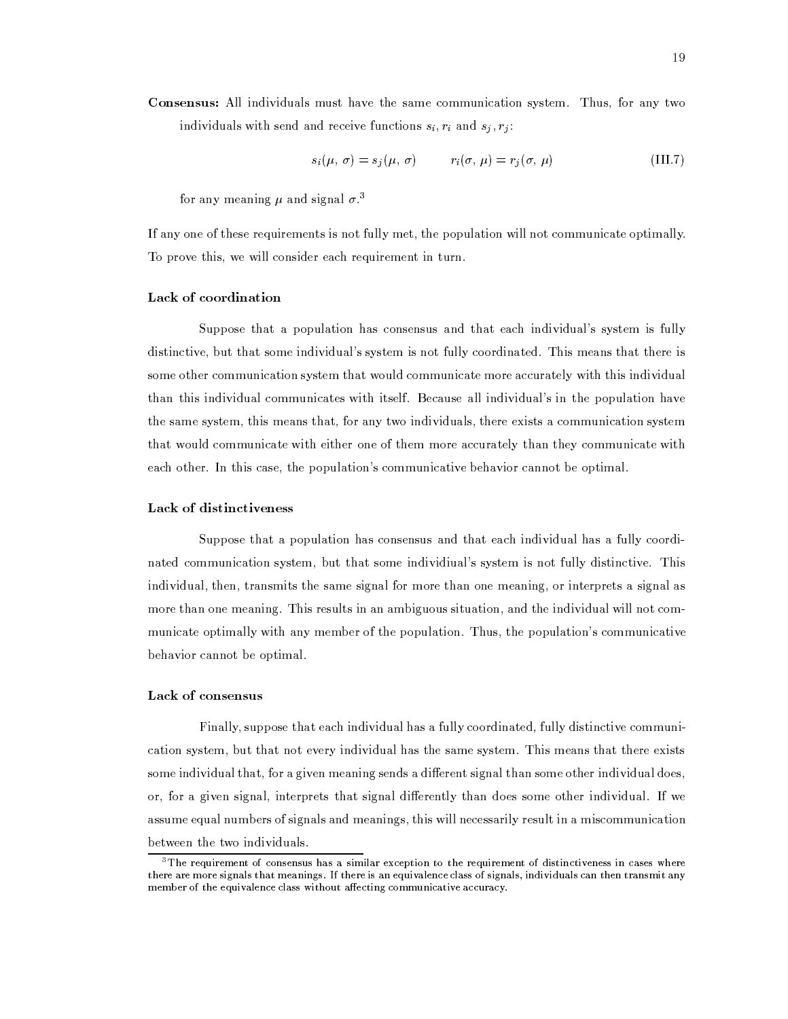$$
s_i(\mu, \sigma) = s_j(\mu, \sigma) \qquad r_i(\sigma, \mu) = r_j(\sigma, \mu) \qquad (\text{III}.7)
$$

for any meaning  $\mu$  and signal  $\sigma$ <sup>3</sup>

If any one of these requirements is not fully met, the population will not communicate optimally. To prove this, we will consider each requirement in turn.

## Lack of coordination

Suppose that a population has consensus and that each individual's system is fully distinctive, but that some individual's system is not fully coordinated. This means that there is some other communication system that would communicate more accurately with this individual than this individual communicates with itself. Because all individual's in the population have the same system, this means that, for any two individuals, there exists a communication system that would communicate with either one of them more accurately than they communicate with each other. In this case, the population's communicative behavior cannot be optimal.

## Lack of distinctiveness

Suppose that a population has consensus and that each individual has a fully coordinated communication system, but that some individiual's system is not fully distinctive. This individual, then, transmits the same signal for more than one meaning, or interprets a signal as more than one meaning. This results in an ambiguous situation, and the individual will not communicate optimally with any member of the population. Thus, the population's communicative behavior cannot be optimal.

## Lack of consensus

Finally, suppose that each individual has a fully coordinated, fully distinctive communication system, but that not every individual has the same system. This means that there exists some individual that, for a given meaning sends a different signal than some other individual does, or, for a given signal, interprets that signal differently than does some other individual. If we assume equal numbers of signals and meanings, this will necessarily result in a miscommunication between the two individuals.

 $^3$ The requirement of consensus has a similar exception to the requirement of distinctiveness in cases where there are more signals that meanings. If there is an equivalence class of signals, individuals can then transmit any member of the equivalence class without affecting communicative accuracy.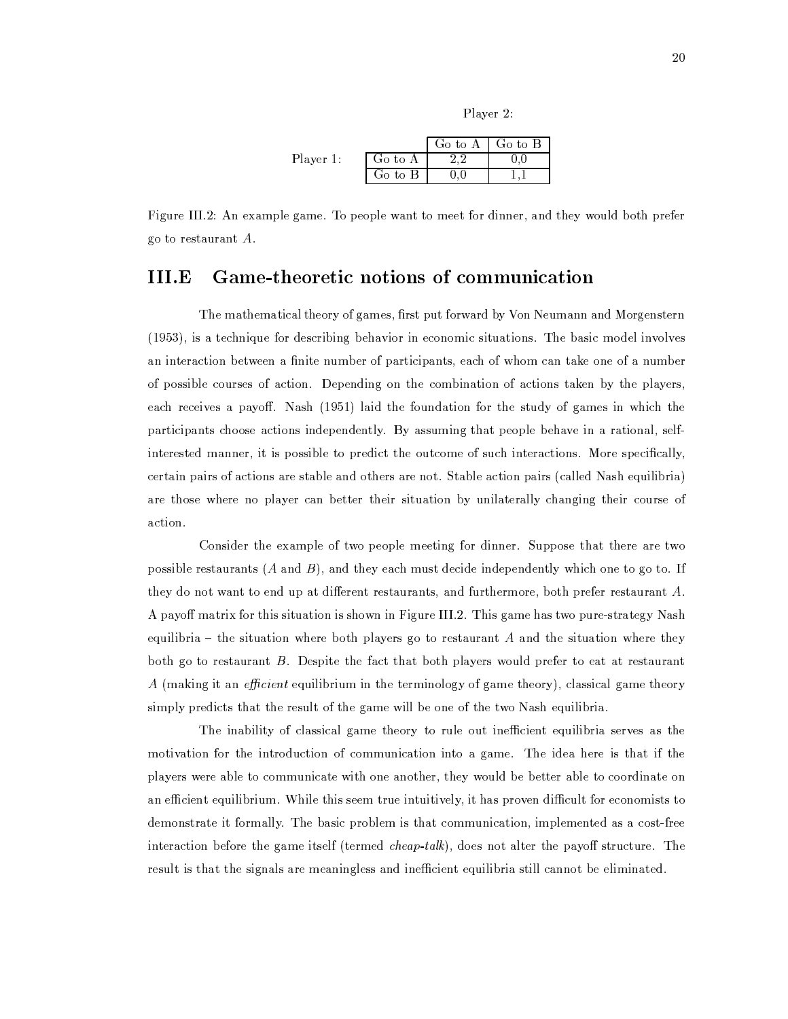| u<br>1 |  |
|--------|--|

|           |         | Go to $A \mid G$ o to B |  |
|-----------|---------|-------------------------|--|
| Player 1: | Go to A |                         |  |
|           | Go to B |                         |  |

Figure III.2: An example game. To people want to meet for dinner, and they would both prefer go to restaurant  $A$ .

## III.E Game-theoretic notions of communication

The mathematical theory of games, first put forward by Von Neumann and Morgenstern (1953), is a technique for describing behavior in economic situations. The basic model involves an interaction between a finite number of participants, each of whom can take one of a number of possible courses of action. Depending on the combination of actions taken by the players, each receives a payoff. Nash (1951) laid the foundation for the study of games in which the participants choose actions independently. By assuming that people behave in a rational, selfinterested manner, it is possible to predict the outcome of such interactions. More specifically, certain pairs of actions are stable and others are not. Stable action pairs (called Nash equilibria) are those where no player can better their situation by unilaterally changing their course of action.

Consider the example of two people meeting for dinner. Suppose that there are two possible restaurants  $(A \text{ and } B)$ , and they each must decide independently which one to go to. If they do not want to end up at different restaurants, and furthermore, both prefer restaurant A. A payoff matrix for this situation is shown in Figure III.2. This game has two pure-strategy Nash equilibria – the situation where both players go to restaurant  $A$  and the situation where they both go to restaurant B. Despite the fact that both players would prefer to eat at restaurant A (making it an *efficient* equilibrium in the terminology of game theory), classical game theory simply predicts that the result of the game will be one of the two Nash equilibria.

The inability of classical game theory to rule out inefficient equilibria serves as the motivation for the introduction of communication into a game. The idea here is that if the players were able to communicate with one another, they would be better able to coordinate on an efficient equilibrium. While this seem true intuitively, it has proven difficult for economists to demonstrate it formally. The basic problem is that communication, implemented as a cost-free interaction before the game itself (termed *cheap-talk*), does not alter the payoff structure. The result is that the signals are meaningless and inefficient equilibria still cannot be eliminated.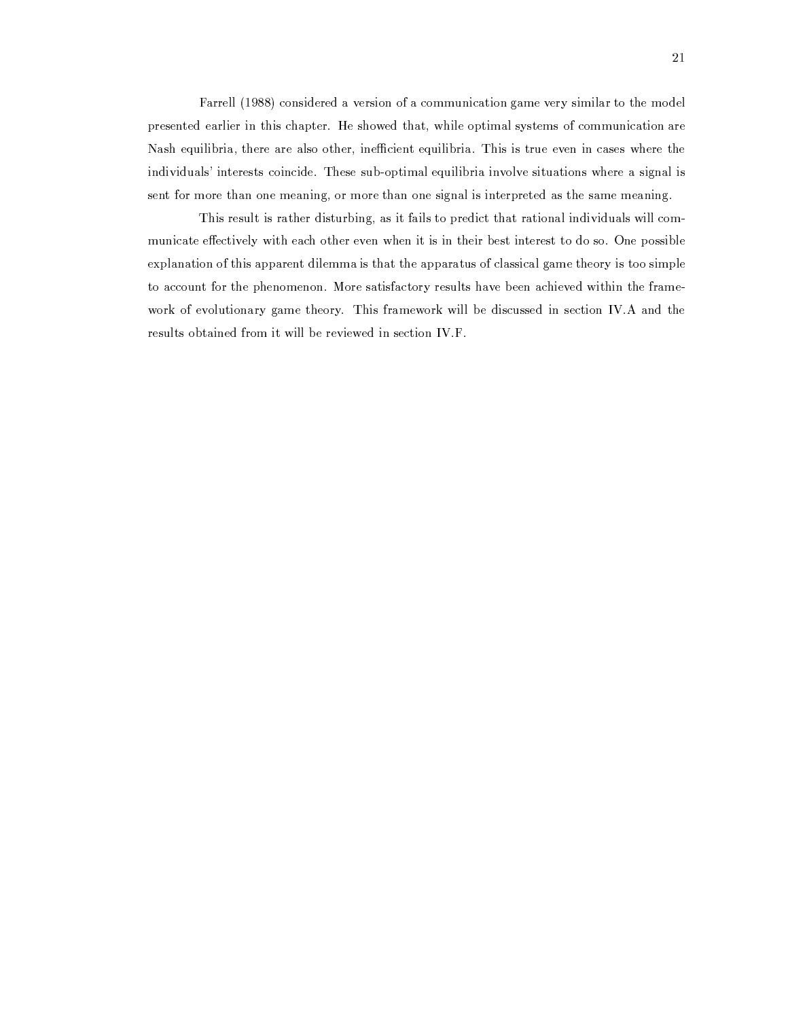Farrell (1988) considered a version of a communication game very similar to the model presented earlier in this chapter. He showed that, while optimal systems of communication are Nash equilibria, there are also other, inefficient equilibria. This is true even in cases where the individuals' interests coincide. These sub-optimal equilibria involve situations where a signal is sent for more than one meaning, or more than one signal is interpreted as the same meaning.

This result is rather disturbing, as it fails to predict that rational individuals will communicate effectively with each other even when it is in their best interest to do so. One possible explanation of this apparent dilemma is that the apparatus of classical game theory is too simple to account for the phenomenon. More satisfactory results have been achieved within the framework of evolutionary game theory. This framework will be discussed in section IV.A and the results obtained from it will be reviewed in section IV.F.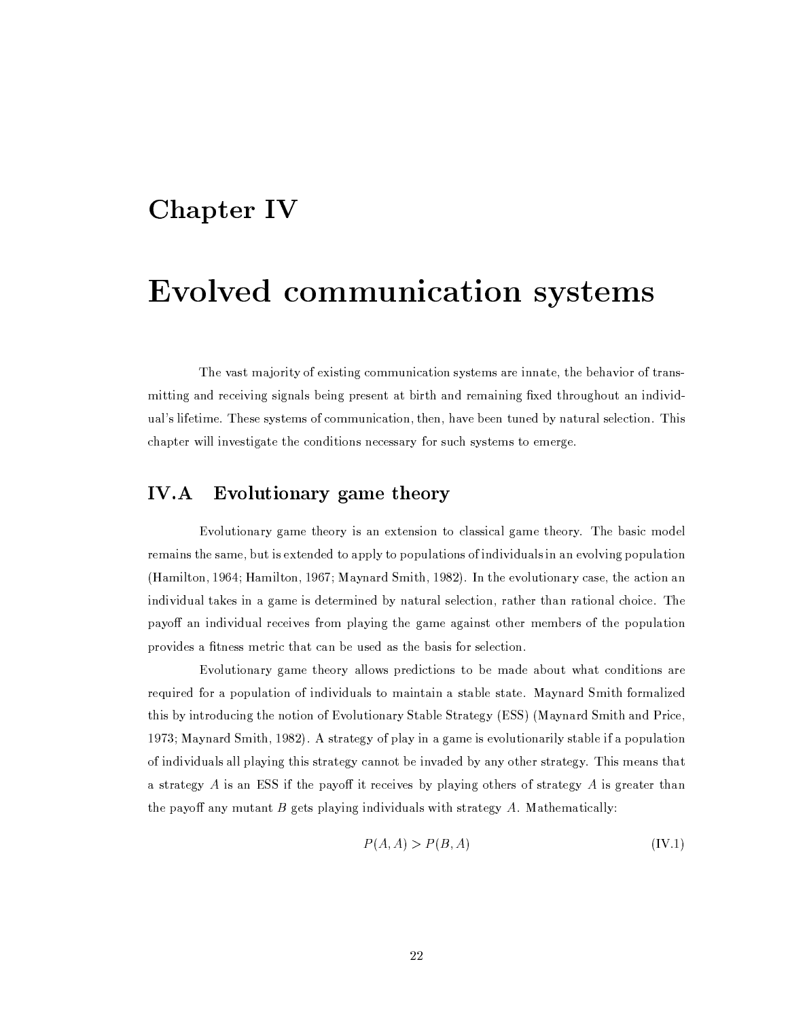## **Chapter IV**

# Evolved communication systems

The vast majority of existing communication systems are innate, the behavior of transmitting and receiving signals being present at birth and remaining fixed throughout an individual's lifetime. These systems of communication, then, have been tuned by natural selection. This chapter will investigate the conditions necessary for such systems to emerge.

## $IV.A$ Evolutionary game theory

Evolutionary game theory is an extension to classical game theory. The basic model remains the same, but is extended to apply to populations of individuals in an evolving population (Hamilton, 1964; Hamilton, 1967; Maynard Smith, 1982). In the evolutionary case, the action an individual takes in a game is determined by natural selection, rather than rational choice. The payoff an individual receives from playing the game against other members of the population provides a fitness metric that can be used as the basis for selection.

Evolutionary game theory allows predictions to be made about what conditions are required for a population of individuals to maintain a stable state. Maynard Smith formalized this by introducing the notion of Evolutionary Stable Strategy (ESS) (Maynard Smith and Price, 1973; Maynard Smith, 1982). A strategy of play in a game is evolutionarily stable if a population of individuals all playing this strategy cannot be invaded by any other strategy. This means that a strategy  $A$  is an ESS if the payoff it receives by playing others of strategy  $A$  is greater than the payoff any mutant  $B$  gets playing individuals with strategy  $A$ . Mathematically:

$$
P(A, A) > P(B, A) \tag{IV.1}
$$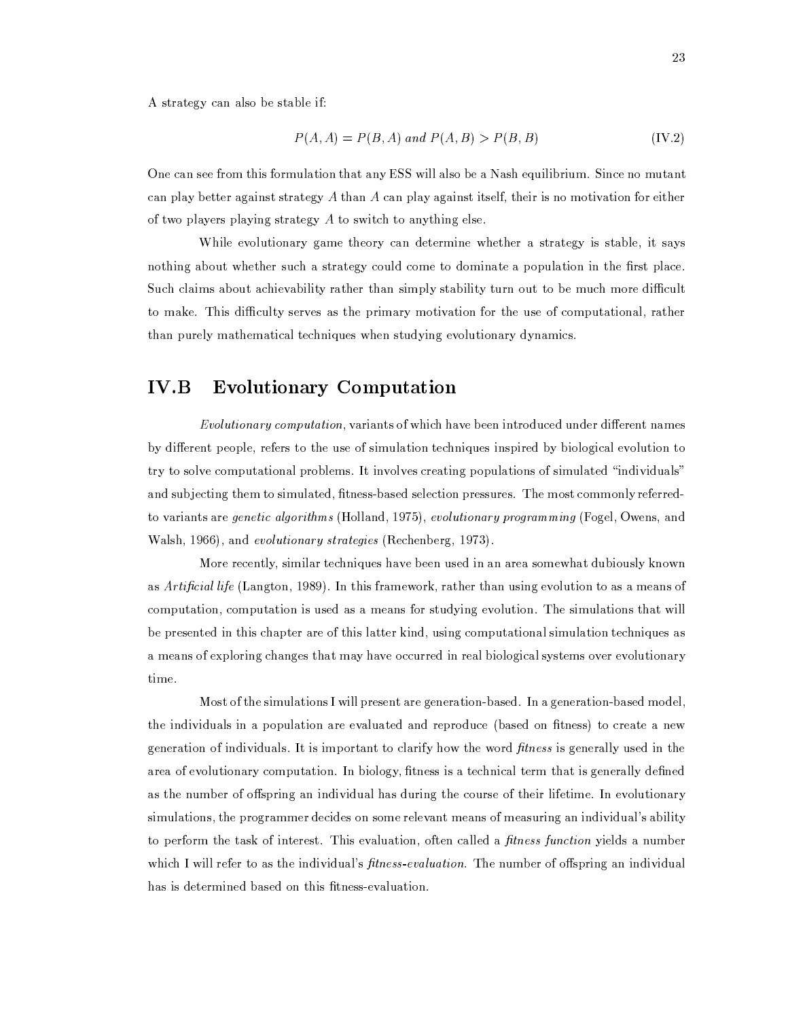A strategy can also be stable if:

$$
P(A, A) = P(B, A) \text{ and } P(A, B) > P(B, B) \tag{IV.2}
$$

One can see from this formulation that any ESS will also be a Nash equilibrium. Since no mutant can play better against strategy  $A$  than  $A$  can play against itself, their is no motivation for either of two players playing strategy  $A$  to switch to anything else.

While evolutionary game theory can determine whether a strategy is stable, it says nothing about whether such a strategy could come to dominate a population in the first place. Such claims about achievability rather than simply stability turn out to be much more difficult to make. This difficulty serves as the primary motivation for the use of computational, rather than purely mathematical techniques when studying evolutionary dynamics.

## $IV.B$ **Evolutionary Computation**

*Evolutionary computation*, variants of which have been introduced under different names by different people, refers to the use of simulation techniques inspired by biological evolution to try to solve computational problems. It involves creating populations of simulated "individuals" and subjecting them to simulated, fitness-based selection pressures. The most commonly referredto variants are *genetic algorithms* (Holland, 1975), *evolutionary programming* (Fogel, Owens, and Walsh, 1966), and *evolutionary strategies* (Rechenberg, 1973).

More recently, similar techniques have been used in an area somewhat dubiously known as Artificial life (Langton, 1989). In this framework, rather than using evolution to as a means of computation, computation is used as a means for studying evolution. The simulations that will be presented in this chapter are of this latter kind, using computational simulation techniques as a means of exploring changes that may have occurred in real biological systems over evolutionary time.

Most of the simulations I will present are generation-based. In a generation-based model, the individuals in a population are evaluated and reproduce (based on fitness) to create a new generation of individuals. It is important to clarify how the word *fitness* is generally used in the area of evolutionary computation. In biology, fitness is a technical term that is generally defined as the number of offspring an individual has during the course of their lifetime. In evolutionary simulations, the programmer decides on some relevant means of measuring an individual's ability to perform the task of interest. This evaluation, often called a *fitness function* yields a number which I will refer to as the individual's *fitness-evaluation*. The number of offspring an individual has is determined based on this fitness-evaluation.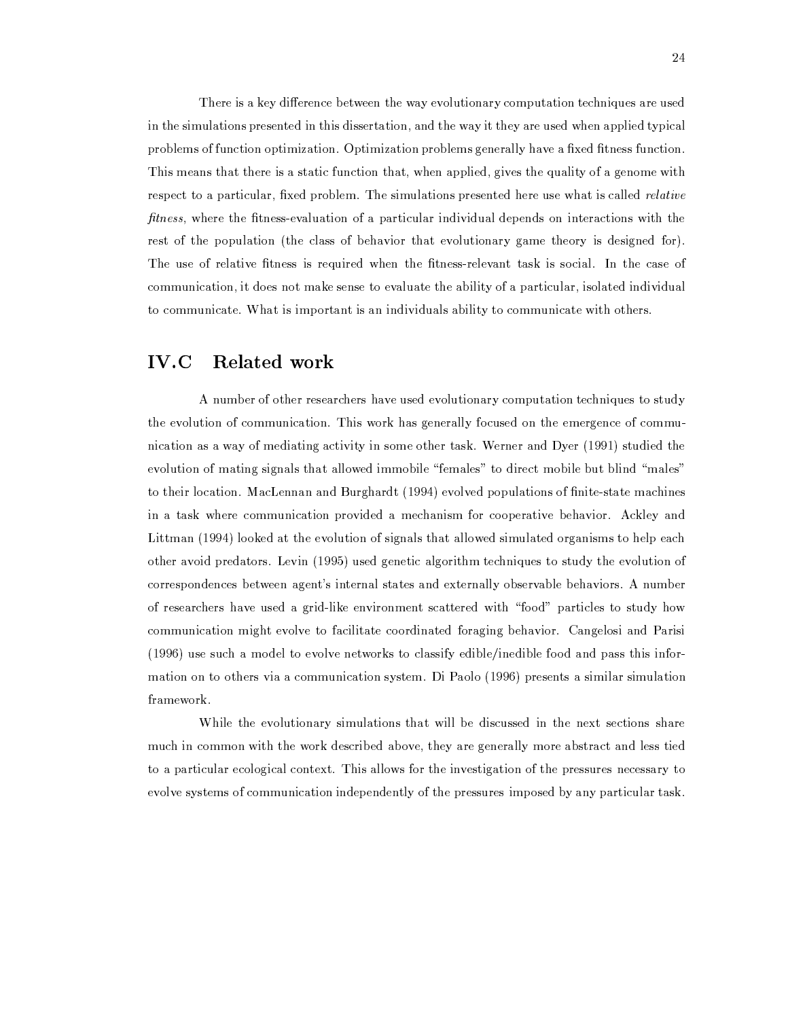There is a key difference between the way evolutionary computation techniques are used in the simulations presented in this dissertation, and the way it they are used when applied typical problems of function optimization. Optimization problems generally have a fixed fitness function. This means that there is a static function that, when applied, gives the quality of a genome with respect to a particular, fixed problem. The simulations presented here use what is called *relative fitness*, where the fitness-evaluation of a particular individual depends on interactions with the rest of the population (the class of behavior that evolutionary game theory is designed for). The use of relative fitness is required when the fitness-relevant task is social. In the case of communication, it does not make sense to evaluate the ability of a particular, isolated individual to communicate. What is important is an individuals ability to communicate with others.

## IV.C Related work

A number of other researchers have used evolutionary computation techniques to study the evolution of communication. This work has generally focused on the emergence of communication as a way of mediating activity in some other task. Werner and Dyer (1991) studied the evolution of mating signals that allowed immobile "females" to direct mobile but blind "males" to their location. MacLennan and Burghardt (1994) evolved populations of finite-state machines in a task where communication provided a mechanism for cooperative behavior. Ackley and Littman (1994) looked at the evolution of signals that allowed simulated organisms to help each other avoid predators. Levin (1995) used genetic algorithm techniques to study the evolution of correspondences between agent's internal states and externally observable behaviors. A number of researchers have used a grid-like environment scattered with "food" particles to study how communication might evolve to facilitate coordinated foraging behavior. Cangelosi and Parisi (1996) use such a model to evolve networks to classify edible/inedible food and pass this information on to others via a communication system. Di Paolo (1996) presents a similar simulation framework.

While the evolutionary simulations that will be discussed in the next sections share much in common with the work described above, they are generally more abstract and less tied to a particular ecological context. This allows for the investigation of the pressures necessary to evolve systems of communication independently of the pressures imposed by any particular task.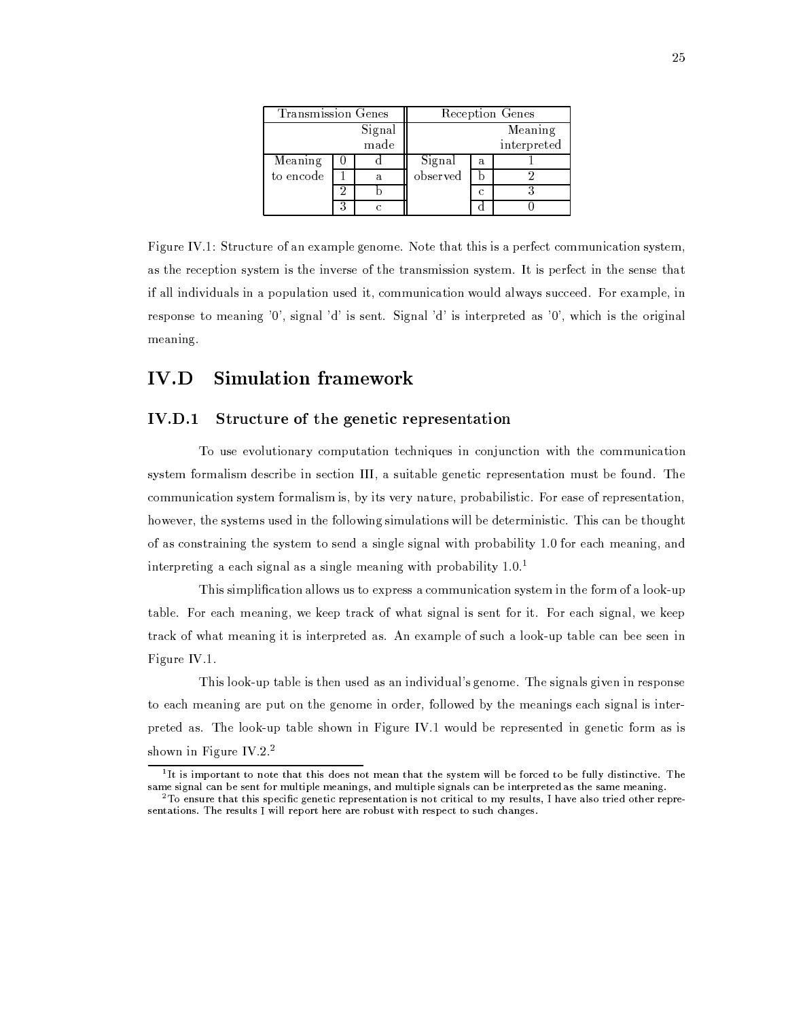| Transmission Genes |  |      |          | Reception Genes |             |
|--------------------|--|------|----------|-----------------|-------------|
| Signal             |  |      |          |                 | Meaning     |
|                    |  | made |          |                 | interpreted |
| Meaning            |  |      | Signal   | a               |             |
| to encode          |  |      | observed |                 |             |
|                    |  |      |          |                 |             |
|                    |  |      |          |                 |             |

Figure IV.1: Structure of an example genome. Note that this is a perfect communication system, as the reception system is the inverse of the transmission system. It is perfect in the sense that if all individuals in a population used it, communication would always succeed. For example, in response to meaning '0', signal 'd' is sent. Signal 'd' is interpreted as '0', which is the original meaning.

## $IV.D$ **Simulation framework**

### Structure of the genetic representation  $IV.D.1$

To use evolutionary computation techniques in conjunction with the communication system formalism describe in section III, a suitable genetic representation must be found. The communication system formalism is, by its very nature, probabilistic. For ease of representation, however, the systems used in the following simulations will be deterministic. This can be thought of as constraining the system to send a single signal with probability 1.0 for each meaning, and interpreting a each signal as a single meaning with probability 1.0.<sup>1</sup>

This simplification allows us to express a communication system in the form of a look-up table. For each meaning, we keep track of what signal is sent for it. For each signal, we keep track of what meaning it is interpreted as. An example of such a look-up table can bee seen in Figure IV.1.

This look-up table is then used as an individual's genome. The signals given in response to each meaning are put on the genome in order, followed by the meanings each signal is interpreted as. The look-up table shown in Figure IV.1 would be represented in genetic form as is shown in Figure IV.2. $^2$ 

 $1$ <sub>I</sub>t is important to note that this does not mean that the system will be forced to be fully distinctive. The same signal can be sent for multiple meanings, and multiple signals can be interpreted as the same meaning.

 $2$  To ensure that this specific genetic representation is not critical to my results. I have also tried other representations. The results I will report here are robust with respect to such changes.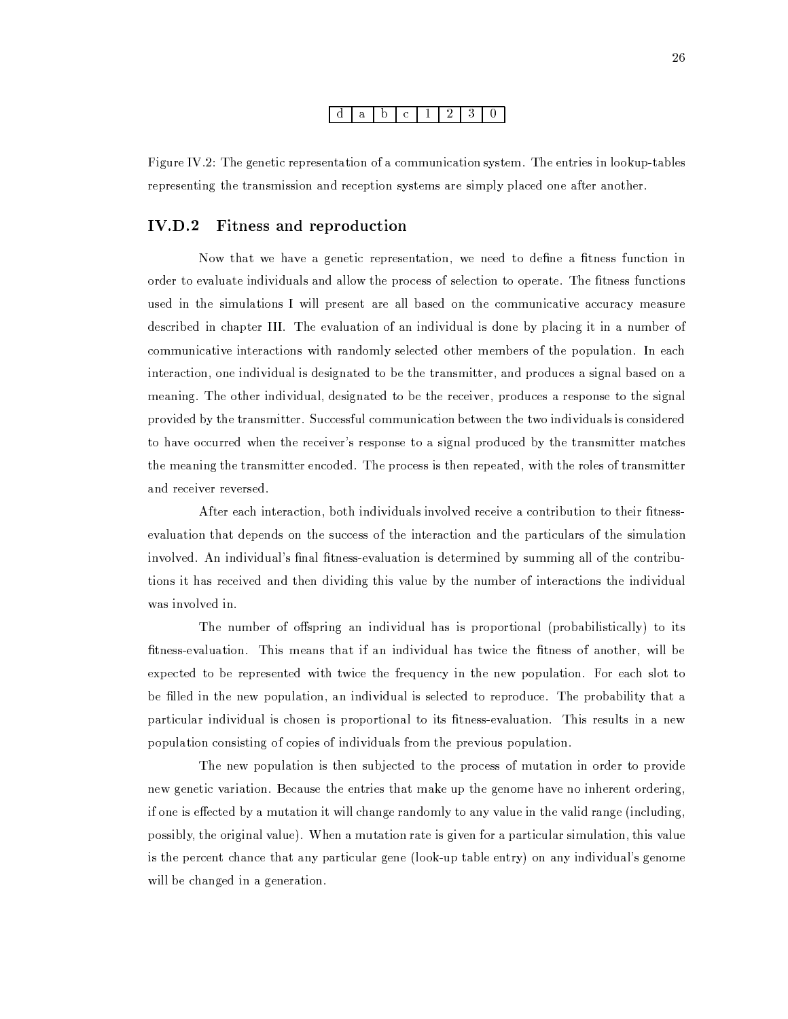#### $d | a | b | c |$  $\vert$  1  $2 \mid 3 \mid$  $\mathbf{0}$

Figure IV.2: The genetic representation of a communication system. The entries in lookup-tables representing the transmission and reception systems are simply placed one after another.

## $IV.D.2$ Fitness and reproduction

Now that we have a genetic representation, we need to define a fitness function in order to evaluate individuals and allow the process of selection to operate. The fitness functions used in the simulations I will present are all based on the communicative accuracy measure described in chapter III. The evaluation of an individual is done by placing it in a number of communicative interactions with randomly selected other members of the population. In each interaction, one individual is designated to be the transmitter, and produces a signal based on a meaning. The other individual, designated to be the receiver, produces a response to the signal provided by the transmitter. Successful communication between the two individuals is considered to have occurred when the receiver's response to a signal produced by the transmitter matches the meaning the transmitter encoded. The process is then repeated, with the roles of transmitter and receiver reversed.

After each interaction, both individuals involved receive a contribution to their fitnessevaluation that depends on the success of the interaction and the particulars of the simulation involved. An individual's final fitness-evaluation is determined by summing all of the contributions it has received and then dividing this value by the number of interactions the individual was involved in.

The number of offspring an individual has is proportional (probabilistically) to its fitness-evaluation. This means that if an individual has twice the fitness of another, will be expected to be represented with twice the frequency in the new population. For each slot to be filled in the new population, an individual is selected to reproduce. The probability that a particular individual is chosen is proportional to its fitness-evaluation. This results in a new population consisting of copies of individuals from the previous population.

The new population is then subjected to the process of mutation in order to provide new genetic variation. Because the entries that make up the genome have no inherent ordering, if one is effected by a mutation it will change randomly to any value in the valid range (including, possibly, the original value). When a mutation rate is given for a particular simulation, this value is the percent chance that any particular gene (look-up table entry) on any individual's genome will be changed in a generation.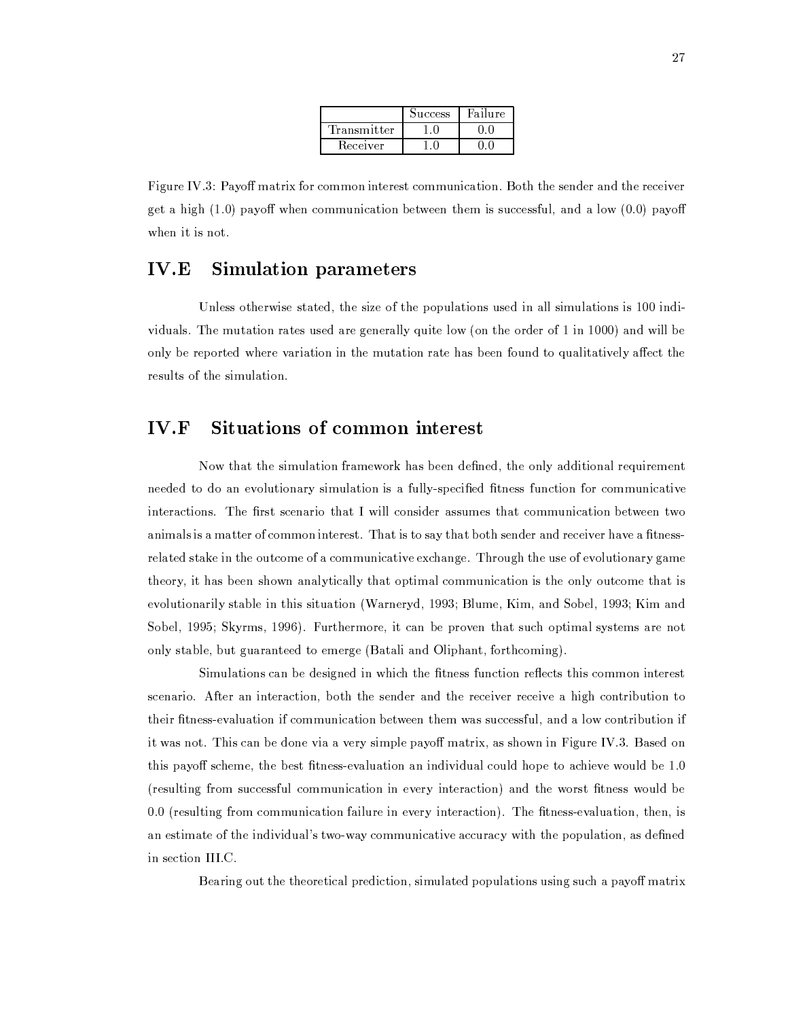|             | Success | Failure |
|-------------|---------|---------|
| Transmitter |         |         |
| Receiver    |         |         |

Figure IV.3: Payoff matrix for common interest communication. Both the sender and the receiver get a high  $(1.0)$  payoff when communication between them is successful, and a low  $(0.0)$  payoff when it is not.

## $IV.E$ **Simulation parameters**

Unless otherwise stated, the size of the populations used in all simulations is 100 individuals. The mutation rates used are generally quite low (on the order of 1 in 1000) and will be only be reported where variation in the mutation rate has been found to qualitatively affect the results of the simulation.

## $IV.F$ Situations of common interest

Now that the simulation framework has been defined, the only additional requirement needed to do an evolutionary simulation is a fully-specified fitness function for communicative interactions. The first scenario that I will consider assumes that communication between two animals is a matter of common interest. That is to say that both sender and receiver have a fitnessrelated stake in the outcome of a communicative exchange. Through the use of evolutionary game theory, it has been shown analytically that optimal communication is the only outcome that is evolutionarily stable in this situation (Warneryd, 1993; Blume, Kim, and Sobel, 1993; Kim and Sobel, 1995; Skyrms, 1996). Furthermore, it can be proven that such optimal systems are not only stable, but guaranteed to emerge (Batali and Oliphant, forthcoming).

Simulations can be designed in which the fitness function reflects this common interest scenario. After an interaction, both the sender and the receiver receive a high contribution to their fitness-evaluation if communication between them was successful, and a low contribution if it was not. This can be done via a very simple payoff matrix, as shown in Figure IV.3. Based on this payoff scheme, the best fitness-evaluation an individual could hope to achieve would be 1.0 (resulting from successful communication in every interaction) and the worst fitness would be 0.0 (resulting from communication failure in every interaction). The fitness-evaluation, then, is an estimate of the individual's two-way communicative accuracy with the population, as defined in section III.C.

Bearing out the theoretical prediction, simulated populations using such a payoff matrix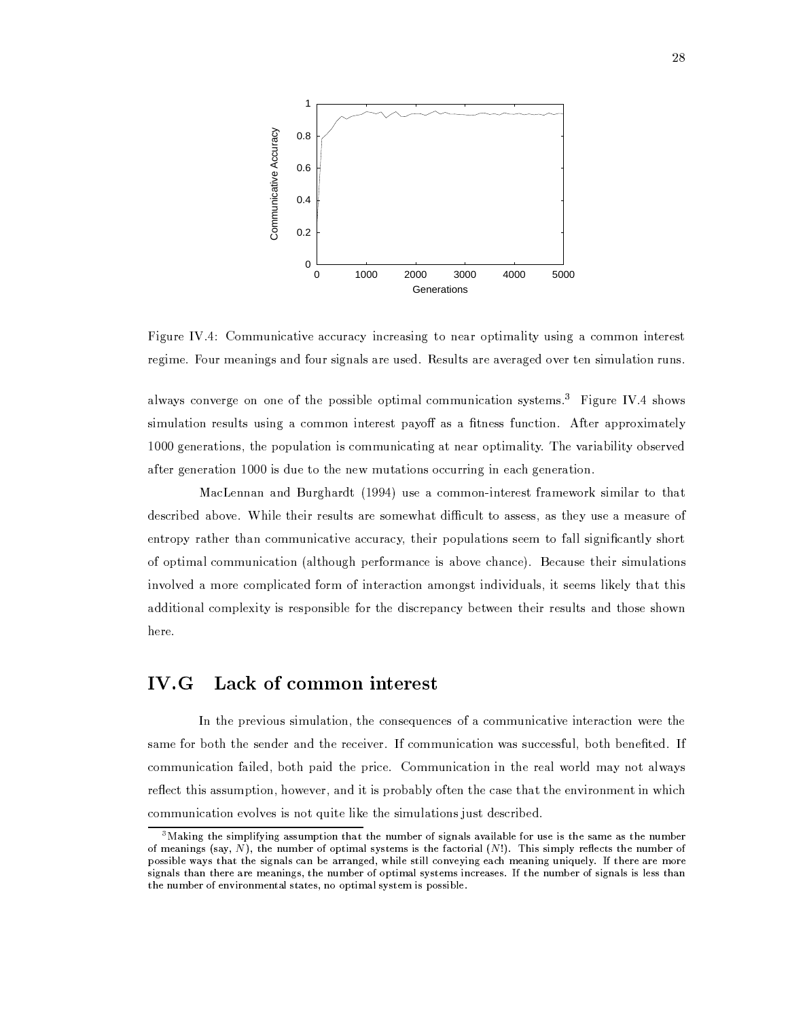

Figure IV.4: Communicative accuracy increasing to near optimality using a common interest regime. Four meanings and four signals are used. Results are averaged over ten simulation runs.

always converge on one of the possible optimal communication systems.<sup>3</sup> Figure IV.4 shows simulation results using a common interest payoff as a fitness function. After approximately 1000 generations, the population is communicating at near optimality. The variability observed after generation 1000 is due to the new mutations occurring in each generation.

MacLennan and Burghardt (1994) use a common-interest framework similar to that described above. While their results are somewhat difficult to assess, as they use a measure of entropy rather than communicative accuracy, their populations seem to fall significantly short of optimal communication (although performance is above chance). Because their simulations involved a more complicated form of interaction amongst individuals, it seems likely that this additional complexity is responsible for the discrepancy between their results and those shown here.

## $IV.G$ Lack of common interest

In the previous simulation, the consequences of a communicative interaction were the same for both the sender and the receiver. If communication was successful, both benefited. If communication failed, both paid the price. Communication in the real world may not always reflect this assumption, however, and it is probably often the case that the environment in which communication evolves is not quite like the simulations just described.

 $^3$ Making the simplifying assumption that the number of signals available for use is the same as the number of meanings (say, N), the number of optimal systems is the factorial  $(N!)$ . This simply reflects the number of possible ways that the signals can be arranged, while still conveying each meaning uniquely. If there are more signals than there are meanings, the number of optimal systems increases. If the number of signals is less than the number of environmental states, no optimal system is possible.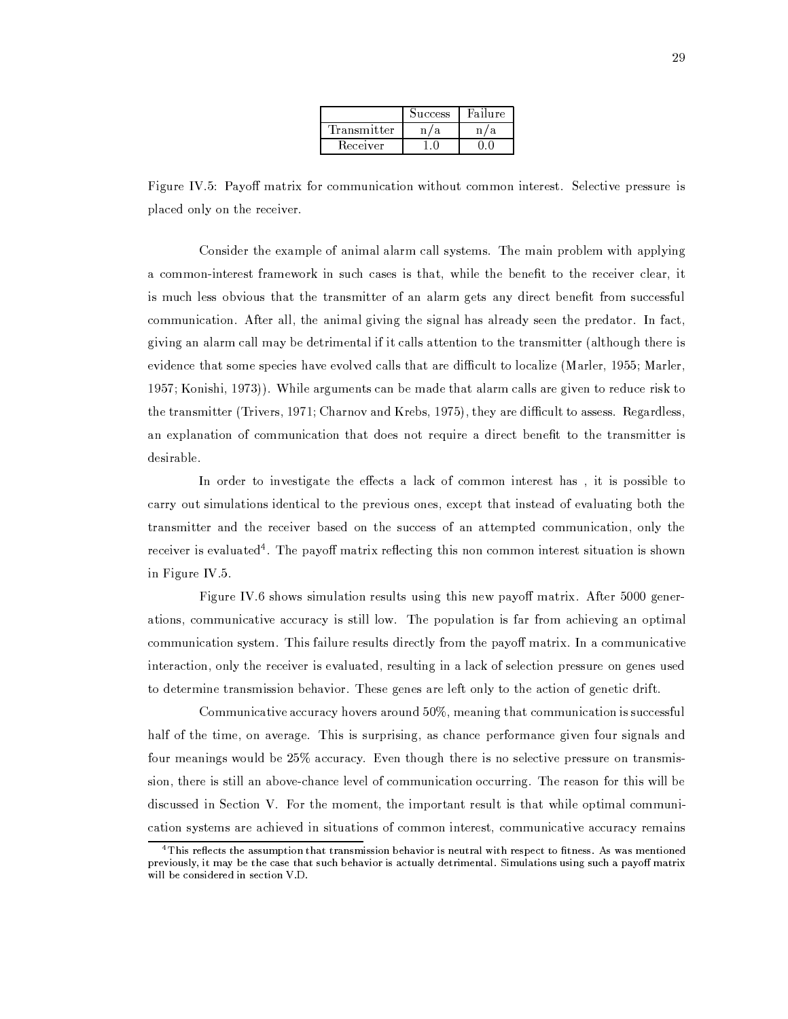|             | <b>Success</b> | dailure. |
|-------------|----------------|----------|
| Transmitter |                |          |
| Receiver    |                |          |

Figure IV.5: Payoff matrix for communication without common interest. Selective pressure is placed only on the receiver.

Consider the example of animal alarm call systems. The main problem with applying a common-interest framework in such cases is that, while the benefit to the receiver clear, it is much less obvious that the transmitter of an alarm gets any direct benefit from successful communication. After all, the animal giving the signal has already seen the predator. In fact, giving an alarm call may be detrimental if it calls attention to the transmitter (although there is evidence that some species have evolved calls that are difficult to localize (Marler, 1955; Marler, 1957; Konishi, 1973)). While arguments can be made that alarm calls are given to reduce risk to the transmitter (Trivers, 1971; Charnov and Krebs, 1975), they are difficult to assess. Regardless, an explanation of communication that does not require a direct benefit to the transmitter is desirable.

In order to investigate the effects a lack of common interest has, it is possible to carry out simulations identical to the previous ones, except that instead of evaluating both the transmitter and the receiver based on the success of an attempted communication, only the receiver is evaluated<sup>4</sup>. The payoff matrix reflecting this non common interest situation is shown in Figure IV.5.

Figure IV.6 shows simulation results using this new payoff matrix. After 5000 generations, communicative accuracy is still low. The population is far from achieving an optimal communication system. This failure results directly from the payoff matrix. In a communicative interaction, only the receiver is evaluated, resulting in a lack of selection pressure on genes used to determine transmission behavior. These genes are left only to the action of genetic drift.

Communicative accuracy hovers around 50%, meaning that communication is successful half of the time, on average. This is surprising, as chance performance given four signals and four meanings would be 25% accuracy. Even though there is no selective pressure on transmission, there is still an above-chance level of communication occurring. The reason for this will be discussed in Section V. For the moment, the important result is that while optimal communication systems are achieved in situations of common interest, communicative accuracy remains

 $4$  This reflects the assumption that transmission behavior is neutral with respect to fitness. As was mentioned previously, it may be the case that such behavior is actually detrimental. Simulations using such a payoff matrix will be considered in section V.D.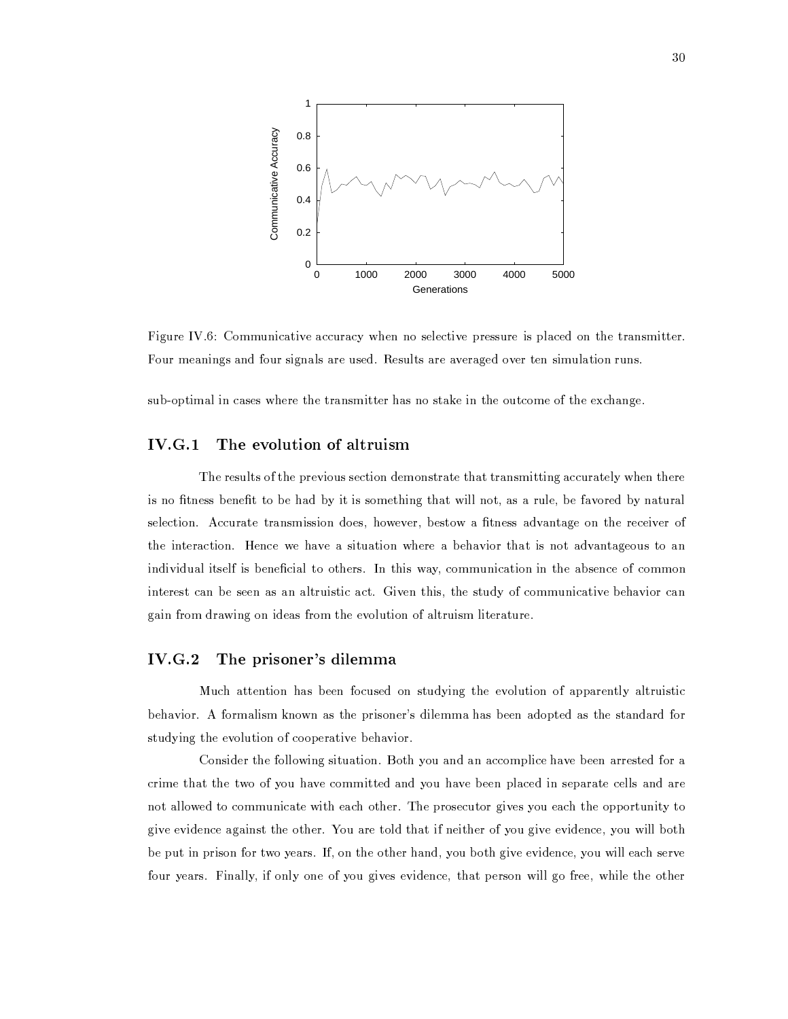

Figure IV.6: Communicative accuracy when no selective pressure is placed on the transmitter. Four meanings and four signals are used. Results are averaged over ten simulation runs.

sub-optimal in cases where the transmitter has no stake in the outcome of the exchange.

## $IV.G.1$ The evolution of altruism

The results of the previous section demonstrate that transmitting accurately when there is no fitness benefit to be had by it is something that will not, as a rule, be favored by natural selection. Accurate transmission does, however, bestow a fitness advantage on the receiver of the interaction. Hence we have a situation where a behavior that is not advantageous to an individual itself is beneficial to others. In this way, communication in the absence of common interest can be seen as an altruistic act. Given this, the study of communicative behavior can gain from drawing on ideas from the evolution of altruism literature.

## $IV.G.2$ The prisoner's dilemma

Much attention has been focused on studying the evolution of apparently altruistic behavior. A formalism known as the prisoner's dilemma has been adopted as the standard for studying the evolution of cooperative behavior.

Consider the following situation. Both you and an accomplice have been arrested for a crime that the two of you have committed and you have been placed in separate cells and are not allowed to communicate with each other. The prosecutor gives you each the opportunity to give evidence against the other. You are told that if neither of you give evidence, you will both be put in prison for two years. If, on the other hand, you both give evidence, you will each serve four years. Finally, if only one of you gives evidence, that person will go free, while the other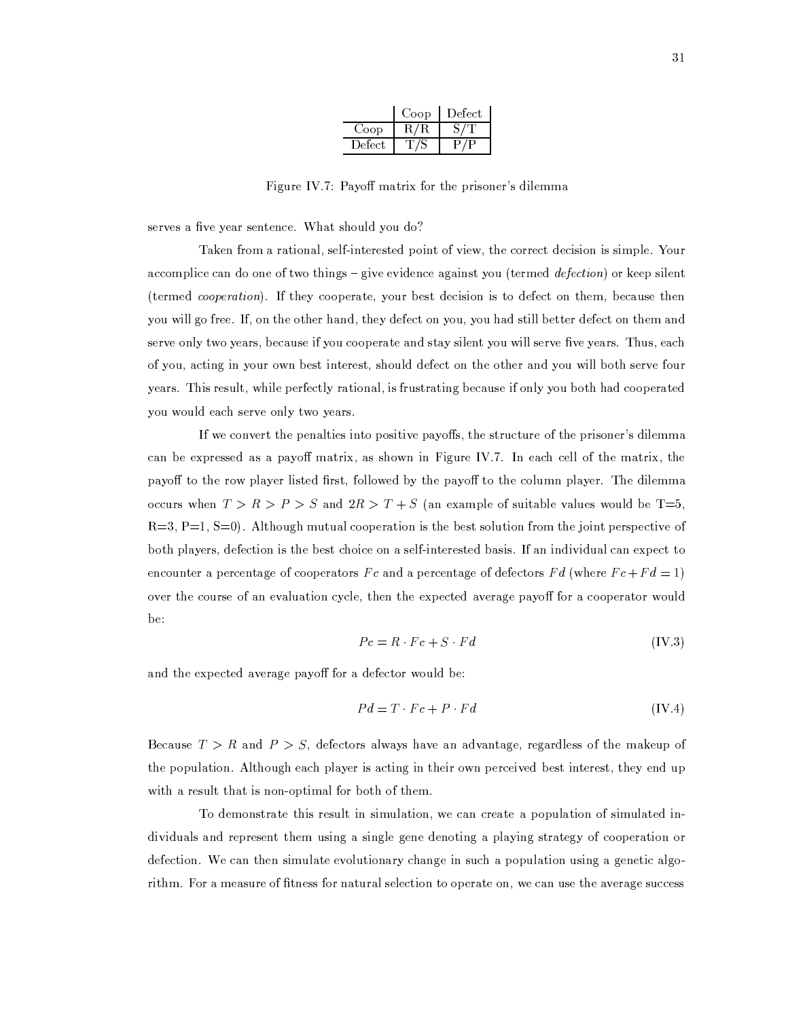|         | Coop      | Defect |
|---------|-----------|--------|
| Coop    | $\rm R/R$ |        |
| Defect. |           |        |

Figure IV.7: Payoff matrix for the prisoner's dilemma

serves a five year sentence. What should you do?

Taken from a rational, self-interested point of view, the correct decision is simple. Your accomplice can do one of two things – give evidence against you (termed *defection*) or keep silent (termed cooperation). If they cooperate, your best decision is to defect on them, because then you will go free. If, on the other hand, they defect on you, you had still better defect on them and serve only two years, because if you cooperate and stay silent you will serve five years. Thus, each of you, acting in your own best interest, should defect on the other and you will both serve four years. This result, while perfectly rational, is frustrating because if only you both had cooperated you would each serve only two years.

If we convert the penalties into positive payoffs, the structure of the prisoner's dilemma can be expressed as a payoff matrix, as shown in Figure IV.7. In each cell of the matrix, the payoff to the row player listed first, followed by the payoff to the column player. The dilemma occurs when  $T > R > P > S$  and  $2R > T + S$  (an example of suitable values would be T=5,  $R=3$ ,  $P=1$ ,  $S=0$ ). Although mutual cooperation is the best solution from the joint perspective of both players, defection is the best choice on a self-interested basis. If an individual can expect to encounter a percentage of cooperators Fc and a percentage of defectors Fd (where  $Fc + Fd = 1$ ) over the course of an evaluation cycle, then the expected average payoff for a cooperator would be:

$$
Pc = R \cdot Fc + S \cdot Fd \tag{IV.3}
$$

and the expected average payoff for a defector would be:

$$
Pd = T \cdot Fc + P \cdot Fd \tag{IV.4}
$$

Because  $T > R$  and  $P > S$ , defectors always have an advantage, regardless of the makeup of the population. Although each player is acting in their own perceived best interest, they end up with a result that is non-optimal for both of them.

To demonstrate this result in simulation, we can create a population of simulated individuals and represent them using a single gene denoting a playing strategy of cooperation or defection. We can then simulate evolutionary change in such a population using a genetic algorithm. For a measure of fitness for natural selection to operate on, we can use the average success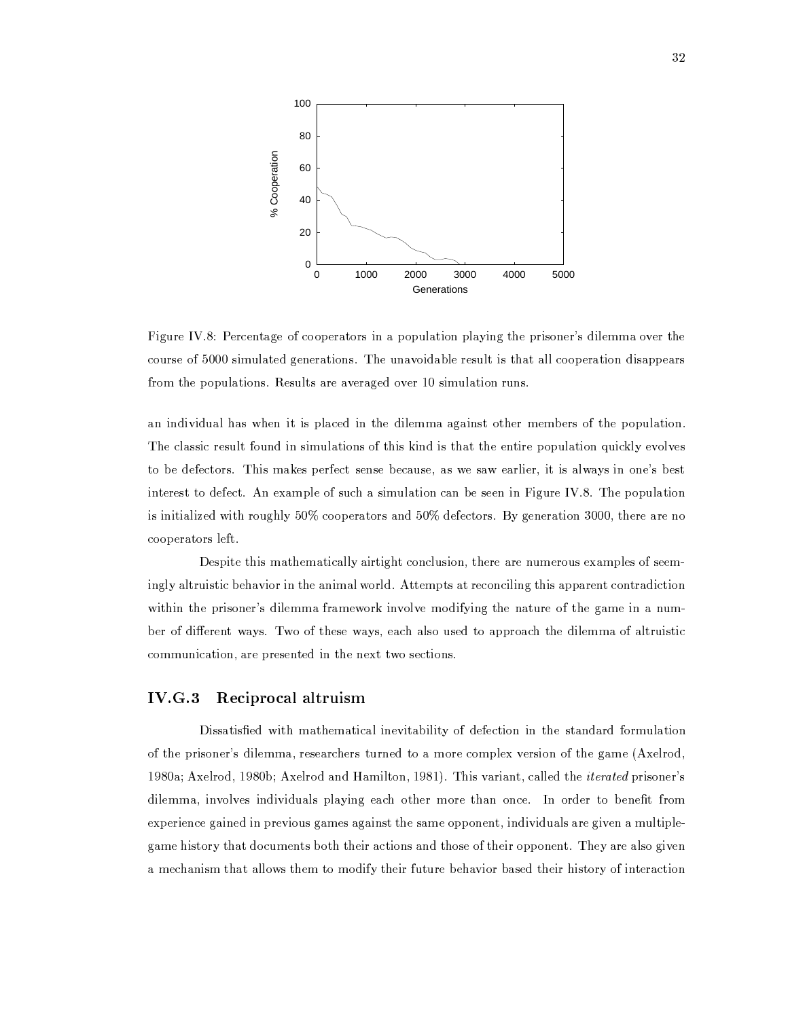

Figure IV.8: Percentage of cooperators in a population playing the prisoner's dilemma over the course of 5000 simulated generations. The unavoidable result is that all cooperation disappears from the populations. Results are averaged over 10 simulation runs.

an individual has when it is placed in the dilemma against other members of the population. The classic result found in simulations of this kind is that the entire population quickly evolves to be defectors. This makes perfect sense because, as we saw earlier, it is always in one's best interest to defect. An example of such a simulation can be seen in Figure IV.8. The population is initialized with roughly 50% cooperators and 50% defectors. By generation 3000, there are no cooperators left.

Despite this mathematically airtight conclusion, there are numerous examples of seemingly altruistic behavior in the animal world. Attempts at reconciling this apparent contradiction within the prisoner's dilemma framework involve modifying the nature of the game in a number of different ways. Two of these ways, each also used to approach the dilemma of altruistic communication, are presented in the next two sections.

#### $IV.G.3$ Reciprocal altruism

Dissatisfied with mathematical inevitability of defection in the standard formulation of the prisoner's dilemma, researchers turned to a more complex version of the game (Axelrod, 1980a; Axelrod, 1980b; Axelrod and Hamilton, 1981). This variant, called the *iterated* prisoner's dilemma, involves individuals playing each other more than once. In order to benefit from experience gained in previous games against the same opponent, individuals are given a multiplegame history that documents both their actions and those of their opponent. They are also given a mechanism that allows them to modify their future behavior based their history of interaction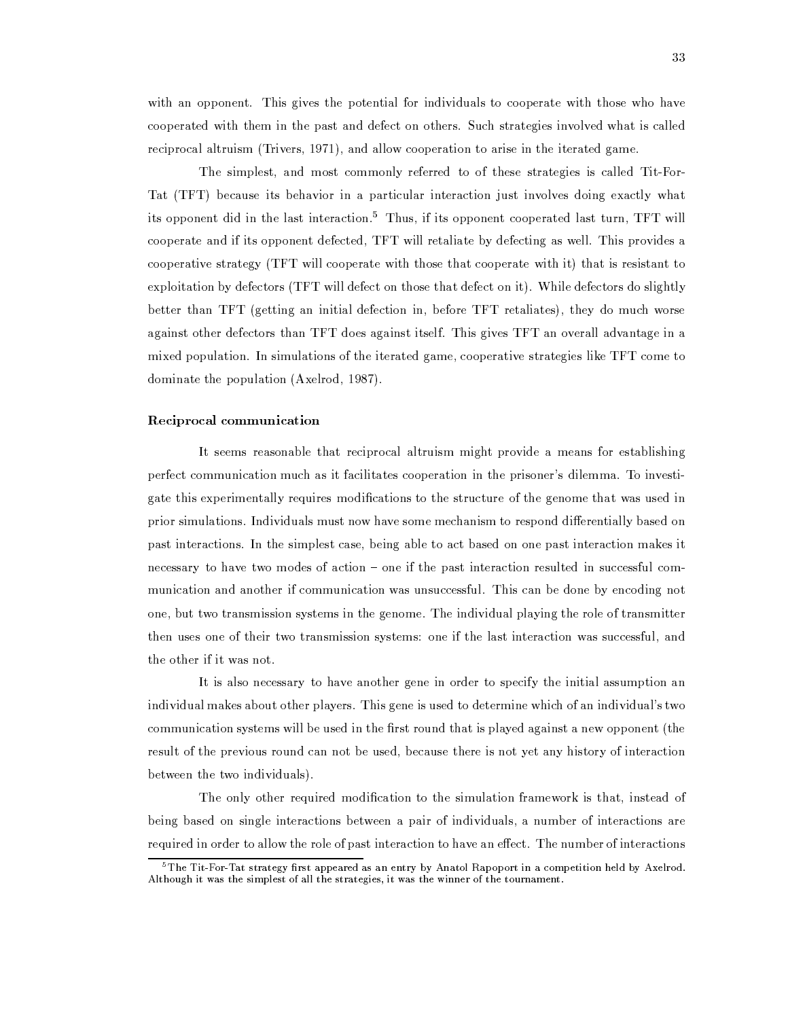with an opponent. This gives the potential for individuals to cooperate with those who have cooperated with them in the past and defect on others. Such strategies involved what is called reciprocal altruism (Trivers, 1971), and allow cooperation to arise in the iterated game.

The simplest, and most commonly referred to of these strategies is called Tit-For-Tat (TFT) because its behavior in a particular interaction just involves doing exactly what its opponent did in the last interaction.<sup>5</sup> Thus, if its opponent cooperated last turn, TFT will cooperate and if its opponent defected, TFT will retaliate by defecting as well. This provides a cooperative strategy (TFT will cooperate with those that cooperate with it) that is resistant to exploitation by defectors (TFT will defect on those that defect on it). While defectors do slightly better than TFT (getting an initial defection in, before TFT retaliates), they do much worse against other defectors than TFT does against itself. This gives TFT an overall advantage in a mixed population. In simulations of the iterated game, cooperative strategies like TFT come to dominate the population (Axelrod, 1987).

### Reciprocal communication

It seems reasonable that reciprocal altruism might provide a means for establishing perfect communication much as it facilitates cooperation in the prisoner's dilemma. To investigate this experimentally requires modifications to the structure of the genome that was used in prior simulations. Individuals must now have some mechanism to respond differentially based on past interactions. In the simplest case, being able to act based on one past interaction makes it necessary to have two modes of action – one if the past interaction resulted in successful communication and another if communication was unsuccessful. This can be done by encoding not one, but two transmission systems in the genome. The individual playing the role of transmitter then uses one of their two transmission systems: one if the last interaction was successful, and the other if it was not.

It is also necessary to have another gene in order to specify the initial assumption an individual makes about other players. This gene is used to determine which of an individual's two communication systems will be used in the first round that is played against a new opponent (the result of the previous round can not be used, because there is not yet any history of interaction between the two individuals).

The only other required modification to the simulation framework is that, instead of being based on single interactions between a pair of individuals, a number of interactions are required in order to allow the role of past interaction to have an effect. The number of interactions

 ${}^{5}$ The Tit-For-Tat strategy first appeared as an entry by Anatol Rapoport in a competition held by Axelrod. Although it was the simplest of all the strategies, it was the winner of the tournament.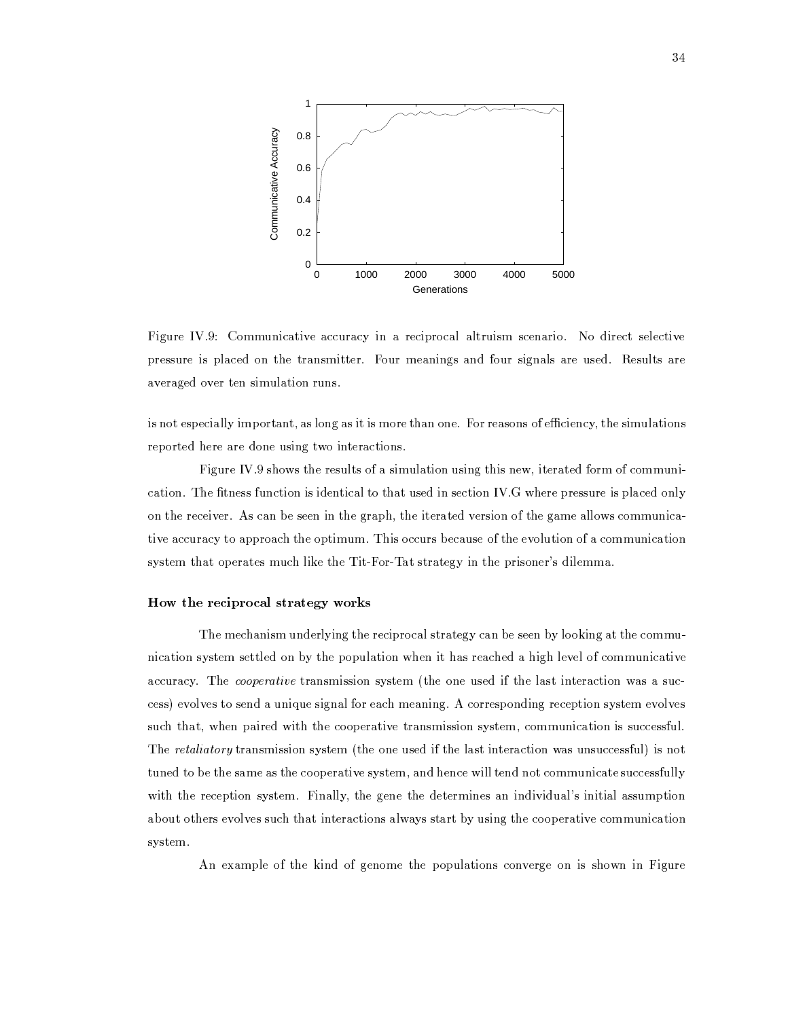

Figure IV.9: Communicative accuracy in a reciprocal altruism scenario. No direct selective pressure is placed on the transmitter. Four meanings and four signals are used. Results are averaged over ten simulation runs.

is not especially important, as long as it is more than one. For reasons of efficiency, the simulations reported here are done using two interactions.

Figure IV.9 shows the results of a simulation using this new, iterated form of communication. The fitness function is identical to that used in section IV.G where pressure is placed only on the receiver. As can be seen in the graph, the iterated version of the game allows communicative accuracy to approach the optimum. This occurs because of the evolution of a communication system that operates much like the Tit-For-Tat strategy in the prisoner's dilemma.

# How the reciprocal strategy works

The mechanism underlying the reciprocal strategy can be seen by looking at the communication system settled on by the population when it has reached a high level of communicative accuracy. The *cooperative* transmission system (the one used if the last interaction was a success) evolves to send a unique signal for each meaning. A corresponding reception system evolves such that, when paired with the cooperative transmission system, communication is successful. The retaliatory transmission system (the one used if the last interaction was unsuccessful) is not tuned to be the same as the cooperative system, and hence will tend not communicate successfully with the reception system. Finally, the gene the determines an individual's initial assumption about others evolves such that interactions always start by using the cooperative communication system.

An example of the kind of genome the populations converge on is shown in Figure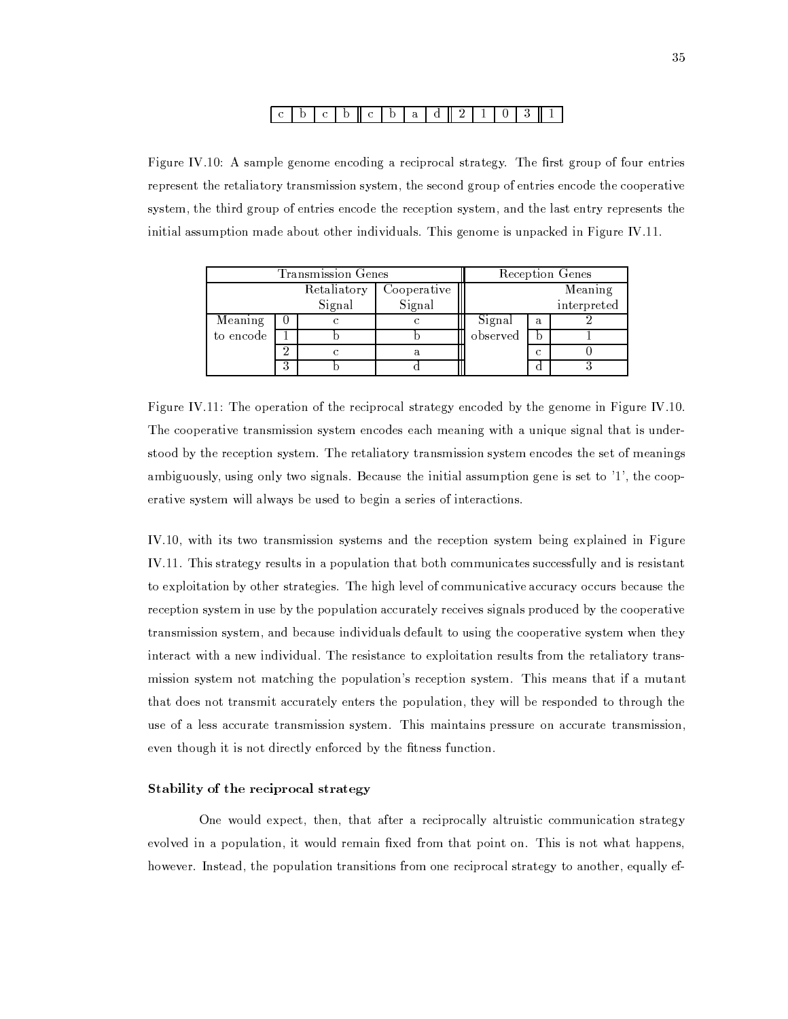#### $\overline{2}$  $\mathbf{b}$  $\mathbf{C}^ \mathbf{b} \parallel \mathbf{c} \parallel$  $|b|$  $\mathbf{a}$  $d \parallel$  $\mathbf{1}$  $\overline{0}$  $3<sup>1</sup>$  $\mathbf{1}$

Figure IV.10: A sample genome encoding a reciprocal strategy. The first group of four entries represent the retaliatory transmission system, the second group of entries encode the cooperative system, the third group of entries encode the reception system, and the last entry represents the initial assumption made about other individuals. This genome is unpacked in Figure IV.11.

| Transmission Genes |   |             |             | Reception Genes |   |             |  |
|--------------------|---|-------------|-------------|-----------------|---|-------------|--|
|                    |   | Retaliatory | Cooperative |                 |   | Meaning     |  |
|                    |   | Signal      | Signal      |                 |   | interpreted |  |
| Meaning            |   |             |             | Signal          | a |             |  |
| to encode          |   |             |             | observed        |   |             |  |
|                    | ച |             |             |                 | Ċ |             |  |
|                    | ິ |             |             |                 |   |             |  |

Figure IV.11: The operation of the reciprocal strategy encoded by the genome in Figure IV.10. The cooperative transmission system encodes each meaning with a unique signal that is understood by the reception system. The retaliatory transmission system encodes the set of meanings ambiguously, using only two signals. Because the initial assumption gene is set to  $'1'$ , the cooperative system will always be used to begin a series of interactions.

IV.10, with its two transmission systems and the reception system being explained in Figure IV.11. This strategy results in a population that both communicates successfully and is resistant to exploitation by other strategies. The high level of communicative accuracy occurs because the reception system in use by the population accurately receives signals produced by the cooperative transmission system, and because individuals default to using the cooperative system when they interact with a new individual. The resistance to exploitation results from the retaliatory transmission system not matching the population's reception system. This means that if a mutant that does not transmit accurately enters the population, they will be responded to through the use of a less accurate transmission system. This maintains pressure on accurate transmission, even though it is not directly enforced by the fitness function.

# Stability of the reciprocal strategy

One would expect, then, that after a reciprocally altruistic communication strategy evolved in a population, it would remain fixed from that point on. This is not what happens, however. Instead, the population transitions from one reciprocal strategy to another, equally ef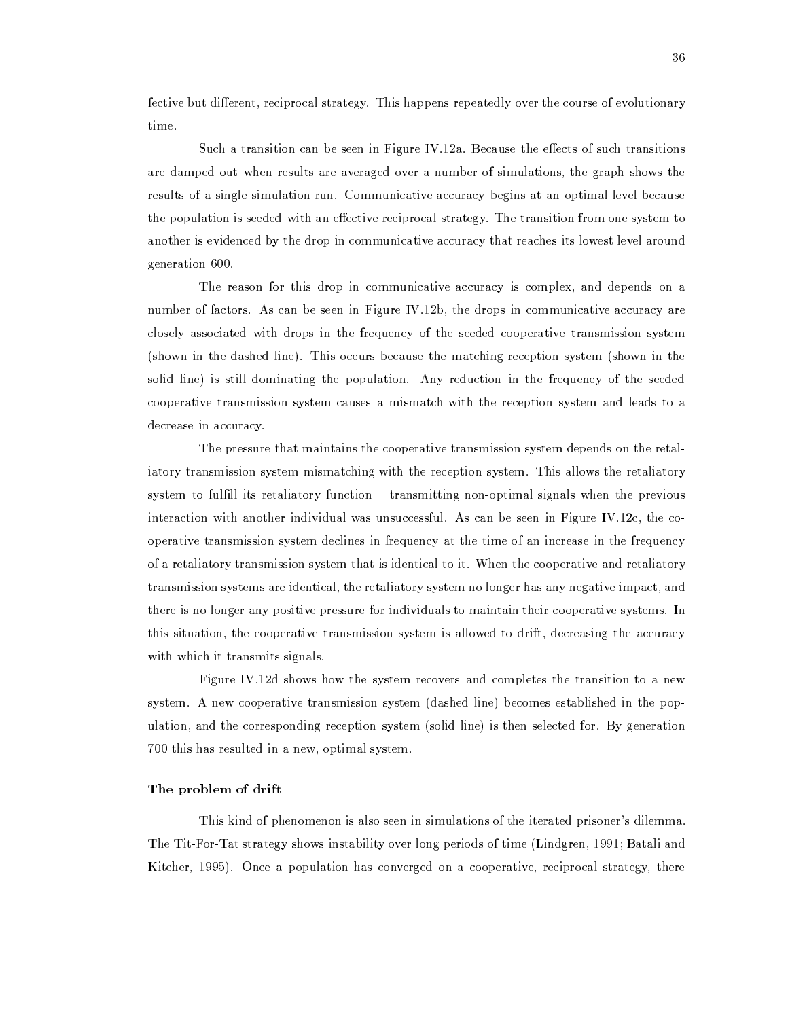fective but different, reciprocal strategy. This happens repeatedly over the course of evolutionary time.

Such a transition can be seen in Figure IV.12a. Because the effects of such transitions are damped out when results are averaged over a number of simulations, the graph shows the results of a single simulation run. Communicative accuracy begins at an optimal level because the population is seeded with an effective reciprocal strategy. The transition from one system to another is evidenced by the drop in communicative accuracy that reaches its lowest level around generation 600.

The reason for this drop in communicative accuracy is complex, and depends on a number of factors. As can be seen in Figure IV.12b, the drops in communicative accuracy are closely associated with drops in the frequency of the seeded cooperative transmission system (shown in the dashed line). This occurs because the matching reception system (shown in the solid line) is still dominating the population. Any reduction in the frequency of the seeded cooperative transmission system causes a mismatch with the reception system and leads to a decrease in accuracy.

The pressure that maintains the cooperative transmission system depends on the retaliatory transmission system mismatching with the reception system. This allows the retaliatory system to fulfill its retaliatory function – transmitting non-optimal signals when the previous interaction with another individual was unsuccessful. As can be seen in Figure IV.12c, the cooperative transmission system declines in frequency at the time of an increase in the frequency of a retaliatory transmission system that is identical to it. When the cooperative and retaliatory transmission systems are identical, the retaliatory system no longer has any negative impact, and there is no longer any positive pressure for individuals to maintain their cooperative systems. In this situation, the cooperative transmission system is allowed to drift, decreasing the accuracy with which it transmits signals.

Figure IV.12d shows how the system recovers and completes the transition to a new system. A new cooperative transmission system (dashed line) becomes established in the population, and the corresponding reception system (solid line) is then selected for. By generation 700 this has resulted in a new, optimal system.

# The problem of drift

This kind of phenomenon is also seen in simulations of the iterated prisoner's dilemma. The Tit-For-Tat strategy shows instability over long periods of time (Lindgren, 1991; Batali and Kitcher, 1995). Once a population has converged on a cooperative, reciprocal strategy, there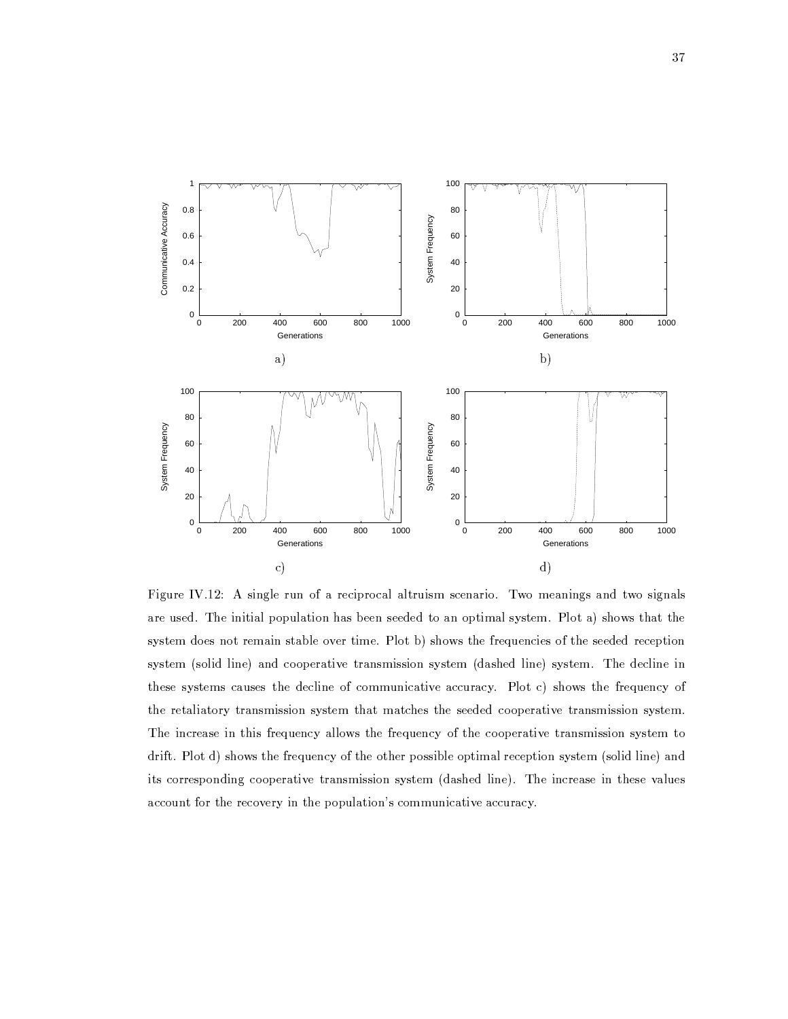

Figure IV.12: A single run of a reciprocal altruism scenario. Two meanings and two signals are used. The initial population has been seeded to an optimal system. Plot a) shows that the system does not remain stable over time. Plot b) shows the frequencies of the seeded reception system (solid line) and cooperative transmission system (dashed line) system. The decline in these systems causes the decline of communicative accuracy. Plot c) shows the frequency of the retaliatory transmission system that matches the seeded cooperative transmission system. The increase in this frequency allows the frequency of the cooperative transmission system to drift. Plot d) shows the frequency of the other possible optimal reception system (solid line) and its corresponding cooperative transmission system (dashed line). The increase in these values account for the recovery in the population's communicative accuracy.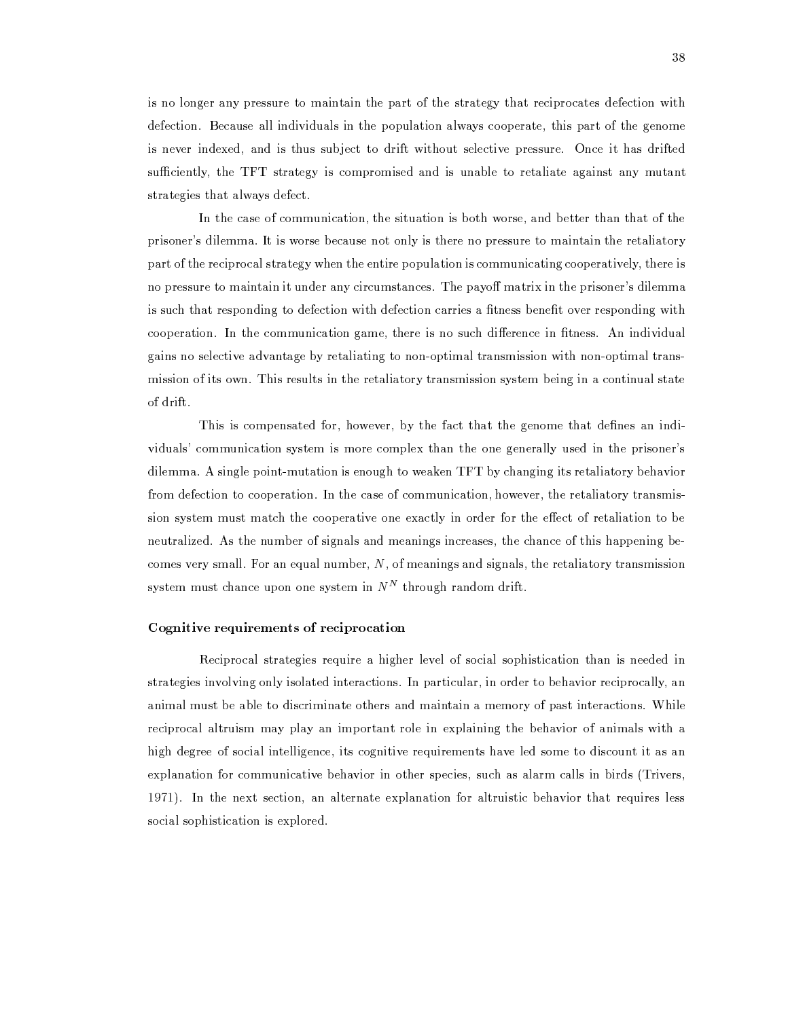is no longer any pressure to maintain the part of the strategy that reciprocates defection with defection. Because all individuals in the population always cooperate, this part of the genome is never indexed, and is thus subject to drift without selective pressure. Once it has drifted sufficiently, the TFT strategy is compromised and is unable to retaliate against any mutant strategies that always defect.

In the case of communication, the situation is both worse, and better than that of the prisoner's dilemma. It is worse because not only is there no pressure to maintain the retaliatory part of the reciprocal strategy when the entire population is communicating cooperatively, there is no pressure to maintain it under any circumstances. The payoff matrix in the prisoner's dilemma is such that responding to defection with defection carries a fitness benefit over responding with cooperation. In the communication game, there is no such difference in fitness. An individual gains no selective advantage by retaliating to non-optimal transmission with non-optimal transmission of its own. This results in the retaliatory transmission system being in a continual state of drift.

This is compensated for, however, by the fact that the genome that defines an individuals' communication system is more complex than the one generally used in the prisoner's dilemma. A single point-mutation is enough to weaken TFT by changing its retaliatory behavior from defection to cooperation. In the case of communication, however, the retaliatory transmission system must match the cooperative one exactly in order for the effect of retaliation to be neutralized. As the number of signals and meanings increases, the chance of this happening becomes very small. For an equal number,  $N$ , of meanings and signals, the retaliatory transmission system must chance upon one system in  $N^N$  through random drift.

# Cognitive requirements of reciprocation

Reciprocal strategies require a higher level of social sophistication than is needed in strategies involving only isolated interactions. In particular, in order to behavior reciprocally, an animal must be able to discriminate others and maintain a memory of past interactions. While reciprocal altruism may play an important role in explaining the behavior of animals with a high degree of social intelligence, its cognitive requirements have led some to discount it as an explanation for communicative behavior in other species, such as alarm calls in birds (Trivers, 1971). In the next section, an alternate explanation for altruistic behavior that requires less social sophistication is explored.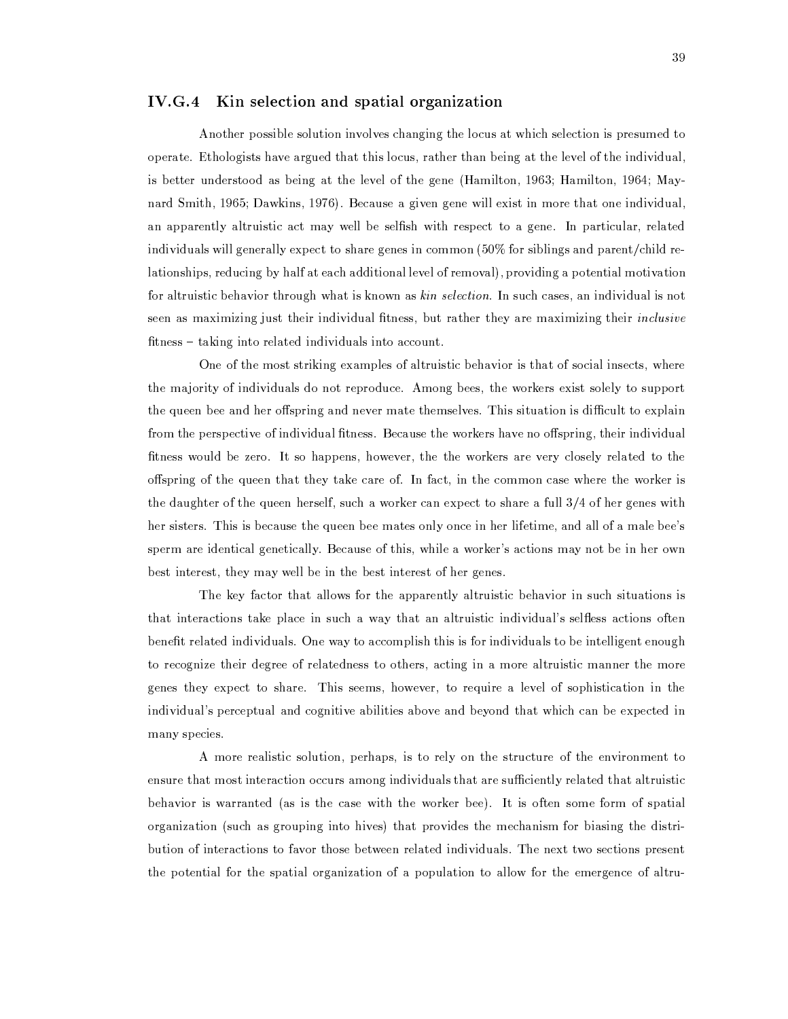# IV.G.4 Kin selection and spatial organization

Another possible solution involves changing the locus at which selection is presumed to operate. Ethologists have argued that this locus, rather than being at the level of the individual, is better understood as being at the level of the gene (Hamilton, 1963; Hamilton, 1964; Maynard Smith, 1965; Dawkins, 1976). Because a given gene will exist in more that one individual, an apparently altruistic act may well be selfish with respect to a gene. In particular, related individuals will generally expect to share genes in common (50% for siblings and parent/child relationships, reducing by half at each additional level of removal), providing a potential motivation for altruistic behavior through what is known as kin selection. In such cases, an individual is not seen as maximizing just their individual fitness, but rather they are maximizing their *inclusive* fitness – taking into related individuals into account.

One of the most striking examples of altruistic behavior is that of social insects, where the majority of individuals do not reproduce. Among bees, the workers exist solely to support the queen bee and her offspring and never mate themselves. This situation is difficult to explain from the perspective of individual fitness. Because the workers have no offspring, their individual fitness would be zero. It so happens, however, the the workers are very closely related to the offspring of the queen that they take care of. In fact, in the common case where the worker is the daughter of the queen herself, such a worker can expect to share a full  $3/4$  of her genes with her sisters. This is because the queen bee mates only once in her lifetime, and all of a male bee's sperm are identical genetically. Because of this, while a worker's actions may not be in her own best interest, they may well be in the best interest of her genes.

The key factor that allows for the apparently altruistic behavior in such situations is that interactions take place in such a way that an altruistic individual's selfless actions often benefit related individuals. One way to accomplish this is for individuals to be intelligent enough to recognize their degree of relatedness to others, acting in a more altruistic manner the more genes they expect to share. This seems, however, to require a level of sophistication in the individual's perceptual and cognitive abilities above and beyond that which can be expected in many species.

A more realistic solution, perhaps, is to rely on the structure of the environment to ensure that most interaction occurs among individuals that are sufficiently related that altruistic behavior is warranted (as is the case with the worker bee). It is often some form of spatial organization (such as grouping into hives) that provides the mechanism for biasing the distribution of interactions to favor those between related individuals. The next two sections present the potential for the spatial organization of a population to allow for the emergence of altru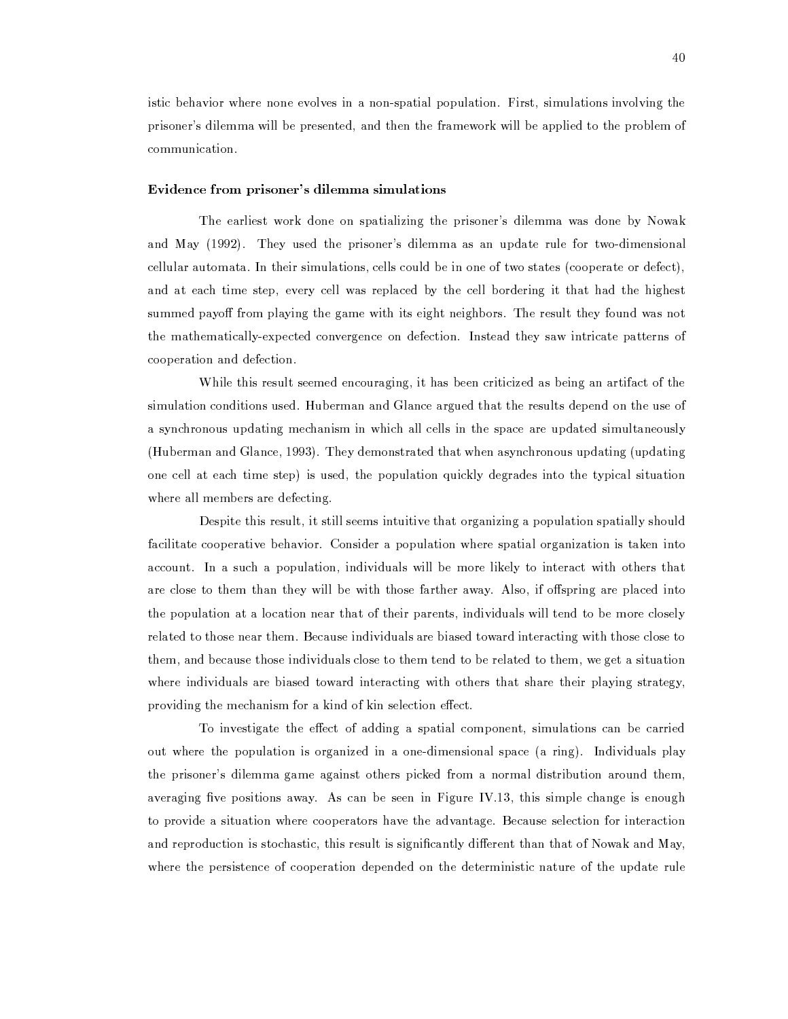istic behavior where none evolves in a non-spatial population. First, simulations involving the prisoner's dilemma will be presented, and then the framework will be applied to the problem of communication.

# Evidence from prisoner's dilemma simulations

The earliest work done on spatializing the prisoner's dilemma was done by Nowak and May (1992). They used the prisoner's dilemma as an update rule for two-dimensional cellular automata. In their simulations, cells could be in one of two states (cooperate or defect), and at each time step, every cell was replaced by the cell bordering it that had the highest summed payoff from playing the game with its eight neighbors. The result they found was not the mathematically-expected convergence on defection. Instead they saw intricate patterns of cooperation and defection.

While this result seemed encouraging, it has been criticized as being an artifact of the simulation conditions used. Huberman and Glance argued that the results depend on the use of a synchronous updating mechanism in which all cells in the space are updated simultaneously (Huberman and Glance, 1993). They demonstrated that when asynchronous updating (updating one cell at each time step) is used, the population quickly degrades into the typical situation where all members are defecting.

Despite this result, it still seems intuitive that organizing a population spatially should facilitate cooperative behavior. Consider a population where spatial organization is taken into account. In a such a population, individuals will be more likely to interact with others that are close to them than they will be with those farther away. Also, if offspring are placed into the population at a location near that of their parents, individuals will tend to be more closely related to those near them. Because individuals are biased toward interacting with those close to them, and because those individuals close to them tend to be related to them, we get a situation where individuals are biased toward interacting with others that share their playing strategy, providing the mechanism for a kind of kin selection effect.

To investigate the effect of adding a spatial component, simulations can be carried out where the population is organized in a one-dimensional space (a ring). Individuals play the prisoner's dilemma game against others picked from a normal distribution around them, averaging five positions away. As can be seen in Figure IV.13, this simple change is enough to provide a situation where cooperators have the advantage. Because selection for interaction and reproduction is stochastic, this result is significantly different than that of Nowak and May, where the persistence of cooperation depended on the deterministic nature of the update rule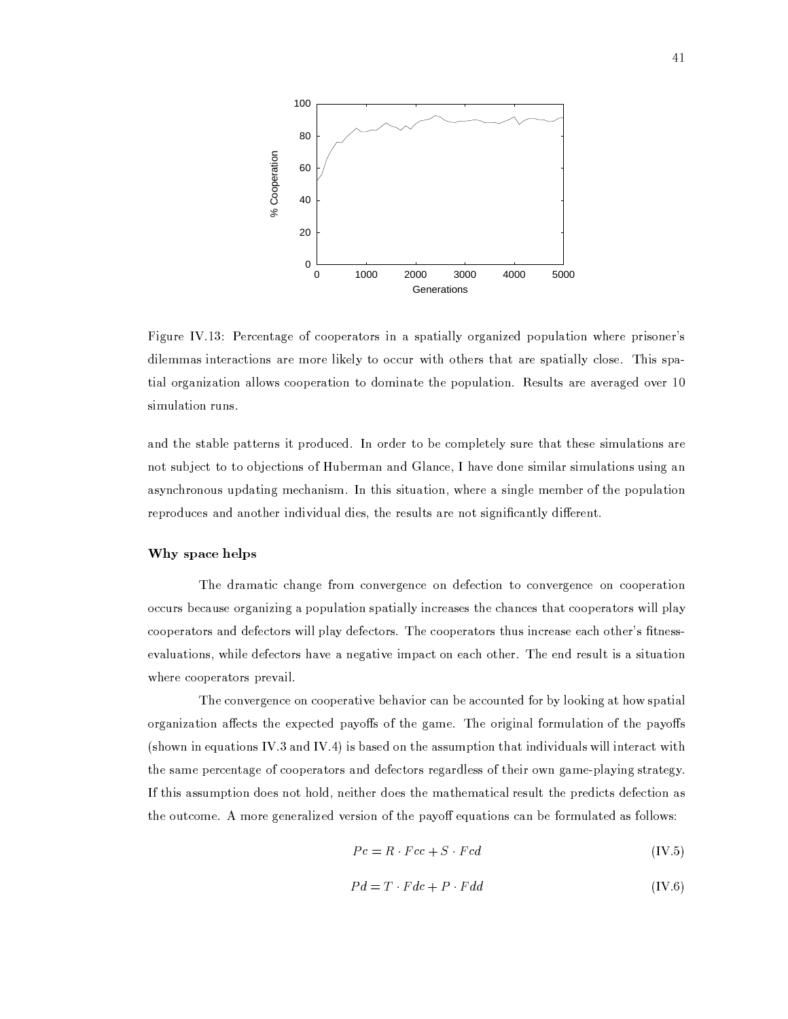

Figure IV.13: Percentage of cooperators in a spatially organized population where prisoner's dilemmas interactions are more likely to occur with others that are spatially close. This spatial organization allows cooperation to dominate the population. Results are averaged over 10 simulation runs.

and the stable patterns it produced. In order to be completely sure that these simulations are not subject to to objections of Huberman and Glance, I have done similar simulations using an asynchronous updating mechanism. In this situation, where a single member of the population reproduces and another individual dies, the results are not significantly different.

# Why space helps

The dramatic change from convergence on defection to convergence on cooperation occurs because organizing a population spatially increases the chances that cooperators will play cooperators and defectors will play defectors. The cooperators thus increase each other's fitnessevaluations, while defectors have a negative impact on each other. The end result is a situation where cooperators prevail.

The convergence on cooperative behavior can be accounted for by looking at how spatial organization affects the expected payoffs of the game. The original formulation of the payoffs (shown in equations IV.3 and IV.4) is based on the assumption that individuals will interact with the same percentage of cooperators and defectors regardless of their own game-playing strategy. If this assumption does not hold, neither does the mathematical result the predicts defection as the outcome. A more generalized version of the payoff equations can be formulated as follows:

$$
Pc = R \cdot Fcc + S \cdot Fcd \tag{IV.5}
$$

$$
Pd = T \cdot Fdc + P \cdot Fdd \tag{IV.6}
$$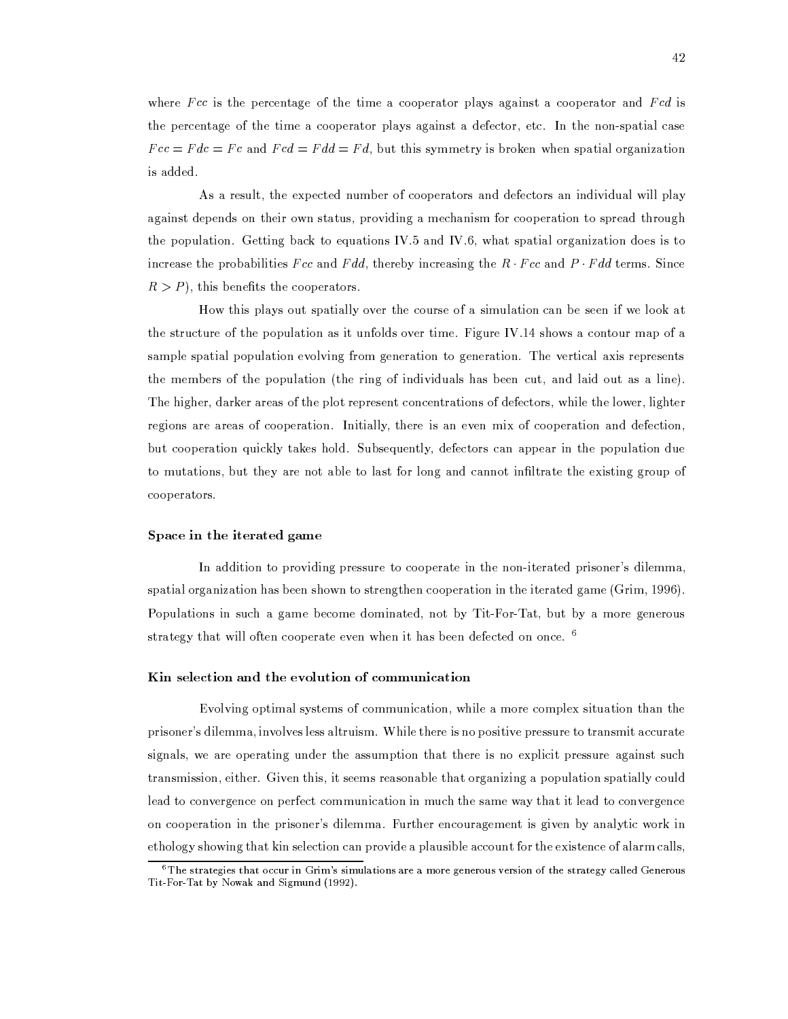where  $Fcc$  is the percentage of the time a cooperator plays against a cooperator and  $Fcd$  is the percentage of the time a cooperator plays against a defector, etc. In the non-spatial case  $Fcc = Fdc = Fc$  and  $Fcd = Fdd = Fd$ , but this symmetry is broken when spatial organization is added.

As a result, the expected number of cooperators and defectors an individual will play against depends on their own status, providing a mechanism for cooperation to spread through the population. Getting back to equations IV.5 and IV.6, what spatial organization does is to increase the probabilities Fcc and Fdd, thereby increasing the  $R \cdot Fcc$  and  $P \cdot Fdd$  terms. Since  $R > P$ , this benefits the cooperators.

How this plays out spatially over the course of a simulation can be seen if we look at the structure of the population as it unfolds over time. Figure IV.14 shows a contour map of a sample spatial population evolving from generation to generation. The vertical axis represents the members of the population (the ring of individuals has been cut, and laid out as a line). The higher, darker areas of the plot represent concentrations of defectors, while the lower, lighter regions are areas of cooperation. Initially, there is an even mix of cooperation and defection, but cooperation quickly takes hold. Subsequently, defectors can appear in the population due to mutations, but they are not able to last for long and cannot infiltrate the existing group of cooperators.

### Space in the iterated game

In addition to providing pressure to cooperate in the non-iterated prisoner's dilemma, spatial organization has been shown to strengthen cooperation in the iterated game (Grim, 1996). Populations in such a game become dominated, not by Tit-For-Tat, but by a more generous strategy that will often cooperate even when it has been defected on once. <sup>6</sup>

### Kin selection and the evolution of communication

Evolving optimal systems of communication, while a more complex situation than the prisoner's dilemma, involves less altruism. While there is no positive pressure to transmit accurate signals, we are operating under the assumption that there is no explicit pressure against such transmission, either. Given this, it seems reasonable that organizing a population spatially could lead to convergence on perfect communication in much the same way that it lead to convergence on cooperation in the prisoner's dilemma. Further encouragement is given by analytic work in ethology showing that kin selection can provide a plausible account for the existence of alarm calls,

 ${}^6$ The strategies that occur in Grim's simulations are a more generous version of the strategy called Generous Tit-For-Tat by Nowak and Sigmund (1992).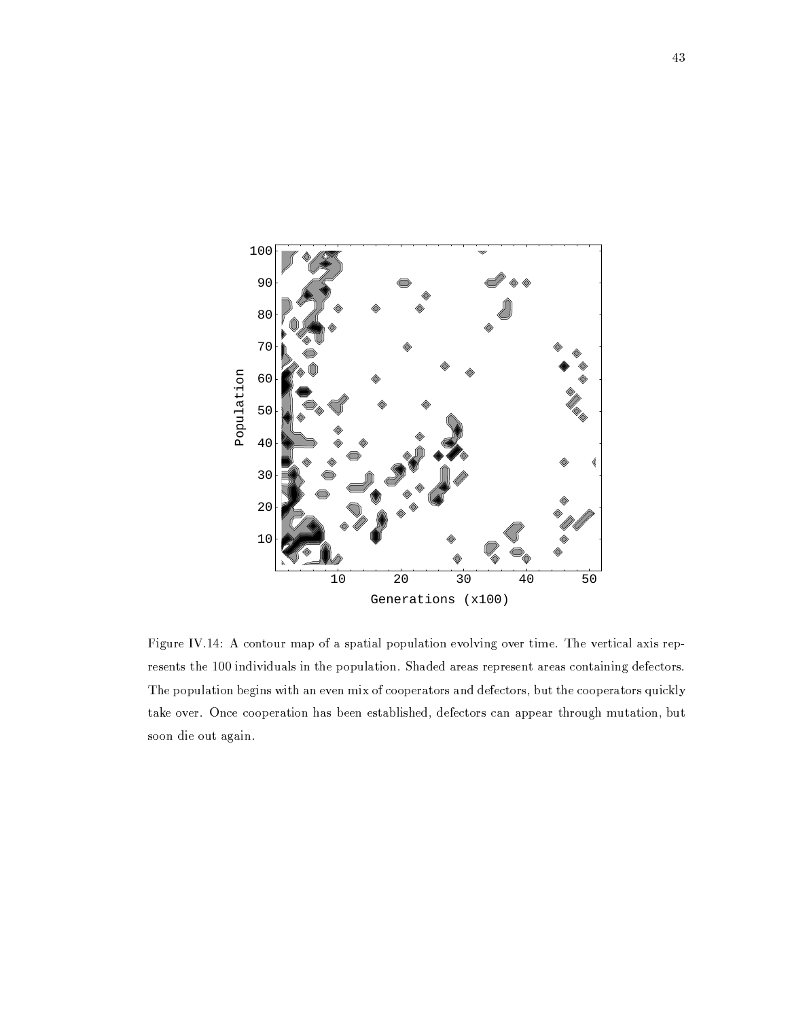

Figure IV.14: A contour map of a spatial population evolving over time. The vertical axis represents the 100 individuals in the population. Shaded areas represent areas containing defectors. The population begins with an even mix of cooperators and defectors, but the cooperators quickly take over. Once cooperation has been established, defectors can appear through mutation, but soon die out again.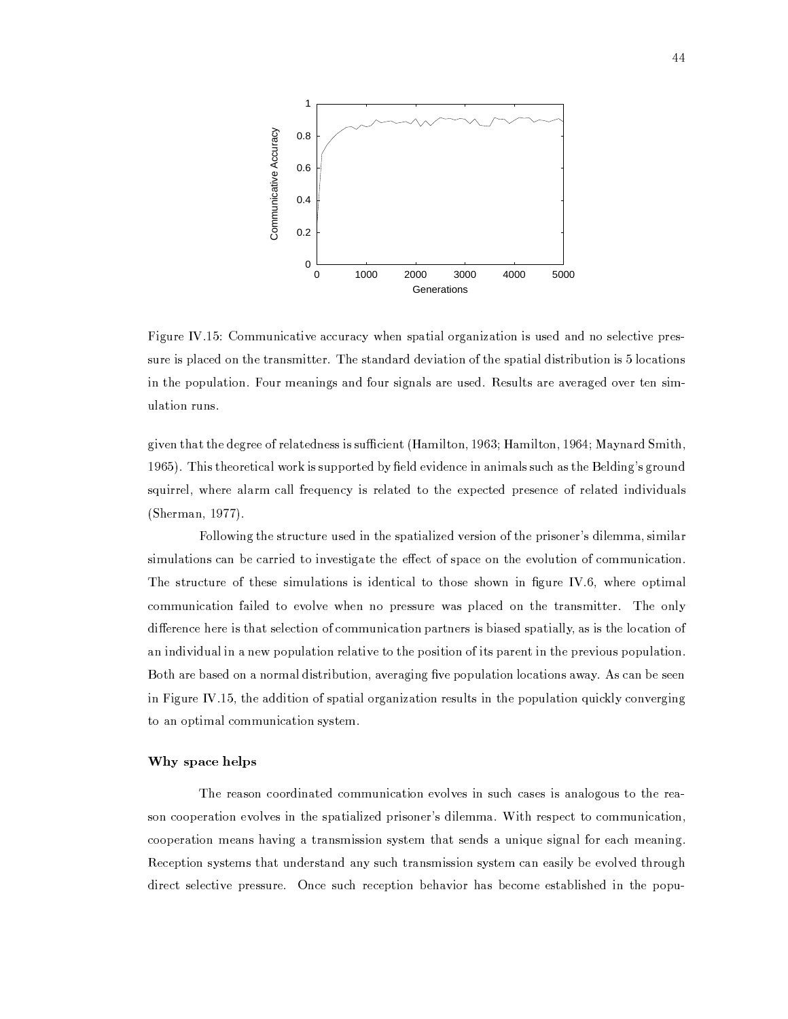

Figure IV.15: Communicative accuracy when spatial organization is used and no selective pressure is placed on the transmitter. The standard deviation of the spatial distribution is 5 locations in the population. Four meanings and four signals are used. Results are averaged over ten simulation runs.

given that the degree of relatedness is sufficient (Hamilton, 1963; Hamilton, 1964; Maynard Smith, 1965). This theoretical work is supported by field evidence in animals such as the Belding's ground squirrel, where alarm call frequency is related to the expected presence of related individuals (Sherman, 1977).

Following the structure used in the spatialized version of the prisoner's dilemma, similar simulations can be carried to investigate the effect of space on the evolution of communication. The structure of these simulations is identical to those shown in figure IV.6, where optimal communication failed to evolve when no pressure was placed on the transmitter. The only difference here is that selection of communication partners is biased spatially, as is the location of an individual in a new population relative to the position of its parent in the previous population. Both are based on a normal distribution, averaging five population locations away. As can be seen in Figure IV.15, the addition of spatial organization results in the population quickly converging to an optimal communication system.

# Why space helps

The reason coordinated communication evolves in such cases is analogous to the reason cooperation evolves in the spatialized prisoner's dilemma. With respect to communication, cooperation means having a transmission system that sends a unique signal for each meaning. Reception systems that understand any such transmission system can easily be evolved through direct selective pressure. Once such reception behavior has become established in the popu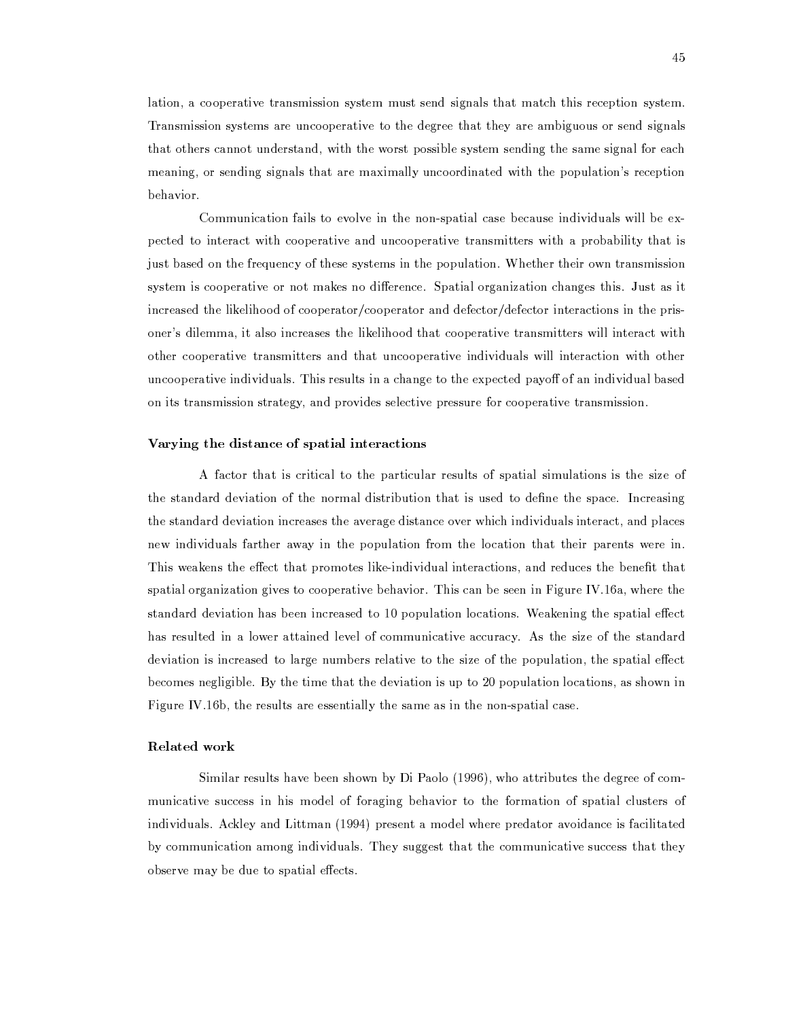lation, a cooperative transmission system must send signals that match this reception system. Transmission systems are uncooperative to the degree that they are ambiguous or send signals that others cannot understand, with the worst possible system sending the same signal for each meaning, or sending signals that are maximally uncoordinated with the population's reception behavior.

Communication fails to evolve in the non-spatial case because individuals will be expected to interact with cooperative and uncooperative transmitters with a probability that is just based on the frequency of these systems in the population. Whether their own transmission system is cooperative or not makes no difference. Spatial organization changes this. Just as it increased the likelihood of cooperator/cooperator and defector/defector interactions in the prisoner's dilemma, it also increases the likelihood that cooperative transmitters will interact with other cooperative transmitters and that uncooperative individuals will interaction with other uncooperative individuals. This results in a change to the expected payoff of an individual based on its transmission strategy, and provides selective pressure for cooperative transmission.

# Varying the distance of spatial interactions

A factor that is critical to the particular results of spatial simulations is the size of the standard deviation of the normal distribution that is used to define the space. Increasing the standard deviation increases the average distance over which individuals interact, and places new individuals farther away in the population from the location that their parents were in. This weakens the effect that promotes like-individual interactions, and reduces the benefit that spatial organization gives to cooperative behavior. This can be seen in Figure IV.16a, where the standard deviation has been increased to 10 population locations. Weakening the spatial effect has resulted in a lower attained level of communicative accuracy. As the size of the standard deviation is increased to large numbers relative to the size of the population, the spatial effect becomes negligible. By the time that the deviation is up to 20 population locations, as shown in Figure IV.16b, the results are essentially the same as in the non-spatial case.

# Related work

Similar results have been shown by Di Paolo (1996), who attributes the degree of communicative success in his model of foraging behavior to the formation of spatial clusters of individuals. Ackley and Littman (1994) present a model where predator avoidance is facilitated by communication among individuals. They suggest that the communicative success that they observe may be due to spatial effects.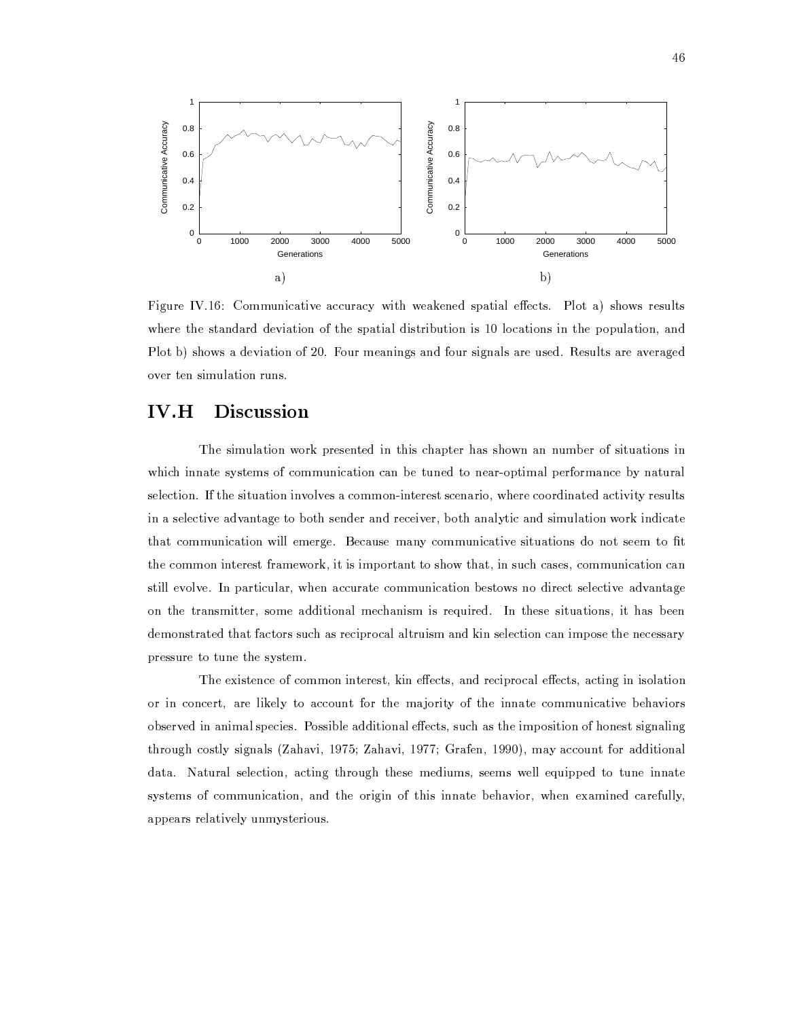

Figure IV.16: Communicative accuracy with weakened spatial effects. Plot a) shows results where the standard deviation of the spatial distribution is 10 locations in the population, and Plot b) shows a deviation of 20. Four meanings and four signals are used. Results are averaged over ten simulation runs.

#### $IV.H$ **Discussion**

The simulation work presented in this chapter has shown an number of situations in which innate systems of communication can be tuned to near-optimal performance by natural selection. If the situation involves a common-interest scenario, where coordinated activity results in a selective advantage to both sender and receiver, both analytic and simulation work indicate that communication will emerge. Because many communicative situations do not seem to fit the common interest framework, it is important to show that, in such cases, communication can still evolve. In particular, when accurate communication bestows no direct selective advantage on the transmitter, some additional mechanism is required. In these situations, it has been demonstrated that factors such as reciprocal altruism and kin selection can impose the necessary pressure to tune the system.

The existence of common interest, kin effects, and reciprocal effects, acting in isolation or in concert, are likely to account for the majority of the innate communicative behaviors observed in animal species. Possible additional effects, such as the imposition of honest signaling through costly signals (Zahavi, 1975; Zahavi, 1977; Grafen, 1990), may account for additional data. Natural selection, acting through these mediums, seems well equipped to tune innate systems of communication, and the origin of this innate behavior, when examined carefully, appears relatively unmysterious.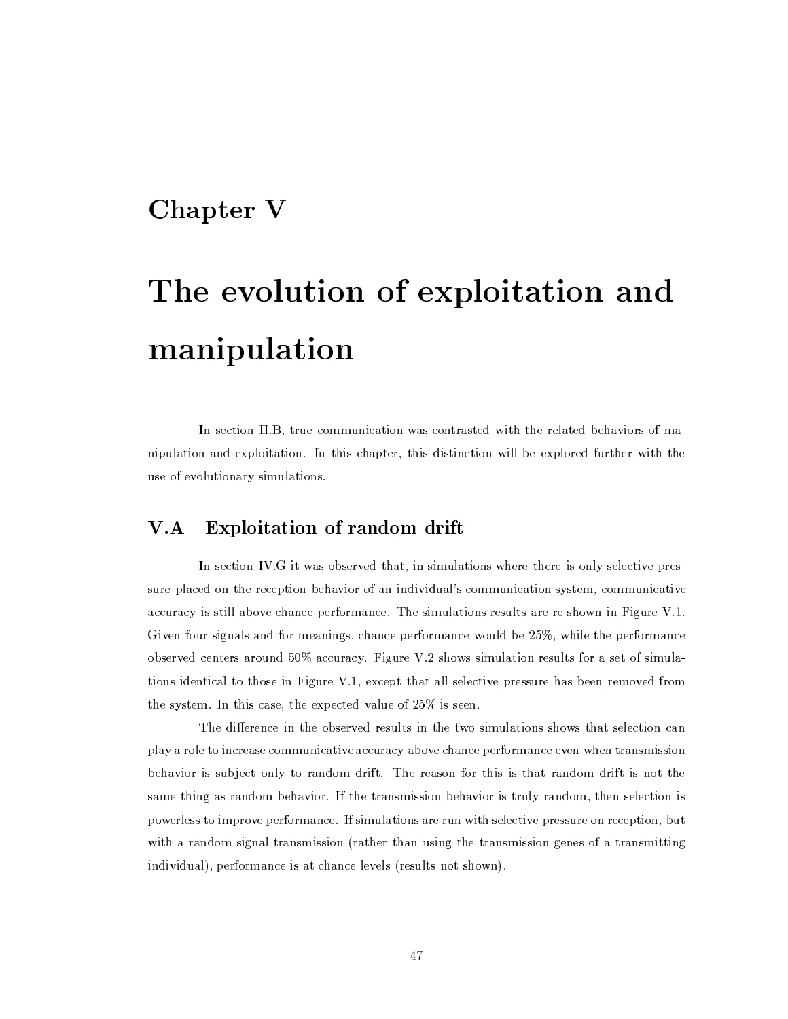# Chapter V

# The evolution of exploitation and manipulation

In section II.B, true communication was contrasted with the related behaviors of manipulation and exploitation. In this chapter, this distinction will be explored further with the use of evolutionary simulations.

#### $V.A$ Exploitation of random drift

In section IV.G it was observed that, in simulations where there is only selective pressure placed on the reception behavior of an individual's communication system, communicative accuracy is still above chance performance. The simulations results are re-shown in Figure V.1. Given four signals and for meanings, chance performance would be 25%, while the performance observed centers around 50% accuracy. Figure V.2 shows simulation results for a set of simulations identical to those in Figure V.1, except that all selective pressure has been removed from the system. In this case, the expected value of  $25\%$  is seen.

The difference in the observed results in the two simulations shows that selection can play a role to increase communicative accuracy above chance performance even when transmission behavior is subject only to random drift. The reason for this is that random drift is not the same thing as random behavior. If the transmission behavior is truly random, then selection is powerless to improve performance. If simulations are run with selective pressure on reception, but with a random signal transmission (rather than using the transmission genes of a transmitting individual), performance is at chance levels (results not shown).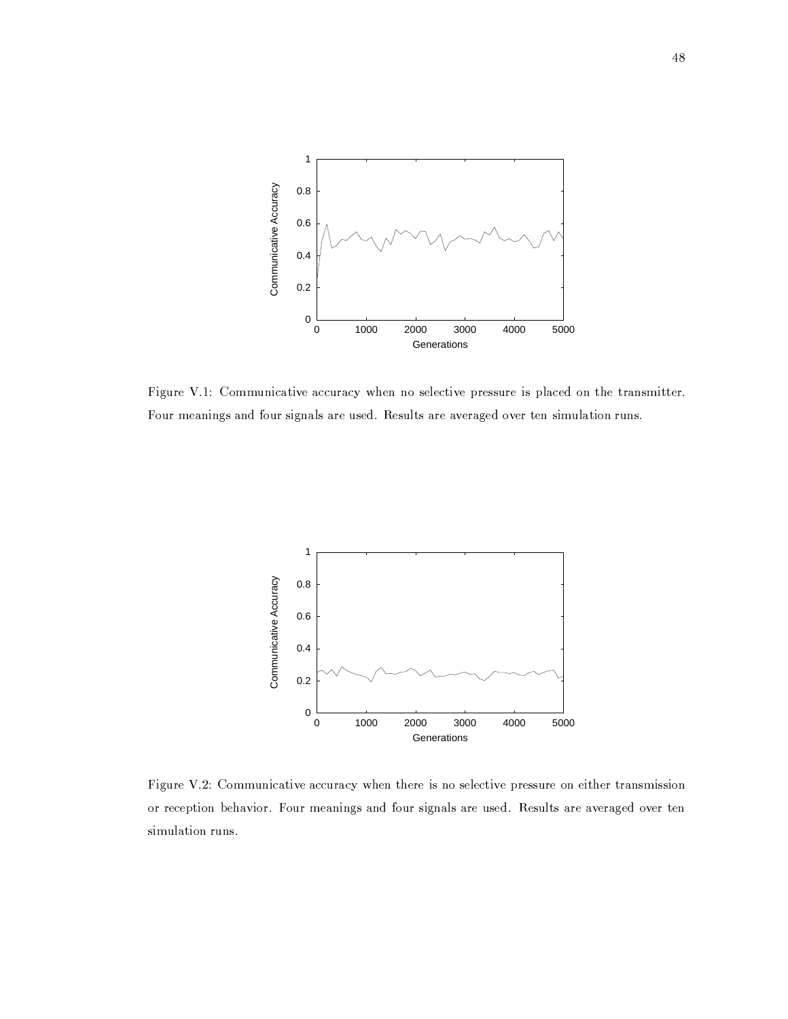

Figure V.1: Communicative accuracy when no selective pressure is placed on the transmitter. Four meanings and four signals are used. Results are averaged over ten simulation runs.



Figure V.2: Communicative accuracy when there is no selective pressure on either transmission or reception behavior. Four meanings and four signals are used. Results are averaged over ten simulation runs.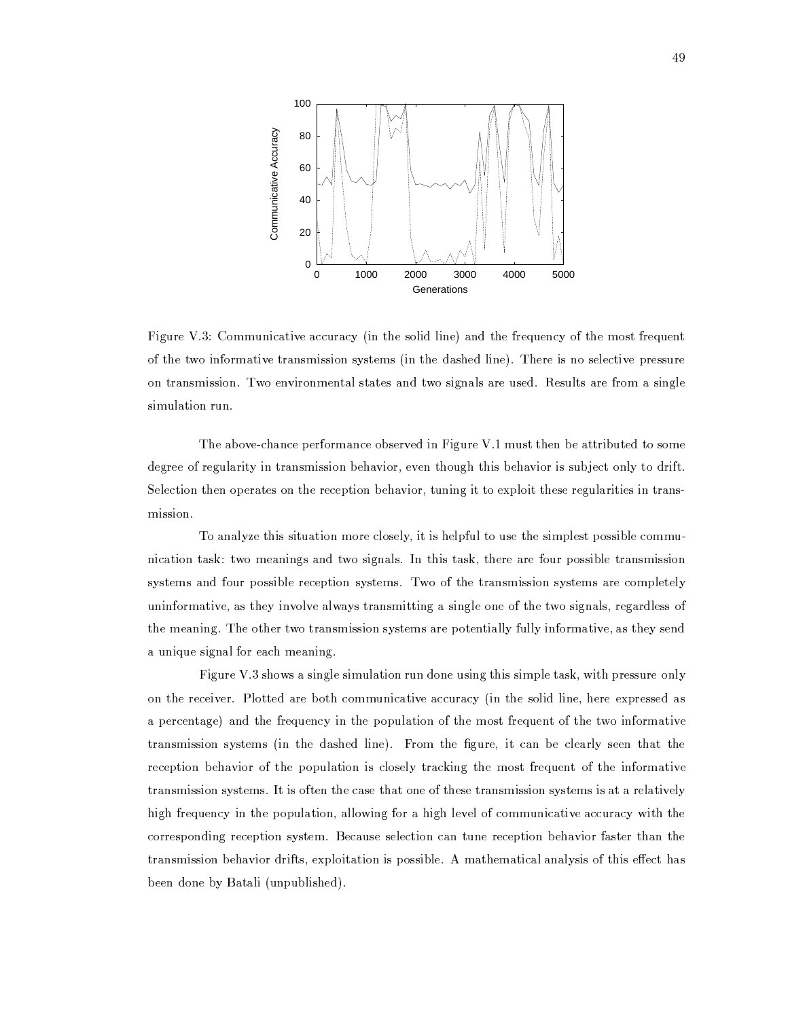

Figure V.3: Communicative accuracy (in the solid line) and the frequency of the most frequent of the two informative transmission systems (in the dashed line). There is no selective pressure on transmission. Two environmental states and two signals are used. Results are from a single simulation run.

The above-chance performance observed in Figure V.1 must then be attributed to some degree of regularity in transmission behavior, even though this behavior is subject only to drift. Selection then operates on the reception behavior, tuning it to exploit these regularities in transmission.

To analyze this situation more closely, it is helpful to use the simplest possible communication task: two meanings and two signals. In this task, there are four possible transmission systems and four possible reception systems. Two of the transmission systems are completely uninformative, as they involve always transmitting a single one of the two signals, regardless of the meaning. The other two transmission systems are potentially fully informative, as they send a unique signal for each meaning.

Figure V.3 shows a single simulation run done using this simple task, with pressure only on the receiver. Plotted are both communicative accuracy (in the solid line, here expressed as a percentage) and the frequency in the population of the most frequent of the two informative transmission systems (in the dashed line). From the figure, it can be clearly seen that the reception behavior of the population is closely tracking the most frequent of the informative transmission systems. It is often the case that one of these transmission systems is at a relatively high frequency in the population, allowing for a high level of communicative accuracy with the corresponding reception system. Because selection can tune reception behavior faster than the transmission behavior drifts, exploitation is possible. A mathematical analysis of this effect has been done by Batali (unpublished).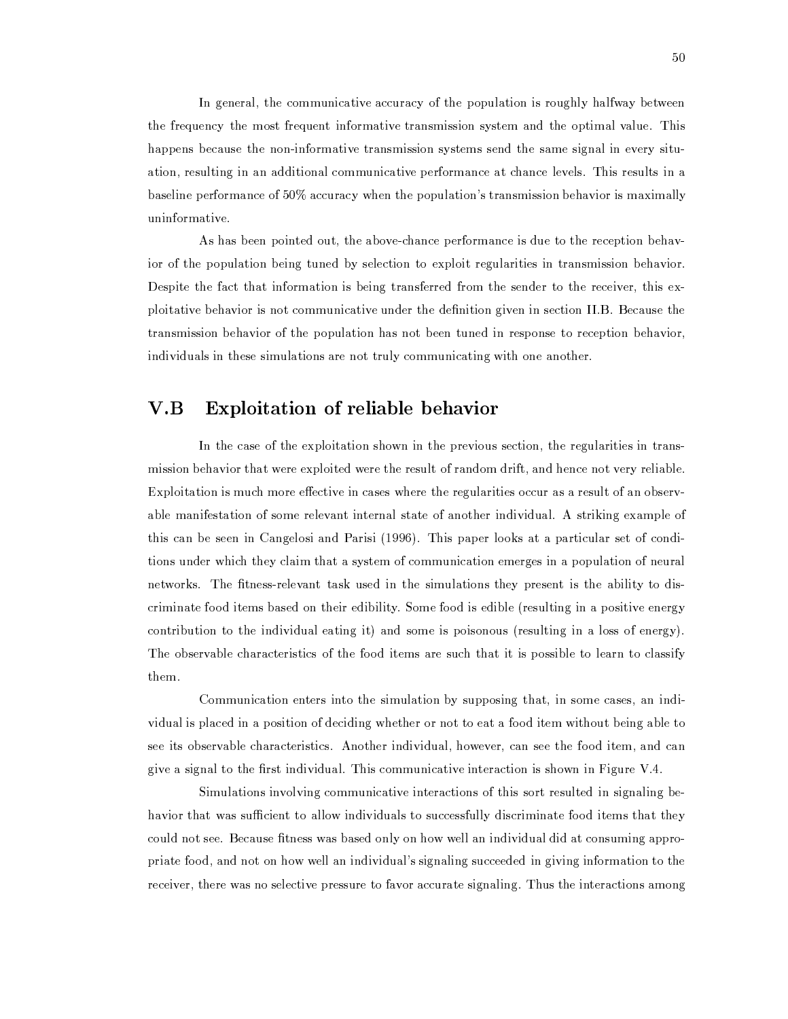In general, the communicative accuracy of the population is roughly halfway between the frequency the most frequent informative transmission system and the optimal value. This happens because the non-informative transmission systems send the same signal in every situation, resulting in an additional communicative performance at chance levels. This results in a baseline performance of 50% accuracy when the population's transmission behavior is maximally uninformative.

As has been pointed out, the above-chance performance is due to the reception behavior of the population being tuned by selection to exploit regularities in transmission behavior. Despite the fact that information is being transferred from the sender to the receiver, this exploitative behavior is not communicative under the definition given in section II.B. Because the transmission behavior of the population has not been tuned in response to reception behavior, individuals in these simulations are not truly communicating with one another.

#### Exploitation of reliable behavior  $V.B$

In the case of the exploitation shown in the previous section, the regularities in transmission behavior that were exploited were the result of random drift, and hence not very reliable. Exploitation is much more effective in cases where the regularities occur as a result of an observable manifestation of some relevant internal state of another individual. A striking example of this can be seen in Cangelosi and Parisi (1996). This paper looks at a particular set of conditions under which they claim that a system of communication emerges in a population of neural networks. The fitness-relevant task used in the simulations they present is the ability to discriminate food items based on their edibility. Some food is edible (resulting in a positive energy contribution to the individual eating it) and some is poisonous (resulting in a loss of energy). The observable characteristics of the food items are such that it is possible to learn to classify them.

Communication enters into the simulation by supposing that, in some cases, an individual is placed in a position of deciding whether or not to eat a food item without being able to see its observable characteristics. Another individual, however, can see the food item, and can give a signal to the first individual. This communicative interaction is shown in Figure V.4.

Simulations involving communicative interactions of this sort resulted in signaling behavior that was sufficient to allow individuals to successfully discriminate food items that they could not see. Because fitness was based only on how well an individual did at consuming appropriate food, and not on how well an individual's signaling succeeded in giving information to the receiver, there was no selective pressure to favor accurate signaling. Thus the interactions among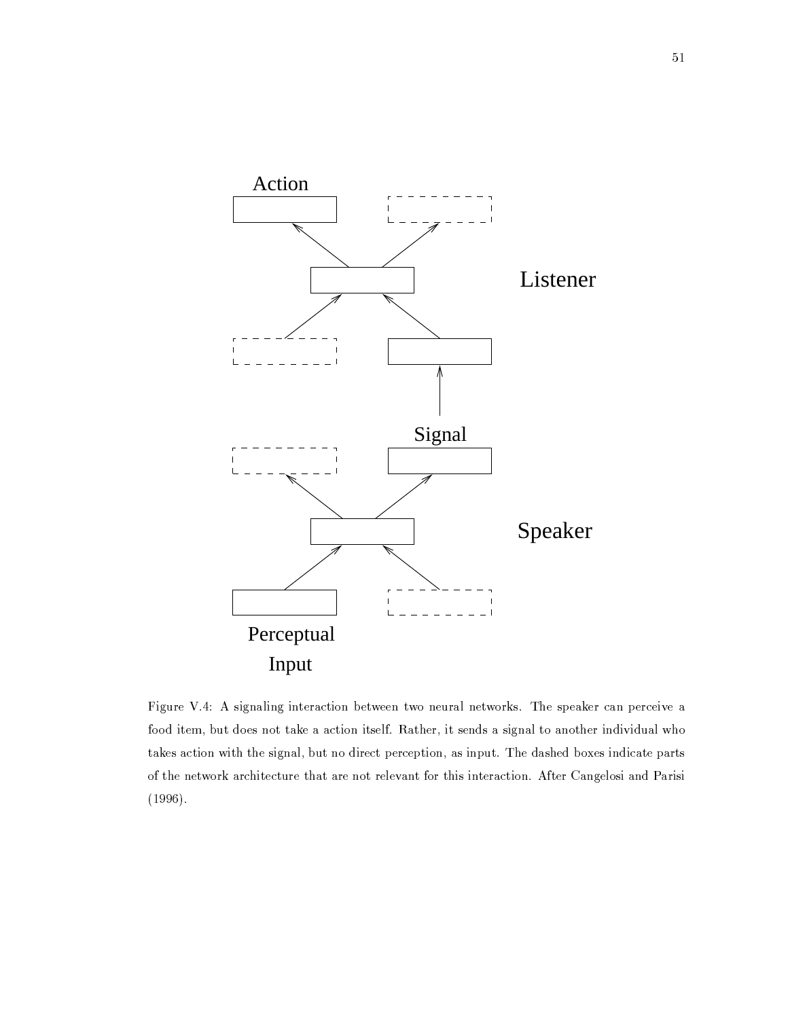

Figure V.4: A signaling interaction between two neural networks. The speaker can perceive a food item, but does not take a action itself. Rather, it sends a signal to another individual who takes action with the signal, but no direct perception, as input. The dashed boxes indicate parts of the network architecture that are not relevant for this interaction. After Cangelosi and Parisi  $(1996).$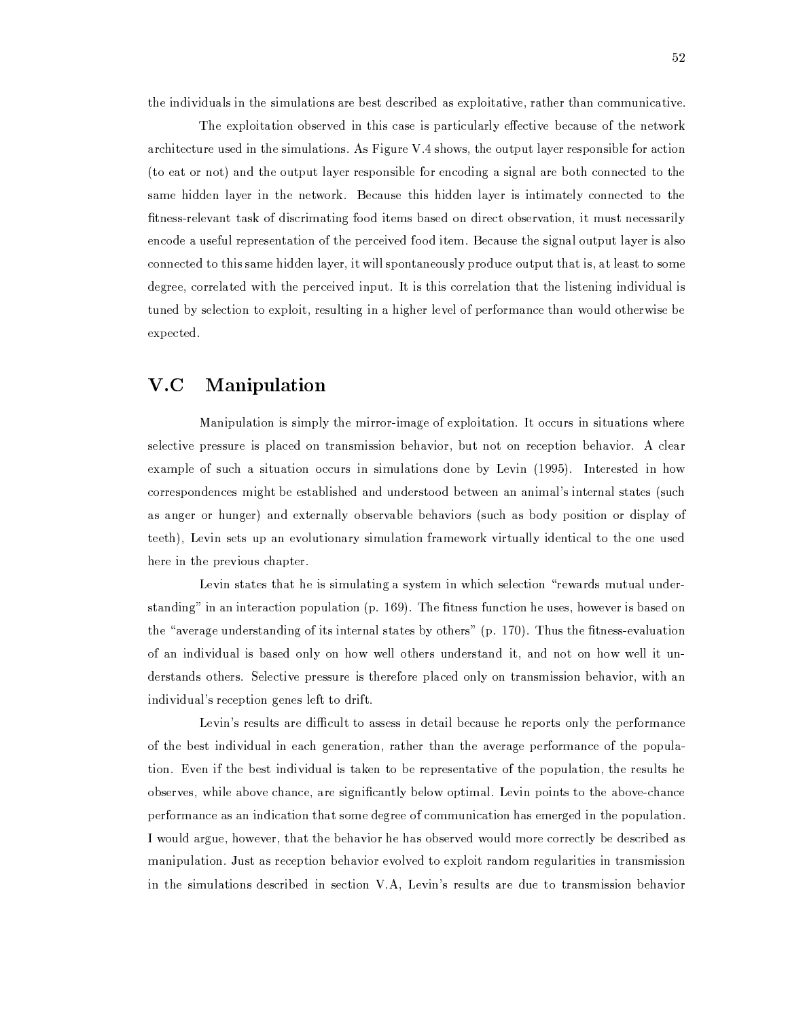the individuals in the simulations are best described as exploitative, rather than communicative.

The exploitation observed in this case is particularly effective because of the network architecture used in the simulations. As Figure V.4 shows, the output layer responsible for action (to eat or not) and the output layer responsible for encoding a signal are both connected to the same hidden layer in the network. Because this hidden layer is intimately connected to the fitness-relevant task of discrimating food items based on direct observation, it must necessarily encode a useful representation of the perceived food item. Because the signal output layer is also connected to this same hidden layer, it will spontaneously produce output that is, at least to some degree, correlated with the perceived input. It is this correlation that the listening individual is tuned by selection to exploit, resulting in a higher level of performance than would otherwise be expected.

#### $V.C$ Manipulation

Manipulation is simply the mirror-image of exploitation. It occurs in situations where selective pressure is placed on transmission behavior, but not on reception behavior. A clear example of such a situation occurs in simulations done by Levin (1995). Interested in how correspondences might be established and understood between an animal's internal states (such as anger or hunger) and externally observable behaviors (such as body position or display of teeth), Levin sets up an evolutionary simulation framework virtually identical to the one used here in the previous chapter.

Levin states that he is simulating a system in which selection "rewards mutual understanding" in an interaction population (p. 169). The fitness function he uses, however is based on the "average understanding of its internal states by others" (p. 170). Thus the fitness-evaluation of an individual is based only on how well others understand it, and not on how well it understands others. Selective pressure is therefore placed only on transmission behavior, with an individual's reception genes left to drift.

Levin's results are difficult to assess in detail because he reports only the performance of the best individual in each generation, rather than the average performance of the population. Even if the best individual is taken to be representative of the population, the results he observes, while above chance, are significantly below optimal. Levin points to the above-chance performance as an indication that some degree of communication has emerged in the population. I would argue, however, that the behavior he has observed would more correctly be described as manipulation. Just as reception behavior evolved to exploit random regularities in transmission in the simulations described in section V.A, Levin's results are due to transmission behavior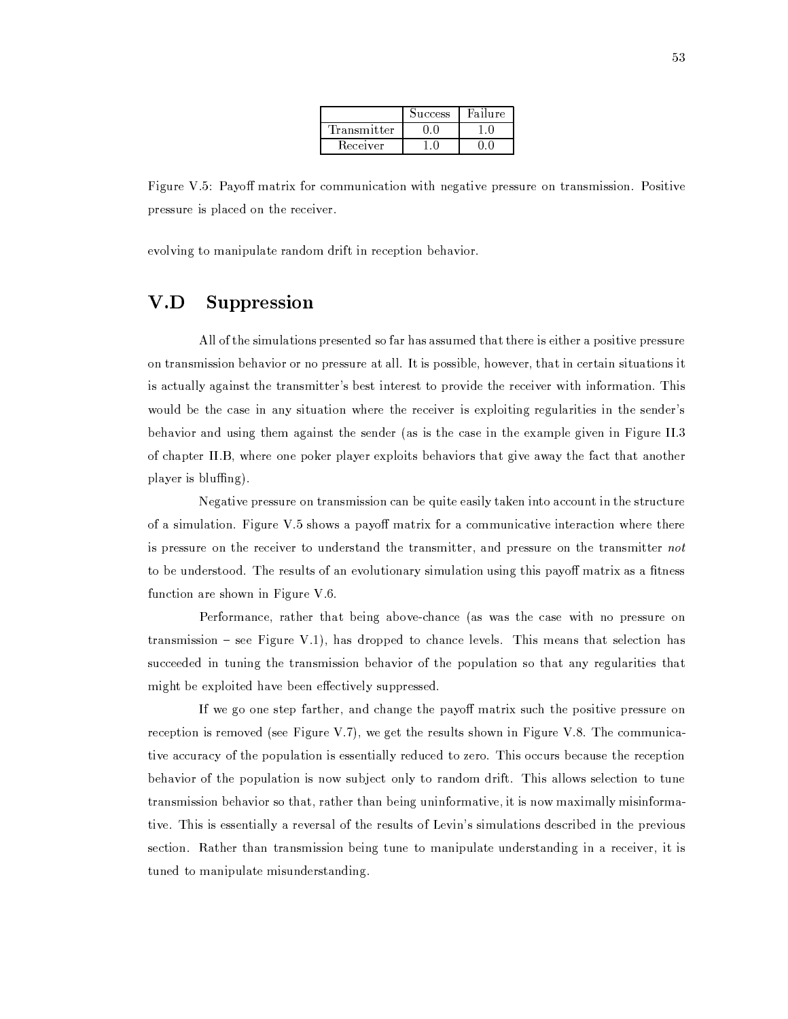|              | Success | Failure |
|--------------|---------|---------|
| Transmitter' |         |         |
| Receiver     |         |         |

Figure V.5: Payoff matrix for communication with negative pressure on transmission. Positive pressure is placed on the receiver.

evolving to manipulate random drift in reception behavior.

#### Suppression  $V.D$

All of the simulations presented so far has assumed that there is either a positive pressure on transmission behavior or no pressure at all. It is possible, however, that in certain situations it is actually against the transmitter's best interest to provide the receiver with information. This would be the case in any situation where the receiver is exploiting regularities in the sender's behavior and using them against the sender (as is the case in the example given in Figure II.3 of chapter II.B, where one poker player exploits behaviors that give away the fact that another player is bluffing).

Negative pressure on transmission can be quite easily taken into account in the structure of a simulation. Figure V.5 shows a payoff matrix for a communicative interaction where there is pressure on the receiver to understand the transmitter, and pressure on the transmitter not to be understood. The results of an evolutionary simulation using this payoff matrix as a fitness function are shown in Figure V.6.

Performance, rather that being above-chance (as was the case with no pressure on transmission – see Figure V.1), has dropped to chance levels. This means that selection has succeeded in tuning the transmission behavior of the population so that any regularities that might be exploited have been effectively suppressed.

If we go one step farther, and change the payoff matrix such the positive pressure on reception is removed (see Figure V.7), we get the results shown in Figure V.8. The communicative accuracy of the population is essentially reduced to zero. This occurs because the reception behavior of the population is now subject only to random drift. This allows selection to tune transmission behavior so that, rather than being uninformative, it is now maximally misinformative. This is essentially a reversal of the results of Levin's simulations described in the previous section. Rather than transmission being tune to manipulate understanding in a receiver, it is tuned to manipulate misunderstanding.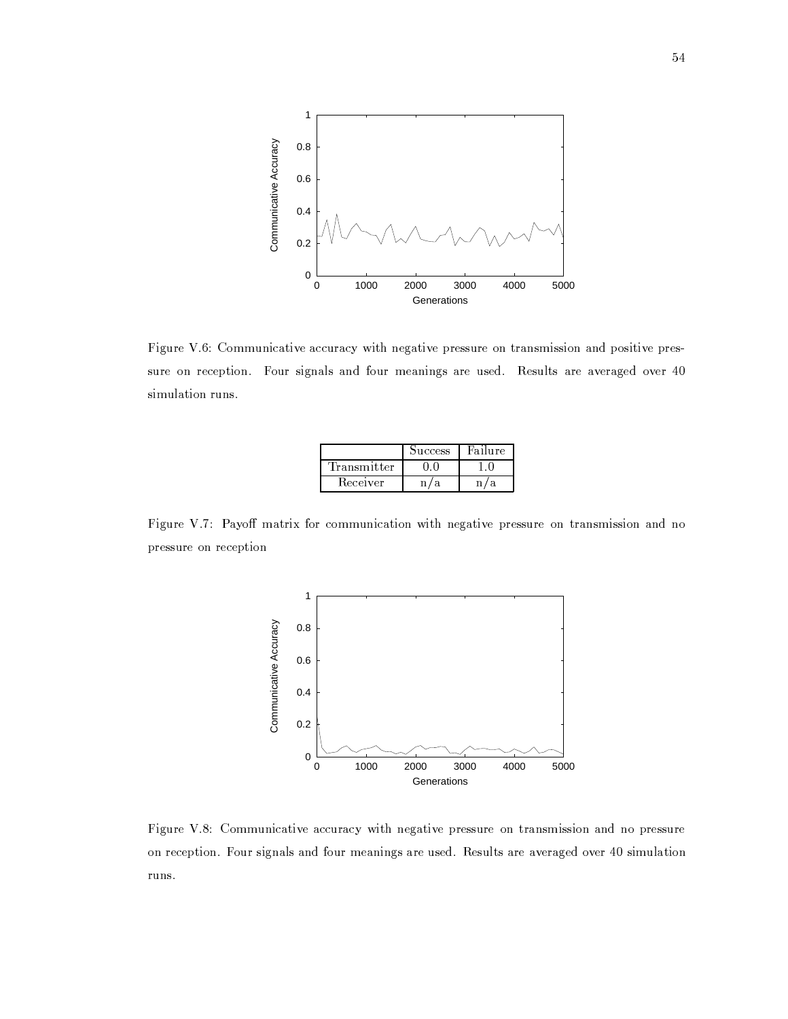

Figure V.6: Communicative accuracy with negative pressure on transmission and positive pressure on reception. Four signals and four meanings are used. Results are averaged over 40 simulation runs.

|             | Success | Failure. |
|-------------|---------|----------|
| Fransmitter |         |          |
| Receiver    |         |          |

Figure V.7: Payoff matrix for communication with negative pressure on transmission and no pressure on reception



Figure V.8: Communicative accuracy with negative pressure on transmission and no pressure on reception. Four signals and four meanings are used. Results are averaged over 40 simulation runs.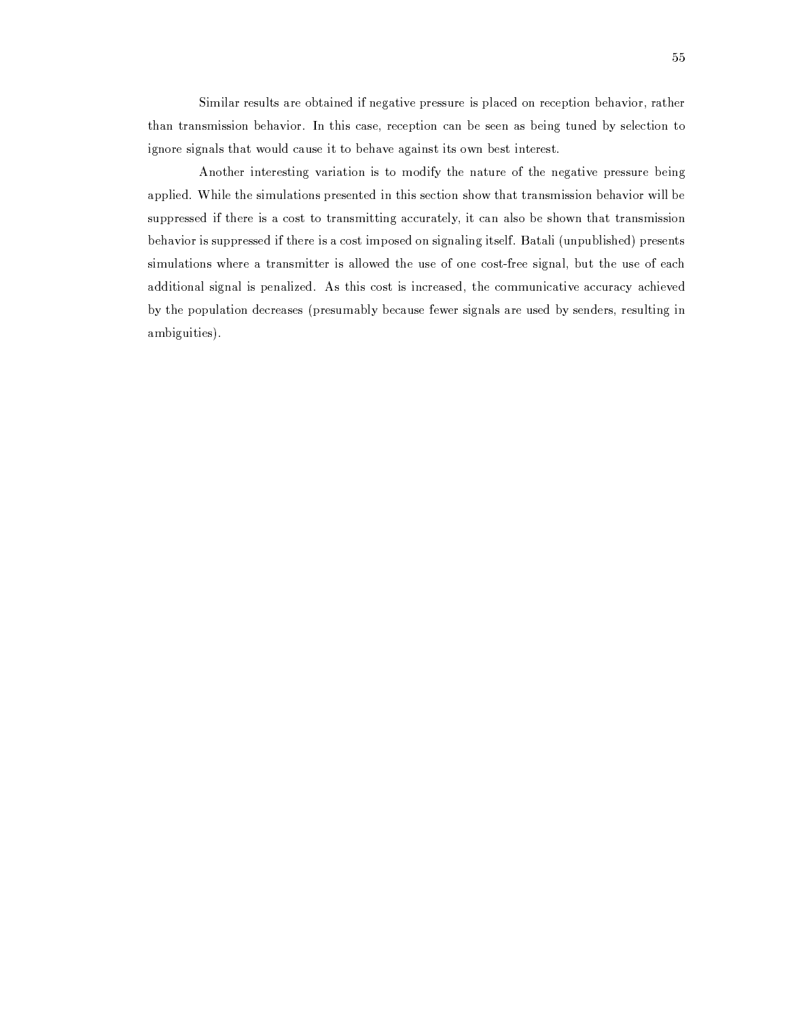Similar results are obtained if negative pressure is placed on reception behavior, rather than transmission behavior. In this case, reception can be seen as being tuned by selection to ignore signals that would cause it to behave against its own best interest.

Another interesting variation is to modify the nature of the negative pressure being applied. While the simulations presented in this section show that transmission behavior will be suppressed if there is a cost to transmitting accurately, it can also be shown that transmission behavior is suppressed if there is a cost imposed on signaling itself. Batali (unpublished) presents simulations where a transmitter is allowed the use of one cost-free signal, but the use of each additional signal is penalized. As this cost is increased, the communicative accuracy achieved by the population decreases (presumably because fewer signals are used by senders, resulting in ambiguities).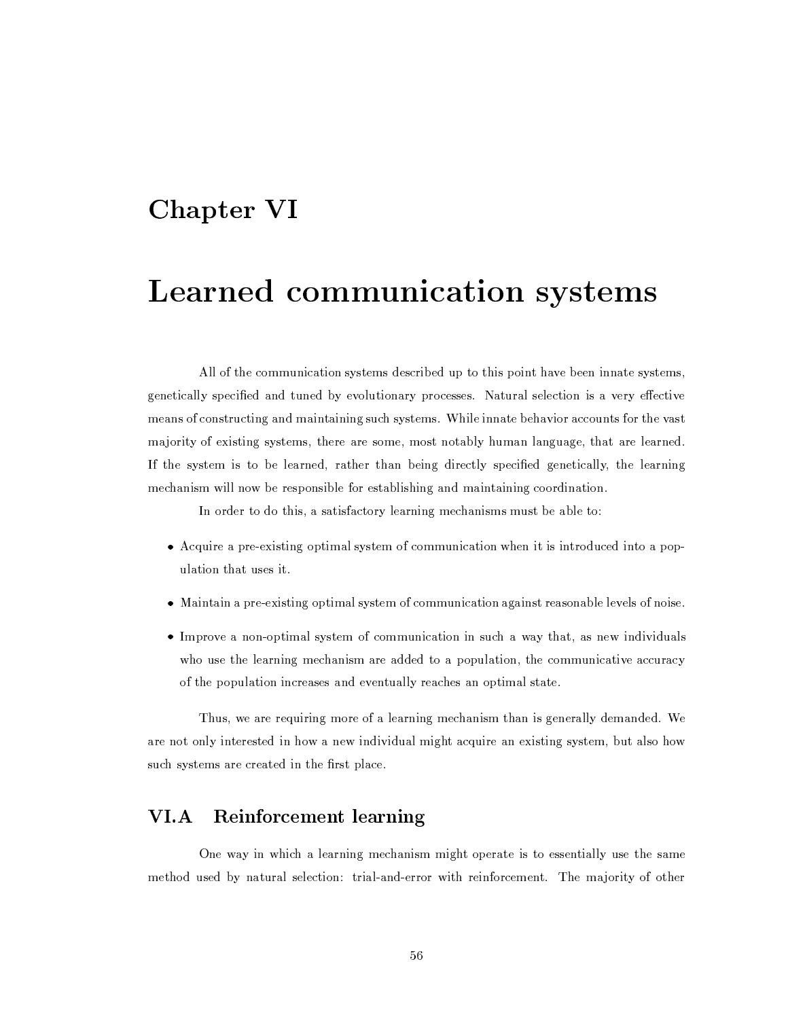# Chapter VI

# Learned communication systems

All of the communication systems described up to this point have been innate systems, genetically specified and tuned by evolutionary processes. Natural selection is a very effective means of constructing and maintaining such systems. While innate behavior accounts for the vast majority of existing systems, there are some, most notably human language, that are learned. If the system is to be learned, rather than being directly specified genetically, the learning mechanism will now be responsible for establishing and maintaining coordination.

In order to do this, a satisfactory learning mechanisms must be able to:

- Acquire a pre-existing optimal system of communication when it is introduced into a population that uses it.
- Maintain a pre-existing optimal system of communication against reasonable levels of noise.
- Improve a non-optimal system of communication in such a way that, as new individuals who use the learning mechanism are added to a population, the communicative accuracy of the population increases and eventually reaches an optimal state.

Thus, we are requiring more of a learning mechanism than is generally demanded. We are not only interested in how a new individual might acquire an existing system, but also how such systems are created in the first place.

#### $VI.A$ **Reinforcement learning**

One way in which a learning mechanism might operate is to essentially use the same method used by natural selection: trial-and-error with reinforcement. The majority of other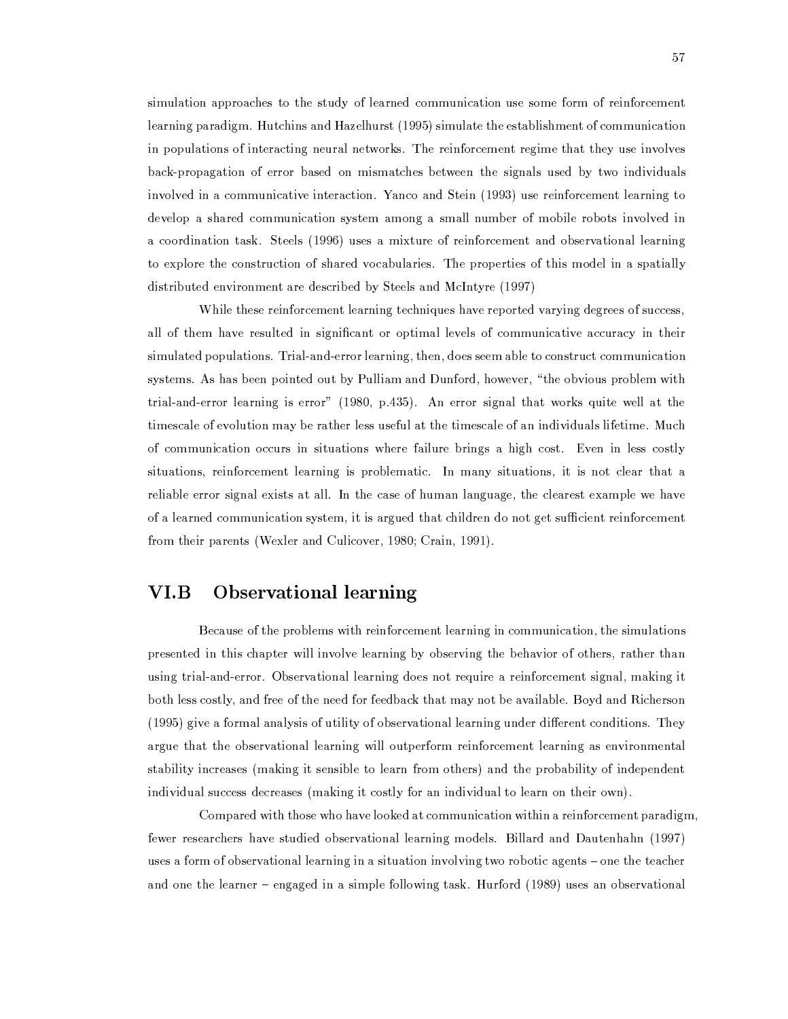simulation approaches to the study of learned communication use some form of reinforcement learning paradigm. Hutchins and Hazelhurst (1995) simulate the establishment of communication in populations of interacting neural networks. The reinforcement regime that they use involves back-propagation of error based on mismatches between the signals used by two individuals involved in a communicative interaction. Yanco and Stein (1993) use reinforcement learning to develop a shared communication system among a small number of mobile robots involved in a coordination task. Steels (1996) uses a mixture of reinforcement and observational learning to explore the construction of shared vocabularies. The properties of this model in a spatially distributed environment are described by Steels and McIntyre (1997)

While these reinforcement learning techniques have reported varying degrees of success, all of them have resulted in significant or optimal levels of communicative accuracy in their simulated populations. Trial-and-error learning, then, does seem able to construct communication systems. As has been pointed out by Pulliam and Dunford, however, "the obvious problem with trial-and-error learning is error" (1980, p.435). An error signal that works quite well at the timescale of evolution may be rather less useful at the timescale of an individuals lifetime. Much of communication occurs in situations where failure brings a high cost. Even in less costly situations, reinforcement learning is problematic. In many situations, it is not clear that a reliable error signal exists at all. In the case of human language, the clearest example we have of a learned communication system, it is argued that children do not get sufficient reinforcement from their parents (Wexler and Culicover, 1980; Crain, 1991).

#### **Observational learning** VI.B

Because of the problems with reinforcement learning in communication, the simulations presented in this chapter will involve learning by observing the behavior of others, rather than using trial-and-error. Observational learning does not require a reinforcement signal, making it both less costly, and free of the need for feedback that may not be available. Boyd and Richerson (1995) give a formal analysis of utility of observational learning under different conditions. They argue that the observational learning will outperform reinforcement learning as environmental stability increases (making it sensible to learn from others) and the probability of independent individual success decreases (making it costly for an individual to learn on their own).

Compared with those who have looked at communication within a reinforcement paradigm, fewer researchers have studied observational learning models. Billard and Dautenhahn (1997) uses a form of observational learning in a situation involving two robotic agents – one the teacher and one the learner – engaged in a simple following task. Hurford (1989) uses an observational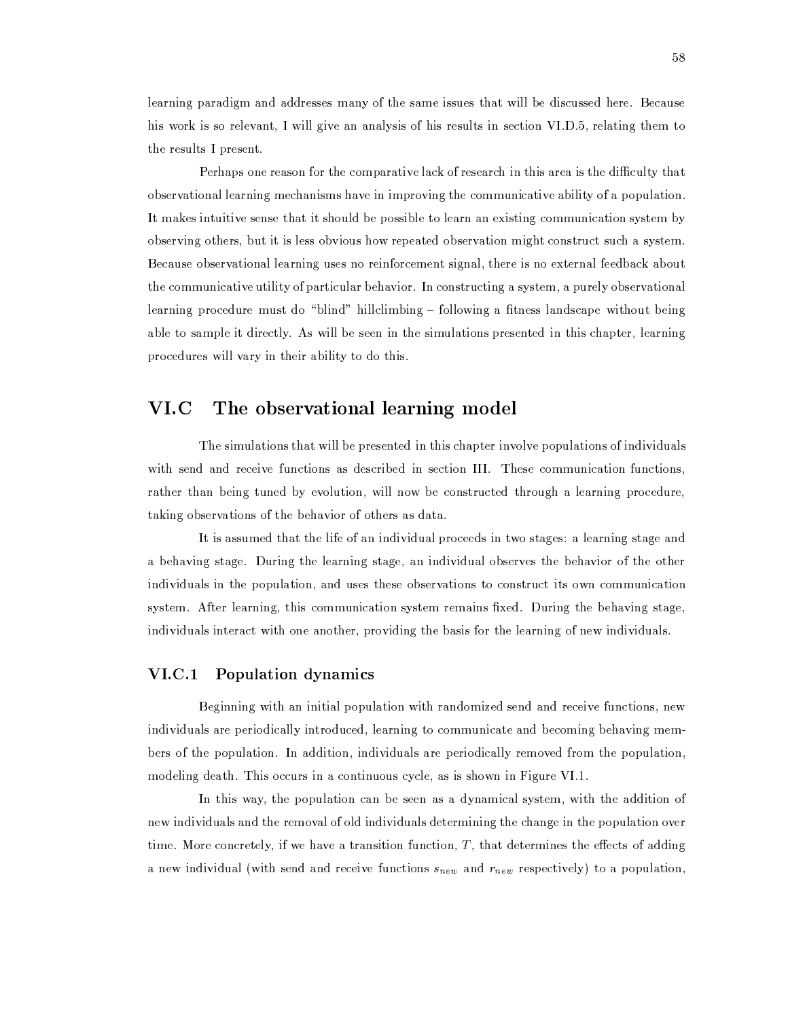learning paradigm and addresses many of the same issues that will be discussed here. Because his work is so relevant. I will give an analysis of his results in section VI.D.5, relating them to the results I present.

Perhaps one reason for the comparative lack of research in this area is the difficulty that observational learning mechanisms have in improving the communicative ability of a population. It makes intuitive sense that it should be possible to learn an existing communication system by observing others, but it is less obvious how repeated observation might construct such a system. Because observational learning uses no reinforcement signal, there is no external feedback about the communicative utility of particular behavior. In constructing a system, a purely observational learning procedure must do "blind" hillclimbing - following a fitness landscape without being able to sample it directly. As will be seen in the simulations presented in this chapter, learning procedures will vary in their ability to do this.

#### The observational learning model VI.C

The simulations that will be presented in this chapter involve populations of individuals with send and receive functions as described in section III. These communication functions, rather than being tuned by evolution, will now be constructed through a learning procedure, taking observations of the behavior of others as data.

It is assumed that the life of an individual proceeds in two stages: a learning stage and a behaving stage. During the learning stage, an individual observes the behavior of the other individuals in the population, and uses these observations to construct its own communication system. After learning, this communication system remains fixed. During the behaving stage, individuals interact with one another, providing the basis for the learning of new individuals.

# VI.C.1 Population dynamics

Beginning with an initial population with randomized send and receive functions, new individuals are periodically introduced, learning to communicate and becoming behaving members of the population. In addition, individuals are periodically removed from the population, modeling death. This occurs in a continuous cycle, as is shown in Figure VI.1.

In this way, the population can be seen as a dynamical system, with the addition of new individuals and the removal of old individuals determining the change in the population over time. More concretely, if we have a transition function,  $T$ , that determines the effects of adding a new individual (with send and receive functions  $s_{new}$  and  $r_{new}$  respectively) to a population,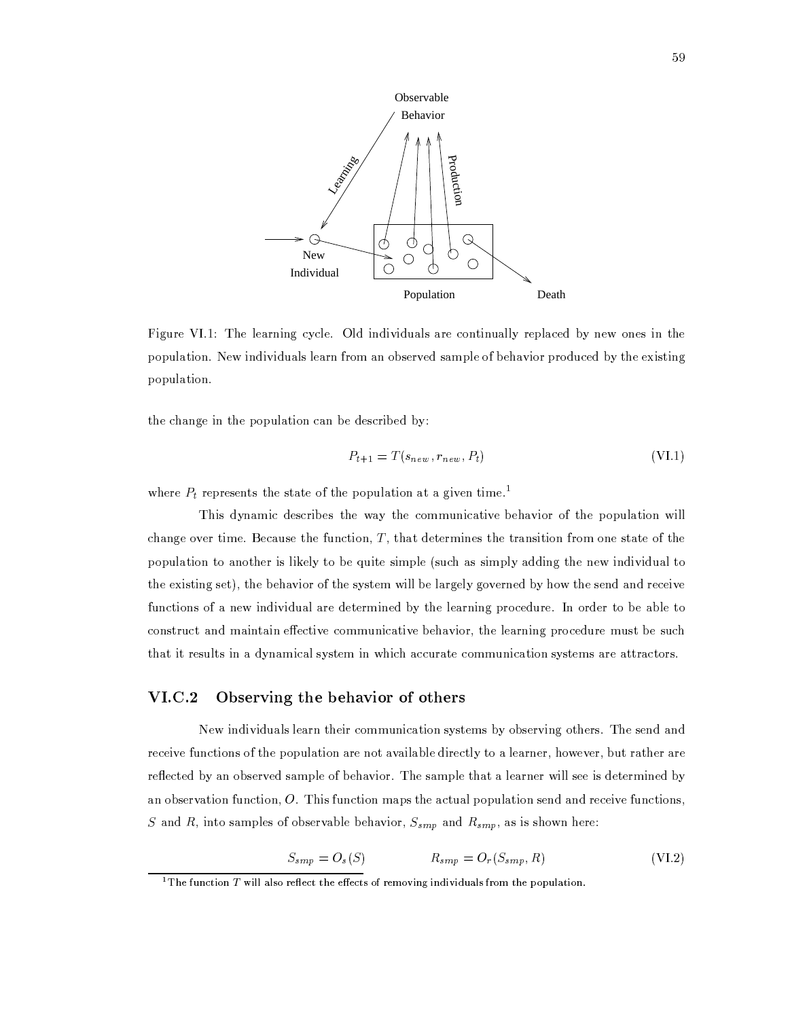

Figure VI.1: The learning cycle. Old individuals are continually replaced by new ones in the population. New individuals learn from an observed sample of behavior produced by the existing population.

the change in the population can be described by:

$$
P_{t+1} = T(s_{new}, r_{new}, P_t) \tag{V1.1}
$$

where  $P_t$  represents the state of the population at a given time.<sup>1</sup>

This dynamic describes the way the communicative behavior of the population will change over time. Because the function,  $T$ , that determines the transition from one state of the population to another is likely to be quite simple (such as simply adding the new individual to the existing set), the behavior of the system will be largely governed by how the send and receive functions of a new individual are determined by the learning procedure. In order to be able to construct and maintain effective communicative behavior, the learning procedure must be such that it results in a dynamical system in which accurate communication systems are attractors.

#### $VI.C.2$ Observing the behavior of others

New individuals learn their communication systems by observing others. The send and receive functions of the population are not available directly to a learner, however, but rather are reflected by an observed sample of behavior. The sample that a learner will see is determined by an observation function,  $O$ . This function maps the actual population send and receive functions, S and R, into samples of observable behavior,  $S_{smp}$  and  $R_{smp}$ , as is shown here:

$$
S_{smp} = O_s(S) \qquad R_{smp} = O_r(S_{smp}, R) \qquad (VI.2)
$$

<sup>&</sup>lt;sup>1</sup>The function  $T$  will also reflect the effects of removing individuals from the population.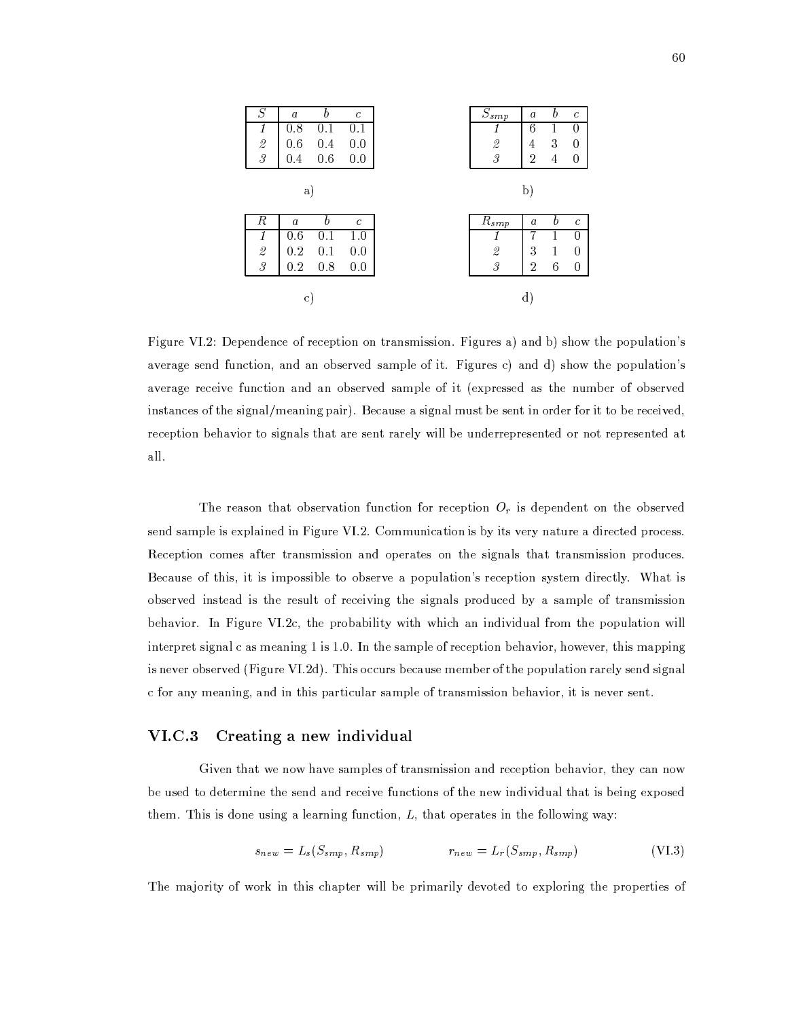| $\, S \,$                | $\boldsymbol{a}$ | h   | $\mathcal{C}_{0}^{0}$ | $S_{smp}$                                                 | $\boldsymbol{a}$ | b | $\mathfrak c$     |
|--------------------------|------------------|-----|-----------------------|-----------------------------------------------------------|------------------|---|-------------------|
| 1                        | 0.8              | 0   | 0.1                   |                                                           | 6                |   | 0                 |
| $\mathcal{Q}$            | 0.6              | 0.4 | 0.0                   | $\overline{2}$                                            | 4                | 3 | 0                 |
| $\overline{\mathcal{S}}$ | 0.4              | 0.6 | 0.0                   | $\mathcal{S}$                                             | 2                | 4 | 0                 |
|                          | a)               |     |                       |                                                           | þ)               |   |                   |
|                          |                  |     |                       |                                                           |                  |   |                   |
| R                        | $\boldsymbol{a}$ | h   | $\mathcal{C}_{0}^{2}$ |                                                           | a                | b | $\mathcal{C}_{0}$ |
| 1                        | 0.6              | 0.1 | 1.0                   | $R_{s\,\underline{m}\,\underline{p}}$<br>1                | 7                |   | 0                 |
| $\hat{z}$                | 0.2              | 0.1 | 0.0                   | $\mathcal{Q}% _{M_{1},M_{2}}^{\alpha,\beta}(\varepsilon)$ | 3                | 1 | 0                 |
| $\mathcal{S}$            | 0.2              | 0.8 | 0.0                   | $\mathcal{S}$                                             | 2                | 6 | 0                 |

Figure VI.2: Dependence of reception on transmission. Figures a) and b) show the population's average send function, and an observed sample of it. Figures c) and d) show the population's average receive function and an observed sample of it (expressed as the number of observed instances of the signal/meaning pair). Because a signal must be sent in order for it to be received, reception behavior to signals that are sent rarely will be underrepresented or not represented at all.

The reason that observation function for reception  $O_r$  is dependent on the observed send sample is explained in Figure VI.2. Communication is by its very nature a directed process. Reception comes after transmission and operates on the signals that transmission produces. Because of this, it is impossible to observe a population's reception system directly. What is observed instead is the result of receiving the signals produced by a sample of transmission behavior. In Figure VI.2c, the probability with which an individual from the population will interpret signal c as meaning 1 is 1.0. In the sample of reception behavior, however, this mapping is never observed (Figure VI.2d). This occurs because member of the population rarely send signal c for any meaning, and in this particular sample of transmission behavior, it is never sent.

#### $VI.C.3$ Creating a new individual

Given that we now have samples of transmission and reception behavior, they can now be used to determine the send and receive functions of the new individual that is being exposed them. This is done using a learning function,  $L$ , that operates in the following way:

$$
s_{new} = L_s(S_{smp}, R_{smp}) \qquad \qquad r_{new} = L_r(S_{smp}, R_{smp}) \qquad \qquad \text{(VI.3)}
$$

The majority of work in this chapter will be primarily devoted to exploring the properties of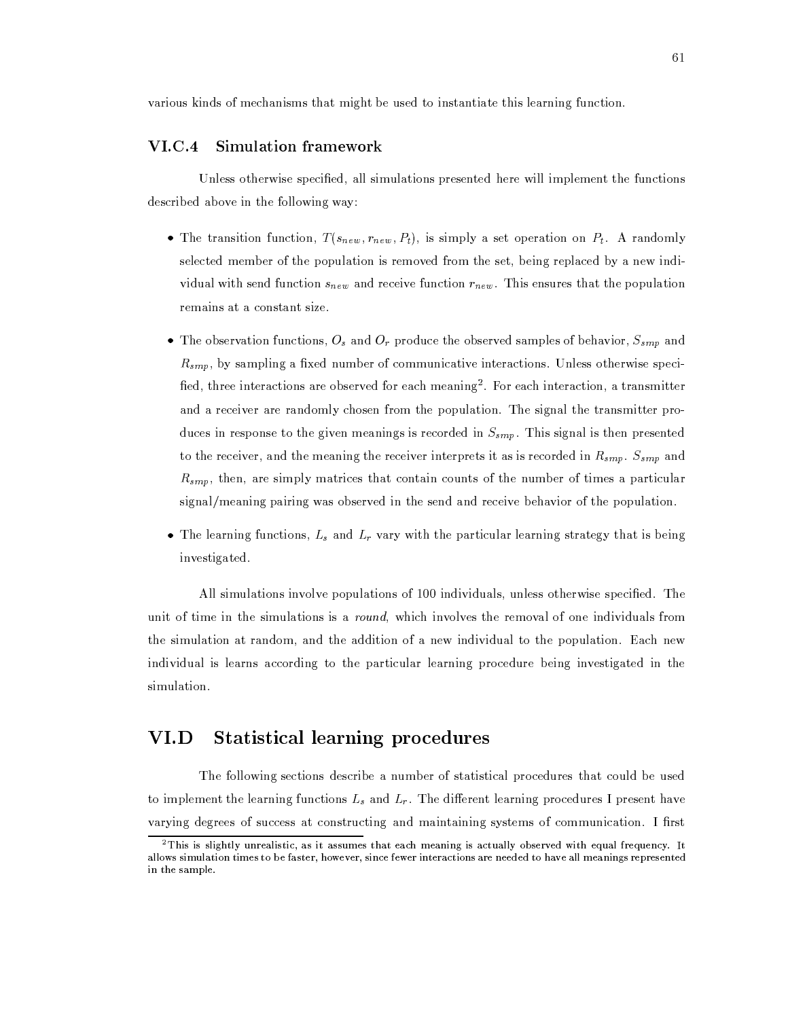various kinds of mechanisms that might be used to instantiate this learning function.

#### $VI.C.4$ **Simulation framework**

Unless otherwise specified, all simulations presented here will implement the functions described above in the following way:

- The transition function,  $T(s_{new}, r_{new}, P_t)$ , is simply a set operation on  $P_t$ . A randomly selected member of the population is removed from the set, being replaced by a new individual with send function  $s_{new}$  and receive function  $r_{new}$ . This ensures that the population remains at a constant size.
- The observation functions,  $O_s$  and  $O_r$  produce the observed samples of behavior,  $S_{smp}$  and  $R_{smp}$ , by sampling a fixed number of communicative interactions. Unless otherwise specified, three interactions are observed for each meaning<sup>2</sup>. For each interaction, a transmitter and a receiver are randomly chosen from the population. The signal the transmitter produces in response to the given meanings is recorded in  $S_{smp}$ . This signal is then presented to the receiver, and the meaning the receiver interprets it as is recorded in  $R_{smp}$ .  $S_{smp}$  and  $R_{smp}$ , then, are simply matrices that contain counts of the number of times a particular signal/meaning pairing was observed in the send and receive behavior of the population.
- The learning functions,  $L_s$  and  $L_r$  vary with the particular learning strategy that is being investigated.

All simulations involve populations of 100 individuals, unless otherwise specified. The unit of time in the simulations is a *round*, which involves the removal of one individuals from the simulation at random, and the addition of a new individual to the population. Each new individual is learns according to the particular learning procedure being investigated in the simulation.

#### $VI.D$ **Statistical learning procedures**

The following sections describe a number of statistical procedures that could be used to implement the learning functions  $L_s$  and  $L_r$ . The different learning procedures I present have varying degrees of success at constructing and maintaining systems of communication. I first

 $2$ This is slightly unrealistic, as it assumes that each meaning is actually observed with equal frequency. It allows simulation times to be faster, however, since fewer interactions are needed to have all meanings represented in the sample.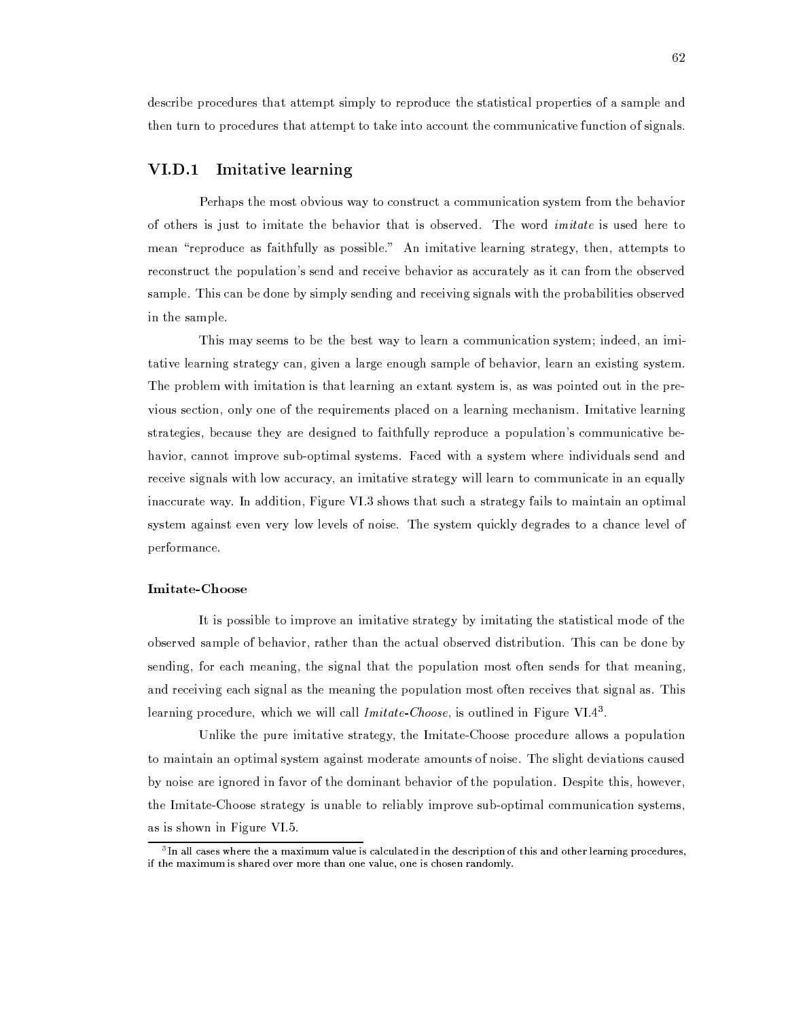describe procedures that attempt simply to reproduce the statistical properties of a sample and then turn to procedures that attempt to take into account the communicative function of signals.

# VI.D.1 Imitative learning

Perhaps the most obvious way to construct a communication system from the behavior of others is just to imitate the behavior that is observed. The word *imitate* is used here to mean "reproduce as faithfully as possible." An imitative learning strategy, then, attempts to reconstruct the population's send and receive behavior as accurately as it can from the observed sample. This can be done by simply sending and receiving signals with the probabilities observed in the sample.

This may seems to be the best way to learn a communication system; indeed, an imitative learning strategy can, given a large enough sample of behavior, learn an existing system. The problem with imitation is that learning an extant system is, as was pointed out in the previous section, only one of the requirements placed on a learning mechanism. Imitative learning strategies, because they are designed to faithfully reproduce a population's communicative behavior, cannot improve sub-optimal systems. Faced with a system where individuals send and receive signals with low accuracy, an imitative strategy will learn to communicate in an equally inaccurate way. In addition, Figure VI.3 shows that such a strategy fails to maintain an optimal system against even very low levels of noise. The system quickly degrades to a chance level of performance.

# **Imitate-Choose**

It is possible to improve an imitative strategy by imitating the statistical mode of the observed sample of behavior, rather than the actual observed distribution. This can be done by sending, for each meaning, the signal that the population most often sends for that meaning, and receiving each signal as the meaning the population most often receives that signal as. This learning procedure, which we will call  $Initate-Choose$ , is outlined in Figure VI.4<sup>3</sup>.

Unlike the pure imitative strategy, the Imitate-Choose procedure allows a population to maintain an optimal system against moderate amounts of noise. The slight deviations caused by noise are ignored in favor of the dominant behavior of the population. Despite this, however, the Imitate-Choose strategy is unable to reliably improve sub-optimal communication systems. as is shown in Figure VI.5.

 ${}^{3}$  In all cases where the a maximum value is calculated in the description of this and other learning procedures, if the maximum is shared over more than one value, one is chosen randomly.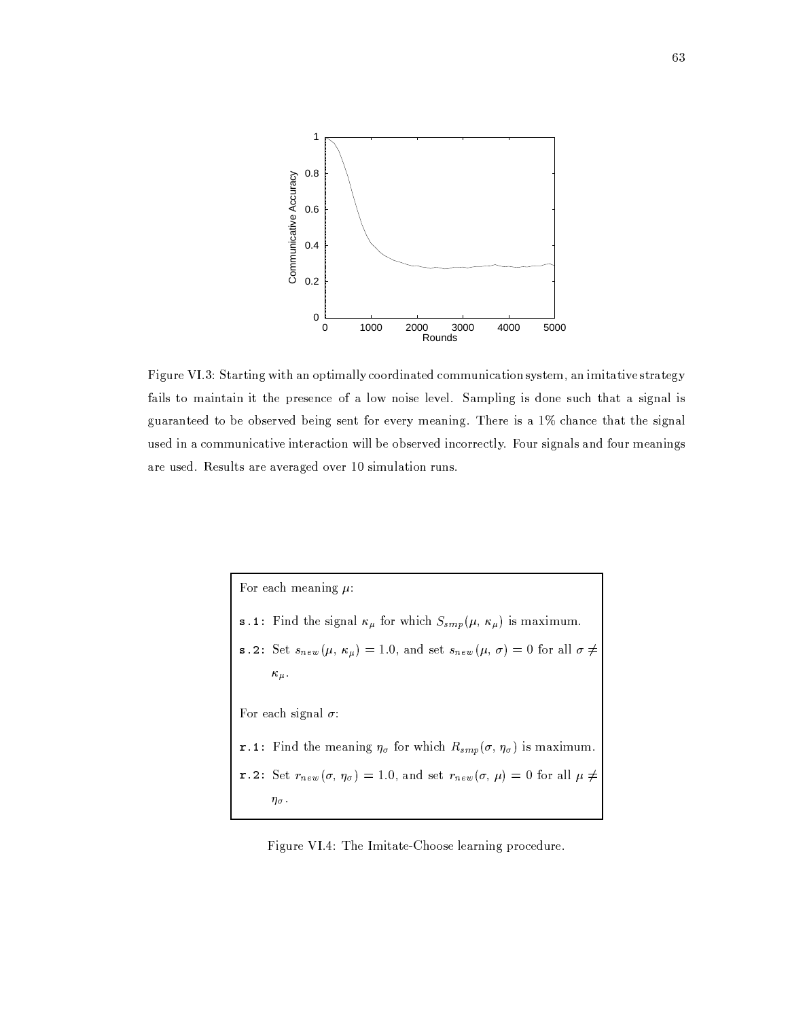

Figure VI.3: Starting with an optimally coordinated communication system, an imitative strategy fails to maintain it the presence of a low noise level. Sampling is done such that a signal is guaranteed to be observed being sent for every meaning. There is a 1% chance that the signal used in a communicative interaction will be observed incorrectly. Four signals and four meanings are used. Results are averaged over 10 simulation runs.

For each meaning  $\mu$ : s.1: Find the signal  $\kappa_{\mu}$  for which  $S_{smp}(\mu, \kappa_{\mu})$  is maximum. s.2: Set  $s_{new}(\mu, \kappa_{\mu}) = 1.0$ , and set  $s_{new}(\mu, \sigma) = 0$  for all  $\sigma \neq$  $\kappa_{\mu}$ . For each signal  $\sigma$ : r.1: Find the meaning  $\eta_{\sigma}$  for which  $R_{smp}(\sigma, \eta_{\sigma})$  is maximum. r.2: Set  $r_{new}(\sigma, \eta_{\sigma}) = 1.0$ , and set  $r_{new}(\sigma, \mu) = 0$  for all  $\mu \neq$  $\eta_\sigma.$ 

Figure VI.4: The Imitate-Choose learning procedure.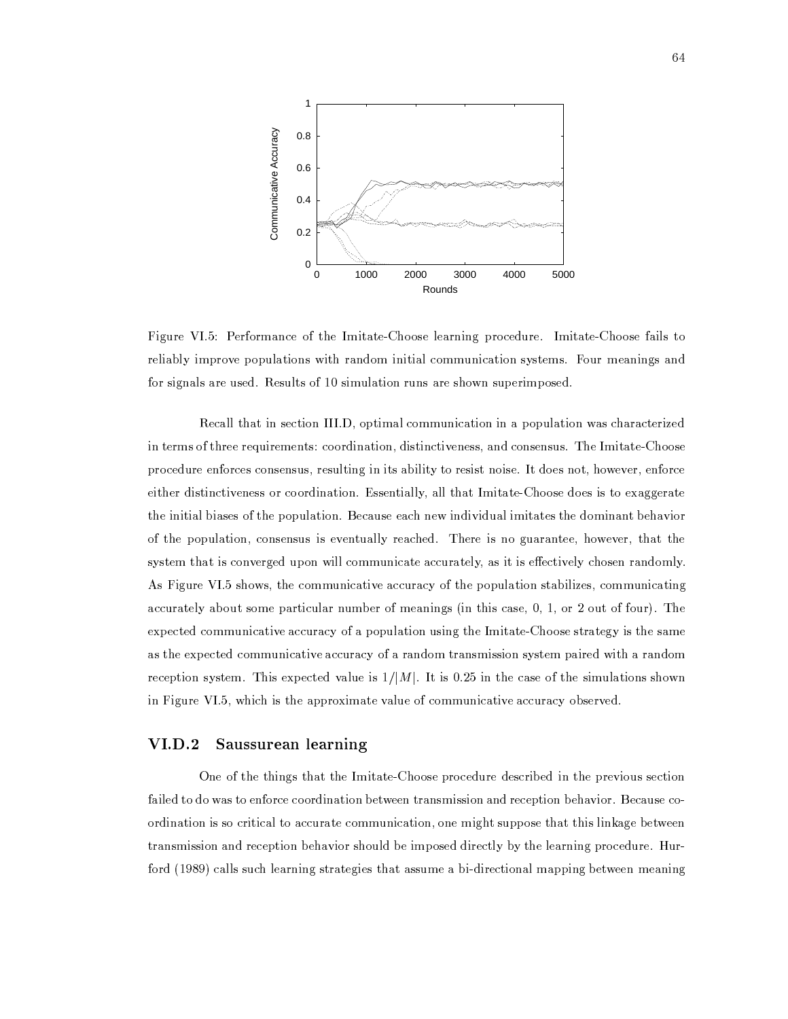

Figure VI.5: Performance of the Imitate-Choose learning procedure. Imitate-Choose fails to reliably improve populations with random initial communication systems. Four meanings and for signals are used. Results of 10 simulation runs are shown superimposed.

Recall that in section III.D, optimal communication in a population was characterized in terms of three requirements: coordination, distinctiveness, and consensus. The Imitate-Choose procedure enforces consensus, resulting in its ability to resist noise. It does not, however, enforce either distinctiveness or coordination. Essentially, all that Imitate-Choose does is to exaggerate the initial biases of the population. Because each new individual imitates the dominant behavior of the population, consensus is eventually reached. There is no guarantee, however, that the system that is converged upon will communicate accurately, as it is effectively chosen randomly. As Figure VI.5 shows, the communicative accuracy of the population stabilizes, communicating accurately about some particular number of meanings (in this case, 0, 1, or 2 out of four). The expected communicative accuracy of a population using the Imitate-Choose strategy is the same as the expected communicative accuracy of a random transmission system paired with a random reception system. This expected value is  $1/|M|$ . It is 0.25 in the case of the simulations shown in Figure VI.5, which is the approximate value of communicative accuracy observed.

#### **VI.D.2** Saussurean learning

One of the things that the Imitate-Choose procedure described in the previous section failed to do was to enforce coordination between transmission and reception behavior. Because coordination is so critical to accurate communication, one might suppose that this linkage between transmission and reception behavior should be imposed directly by the learning procedure. Hurford (1989) calls such learning strategies that assume a bi-directional mapping between meaning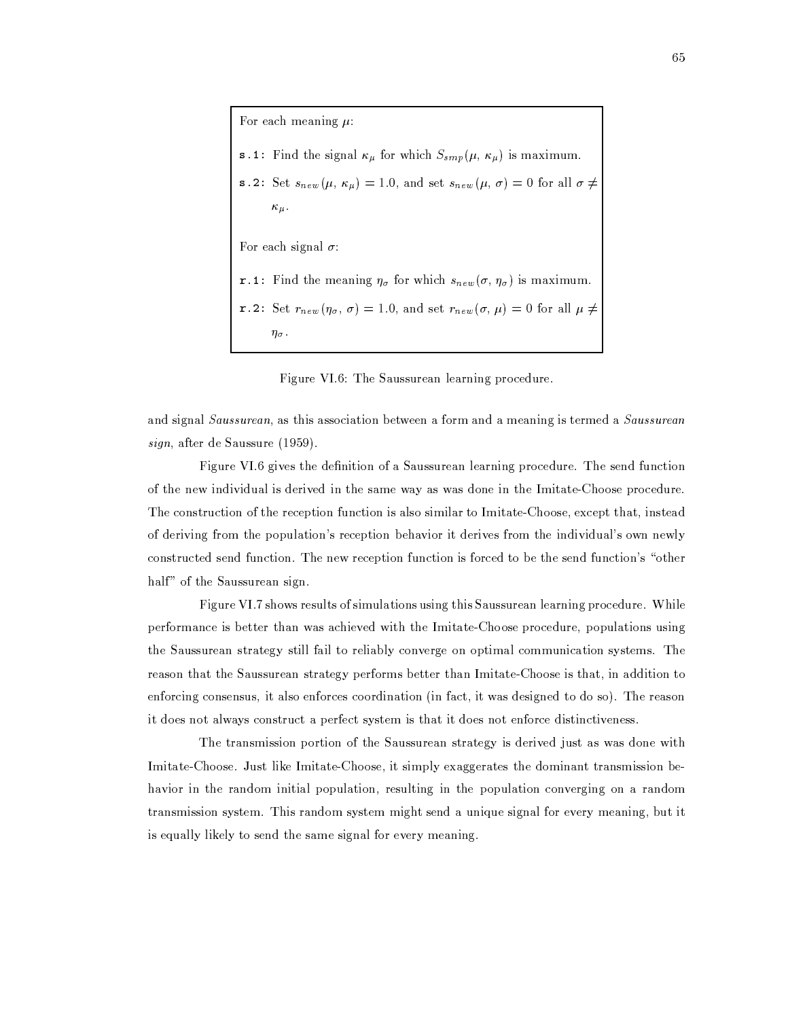For each meaning  $\mu$ : s.1: Find the signal  $\kappa_{\mu}$  for which  $S_{smp}(\mu, \kappa_{\mu})$  is maximum. s.2: Set  $s_{new}(\mu, \kappa_{\mu}) = 1.0$ , and set  $s_{new}(\mu, \sigma) = 0$  for all  $\sigma \neq$  $\kappa_{\mu}$ . For each signal  $\sigma$ : r.1: Find the meaning  $\eta_{\sigma}$  for which  $s_{new}(\sigma, \eta_{\sigma})$  is maximum. r.2: Set  $r_{new}(\eta_{\sigma}, \sigma) = 1.0$ , and set  $r_{new}(\sigma, \mu) = 0$  for all  $\mu \neq$  $\eta_{\sigma}$ .

Figure VI.6: The Saussurean learning procedure.

and signal *Saussurean*, as this association between a form and a meaning is termed a *Saussurean*  $sign$ , after de Saussure (1959).

Figure VI.6 gives the definition of a Saussurean learning procedure. The send function of the new individual is derived in the same way as was done in the Imitate-Choose procedure. The construction of the reception function is also similar to Imitate-Choose, except that, instead of deriving from the population's reception behavior it derives from the individual's own newly constructed send function. The new reception function is forced to be the send function's "other half" of the Saussurean sign.

Figure VI.7 shows results of simulations using this Saussurean learning procedure. While performance is better than was achieved with the Imitate-Choose procedure, populations using the Saussurean strategy still fail to reliably converge on optimal communication systems. The reason that the Saussurean strategy performs better than Imitate-Choose is that, in addition to enforcing consensus, it also enforces coordination (in fact, it was designed to do so). The reason it does not always construct a perfect system is that it does not enforce distinctiveness.

The transmission portion of the Saussurean strategy is derived just as was done with Imitate-Choose. Just like Imitate-Choose, it simply exaggerates the dominant transmission behavior in the random initial population, resulting in the population converging on a random transmission system. This random system might send a unique signal for every meaning, but it is equally likely to send the same signal for every meaning.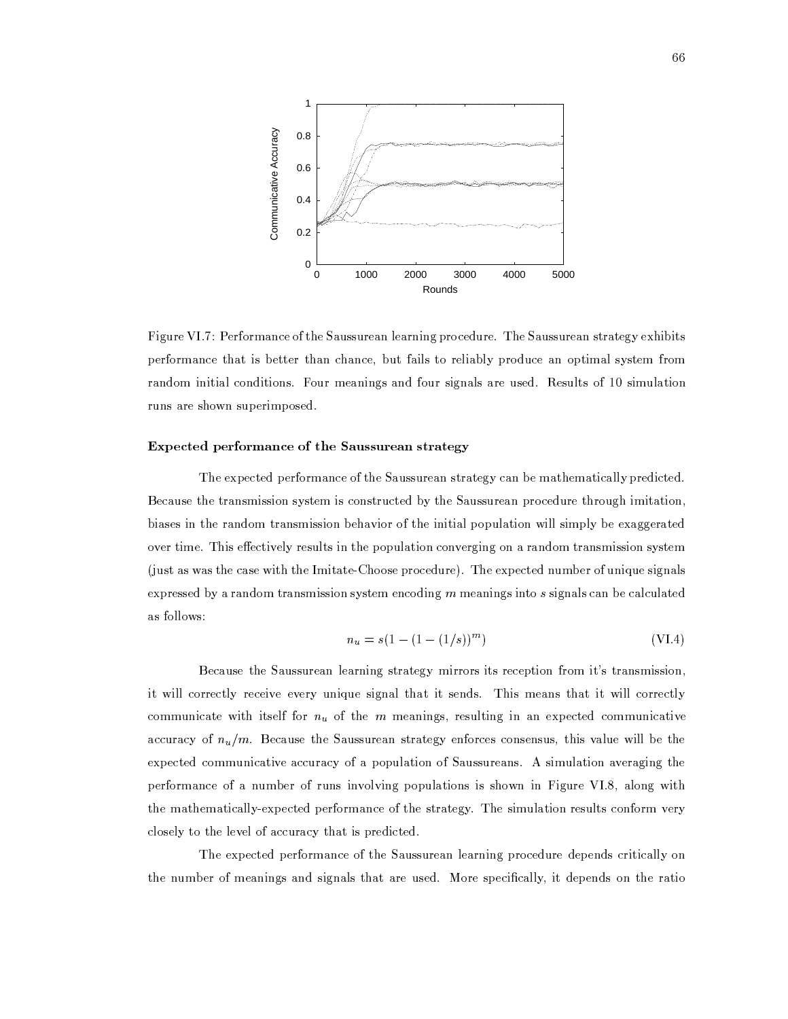

Figure VI.7: Performance of the Saussurean learning procedure. The Saussurean strategy exhibits performance that is better than chance, but fails to reliably produce an optimal system from random initial conditions. Four meanings and four signals are used. Results of 10 simulation runs are shown superimposed.

# Expected performance of the Saussurean strategy

The expected performance of the Saussurean strategy can be mathematically predicted. Because the transmission system is constructed by the Saussurean procedure through imitation, biases in the random transmission behavior of the initial population will simply be exaggerated over time. This effectively results in the population converging on a random transmission system (just as was the case with the Imitate-Choose procedure). The expected number of unique signals expressed by a random transmission system encoding  $m$  meanings into  $s$  signals can be calculated as follows:

$$
n_u = s(1 - (1 - (1/s))^m)
$$
 (VI.4)

Because the Saussurean learning strategy mirrors its reception from it's transmission, it will correctly receive every unique signal that it sends. This means that it will correctly communicate with itself for  $n_u$  of the m meanings, resulting in an expected communicative accuracy of  $n_u/m$ . Because the Saussurean strategy enforces consensus, this value will be the expected communicative accuracy of a population of Saussureans. A simulation averaging the performance of a number of runs involving populations is shown in Figure VI.8, along with the mathematically-expected performance of the strategy. The simulation results conform very closely to the level of accuracy that is predicted.

The expected performance of the Saussurean learning procedure depends critically on the number of meanings and signals that are used. More specifically, it depends on the ratio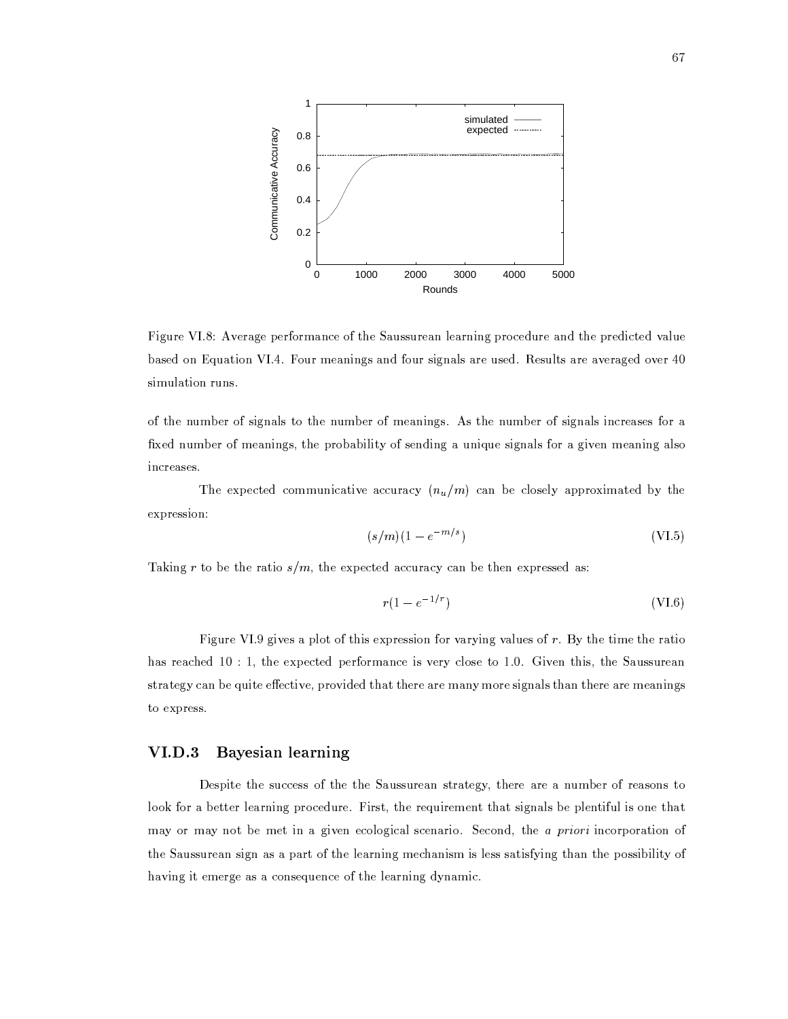

Figure VI.8: Average performance of the Saussurean learning procedure and the predicted value based on Equation VI.4. Four meanings and four signals are used. Results are averaged over 40 simulation runs.

of the number of signals to the number of meanings. As the number of signals increases for a fixed number of meanings, the probability of sending a unique signals for a given meaning also increases.

The expected communicative accuracy  $(n_u/m)$  can be closely approximated by the expression:

$$
(s/m)(1 - e^{-m/s})\tag{VI.5}
$$

Taking r to be the ratio  $s/m$ , the expected accuracy can be then expressed as:

$$
r(1 - e^{-1/r}) \tag{VI.6}
$$

Figure VI.9 gives a plot of this expression for varying values of r. By the time the ratio has reached  $10:1$ , the expected performance is very close to 1.0. Given this, the Saussurean strategy can be quite effective, provided that there are many more signals than there are meanings to express.

#### **VI.D.3** Bayesian learning

Despite the success of the the Saussurean strategy, there are a number of reasons to look for a better learning procedure. First, the requirement that signals be plentiful is one that may or may not be met in a given ecological scenario. Second, the a priori incorporation of the Saussurean sign as a part of the learning mechanism is less satisfying than the possibility of having it emerge as a consequence of the learning dynamic.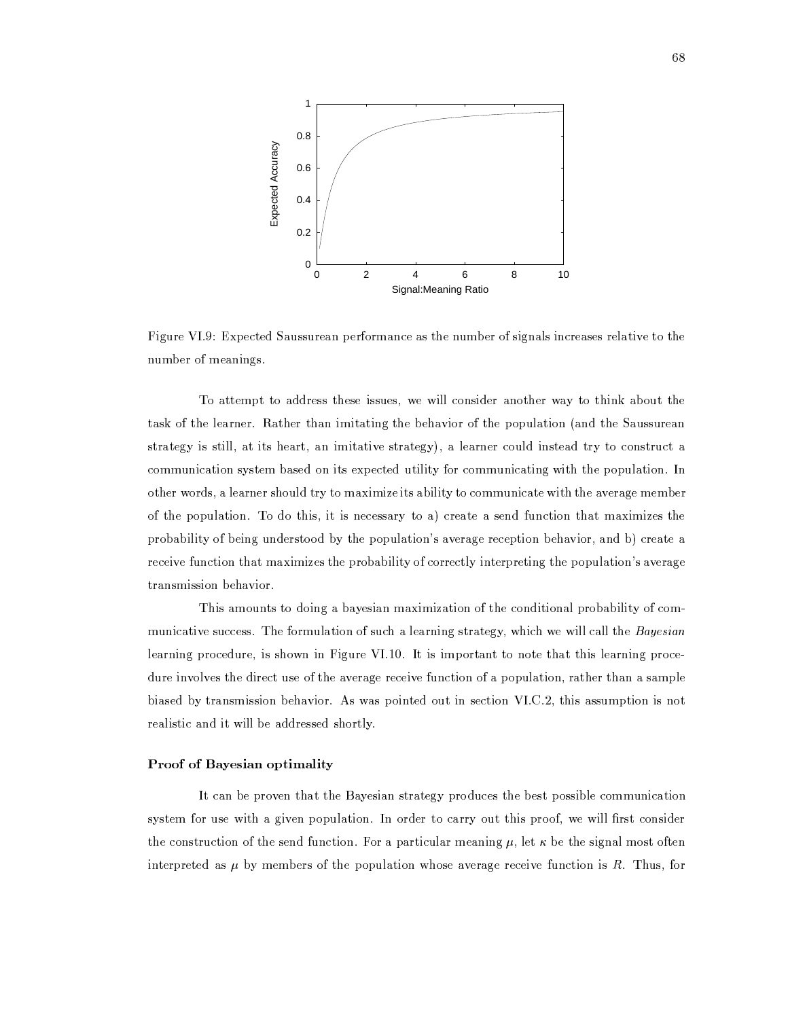

Figure VI.9: Expected Saussurean performance as the number of signals increases relative to the number of meanings.

To attempt to address these issues, we will consider another way to think about the task of the learner. Rather than imitating the behavior of the population (and the Saussurean strategy is still, at its heart, an imitative strategy), a learner could instead try to construct a communication system based on its expected utility for communicating with the population. In other words, a learner should try to maximize its ability to communicate with the average member of the population. To do this, it is necessary to a) create a send function that maximizes the probability of being understood by the population's average reception behavior, and b) create a receive function that maximizes the probability of correctly interpreting the population's average transmission behavior.

This amounts to doing a bayesian maximization of the conditional probability of communicative success. The formulation of such a learning strategy, which we will call the Bayesian learning procedure, is shown in Figure VI.10. It is important to note that this learning procedure involves the direct use of the average receive function of a population, rather than a sample biased by transmission behavior. As was pointed out in section VI.C.2, this assumption is not realistic and it will be addressed shortly.

## Proof of Bayesian optimality

It can be proven that the Bayesian strategy produces the best possible communication system for use with a given population. In order to carry out this proof, we will first consider the construction of the send function. For a particular meaning  $\mu$ , let  $\kappa$  be the signal most often interpreted as  $\mu$  by members of the population whose average receive function is R. Thus, for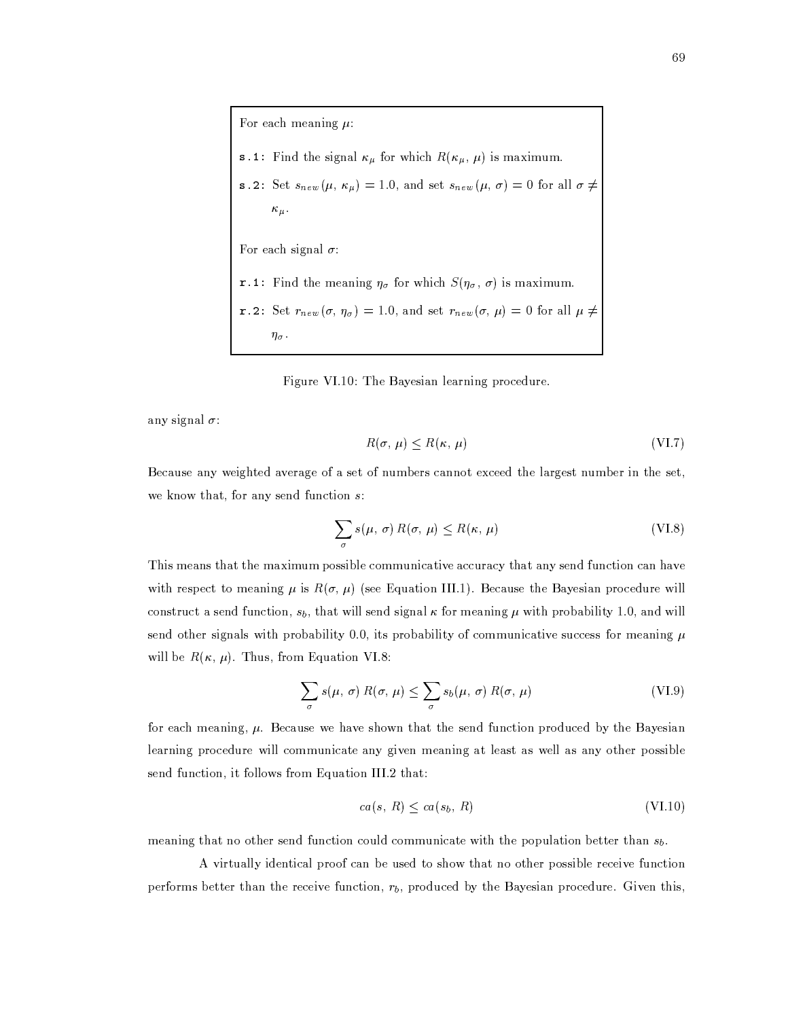For each meaning  $\mu$ : **s** .1: Find the signal  $\kappa_{\mu}$  for which  $R(\kappa_{\mu}, \mu)$  is maximum. s.2: Set  $s_{new}(\mu, \kappa_{\mu}) = 1.0$ , and set  $s_{new}(\mu, \sigma) = 0$  for all  $\sigma \neq$  $\kappa_{\mu}$ . For each signal  $\sigma$ : r.1: Find the meaning  $\eta_{\sigma}$  for which  $S(\eta_{\sigma}, \sigma)$  is maximum. r.2: Set  $r_{new}(\sigma, \eta_{\sigma}) = 1.0$ , and set  $r_{new}(\sigma, \mu) = 0$  for all  $\mu \neq$  $\eta_{\sigma}$ .

Figure VI.10: The Bayesian learning procedure.

any signal  $\sigma$ :

$$
R(\sigma, \mu) \le R(\kappa, \mu) \tag{VI.7}
$$

Because any weighted average of a set of numbers cannot exceed the largest number in the set, we know that, for any send function  $s$ :

$$
\sum_{\sigma} s(\mu, \sigma) R(\sigma, \mu) \le R(\kappa, \mu)
$$
 (VI.8)

This means that the maximum possible communicative accuracy that any send function can have with respect to meaning  $\mu$  is  $R(\sigma, \mu)$  (see Equation III.1). Because the Bayesian procedure will construct a send function,  $s_b$ , that will send signal  $\kappa$  for meaning  $\mu$  with probability 1.0, and will send other signals with probability 0.0, its probability of communicative success for meaning  $\mu$ will be  $R(\kappa, \mu)$ . Thus, from Equation VI.8:

$$
\sum_{\sigma} s(\mu, \sigma) R(\sigma, \mu) \leq \sum_{\sigma} s_b(\mu, \sigma) R(\sigma, \mu)
$$
 (VI.9)

for each meaning,  $\mu$ . Because we have shown that the send function produced by the Bayesian learning procedure will communicate any given meaning at least as well as any other possible send function, it follows from Equation III.2 that:

$$
ca(s, R) \le ca(s_b, R) \tag{VI.10}
$$

meaning that no other send function could communicate with the population better than  $s_b$ .

A virtually identical proof can be used to show that no other possible receive function performs better than the receive function,  $r<sub>b</sub>$ , produced by the Bayesian procedure. Given this,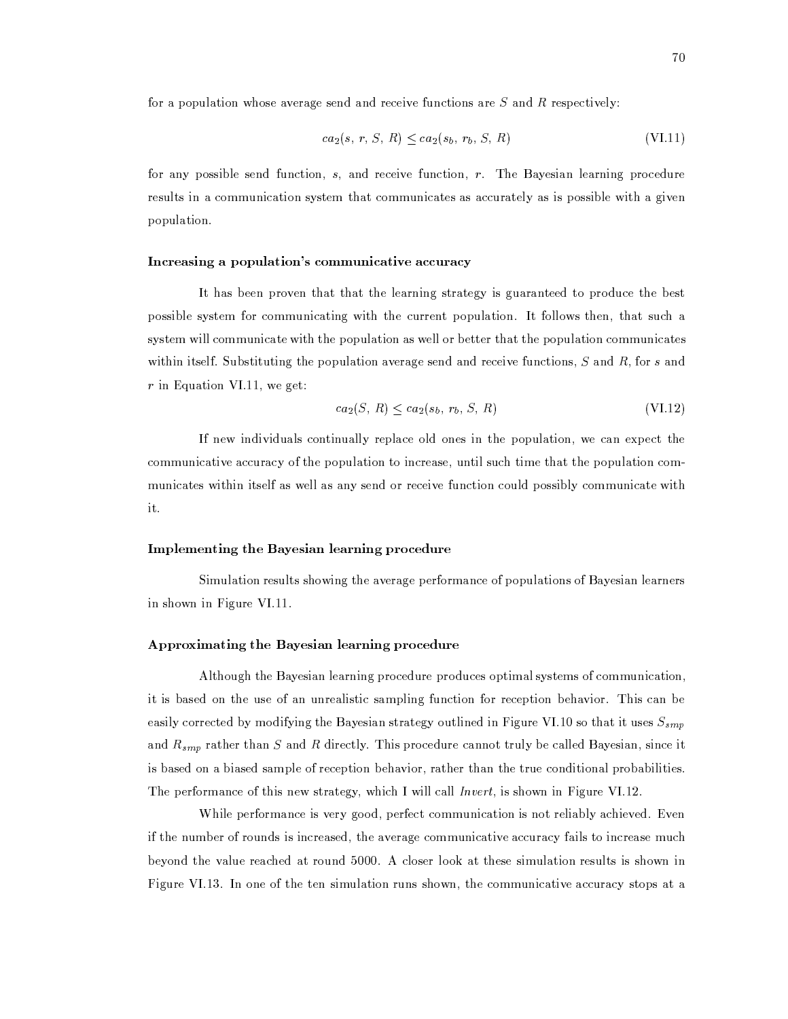for a population whose average send and receive functions are  $S$  and  $R$  respectively:

$$
ca_2(s, r, S, R) \leq ca_2(s_b, r_b, S, R) \tag{VI.11}
$$

for any possible send function,  $s$ , and receive function,  $r$ . The Bayesian learning procedure results in a communication system that communicates as accurately as is possible with a given population.

## Increasing a population's communicative accuracy

It has been proven that that the learning strategy is guaranteed to produce the best possible system for communicating with the current population. It follows then, that such a system will communicate with the population as well or better that the population communicates within itself. Substituting the population average send and receive functions,  $S$  and  $R$ , for s and  $r$  in Equation VI.11, we get:

$$
ca_2(S, R) \le ca_2(s_b, r_b, S, R) \tag{VI.12}
$$

If new individuals continually replace old ones in the population, we can expect the communicative accuracy of the population to increase, until such time that the population communicates within itself as well as any send or receive function could possibly communicate with it.

## Implementing the Bayesian learning procedure

Simulation results showing the average performance of populations of Bayesian learners in shown in Figure VI.11.

## Approximating the Bayesian learning procedure

Although the Bayesian learning procedure produces optimal systems of communication, it is based on the use of an unrealistic sampling function for reception behavior. This can be easily corrected by modifying the Bayesian strategy outlined in Figure VI.10 so that it uses  $S_{smp}$ and  $R_{smp}$  rather than S and R directly. This procedure cannot truly be called Bayesian, since it is based on a biased sample of reception behavior, rather than the true conditional probabilities. The performance of this new strategy, which I will call *Invert*, is shown in Figure VI.12.

While performance is very good, perfect communication is not reliably achieved. Even if the number of rounds is increased, the average communicative accuracy fails to increase much beyond the value reached at round 5000. A closer look at these simulation results is shown in Figure VI.13. In one of the ten simulation runs shown, the communicative accuracy stops at a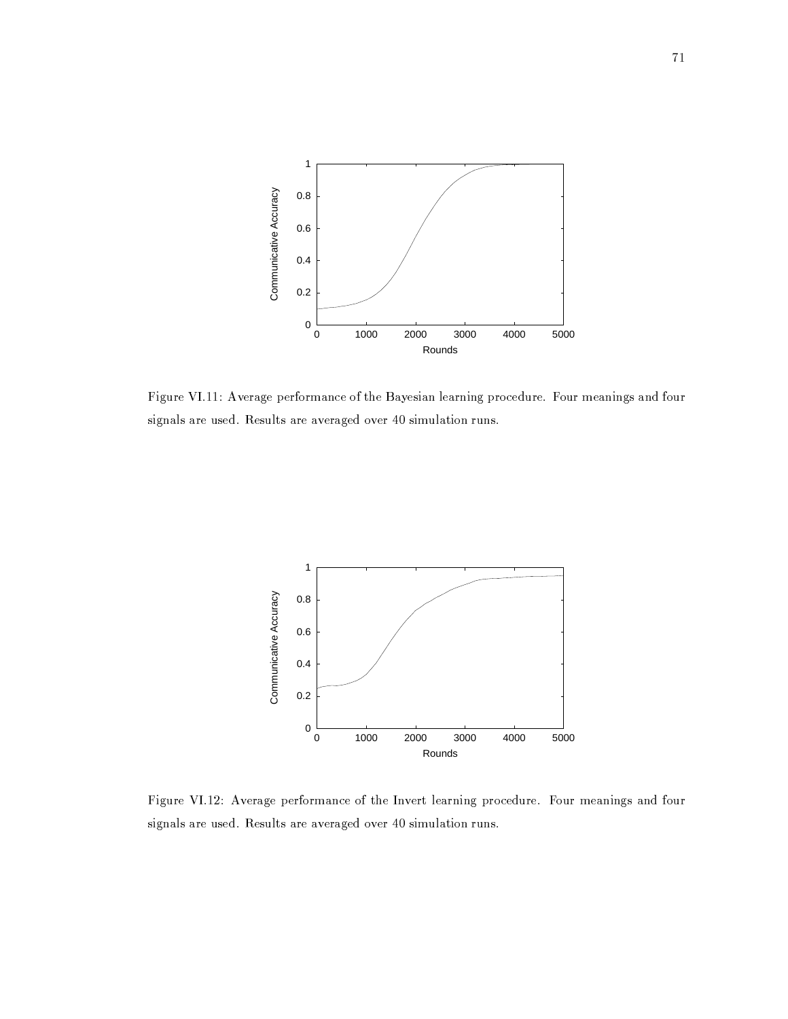

Figure VI.11: Average performance of the Bayesian learning procedure. Four meanings and four signals are used. Results are averaged over 40 simulation runs.



Figure VI.12: Average performance of the Invert learning procedure. Four meanings and four signals are used. Results are averaged over 40 simulation runs.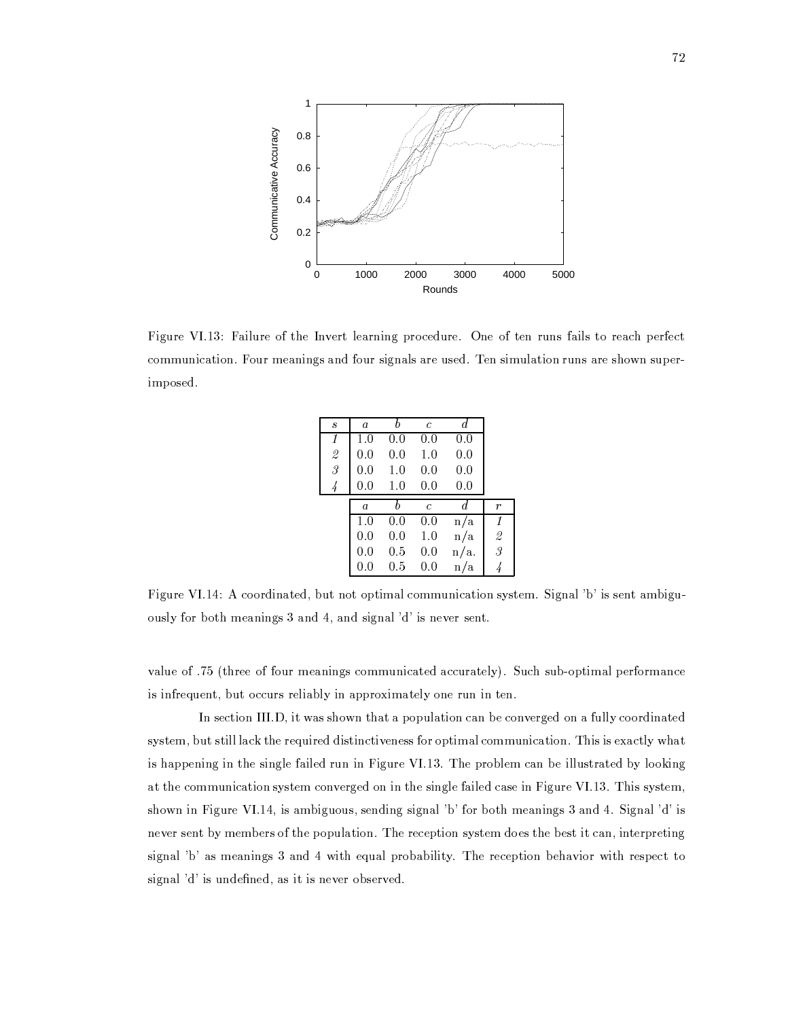

Figure VI.13: Failure of the Invert learning procedure. One of ten runs fails to reach perfect communication. Four meanings and four signals are used. Ten simulation runs are shown superimposed.

| $\boldsymbol{s}$ | $\boldsymbol{a}$ | h   | $\mathcal{C}$ | d       |               |
|------------------|------------------|-----|---------------|---------|---------------|
| 1                | 1.0              | 0.0 | 0.0           | 0.0     |               |
| $\frac{2}{3}$    | 0.0              | 0.0 | 1.0           | 0.0     |               |
|                  | 0.0              | 1.0 | 0.0           | 0.0     |               |
| $\frac{1}{4}$    | 0.0              | 1.0 | 0.0           | 0.0     |               |
|                  | $\overline{a}$   | h   | $\mathcal{C}$ | d       | r             |
|                  | 1.0              | 0.0 | 0.0           | n/a     | 1             |
|                  | 0.0              | 0.0 | $1.0\,$       | n/a     |               |
|                  | 0.0              | 0.5 | 0.0           | $n/a$ . | $\frac{2}{3}$ |
|                  | 0.0              | 0.5 | 0.0           | n/a     |               |

Figure VI.14: A coordinated, but not optimal communication system. Signal 'b' is sent ambiguously for both meanings 3 and 4, and signal 'd' is never sent.

value of .75 (three of four meanings communicated accurately). Such sub-optimal performance is infrequent, but occurs reliably in approximately one run in ten.

In section III.D, it was shown that a population can be converged on a fully coordinated system, but still lack the required distinctiveness for optimal communication. This is exactly what is happening in the single failed run in Figure VI.13. The problem can be illustrated by looking at the communication system converged on in the single failed case in Figure VI.13. This system, shown in Figure VI.14, is ambiguous, sending signal 'b' for both meanings 3 and 4. Signal 'd' is never sent by members of the population. The reception system does the best it can, interpreting signal 'b' as meanings 3 and 4 with equal probability. The reception behavior with respect to signal 'd' is undefined, as it is never observed.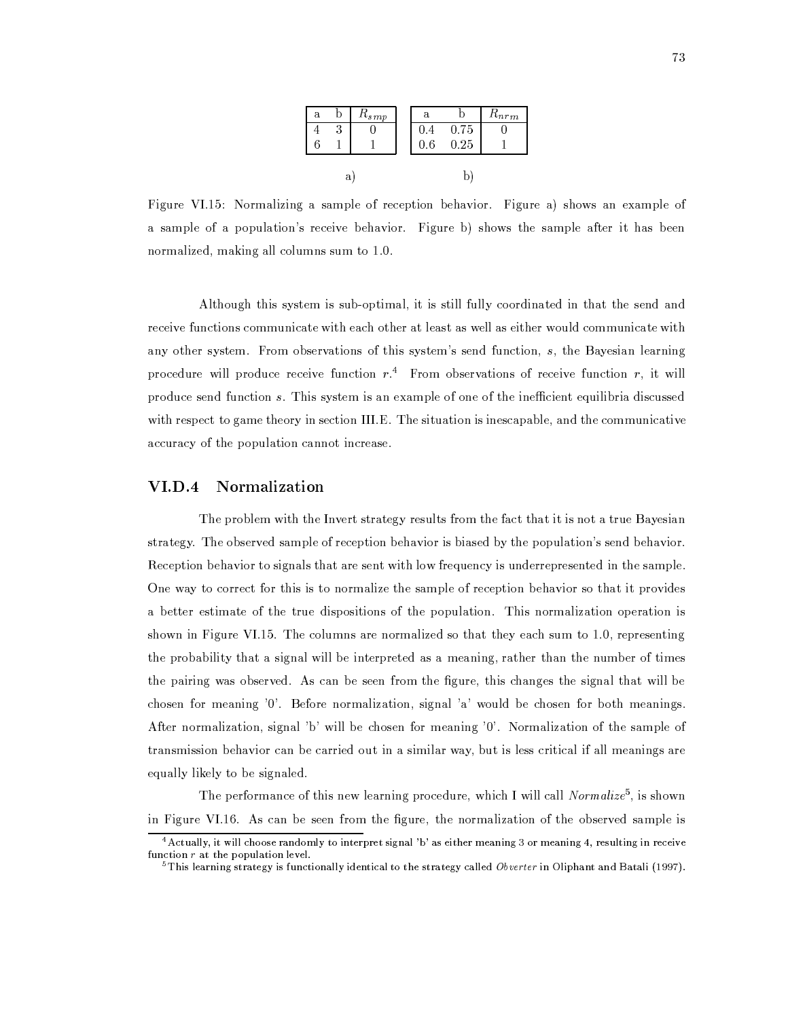| а |  | $\pi_{smp}$ |  | а              |      | $n_{nrm}$ |
|---|--|-------------|--|----------------|------|-----------|
|   |  |             |  | $\overline{4}$ | 0.75 |           |
|   |  |             |  | 6              | 0.25 |           |
| a |  |             |  |                |      |           |

Figure VI.15: Normalizing a sample of reception behavior. Figure a) shows an example of a sample of a population's receive behavior. Figure b) shows the sample after it has been normalized, making all columns sum to 1.0.

Although this system is sub-optimal, it is still fully coordinated in that the send and receive functions communicate with each other at least as well as either would communicate with any other system. From observations of this system's send function, s, the Bayesian learning procedure will produce receive function  $r<sup>4</sup>$ . From observations of receive function  $r$ , it will produce send function s. This system is an example of one of the inefficient equilibria discussed with respect to game theory in section III.E. The situation is inescapable, and the communicative accuracy of the population cannot increase.

#### $\mathbf{VI}.\mathbf{D}.4$ Normalization

The problem with the Invert strategy results from the fact that it is not a true Bayesian strategy. The observed sample of reception behavior is biased by the population's send behavior. Reception behavior to signals that are sent with low frequency is underrepresented in the sample. One way to correct for this is to normalize the sample of reception behavior so that it provides a better estimate of the true dispositions of the population. This normalization operation is shown in Figure VI.15. The columns are normalized so that they each sum to 1.0, representing the probability that a signal will be interpreted as a meaning, rather than the number of times the pairing was observed. As can be seen from the figure, this changes the signal that will be chosen for meaning '0'. Before normalization, signal 'a' would be chosen for both meanings. After normalization, signal 'b' will be chosen for meaning '0'. Normalization of the sample of transmission behavior can be carried out in a similar way, but is less critical if all meanings are equally likely to be signaled.

The performance of this new learning procedure, which I will call Normalize<sup>5</sup>, is shown in Figure VI.16. As can be seen from the figure, the normalization of the observed sample is

<sup>&</sup>lt;sup>4</sup> Actually, it will choose randomly to interpret signal 'b' as either meaning 3 or meaning 4, resulting in receive function  $r$  at the population level.

 $5$  This learning strategy is functionally identical to the strategy called Obverter in Oliphant and Batali (1997).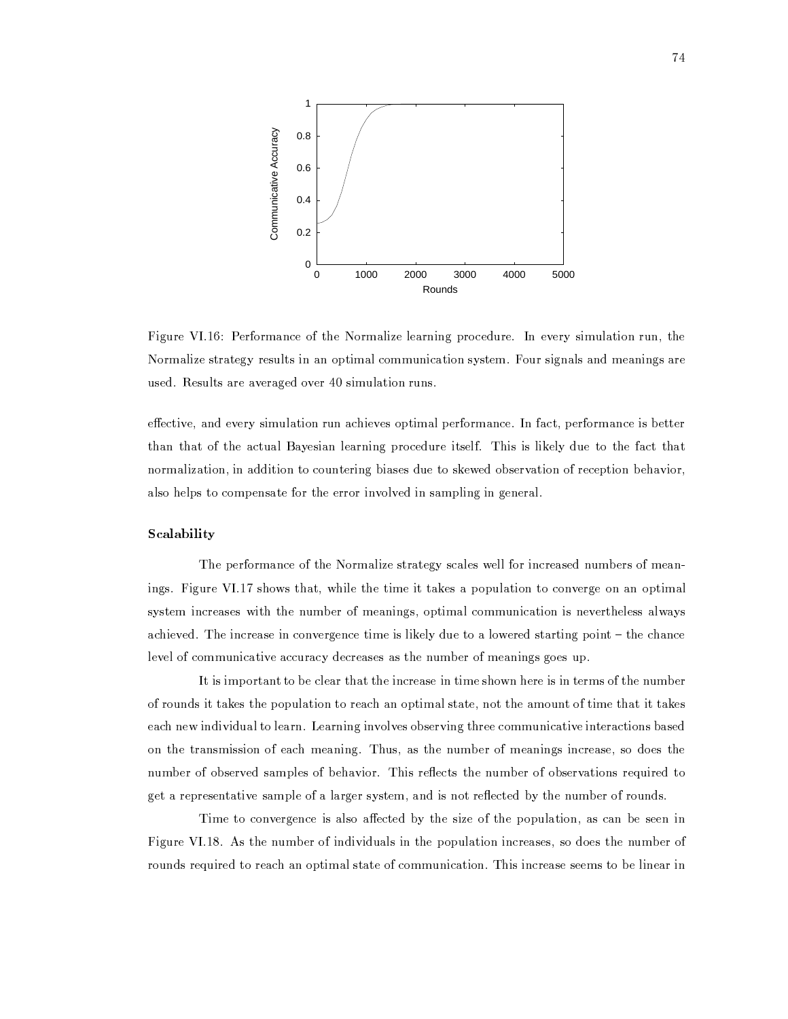

Figure VI.16: Performance of the Normalize learning procedure. In every simulation run, the Normalize strategy results in an optimal communication system. Four signals and meanings are used. Results are averaged over 40 simulation runs.

effective, and every simulation run achieves optimal performance. In fact, performance is better than that of the actual Bayesian learning procedure itself. This is likely due to the fact that normalization, in addition to countering biases due to skewed observation of reception behavior, also helps to compensate for the error involved in sampling in general.

## Scalability

The performance of the Normalize strategy scales well for increased numbers of meanings. Figure VI.17 shows that, while the time it takes a population to converge on an optimal system increases with the number of meanings, optimal communication is nevertheless always achieved. The increase in convergence time is likely due to a lowered starting point - the chance level of communicative accuracy decreases as the number of meanings goes up.

It is important to be clear that the increase in time shown here is in terms of the number of rounds it takes the population to reach an optimal state, not the amount of time that it takes each new individual to learn. Learning involves observing three communicative interactions based on the transmission of each meaning. Thus, as the number of meanings increase, so does the number of observed samples of behavior. This reflects the number of observations required to get a representative sample of a larger system, and is not reflected by the number of rounds.

Time to convergence is also affected by the size of the population, as can be seen in Figure VI.18. As the number of individuals in the population increases, so does the number of rounds required to reach an optimal state of communication. This increase seems to be linear in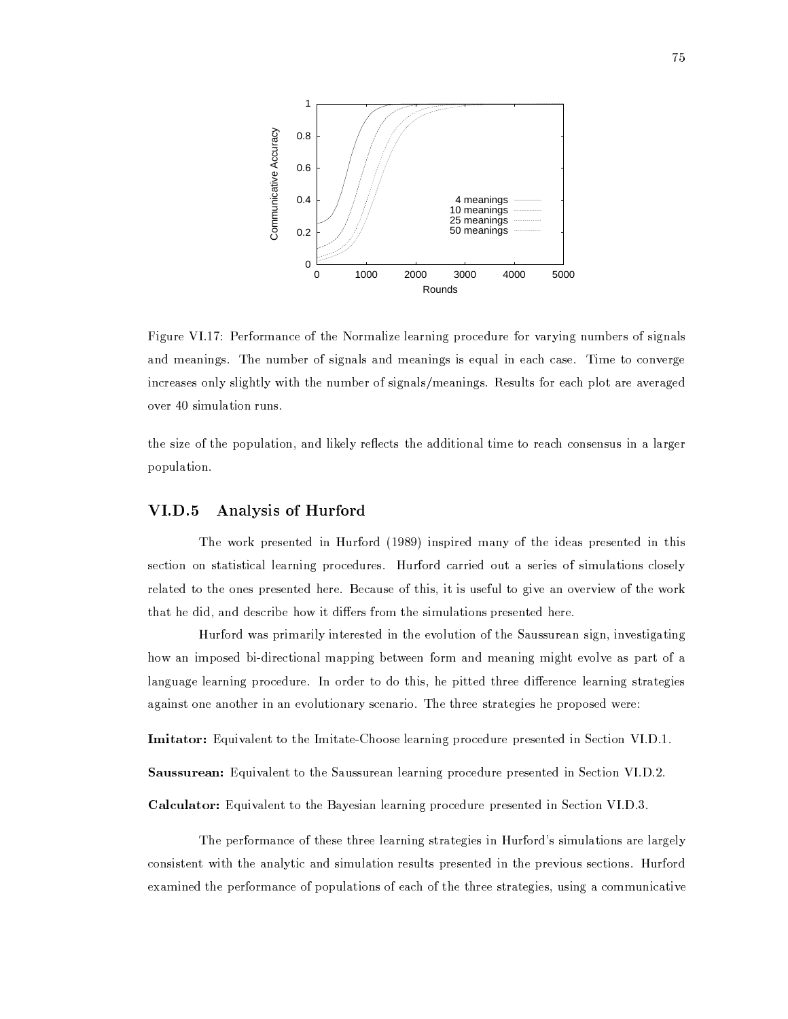

Figure VI.17: Performance of the Normalize learning procedure for varying numbers of signals and meanings. The number of signals and meanings is equal in each case. Time to converge increases only slightly with the number of signals/meanings. Results for each plot are averaged over 40 simulation runs.

the size of the population, and likely reflects the additional time to reach consensus in a larger population.

#### $VI.D.5$ Analysis of Hurford

The work presented in Hurford (1989) inspired many of the ideas presented in this section on statistical learning procedures. Hurford carried out a series of simulations closely related to the ones presented here. Because of this, it is useful to give an overview of the work that he did, and describe how it differs from the simulations presented here.

Hurford was primarily interested in the evolution of the Saussurean sign, investigating how an imposed bi-directional mapping between form and meaning might evolve as part of a language learning procedure. In order to do this, he pitted three difference learning strategies against one another in an evolutionary scenario. The three strategies he proposed were:

**Imitator:** Equivalent to the Imitate-Choose learning procedure presented in Section VI.D.1.

Saussurean: Equivalent to the Saussurean learning procedure presented in Section VI.D.2.

Calculator: Equivalent to the Bayesian learning procedure presented in Section VI.D.3.

The performance of these three learning strategies in Hurford's simulations are largely consistent with the analytic and simulation results presented in the previous sections. Hurford examined the performance of populations of each of the three strategies, using a communicative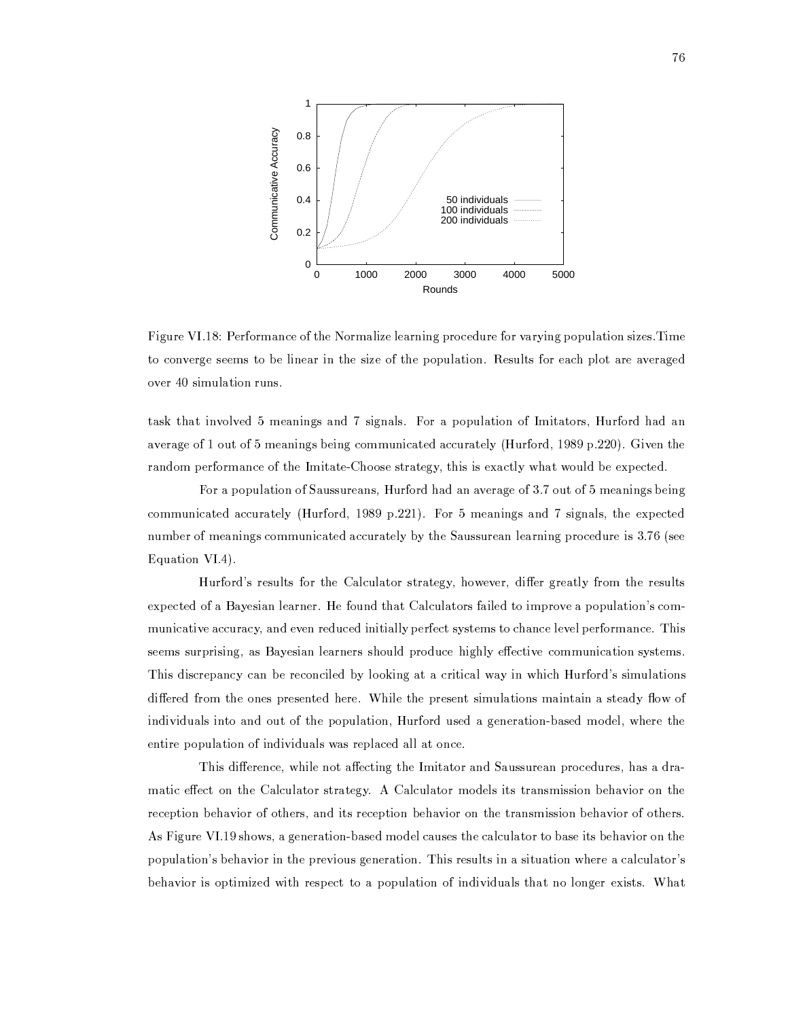

Figure VI.18: Performance of the Normalize learning procedure for varying population sizes. Time to converge seems to be linear in the size of the population. Results for each plot are averaged over 40 simulation runs.

task that involved 5 meanings and 7 signals. For a population of Imitators, Hurford had an average of 1 out of 5 meanings being communicated accurately (Hurford, 1989 p.220). Given the random performance of the Imitate-Choose strategy, this is exactly what would be expected.

For a population of Saussureans, Hurford had an average of 3.7 out of 5 meanings being communicated accurately (Hurford, 1989 p.221). For 5 meanings and 7 signals, the expected number of meanings communicated accurately by the Saussurean learning procedure is 3.76 (see Equation VI.4).

Hurford's results for the Calculator strategy, however, differ greatly from the results expected of a Bayesian learner. He found that Calculators failed to improve a population's communicative accuracy, and even reduced initially perfect systems to chance level performance. This seems surprising, as Bayesian learners should produce highly effective communication systems. This discrepancy can be reconciled by looking at a critical way in which Hurford's simulations differed from the ones presented here. While the present simulations maintain a steady flow of individuals into and out of the population, Hurford used a generation-based model, where the entire population of individuals was replaced all at once.

This difference, while not affecting the Imitator and Saussurean procedures, has a dramatic effect on the Calculator strategy. A Calculator models its transmission behavior on the reception behavior of others, and its reception behavior on the transmission behavior of others. As Figure VI.19 shows, a generation-based model causes the calculator to base its behavior on the population's behavior in the previous generation. This results in a situation where a calculator's behavior is optimized with respect to a population of individuals that no longer exists. What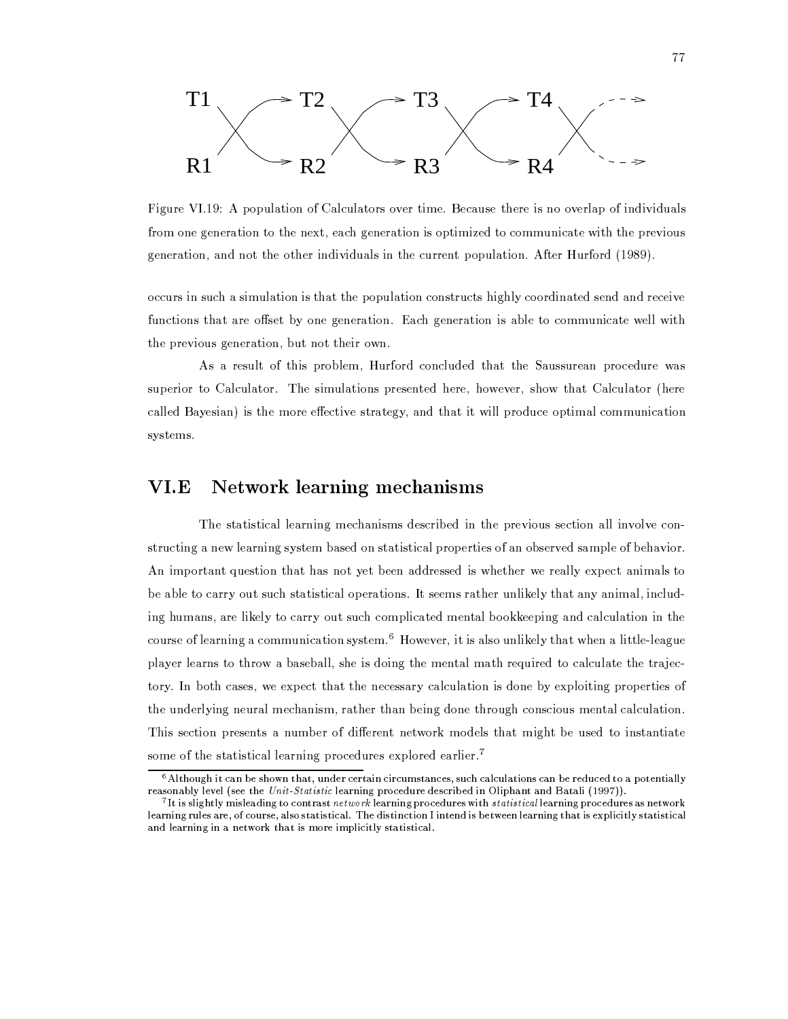

Figure VI.19: A population of Calculators over time. Because there is no overlap of individuals from one generation to the next, each generation is optimized to communicate with the previous generation, and not the other individuals in the current population. After Hurford (1989).

occurs in such a simulation is that the population constructs highly coordinated send and receive functions that are offset by one generation. Each generation is able to communicate well with the previous generation, but not their own.

As a result of this problem, Hurford concluded that the Saussurean procedure was superior to Calculator. The simulations presented here, however, show that Calculator (here called Bayesian) is the more effective strategy, and that it will produce optimal communication systems.

### Network learning mechanisms VI.E

The statistical learning mechanisms described in the previous section all involve constructing a new learning system based on statistical properties of an observed sample of behavior. An important question that has not yet been addressed is whether we really expect animals to be able to carry out such statistical operations. It seems rather unlikely that any animal, including humans, are likely to carry out such complicated mental bookkeeping and calculation in the course of learning a communication system.<sup>6</sup> However, it is also unlikely that when a little-league player learns to throw a baseball, she is doing the mental math required to calculate the trajectory. In both cases, we expect that the necessary calculation is done by exploiting properties of the underlying neural mechanism, rather than being done through conscious mental calculation. This section presents a number of different network models that might be used to instantiate some of the statistical learning procedures explored earlier.<sup>7</sup>

 $6$  Although it can be shown that, under certain circumstances, such calculations can be reduced to a potentially reasonably level (see the Unit-Statistic learning procedure described in Oliphant and Batali (1997)).

 $7$  It is slightly misleading to contrast network learning procedures with statistical learning procedures as network learning rules are, of course, also statistical. The distinction I intend is between learning that is explicitly statistical and learning in a network that is more implicitly statistical.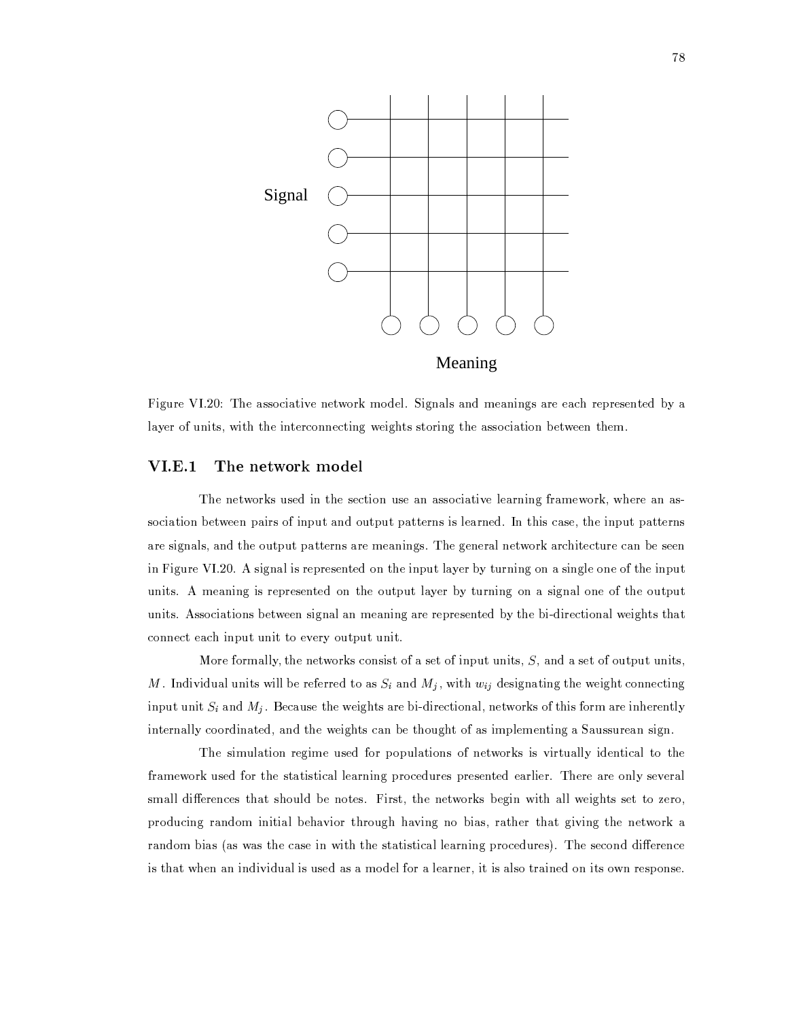

Figure VI.20: The associative network model. Signals and meanings are each represented by a layer of units, with the interconnecting weights storing the association between them.

#### $VI.E.1$ The network model

The networks used in the section use an associative learning framework, where an association between pairs of input and output patterns is learned. In this case, the input patterns are signals, and the output patterns are meanings. The general network architecture can be seen in Figure VI.20. A signal is represented on the input layer by turning on a single one of the input units. A meaning is represented on the output layer by turning on a signal one of the output units. Associations between signal an meaning are represented by the bi-directional weights that connect each input unit to every output unit.

More formally, the networks consist of a set of input units,  $S$ , and a set of output units, M. Individual units will be referred to as  $S_i$  and  $M_j$ , with  $w_{ij}$  designating the weight connecting input unit  $S_i$  and  $M_j$ . Because the weights are bi-directional, networks of this form are inherently internally coordinated, and the weights can be thought of as implementing a Saussurean sign.

The simulation regime used for populations of networks is virtually identical to the framework used for the statistical learning procedures presented earlier. There are only several small differences that should be notes. First, the networks begin with all weights set to zero, producing random initial behavior through having no bias, rather that giving the network a random bias (as was the case in with the statistical learning procedures). The second difference is that when an individual is used as a model for a learner, it is also trained on its own response.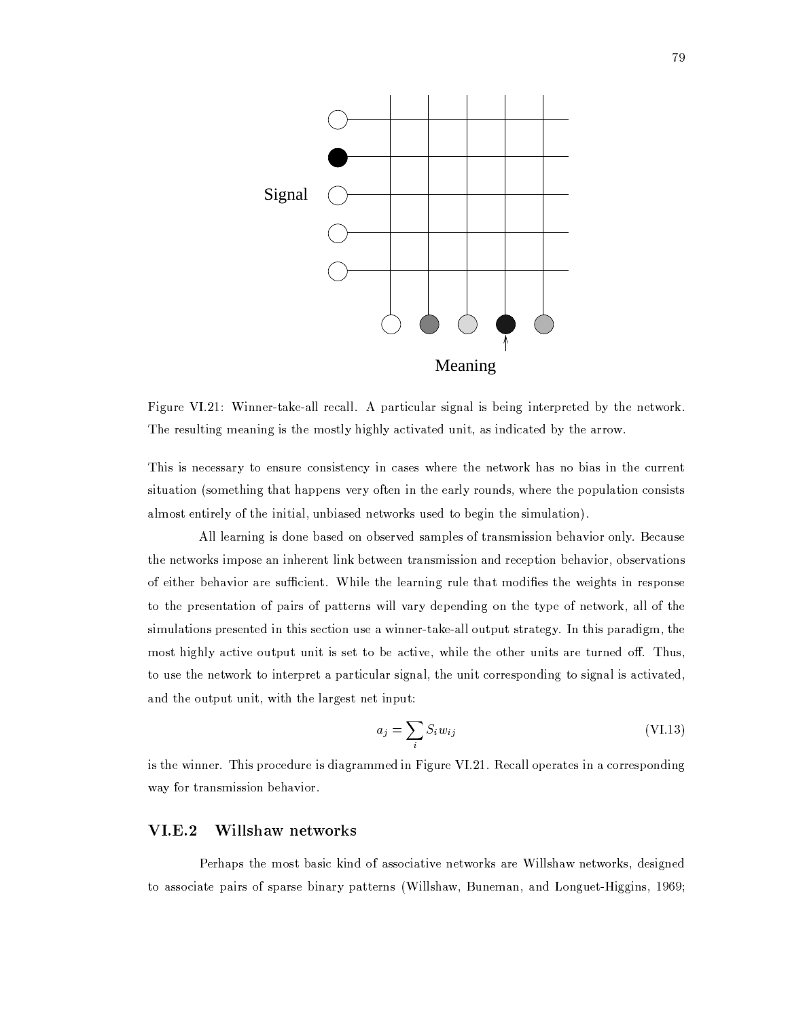

Figure VI.21: Winner-take-all recall. A particular signal is being interpreted by the network. The resulting meaning is the mostly highly activated unit, as indicated by the arrow.

This is necessary to ensure consistency in cases where the network has no bias in the current situation (something that happens very often in the early rounds, where the population consists almost entirely of the initial, unbiased networks used to begin the simulation).

All learning is done based on observed samples of transmission behavior only. Because the networks impose an inherent link between transmission and reception behavior, observations of either behavior are sufficient. While the learning rule that modifies the weights in response to the presentation of pairs of patterns will vary depending on the type of network, all of the simulations presented in this section use a winner-take-all output strategy. In this paradigm, the most highly active output unit is set to be active, while the other units are turned off. Thus, to use the network to interpret a particular signal, the unit corresponding to signal is activated, and the output unit, with the largest net input:

$$
a_j = \sum_i S_i w_{ij} \tag{VI.13}
$$

is the winner. This procedure is diagrammed in Figure VI.21. Recall operates in a corresponding way for transmission behavior.

#### $VI.E.2$ Willshaw networks

Perhaps the most basic kind of associative networks are Willshaw networks, designed to associate pairs of sparse binary patterns (Willshaw, Buneman, and Longuet-Higgins, 1969;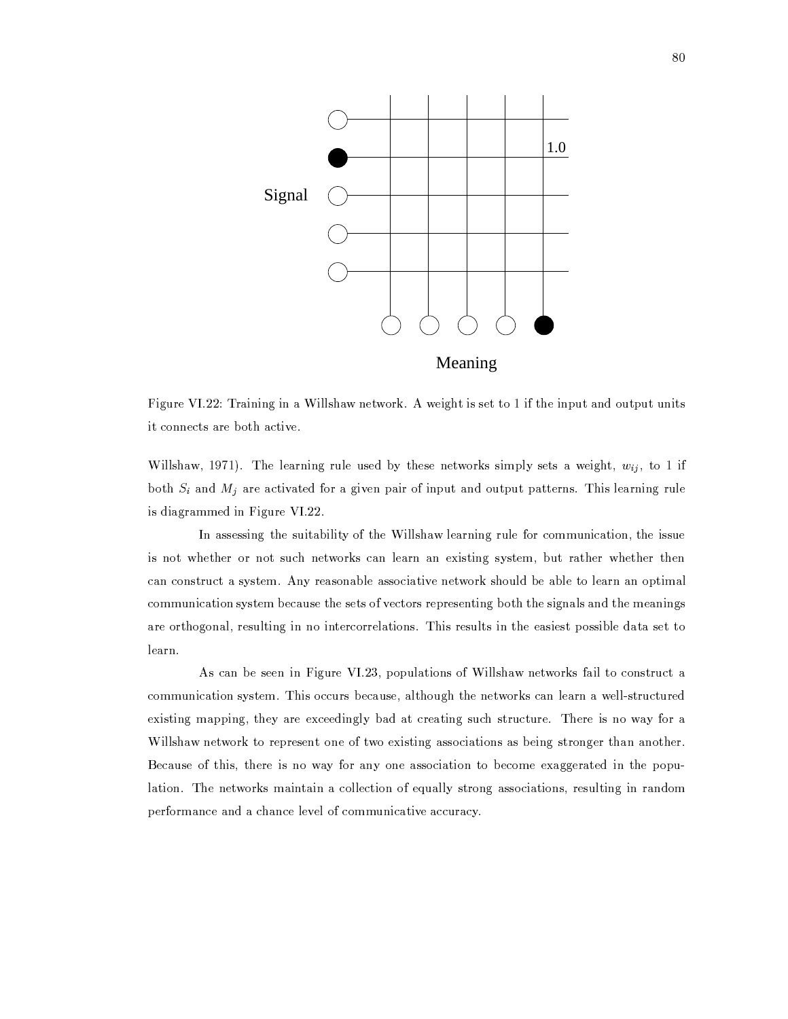

Figure VI.22: Training in a Willshaw network. A weight is set to 1 if the input and output units it connects are both active.

Willshaw, 1971). The learning rule used by these networks simply sets a weight,  $w_{ij}$ , to 1 if both  $S_i$  and  $M_j$  are activated for a given pair of input and output patterns. This learning rule is diagrammed in Figure VI.22.

In assessing the suitability of the Willshaw learning rule for communication, the issue is not whether or not such networks can learn an existing system, but rather whether then can construct a system. Any reasonable associative network should be able to learn an optimal communication system because the sets of vectors representing both the signals and the meanings are orthogonal, resulting in no intercorrelations. This results in the easiest possible data set to learn.

As can be seen in Figure VI.23, populations of Willshaw networks fail to construct a communication system. This occurs because, although the networks can learn a well-structured existing mapping, they are exceedingly bad at creating such structure. There is no way for a Willshaw network to represent one of two existing associations as being stronger than another. Because of this, there is no way for any one association to become exaggerated in the population. The networks maintain a collection of equally strong associations, resulting in random performance and a chance level of communicative accuracy.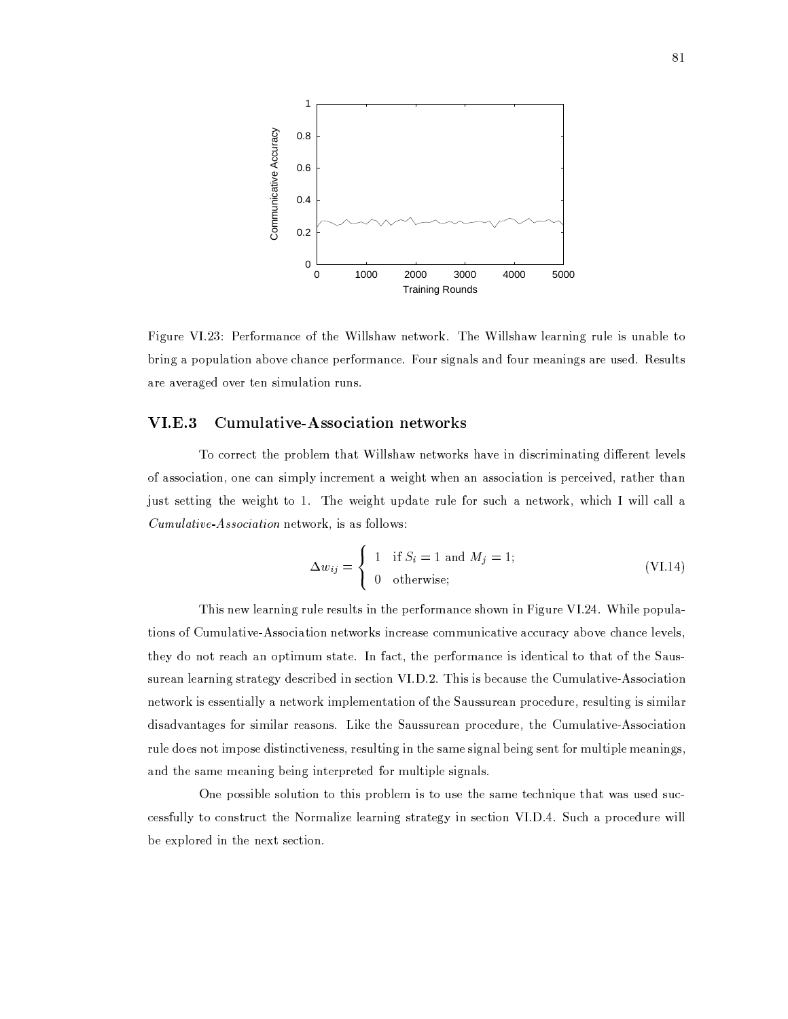

Figure VI.23: Performance of the Willshaw network. The Willshaw learning rule is unable to bring a population above chance performance. Four signals and four meanings are used. Results are averaged over ten simulation runs.

#### **Cumulative-Association networks**  $VI.E.3$

To correct the problem that Willshaw networks have in discriminating different levels of association, one can simply increment a weight when an association is perceived, rather than just setting the weight to 1. The weight update rule for such a network, which I will call a *Cumulative Association* network, is as follows:

$$
\Delta w_{ij} = \begin{cases} 1 & \text{if } S_i = 1 \text{ and } M_j = 1; \\ 0 & \text{otherwise}; \end{cases}
$$
 (VI.14)

This new learning rule results in the performance shown in Figure VI.24. While populations of Cumulative-Association networks increase communicative accuracy above chance levels, they do not reach an optimum state. In fact, the performance is identical to that of the Saussurean learning strategy described in section VI.D.2. This is because the Cumulative-Association network is essentially a network implementation of the Saussurean procedure, resulting is similar disadvantages for similar reasons. Like the Saussurean procedure, the Cumulative-Association rule does not impose distinctiveness, resulting in the same signal being sent for multiple meanings, and the same meaning being interpreted for multiple signals.

One possible solution to this problem is to use the same technique that was used successfully to construct the Normalize learning strategy in section VI.D.4. Such a procedure will be explored in the next section.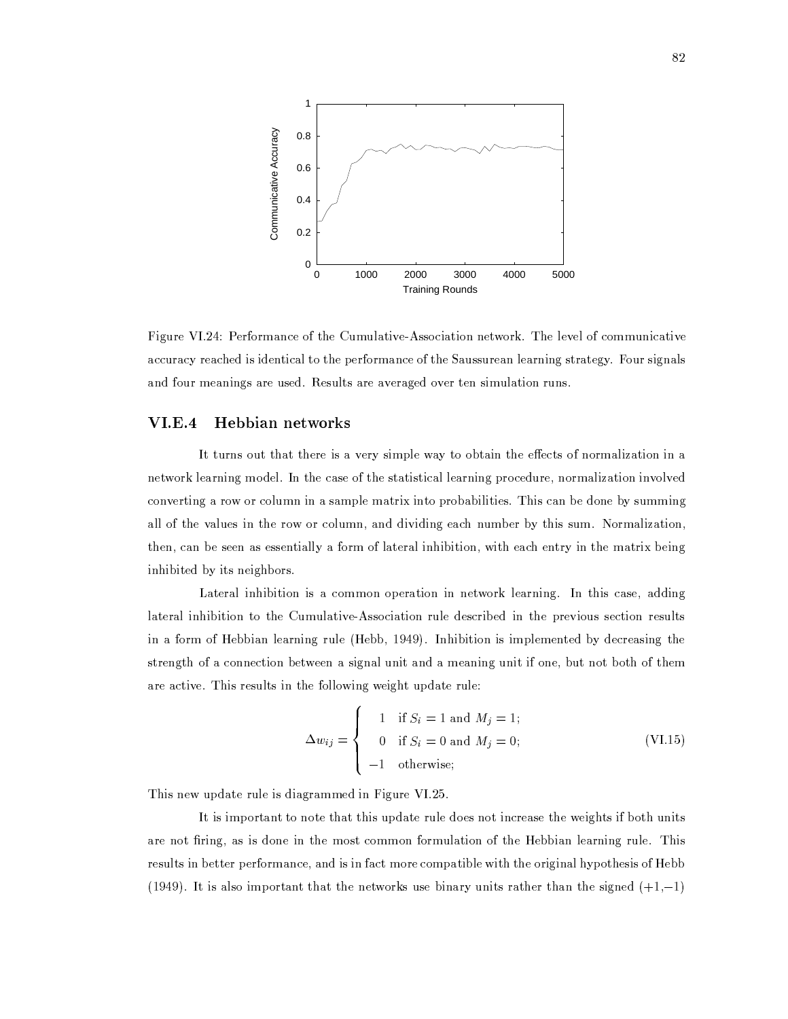

Figure VI.24: Performance of the Cumulative-Association network. The level of communicative accuracy reached is identical to the performance of the Saussurean learning strategy. Four signals and four meanings are used. Results are averaged over ten simulation runs.

#### **VI.E.4** Hebbian networks

It turns out that there is a very simple way to obtain the effects of normalization in a network learning model. In the case of the statistical learning procedure, normalization involved converting a row or column in a sample matrix into probabilities. This can be done by summing all of the values in the row or column, and dividing each number by this sum. Normalization, then, can be seen as essentially a form of lateral inhibition, with each entry in the matrix being inhibited by its neighbors.

Lateral inhibition is a common operation in network learning. In this case, adding lateral inhibition to the Cumulative-Association rule described in the previous section results in a form of Hebbian learning rule (Hebb, 1949). Inhibition is implemented by decreasing the strength of a connection between a signal unit and a meaning unit if one, but not both of them are active. This results in the following weight update rule:

$$
\Delta w_{ij} = \begin{cases}\n1 & \text{if } S_i = 1 \text{ and } M_j = 1; \\
0 & \text{if } S_i = 0 \text{ and } M_j = 0; \\
-1 & \text{otherwise};\n\end{cases}
$$
\n(VI.15)

This new update rule is diagrammed in Figure VI.25.

It is important to note that this update rule does not increase the weights if both units are not firing, as is done in the most common formulation of the Hebbian learning rule. This results in better performance, and is in fact more compatible with the original hypothesis of Hebb (1949). It is also important that the networks use binary units rather than the signed  $(+1,-1)$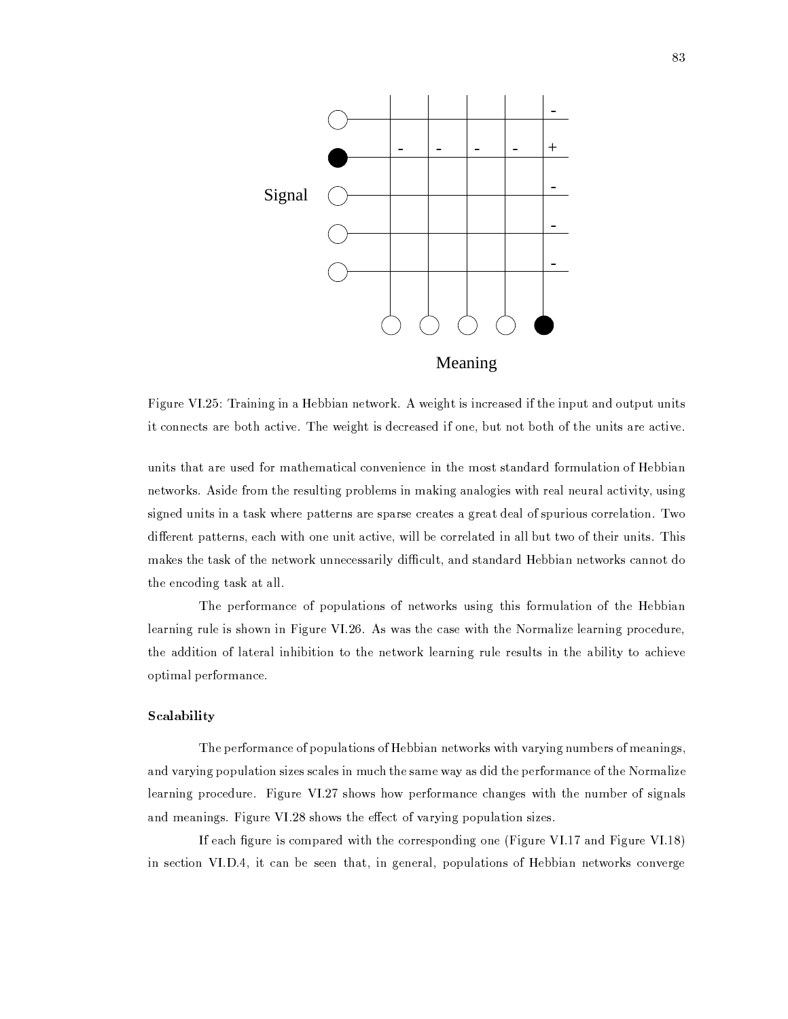

Figure VI.25: Training in a Hebbian network. A weight is increased if the input and output units it connects are both active. The weight is decreased if one, but not both of the units are active.

units that are used for mathematical convenience in the most standard formulation of Hebbian networks. Aside from the resulting problems in making analogies with real neural activity, using signed units in a task where patterns are sparse creates a great deal of spurious correlation. Two different patterns, each with one unit active, will be correlated in all but two of their units. This makes the task of the network unnecessarily difficult, and standard Hebbian networks cannot do the encoding task at all.

The performance of populations of networks using this formulation of the Hebbian learning rule is shown in Figure VI.26. As was the case with the Normalize learning procedure, the addition of lateral inhibition to the network learning rule results in the ability to achieve optimal performance.

## Scalability

The performance of populations of Hebbian networks with varying numbers of meanings, and varying population sizes scales in much the same way as did the performance of the Normalize learning procedure. Figure VI.27 shows how performance changes with the number of signals and meanings. Figure VI.28 shows the effect of varying population sizes.

If each figure is compared with the corresponding one (Figure VI.17 and Figure VI.18) in section VI.D.4, it can be seen that, in general, populations of Hebbian networks converge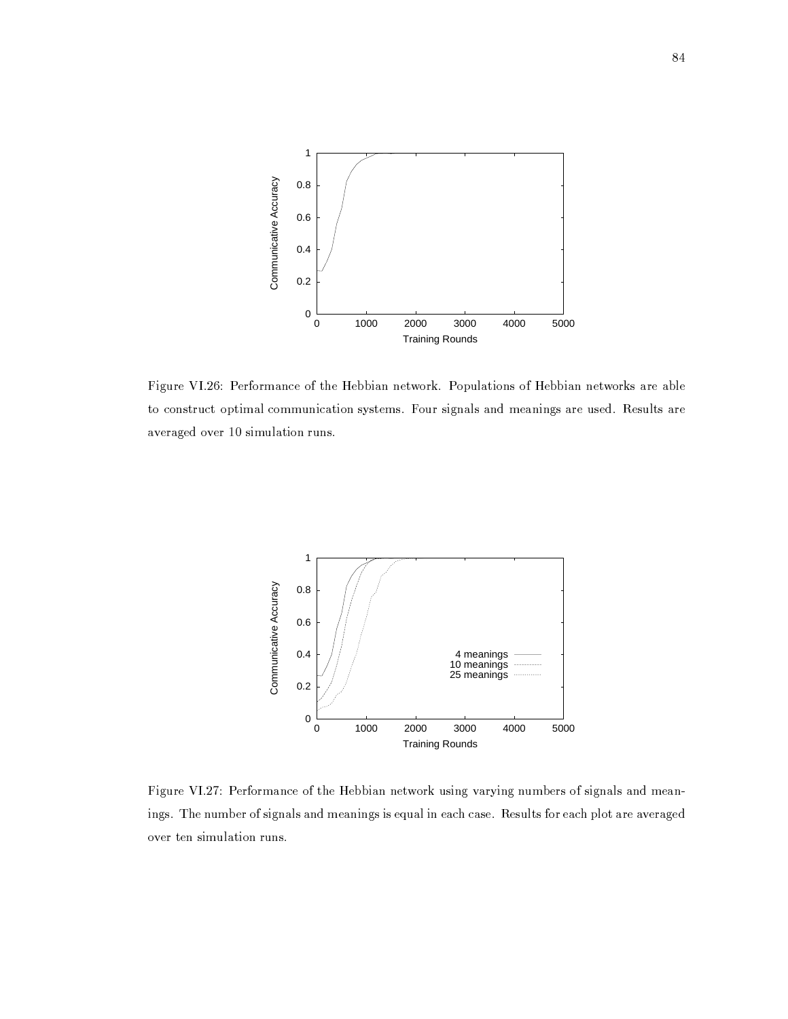

Figure VI.26: Performance of the Hebbian network. Populations of Hebbian networks are able to construct optimal communication systems. Four signals and meanings are used. Results are averaged over 10 simulation runs.



Figure VI.27: Performance of the Hebbian network using varying numbers of signals and meanings. The number of signals and meanings is equal in each case. Results for each plot are averaged over ten simulation runs.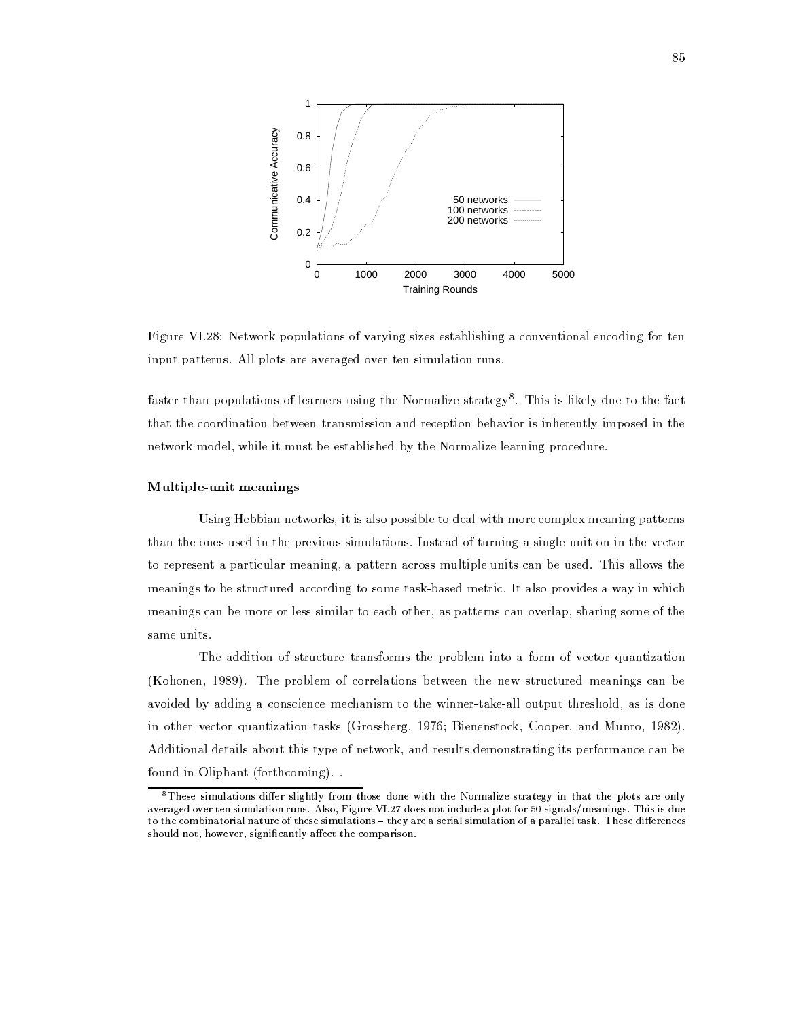

Figure VI.28: Network populations of varying sizes establishing a conventional encoding for ten input patterns. All plots are averaged over ten simulation runs.

faster than populations of learners using the Normalize strategy<sup>8</sup>. This is likely due to the fact that the coordination between transmission and reception behavior is inherently imposed in the network model, while it must be established by the Normalize learning procedure.

### Multiple-unit meanings

Using Hebbian networks, it is also possible to deal with more complex meaning patterns than the ones used in the previous simulations. Instead of turning a single unit on in the vector to represent a particular meaning, a pattern across multiple units can be used. This allows the meanings to be structured according to some task-based metric. It also provides a way in which meanings can be more or less similar to each other, as patterns can overlap, sharing some of the same units.

The addition of structure transforms the problem into a form of vector quantization (Kohonen, 1989). The problem of correlations between the new structured meanings can be avoided by adding a conscience mechanism to the winner-take-all output threshold, as is done in other vector quantization tasks (Grossberg, 1976; Bienenstock, Cooper, and Munro, 1982). Additional details about this type of network, and results demonstrating its performance can be found in Oliphant (forthcoming)...

<sup>&</sup>lt;sup>8</sup>These simulations differ slightly from those done with the Normalize strategy in that the plots are only averaged over ten simulation runs. Also, Figure VI.27 does not include a plot for 50 signals/meanings. This is due to the combinatorial nature of these simulations - they are a serial simulation of a parallel task. These differences should not, however, significantly affect the comparison.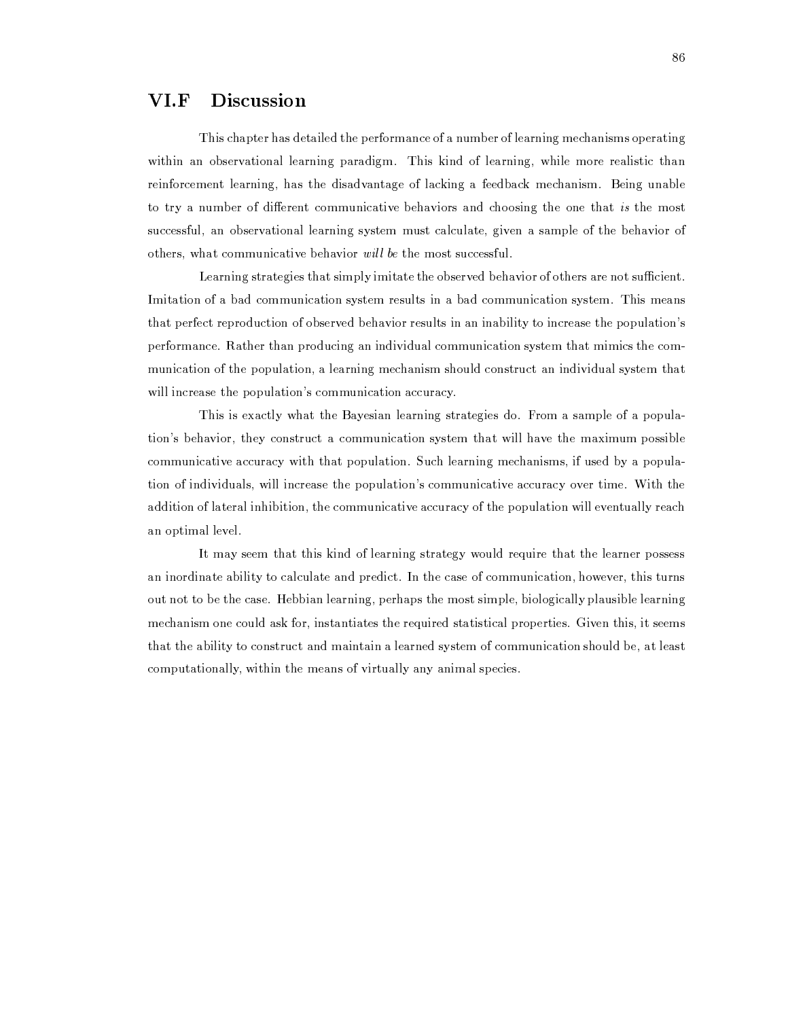#### VI.F **Discussion**

This chapter has detailed the performance of a number of learning mechanisms operating within an observational learning paradigm. This kind of learning, while more realistic than reinforcement learning, has the disadvantage of lacking a feedback mechanism. Being unable to try a number of different communicative behaviors and choosing the one that is the most successful, an observational learning system must calculate, given a sample of the behavior of others, what communicative behavior will be the most successful.

Learning strategies that simply imitate the observed behavior of others are not sufficient. Imitation of a bad communication system results in a bad communication system. This means that perfect reproduction of observed behavior results in an inability to increase the population's performance. Rather than producing an individual communication system that mimics the communication of the population, a learning mechanism should construct an individual system that will increase the population's communication accuracy.

This is exactly what the Bayesian learning strategies do. From a sample of a population's behavior, they construct a communication system that will have the maximum possible communicative accuracy with that population. Such learning mechanisms, if used by a population of individuals, will increase the population's communicative accuracy over time. With the addition of lateral inhibition, the communicative accuracy of the population will eventually reach an optimal level.

It may seem that this kind of learning strategy would require that the learner possess an inordinate ability to calculate and predict. In the case of communication, however, this turns out not to be the case. Hebbian learning, perhaps the most simple, biologically plausible learning mechanism one could ask for, instantiates the required statistical properties. Given this, it seems that the ability to construct and maintain a learned system of communication should be, at least computationally, within the means of virtually any animal species.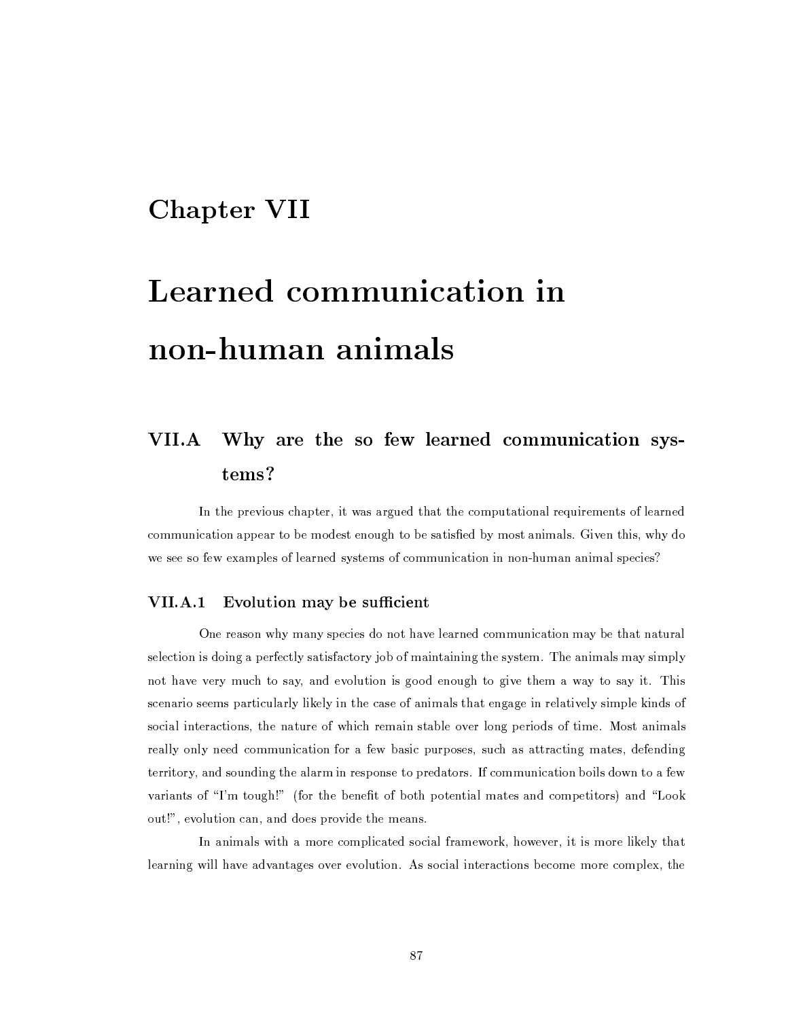## **Chapter VII**

# Learned communication in non-human animals

## Why are the so few learned communication sys-**VII.A** tems?

In the previous chapter, it was argued that the computational requirements of learned communication appear to be modest enough to be satisfied by most animals. Given this, why do we see so few examples of learned systems of communication in non-human animal species?

## VII.A.1 Evolution may be sufficient

One reason why many species do not have learned communication may be that natural selection is doing a perfectly satisfactory job of maintaining the system. The animals may simply not have very much to say, and evolution is good enough to give them a way to say it. This scenario seems particularly likely in the case of animals that engage in relatively simple kinds of social interactions, the nature of which remain stable over long periods of time. Most animals really only need communication for a few basic purposes, such as attracting mates, defending territory, and sounding the alarm in response to predators. If communication boils down to a few variants of "I'm tough!" (for the benefit of both potential mates and competitors) and "Look out!", evolution can, and does provide the means.

In animals with a more complicated social framework, however, it is more likely that learning will have advantages over evolution. As social interactions become more complex, the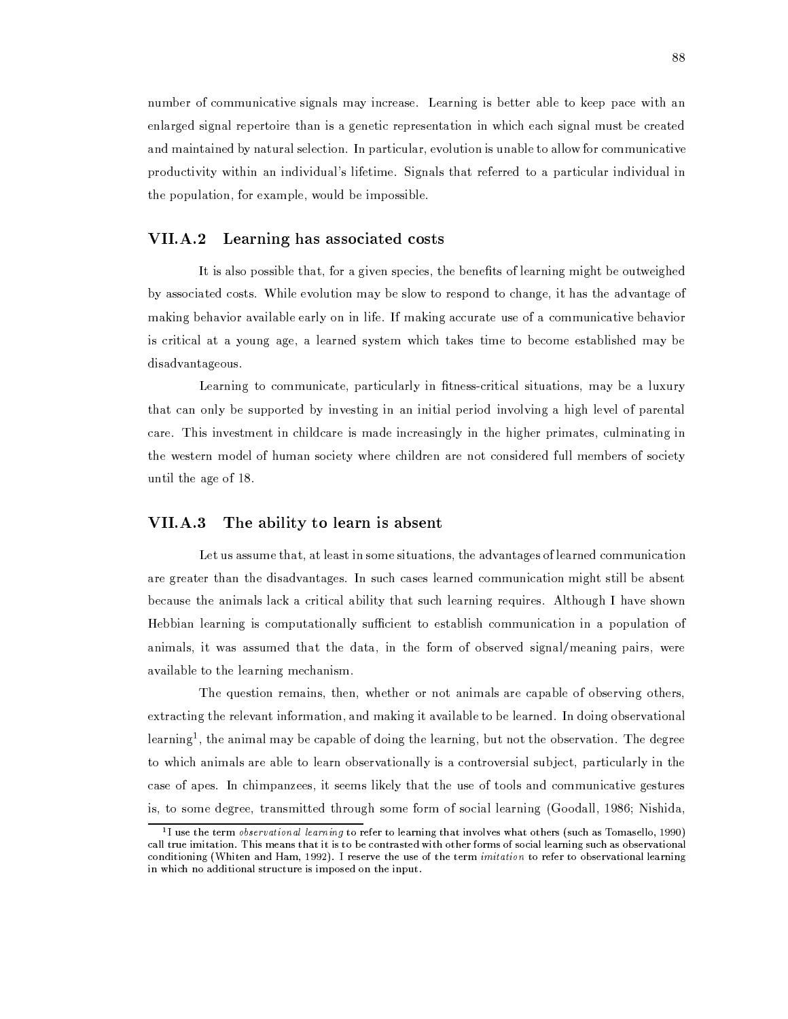number of communicative signals may increase. Learning is better able to keep pace with an enlarged signal repertoire than is a genetic representation in which each signal must be created and maintained by natural selection. In particular, evolution is unable to allow for communicative productivity within an individual's lifetime. Signals that referred to a particular individual in the population, for example, would be impossible.

## VII.A.2 Learning has associated costs

It is also possible that, for a given species, the benefits of learning might be outweighed by associated costs. While evolution may be slow to respond to change, it has the advantage of making behavior available early on in life. If making accurate use of a communicative behavior is critical at a young age, a learned system which takes time to become established may be disadvantageous.

Learning to communicate, particularly in fitness-critical situations, may be a luxury that can only be supported by investing in an initial period involving a high level of parental care. This investment in childcare is made increasingly in the higher primates, culminating in the western model of human society where children are not considered full members of society until the age of 18.

#### $VII.A.3$ The ability to learn is absent

Let us assume that, at least in some situations, the advantages of learned communication are greater than the disadvantages. In such cases learned communication might still be absent because the animals lack a critical ability that such learning requires. Although I have shown Hebbian learning is computationally sufficient to establish communication in a population of animals, it was assumed that the data, in the form of observed signal/meaning pairs, were available to the learning mechanism.

The question remains, then, whether or not animals are capable of observing others, extracting the relevant information, and making it available to be learned. In doing observational learning<sup>1</sup>, the animal may be capable of doing the learning, but not the observation. The degree to which animals are able to learn observationally is a controversial subject, particularly in the case of apes. In chimpanzees, it seems likely that the use of tools and communicative gestures is, to some degree, transmitted through some form of social learning (Goodall, 1986; Nishida,

<sup>&</sup>lt;sup>1</sup>I use the term *observational learning* to refer to learning that involves what others (such as Tomasello, 1990) call true imitation. This means that it is to be contrasted with other forms of social learning such as observational conditioning (Whiten and Ham, 1992). I reserve the use of the term imitation to refer to observational learning in which no additional structure is imposed on the input.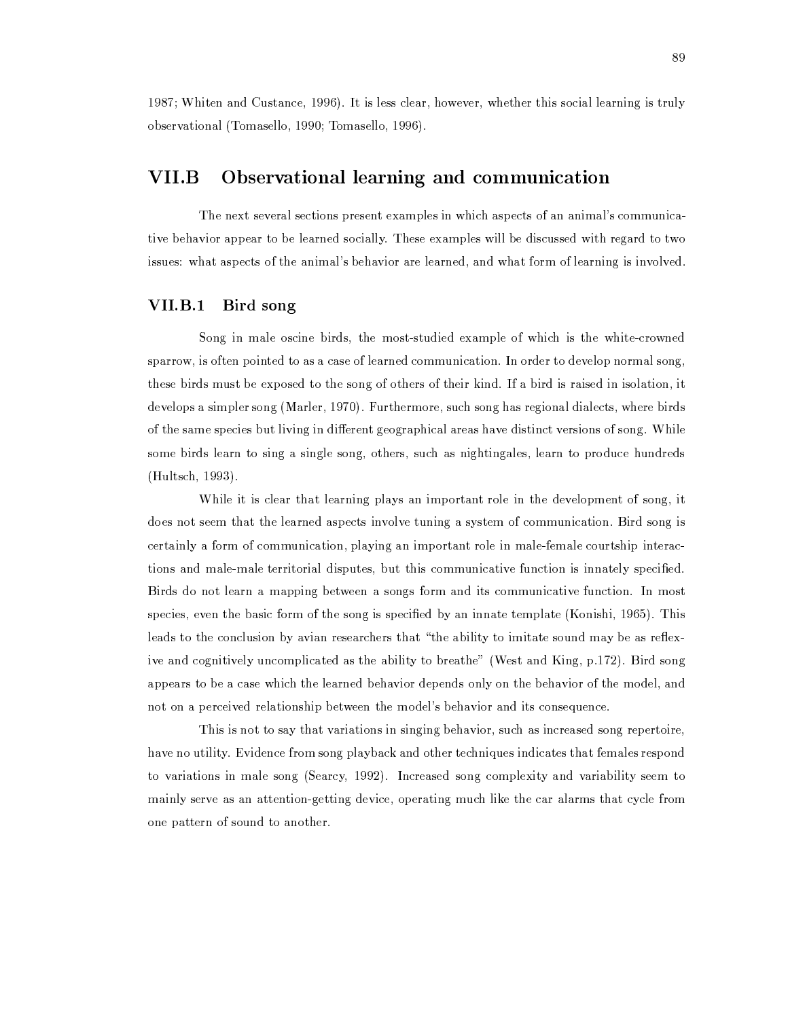1987; Whiten and Custance, 1996). It is less clear, however, whether this social learning is truly observational (Tomasello, 1990; Tomasello, 1996).

### VII.B Observational learning and communication

The next several sections present examples in which aspects of an animal's communicative behavior appear to be learned socially. These examples will be discussed with regard to two issues: what aspects of the animal's behavior are learned, and what form of learning is involved.

#### VII.B.1 Bird song

Song in male oscine birds, the most-studied example of which is the white-crowned sparrow, is often pointed to as a case of learned communication. In order to develop normal song, these birds must be exposed to the song of others of their kind. If a bird is raised in isolation, it develops a simpler song (Marler, 1970). Furthermore, such song has regional dialects, where birds of the same species but living in different geographical areas have distinct versions of song. While some birds learn to sing a single song, others, such as nightingales, learn to produce hundreds (Hultsch, 1993).

While it is clear that learning plays an important role in the development of song, it does not seem that the learned aspects involve tuning a system of communication. Bird song is certainly a form of communication, playing an important role in male-female courtship interactions and male-male territorial disputes, but this communicative function is innately specified. Birds do not learn a mapping between a songs form and its communicative function. In most species, even the basic form of the song is specified by an innate template (Konishi, 1965). This leads to the conclusion by avian researchers that "the ability to imitate sound may be as reflexive and cognitively uncomplicated as the ability to breathe" (West and King, p.172). Bird song appears to be a case which the learned behavior depends only on the behavior of the model, and not on a perceived relationship between the model's behavior and its consequence.

This is not to say that variations in singing behavior, such as increased song repertoire, have no utility. Evidence from song playback and other techniques indicates that females respond to variations in male song (Searcy, 1992). Increased song complexity and variability seem to mainly serve as an attention-getting device, operating much like the car alarms that cycle from one pattern of sound to another.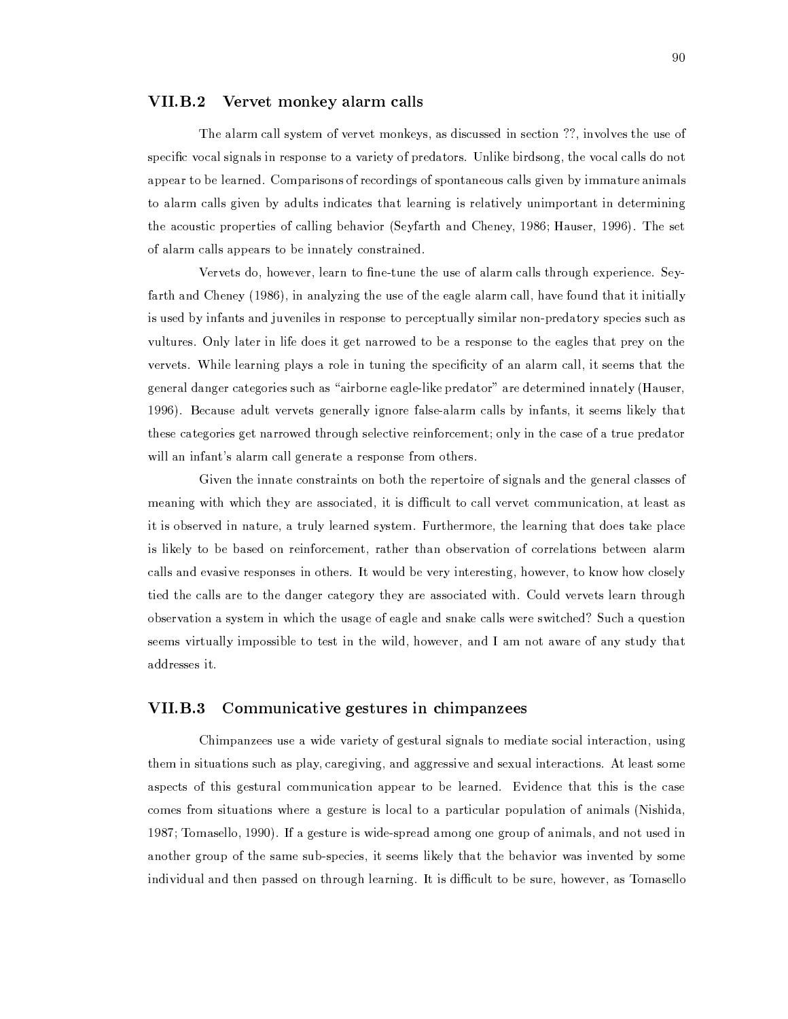#### **VII.B.2** Vervet monkey alarm calls

The alarm call system of vervet monkeys, as discussed in section ??, involves the use of specific vocal signals in response to a variety of predators. Unlike birdsong, the vocal calls do not appear to be learned. Comparisons of recordings of spontaneous calls given by immature animals to alarm calls given by adults indicates that learning is relatively unimportant in determining the acoustic properties of calling behavior (Seyfarth and Cheney, 1986; Hauser, 1996). The set of alarm calls appears to be innately constrained.

Vervets do, however, learn to fine-tune the use of alarm calls through experience. Seyfarth and Cheney (1986), in analyzing the use of the eagle alarm call, have found that it initially is used by infants and juveniles in response to perceptually similar non-predatory species such as vultures. Only later in life does it get narrowed to be a response to the eagles that prey on the vervets. While learning plays a role in tuning the specificity of an alarm call, it seems that the general danger categories such as "airborne eagle-like predator" are determined innately (Hauser, 1996). Because adult vervets generally ignore false-alarm calls by infants, it seems likely that these categories get narrowed through selective reinforcement; only in the case of a true predator will an infant's alarm call generate a response from others.

Given the innate constraints on both the repertoire of signals and the general classes of meaning with which they are associated, it is difficult to call vervet communication, at least as it is observed in nature, a truly learned system. Furthermore, the learning that does take place is likely to be based on reinforcement, rather than observation of correlations between alarm calls and evasive responses in others. It would be very interesting, however, to know how closely tied the calls are to the danger category they are associated with. Could vervets learn through observation a system in which the usage of eagle and snake calls were switched? Such a question seems virtually impossible to test in the wild, however, and I am not aware of any study that addresses it.

#### **VII.B.3** Communicative gestures in chimpanzees

Chimpanzees use a wide variety of gestural signals to mediate social interaction, using them in situations such as play, caregiving, and aggressive and sexual interactions. At least some aspects of this gestural communication appear to be learned. Evidence that this is the case comes from situations where a gesture is local to a particular population of animals (Nishida, 1987; Tomasello, 1990). If a gesture is wide-spread among one group of animals, and not used in another group of the same sub-species, it seems likely that the behavior was invented by some individual and then passed on through learning. It is difficult to be sure, however, as Tomasello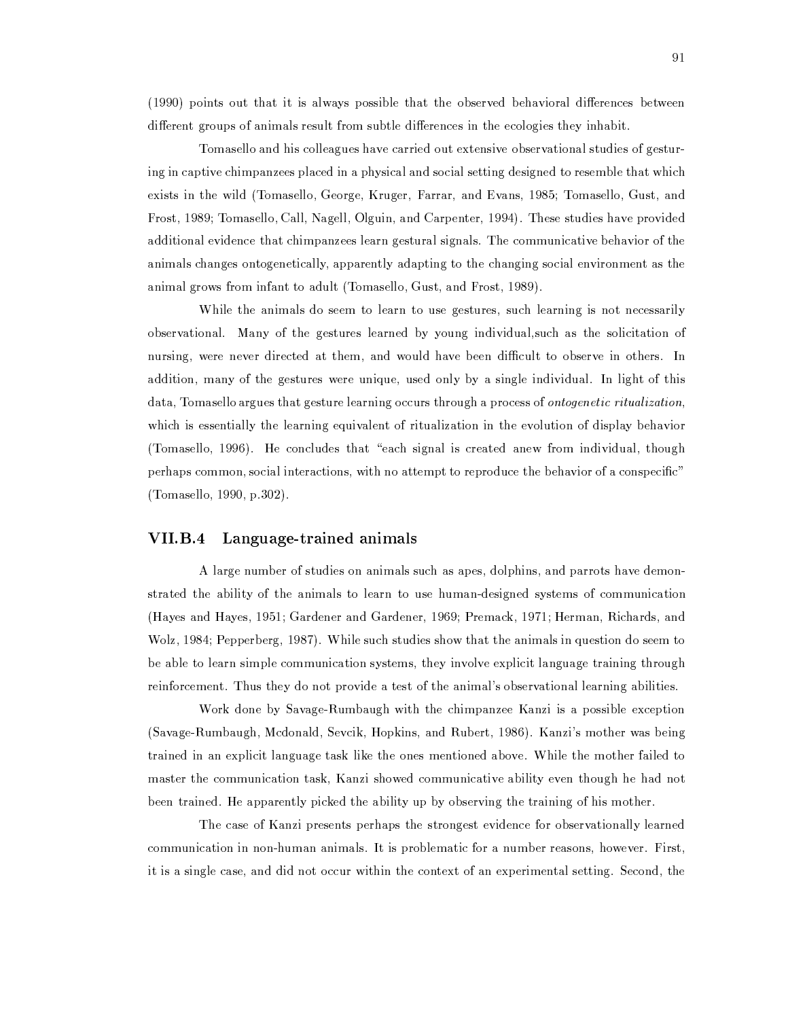(1990) points out that it is always possible that the observed behavioral differences between different groups of animals result from subtle differences in the ecologies they inhabit.

Tomasello and his colleagues have carried out extensive observational studies of gesturing in captive chimpanzees placed in a physical and social setting designed to resemble that which exists in the wild (Tomasello, George, Kruger, Farrar, and Evans, 1985; Tomasello, Gust, and Frost, 1989; Tomasello, Call, Nagell, Olguin, and Carpenter, 1994). These studies have provided additional evidence that chimpanzees learn gestural signals. The communicative behavior of the animals changes ontogenetically, apparently adapting to the changing social environment as the animal grows from infant to adult (Tomasello, Gust, and Frost, 1989).

While the animals do seem to learn to use gestures, such learning is not necessarily observational. Many of the gestures learned by young individual, such as the solicitation of nursing, were never directed at them, and would have been difficult to observe in others. In addition, many of the gestures were unique, used only by a single individual. In light of this data, Tomasello argues that gesture learning occurs through a process of ontogenetic ritualization, which is essentially the learning equivalent of ritualization in the evolution of display behavior (Tomasello, 1996). He concludes that "each signal is created anew from individual, though perhaps common, social interactions, with no attempt to reproduce the behavior of a conspecific" (Tomasello, 1990, p.302).

## VII.B.4 Language-trained animals

A large number of studies on animals such as apes, dolphins, and parrots have demonstrated the ability of the animals to learn to use human-designed systems of communication (Hayes and Hayes, 1951; Gardener and Gardener, 1969; Premack, 1971; Herman, Richards, and Wolz, 1984; Pepperberg, 1987). While such studies show that the animals in question do seem to be able to learn simple communication systems, they involve explicit language training through reinforcement. Thus they do not provide a test of the animal's observational learning abilities.

Work done by Savage-Rumbaugh with the chimpanzee Kanzi is a possible exception (Savage-Rumbaugh, Mcdonald, Sevcik, Hopkins, and Rubert, 1986). Kanzi's mother was being trained in an explicit language task like the ones mentioned above. While the mother failed to master the communication task, Kanzi showed communicative ability even though he had not been trained. He apparently picked the ability up by observing the training of his mother.

The case of Kanzi presents perhaps the strongest evidence for observationally learned communication in non-human animals. It is problematic for a number reasons, however. First, it is a single case, and did not occur within the context of an experimental setting. Second, the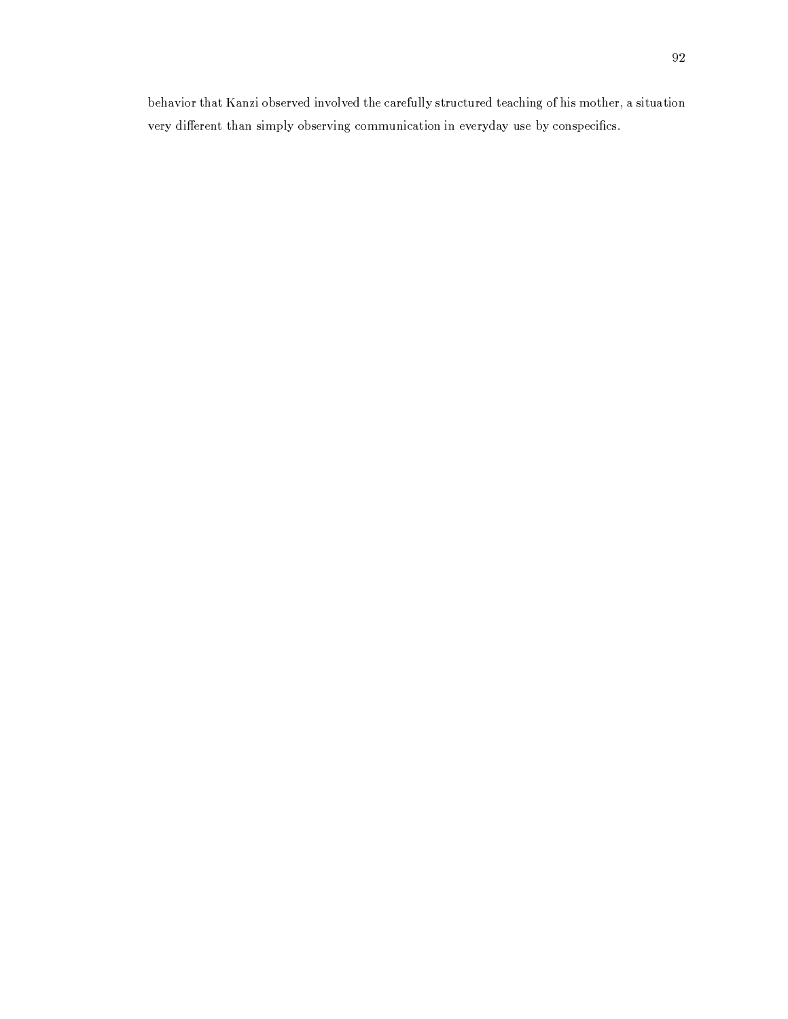behavior that Kanzi observed involved the carefully structured teaching of his mother, a situation very different than simply observing communication in everyday use by conspecifics.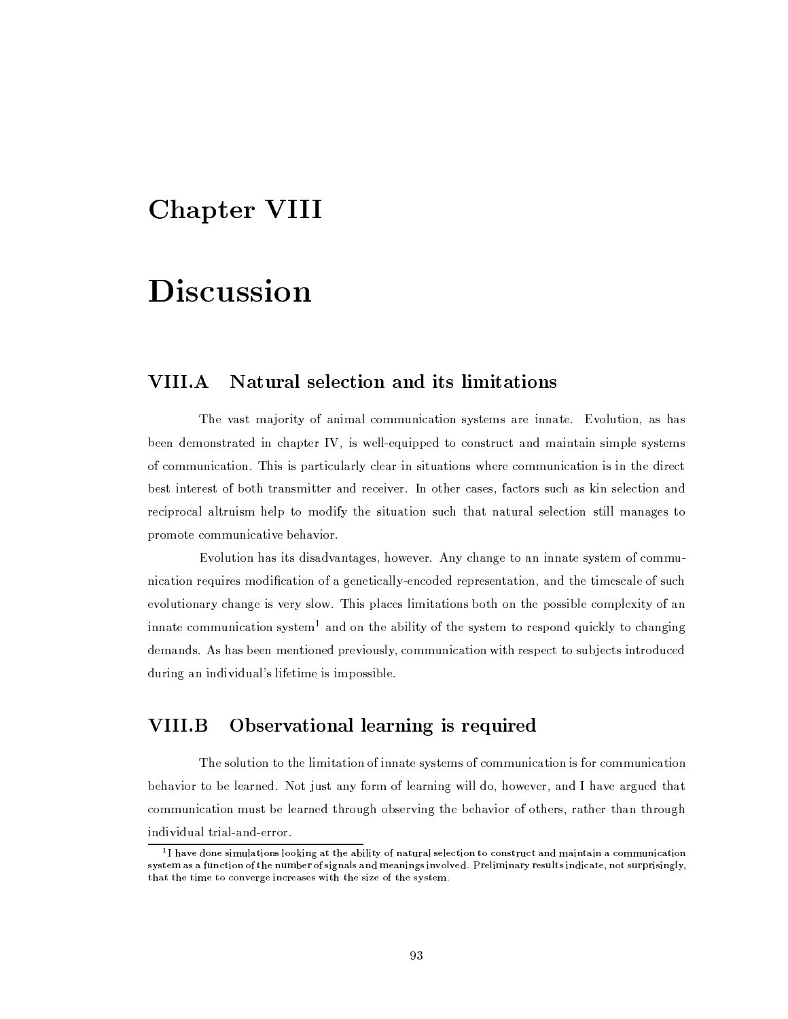## **Chapter VIII**

## **Discussion**

### **VIII.A** Natural selection and its limitations

The vast majority of animal communication systems are innate. Evolution, as has been demonstrated in chapter IV, is well-equipped to construct and maintain simple systems of communication. This is particularly clear in situations where communication is in the direct best interest of both transmitter and receiver. In other cases, factors such as kin selection and reciprocal altruism help to modify the situation such that natural selection still manages to promote communicative behavior.

Evolution has its disadvantages, however. Any change to an innate system of communication requires modification of a genetically-encoded representation, and the timescale of such evolutionary change is very slow. This places limitations both on the possible complexity of an innate communication system<sup>1</sup> and on the ability of the system to respond quickly to changing demands. As has been mentioned previously, communication with respect to subjects introduced during an individual's lifetime is impossible.

### VIII.B Observational learning is required

The solution to the limitation of innate systems of communication is for communication behavior to be learned. Not just any form of learning will do, however, and I have argued that communication must be learned through observing the behavior of others, rather than through individual trial-and-error.

 $1$  I have done simulations looking at the ability of natural selection to construct and maintain a communication system as a function of the number of signals and meanings involved. Preliminary results indicate, not surprisingly, that the time to converge increases with the size of the system.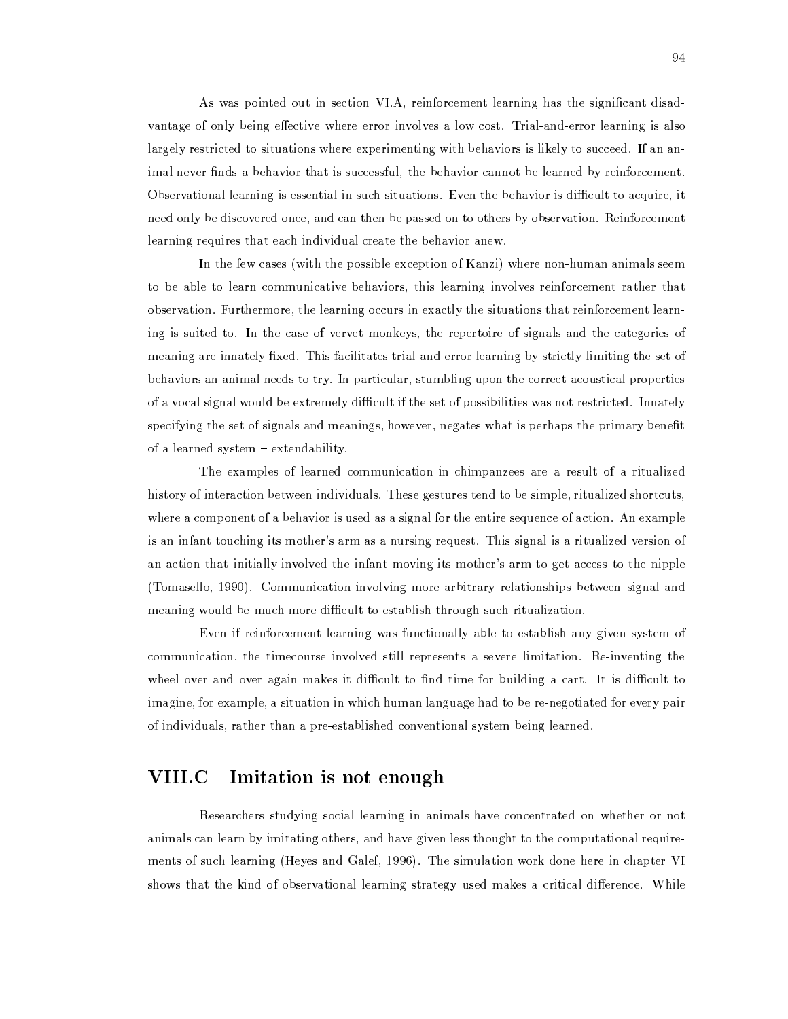As was pointed out in section VI.A, reinforcement learning has the significant disadvantage of only being effective where error involves a low cost. Trial-and-error learning is also largely restricted to situations where experimenting with behaviors is likely to succeed. If an animal never finds a behavior that is successful, the behavior cannot be learned by reinforcement. Observational learning is essential in such situations. Even the behavior is difficult to acquire, it need only be discovered once, and can then be passed on to others by observation. Reinforcement learning requires that each individual create the behavior anew.

In the few cases (with the possible exception of Kanzi) where non-human animals seem to be able to learn communicative behaviors, this learning involves reinforcement rather that observation. Furthermore, the learning occurs in exactly the situations that reinforcement learning is suited to. In the case of vervet monkeys, the repertoire of signals and the categories of meaning are innately fixed. This facilitates trial-and-error learning by strictly limiting the set of behaviors an animal needs to try. In particular, stumbling upon the correct acoustical properties of a vocal signal would be extremely difficult if the set of possibilities was not restricted. Innately specifying the set of signals and meanings, however, negates what is perhaps the primary benefit of a learned system - extendability.

The examples of learned communication in chimpanzees are a result of a ritualized history of interaction between individuals. These gestures tend to be simple, ritualized shortcuts, where a component of a behavior is used as a signal for the entire sequence of action. An example is an infant touching its mother's arm as a nursing request. This signal is a ritualized version of an action that initially involved the infant moving its mother's arm to get access to the nipple (Tomasello, 1990). Communication involving more arbitrary relationships between signal and meaning would be much more difficult to establish through such ritualization.

Even if reinforcement learning was functionally able to establish any given system of communication, the timecourse involved still represents a severe limitation. Re-inventing the wheel over and over again makes it difficult to find time for building a cart. It is difficult to imagine, for example, a situation in which human language had to be re-negotiated for every pair of individuals, rather than a pre-established conventional system being learned.

### VIII.C Imitation is not enough

Researchers studying social learning in animals have concentrated on whether or not animals can learn by imitating others, and have given less thought to the computational requirements of such learning (Heyes and Galef, 1996). The simulation work done here in chapter VI shows that the kind of observational learning strategy used makes a critical difference. While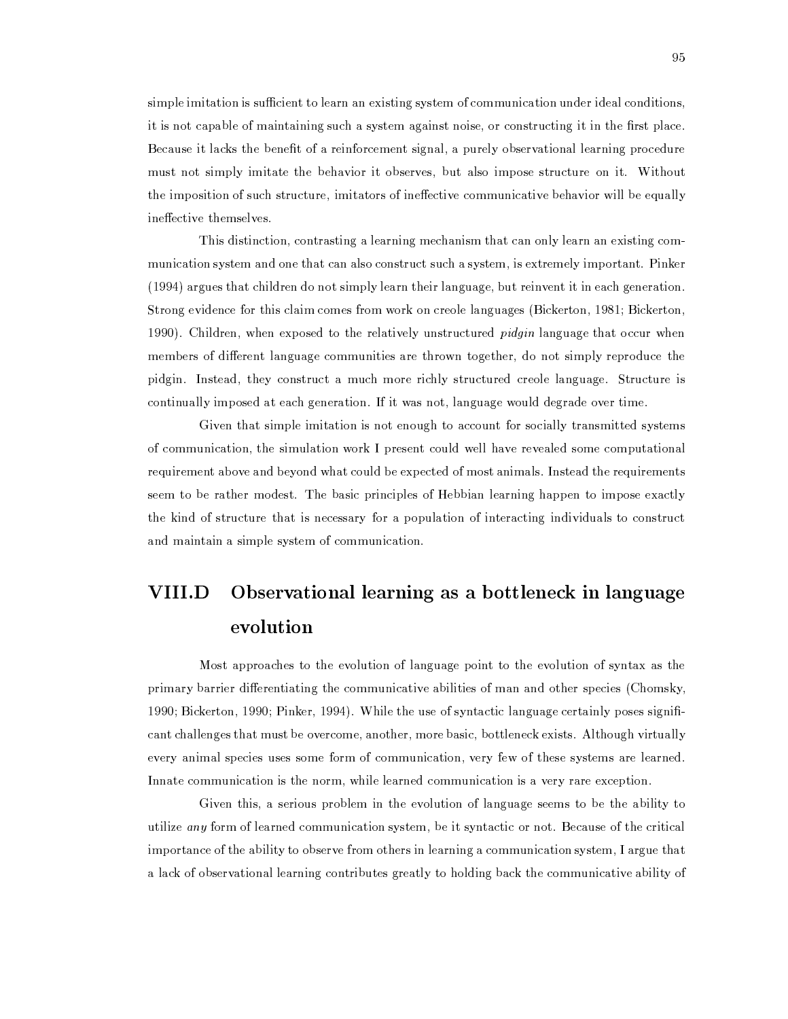simple imitation is sufficient to learn an existing system of communication under ideal conditions. it is not capable of maintaining such a system against noise, or constructing it in the first place. Because it lacks the benefit of a reinforcement signal, a purely observational learning procedure must not simply imitate the behavior it observes, but also impose structure on it. Without the imposition of such structure, imitators of ineffective communicative behavior will be equally ineffective themselves.

This distinction, contrasting a learning mechanism that can only learn an existing communication system and one that can also construct such a system, is extremely important. Pinker (1994) argues that children do not simply learn their language, but reinvent it in each generation. Strong evidence for this claim comes from work on creole languages (Bickerton, 1981; Bickerton, 1990). Children, when exposed to the relatively unstructured *pidgin* language that occur when members of different language communities are thrown together, do not simply reproduce the pidgin. Instead, they construct a much more richly structured creole language. Structure is continually imposed at each generation. If it was not, language would degrade over time.

Given that simple imitation is not enough to account for socially transmitted systems of communication, the simulation work I present could well have revealed some computational requirement above and beyond what could be expected of most animals. Instead the requirements seem to be rather modest. The basic principles of Hebbian learning happen to impose exactly the kind of structure that is necessary for a population of interacting individuals to construct and maintain a simple system of communication.

## **VIII.D** Observational learning as a bottleneck in language evolution

Most approaches to the evolution of language point to the evolution of syntax as the primary barrier differentiating the communicative abilities of man and other species (Chomsky, 1990; Bickerton, 1990; Pinker, 1994). While the use of syntactic language certainly poses significant challenges that must be overcome, another, more basic, bottleneck exists. Although virtually every animal species uses some form of communication, very few of these systems are learned. Innate communication is the norm, while learned communication is a very rare exception.

Given this, a serious problem in the evolution of language seems to be the ability to utilize any form of learned communication system, be it syntactic or not. Because of the critical importance of the ability to observe from others in learning a communication system, I argue that a lack of observational learning contributes greatly to holding back the communicative ability of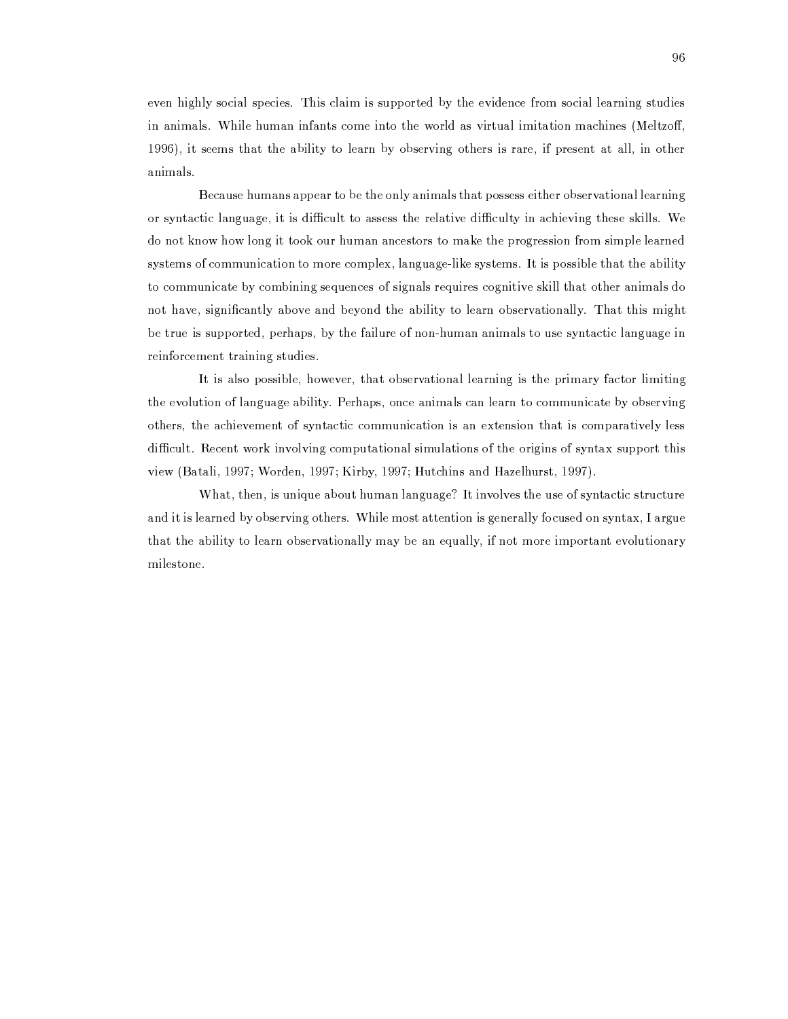even highly social species. This claim is supported by the evidence from social learning studies in animals. While human infants come into the world as virtual imitation machines (Meltzoff, 1996), it seems that the ability to learn by observing others is rare, if present at all, in other animals.

Because humans appear to be the only animals that possess either observational learning or syntactic language, it is difficult to assess the relative difficulty in achieving these skills. We do not know how long it took our human ancestors to make the progression from simple learned systems of communication to more complex, language-like systems. It is possible that the ability to communicate by combining sequences of signals requires cognitive skill that other animals do not have, significantly above and beyond the ability to learn observationally. That this might be true is supported, perhaps, by the failure of non-human animals to use syntactic language in reinforcement training studies.

It is also possible, however, that observational learning is the primary factor limiting the evolution of language ability. Perhaps, once animals can learn to communicate by observing others, the achievement of syntactic communication is an extension that is comparatively less difficult. Recent work involving computational simulations of the origins of syntax support this view (Batali, 1997; Worden, 1997; Kirby, 1997; Hutchins and Hazelhurst, 1997).

What, then, is unique about human language? It involves the use of syntactic structure and it is learned by observing others. While most attention is generally focused on syntax, I argue that the ability to learn observationally may be an equally, if not more important evolutionary milestone.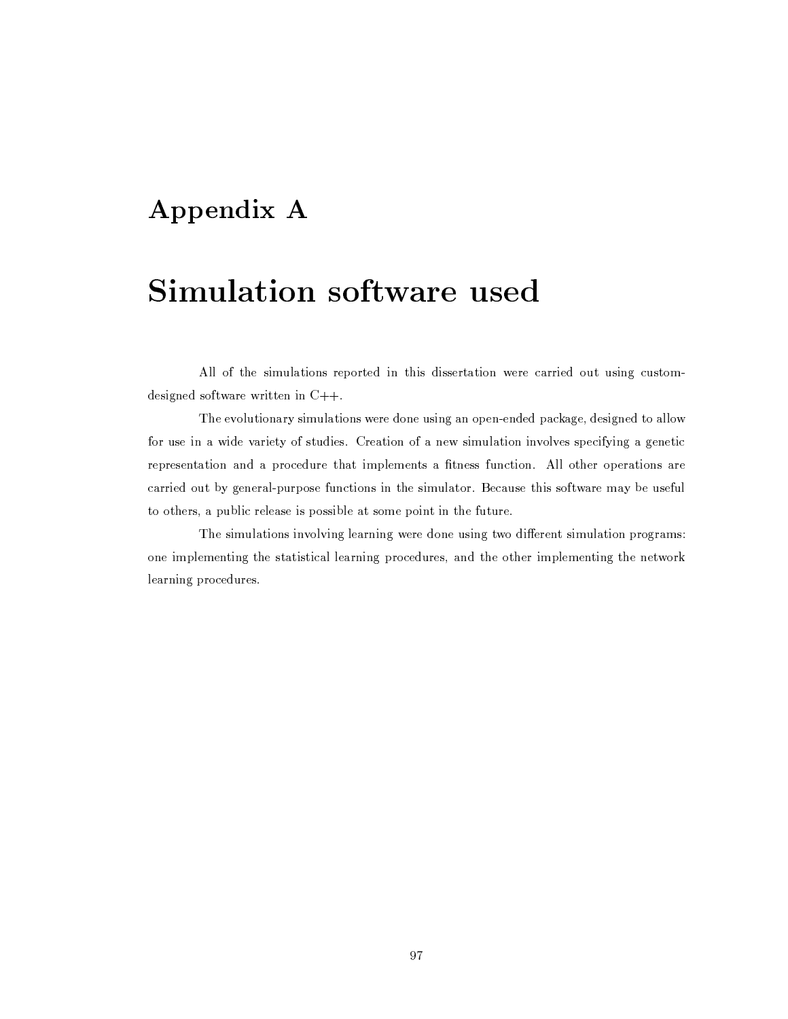## Appendix A

## Simulation software used

All of the simulations reported in this dissertation were carried out using customdesigned software written in  $C++$ .

The evolutionary simulations were done using an open-ended package, designed to allow for use in a wide variety of studies. Creation of a new simulation involves specifying a genetic representation and a procedure that implements a fitness function. All other operations are carried out by general-purpose functions in the simulator. Because this software may be useful to others, a public release is possible at some point in the future.

The simulations involving learning were done using two different simulation programs: one implementing the statistical learning procedures, and the other implementing the network learning procedures.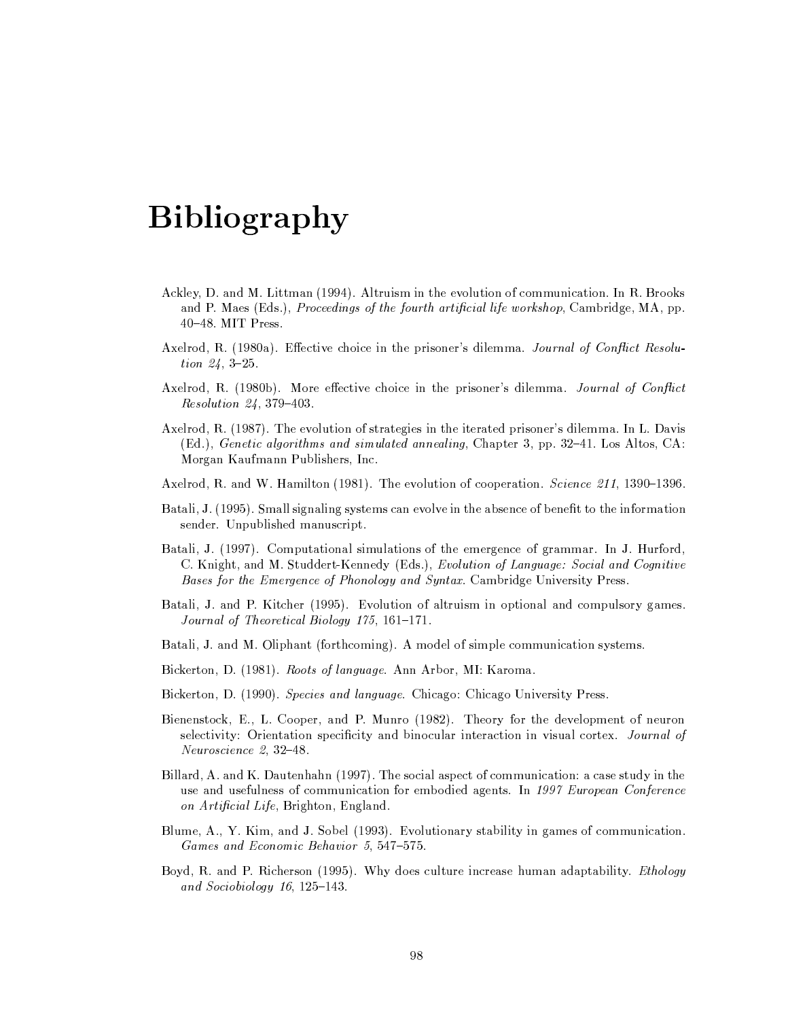## **Bibliography**

- Ackley, D. and M. Littman (1994). Altruism in the evolution of communication. In R. Brooks and P. Maes (Eds.), *Proceedings of the fourth artificial life workshop*, Cambridge, MA, pp.  $40-48$ . MIT Press.
- Axelrod, R. (1980a). Effective choice in the prisoner's dilemma. Journal of Conflict Resolu*tion 24, 3-25.*
- Axelrod, R. (1980b). More effective choice in the prisoner's dilemma. Journal of Conflict *Resolution 24, 379-403.*
- Axelrod, R. (1987). The evolution of strategies in the iterated prisoner's dilemma. In L. Davis (Ed.), Genetic algorithms and simulated annealing, Chapter 3, pp. 32–41. Los Altos, CA: Morgan Kaufmann Publishers, Inc.
- Axelrod, R. and W. Hamilton (1981). The evolution of cooperation. *Science 211*, 1390–1396.
- Batali, J. (1995). Small signaling systems can evolve in the absence of benefit to the information sender. Unpublished manuscript.
- Batali, J. (1997). Computational simulations of the emergence of grammar. In J. Hurford, C. Knight, and M. Studdert-Kennedy (Eds.), Evolution of Language: Social and Cognitive Bases for the Emergence of Phonology and Syntax. Cambridge University Press.
- Batali, J. and P. Kitcher (1995). Evolution of altruism in optional and compulsory games. Journal of Theoretical Biology 175, 161-171.
- Batali, J. and M. Oliphant (forthcoming). A model of simple communication systems.
- Bickerton, D. (1981). Roots of language. Ann Arbor, MI: Karoma.
- Bickerton, D. (1990). Species and language. Chicago: Chicago University Press.
- Bienenstock, E., L. Cooper, and P. Munro (1982). Theory for the development of neuron selectivity: Orientation specificity and binocular interaction in visual cortex. Journal of Neuroscience 2, 32-48.
- Billard, A. and K. Dautenhahn (1997). The social aspect of communication: a case study in the use and usefulness of communication for embodied agents. In 1997 European Conference on Artificial Life, Brighton, England.
- Blume, A., Y. Kim, and J. Sobel (1993). Evolutionary stability in games of communication. Games and Economic Behavior 5, 547-575.
- Boyd, R. and P. Richerson (1995). Why does culture increase human adaptability. *Ethology* and Sociobiology  $16, 125-143$ .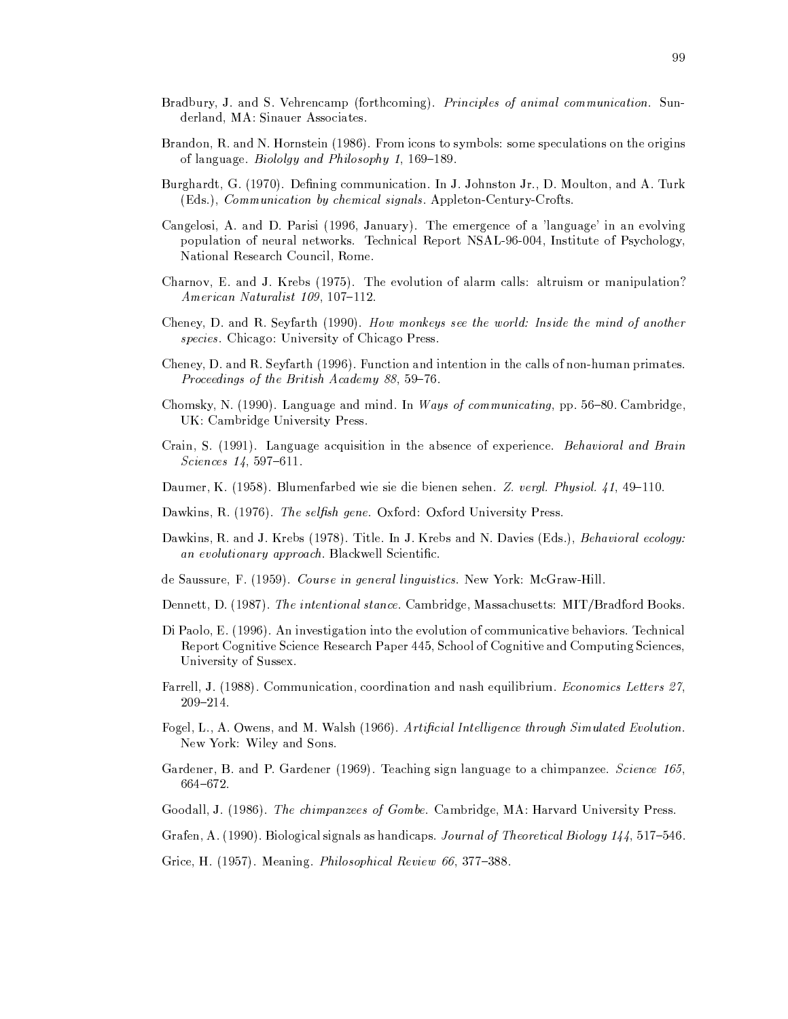- Bradbury, J. and S. Vehrencamp (forthcoming). Principles of animal communication. Sunderland, MA: Sinauer Associates.
- Brandon, R. and N. Hornstein (1986). From icons to symbols: some speculations on the origins of language. *Biololgy and Philosophy 1*, 169–189.
- Burghardt, G. (1970). Defining communication. In J. Johnston Jr., D. Moulton, and A. Turk (Eds.), Communication by chemical signals. Appleton-Century-Crofts.
- Cangelosi, A. and D. Parisi (1996, January). The emergence of a 'language' in an evolving population of neural networks. Technical Report NSAL-96-004, Institute of Psychology, National Research Council, Rome.
- Charnov, E. and J. Krebs (1975). The evolution of alarm calls: altruism or manipulation? American Naturalist 109, 107-112.
- Cheney, D. and R. Seyfarth (1990). How monkeys see the world: Inside the mind of another species. Chicago: University of Chicago Press.
- Cheney, D. and R. Seyfarth (1996). Function and intention in the calls of non-human primates. Proceedings of the British Academy 88, 59-76.
- Chomsky, N. (1990). Language and mind. In Ways of communicating, pp. 56-80. Cambridge, UK: Cambridge University Press.
- Crain, S. (1991). Language acquisition in the absence of experience. Behavioral and Brain *Sciences* 14, 597-611.
- Daumer, K. (1958). Blumenfarbed wie sie die bienen sehen. Z. vergl. Physiol. 41, 49-110.
- Dawkins, R. (1976). The selfish gene. Oxford: Oxford University Press.
- Dawkins, R. and J. Krebs (1978). Title. In J. Krebs and N. Davies (Eds.), Behavioral ecology: an evolutionary approach. Blackwell Scientific.
- de Saussure, F. (1959). Course in general linguistics. New York: McGraw-Hill.
- Dennett, D. (1987). The intentional stance. Cambridge, Massachusetts: MIT/Bradford Books.
- Di Paolo, E. (1996). An investigation into the evolution of communicative behaviors. Technical Report Cognitive Science Research Paper 445, School of Cognitive and Computing Sciences, University of Sussex.
- Farrell, J. (1988). Communication, coordination and nash equilibrium. Economics Letters 27,  $209 - 214.$
- Fogel, L., A. Owens, and M. Walsh (1966). Artificial Intelligence through Simulated Evolution. New York: Wiley and Sons.
- Gardener, B. and P. Gardener (1969). Teaching sign language to a chimpanzee. Science 165,  $664 - 672.$
- Goodall, J. (1986). The chimpanzees of Gombe. Cambridge, MA: Harvard University Press.
- Grafen, A. (1990). Biological signals as handicaps. Journal of Theoretical Biology 144, 517-546.
- Grice, H. (1957). Meaning. Philosophical Review 66, 377-388.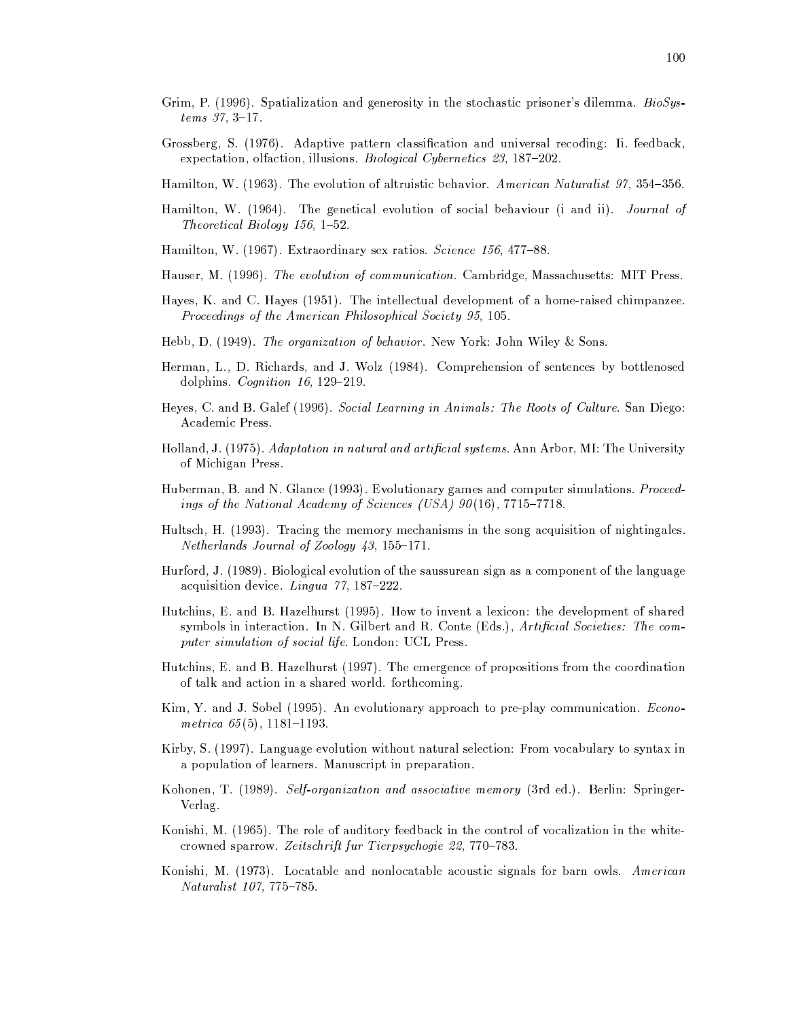- Grim, P. (1996). Spatialization and generosity in the stochastic prisoner's dilemma. BioSys $tems\;37,\;3-17.$
- Grossberg, S. (1976). Adaptive pattern classification and universal recoding: Ii. feedback, expectation, olfaction, illusions. *Biological Cybernetics 23*, 187–202.
- Hamilton, W. (1963). The evolution of altruistic behavior. American Naturalist 97, 354-356.
- Hamilton, W. (1964). The genetical evolution of social behaviour (i and ii). Journal of Theoretical Biology 156, 1-52.
- Hamilton, W. (1967). Extraordinary sex ratios. Science 156, 477-88.
- Hauser, M. (1996). The evolution of communication. Cambridge, Massachusetts: MIT Press.
- Hayes, K. and C. Hayes (1951). The intellectual development of a home-raised chimpanzee. Proceedings of the American Philosophical Society 95, 105.
- Hebb, D. (1949). The organization of behavior. New York: John Wiley & Sons.
- Herman, L., D. Richards, and J. Wolz (1984). Comprehension of sentences by bottlenosed dolphins. Cognition 16, 129-219.
- Heyes, C. and B. Galef (1996). Social Learning in Animals: The Roots of Culture. San Diego: Academic Press.
- Holland, J. (1975). Adaptation in natural and artificial systems. Ann Arbor, MI: The University of Michigan Press.
- Huberman, B. and N. Glance (1993). Evolutionary games and computer simulations. Proceedings of the National Academy of Sciences (USA)  $90(16)$ , 7715-7718.
- Hultsch, H. (1993). Tracing the memory mechanisms in the song acquisition of nightingales. Netherlands Journal of Zoology 43, 155-171.
- Hurford, J. (1989). Biological evolution of the saussurean sign as a component of the language acquisition device. Lingua 77, 187-222.
- Hutchins, E. and B. Hazelhurst (1995). How to invent a lexicon: the development of shared symbols in interaction. In N. Gilbert and R. Conte (Eds.), Artificial Societies: The computer simulation of social life. London: UCL Press.
- Hutchins, E. and B. Hazelhurst (1997). The emergence of propositions from the coordination of talk and action in a shared world. forthcoming.
- Kim, Y. and J. Sobel (1995). An evolutionary approach to pre-play communication. Econometrica  $65(5)$ , 1181-1193.
- Kirby, S. (1997). Language evolution without natural selection: From vocabulary to syntax in a population of learners. Manuscript in preparation.
- Kohonen, T. (1989). Self-organization and associative memory (3rd ed.). Berlin: Springer-Verlag.
- Konishi, M. (1965). The role of auditory feedback in the control of vocalization in the whitecrowned sparrow. Zeitschrift fur Tierpsychogie 22, 770–783.
- Konishi, M. (1973). Locatable and nonlocatable acoustic signals for barn owls. American *Naturalist 107, 775-785.*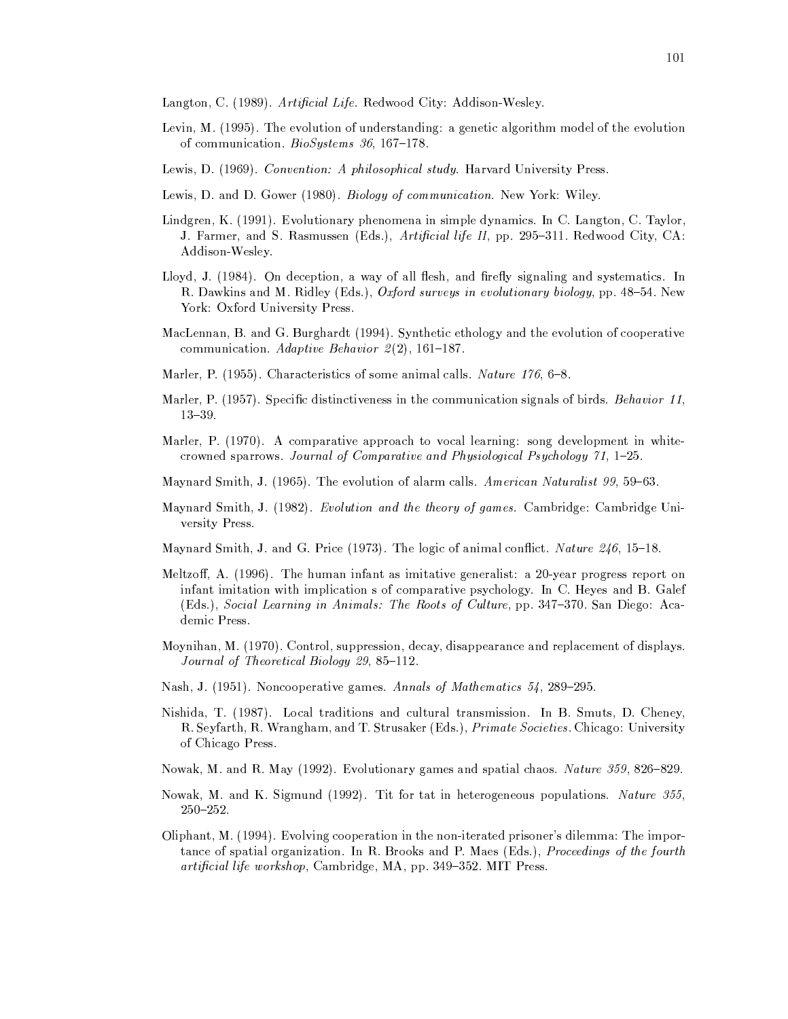Langton, C. (1989). Artificial Life. Redwood City: Addison-Wesley.

- Levin, M. (1995). The evolution of understanding: a genetic algorithm model of the evolution of communication. *BioSystems* 36, 167-178.
- Lewis, D. (1969). Convention: A philosophical study. Harvard University Press.
- Lewis, D. and D. Gower (1980). Biology of communication. New York: Wiley.
- Lindgren, K. (1991). Evolutionary phenomena in simple dynamics. In C. Langton, C. Taylor, J. Farmer, and S. Rasmussen (Eds.), Artificial life II, pp. 295-311. Redwood City, CA: Addison-Wesley.
- Lloyd, J. (1984). On deception, a way of all flesh, and firefly signaling and systematics. In R. Dawkins and M. Ridley (Eds.), Oxford surveys in evolutionary biology, pp. 48–54. New York: Oxford University Press.
- MacLennan, B. and G. Burghardt (1994). Synthetic ethology and the evolution of cooperative communication. Adaptive Behavior  $2(2)$ , 161-187.
- Marler, P. (1955). Characteristics of some animal calls. Nature 176, 6-8.
- Marler, P. (1957). Specific distinctiveness in the communication signals of birds. *Behavior 11*,  $13 - 39.$
- Marler, P. (1970). A comparative approach to vocal learning: song development in whitecrowned sparrows. Journal of Comparative and Physiological Psychology  $71$ , 1-25.
- Maynard Smith, J. (1965). The evolution of alarm calls. American Naturalist 99, 59–63.
- Maynard Smith, J. (1982). Evolution and the theory of games. Cambridge: Cambridge University Press.
- Maynard Smith, J. and G. Price (1973). The logic of animal conflict. Nature 246, 15–18.
- Meltzoff, A. (1996). The human infant as imitative generalist: a 20-year progress report on infant imitation with implication s of comparative psychology. In C. Heves and B. Galef (Eds.), Social Learning in Animals: The Roots of Culture, pp. 347-370. San Diego: Academic Press.
- Moynihan, M. (1970). Control, suppression, decay, disappearance and replacement of displays. Journal of Theoretical Biology 29, 85-112.
- Nash, J. (1951). Noncooperative games. Annals of Mathematics 54, 289-295.
- Nishida, T. (1987). Local traditions and cultural transmission. In B. Smuts, D. Cheney, R. Seyfarth, R. Wrangham, and T. Strusaker (Eds.), *Primate Societies*. Chicago: University of Chicago Press.
- Nowak, M. and R. May (1992). Evolutionary games and spatial chaos. Nature 359, 826-829.
- Nowak, M. and K. Sigmund (1992). Tit for tat in heterogeneous populations. Nature 355,  $250 - 252.$
- Oliphant, M. (1994). Evolving cooperation in the non-iterated prisoner's dilemma: The importance of spatial organization. In R. Brooks and P. Maes (Eds.), *Proceedings of the fourth* artificial life workshop, Cambridge, MA, pp. 349-352. MIT Press.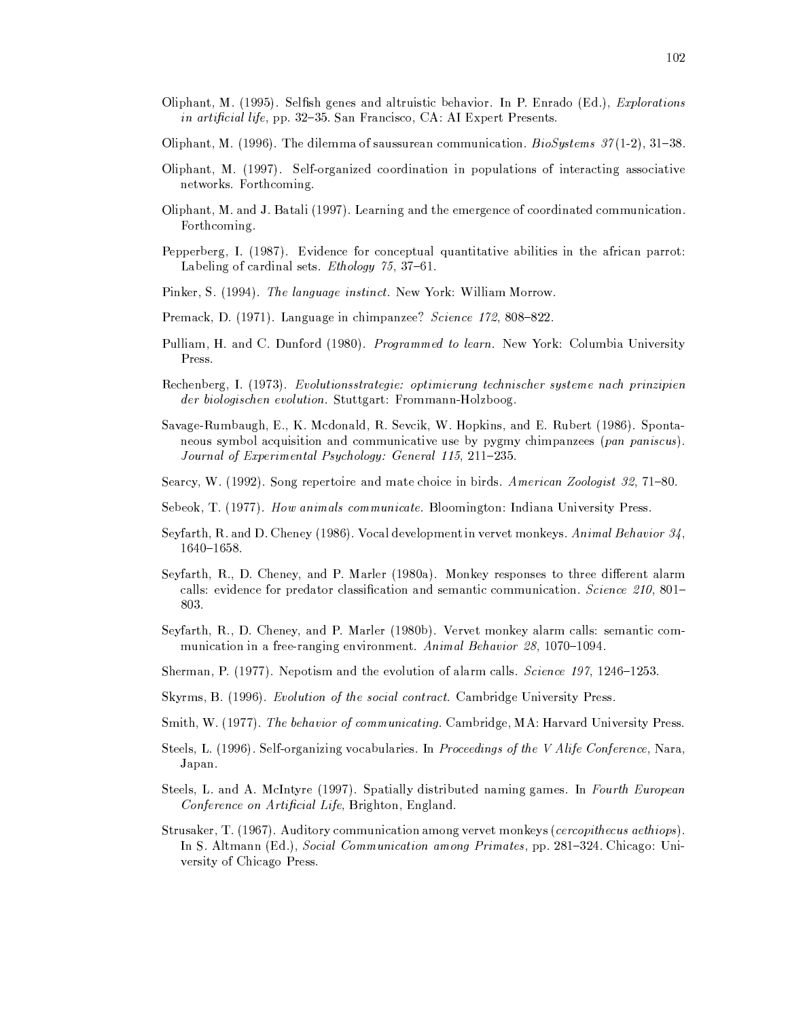- Oliphant, M. (1995). Selfish genes and altruistic behavior. In P. Enrado (Ed.), Explorations in artificial life, pp. 32-35. San Francisco, CA: AI Expert Presents.
- Oliphant, M. (1996). The dilemma of saussurean communication. *BioSystems*  $37(1-2)$ , 31–38.
- Oliphant, M. (1997). Self-organized coordination in populations of interacting associative networks. Forthcoming.
- Oliphant, M. and J. Batali (1997). Learning and the emergence of coordinated communication. Forthcoming.
- Pepperberg, I. (1987). Evidence for conceptual quantitative abilities in the african parrot: Labeling of cardinal sets. Ethology  $75, 37-61$ .
- Pinker, S. (1994). The language instinct. New York: William Morrow.
- Premack, D. (1971). Language in chimpanzee? Science 172, 808-822.
- Pulliam, H. and C. Dunford (1980). Programmed to learn. New York: Columbia University Press.
- Rechenberg, I. (1973). Evolutionsstrategie: optimierung technischer systeme nach prinzipien *der biologischen evolution.* Stuttgart: Frommann-Holzboog.
- Savage-Rumbaugh, E., K. Mcdonald, R. Sevcik, W. Hopkins, and E. Rubert (1986). Spontaneous symbol acquisition and communicative use by pygmy chimpanzees (pan paniscus). Journal of Experimental Psychology: General 115, 211-235.
- Searcy, W. (1992). Song repertoire and mate choice in birds. American Zoologist 32, 71-80.
- Sebeok, T. (1977). How animals communicate. Bloomington: Indiana University Press.
- Seyfarth, R. and D. Cheney (1986). Vocal development in vervet monkeys. Animal Behavior 34,  $1640 - 1658.$
- Seyfarth, R., D. Cheney, and P. Marler (1980a). Monkey responses to three different alarm calls: evidence for predator classification and semantic communication. Science 210, 801– 803.
- Seyfarth, R., D. Cheney, and P. Marler (1980b). Vervet monkey alarm calls: semantic communication in a free-ranging environment. Animal Behavior 28, 1070-1094.
- Sherman, P. (1977). Nepotism and the evolution of alarm calls. Science 197, 1246–1253.
- Skyrms, B. (1996). Evolution of the social contract. Cambridge University Press.
- Smith, W. (1977). The behavior of communicating. Cambridge, MA: Harvard University Press.
- Steels, L. (1996). Self-organizing vocabularies. In Proceedings of the V Alife Conference, Nara, Japan.
- Steels, L. and A. McIntyre (1997). Spatially distributed naming games. In Fourth European Conference on Artificial Life, Brighton, England.
- Strusaker, T. (1967). Auditory communication among vervet monkeys (*cercopithecus aethiops*). In S. Altmann (Ed.), Social Communication among Primates, pp. 281–324. Chicago: University of Chicago Press.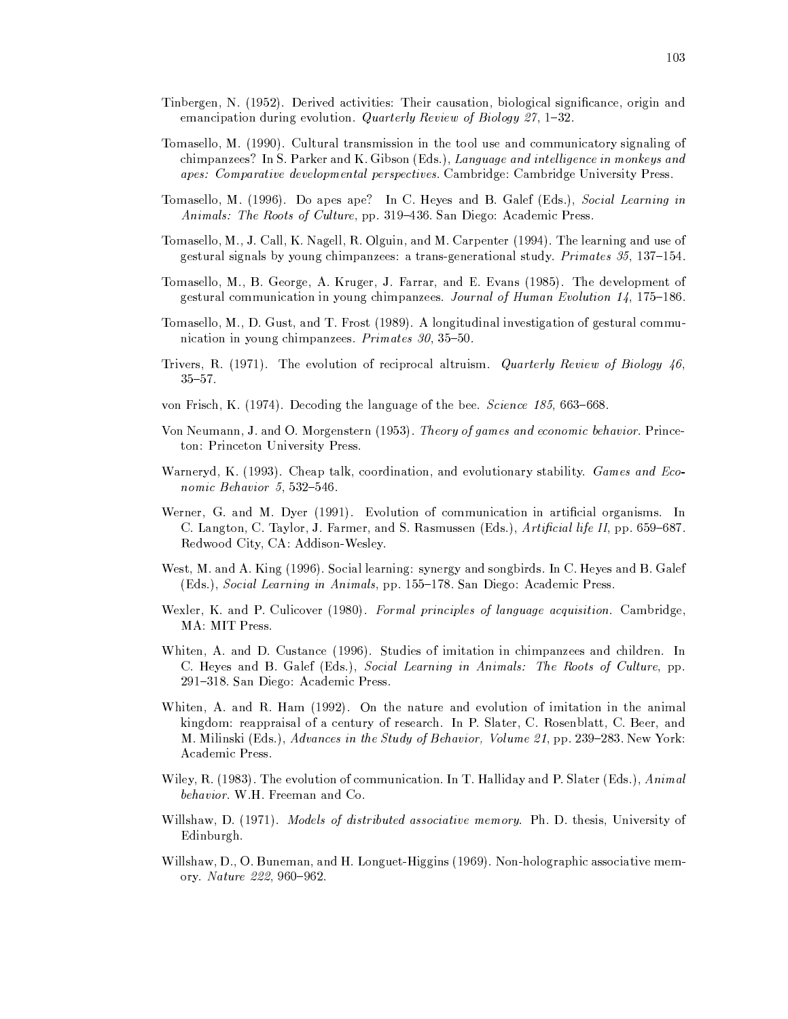- Tinbergen, N. (1952). Derived activities: Their causation, biological significance, origin and emancipation during evolution. Quarterly Review of Biology 27, 1-32.
- Tomasello, M. (1990). Cultural transmission in the tool use and communicatory signaling of chimpanzees? In S. Parker and K. Gibson (Eds.), Language and intelligence in monkeys and apes: Comparative developmental perspectives. Cambridge: Cambridge University Press.
- Tomasello, M. (1996). Do apes ape? In C. Heves and B. Galef (Eds.), Social Learning in Animals: The Roots of Culture, pp. 319-436. San Diego: Academic Press.
- Tomasello, M., J. Call, K. Nagell, R. Olguin, and M. Carpenter (1994). The learning and use of gestural signals by young chimpanzees: a trans-generational study. Primates 35, 137-154.
- Tomasello, M., B. George, A. Kruger, J. Farrar, and E. Evans (1985). The development of gestural communication in young chimpanzees. Journal of Human Evolution 14, 175-186.
- Tomasello, M., D. Gust, and T. Frost (1989). A longitudinal investigation of gestural communication in young chimpanzees. Primates 30, 35-50.
- Trivers, R. (1971). The evolution of reciprocal altruism. Quarterly Review of Biology  $46$ ,  $35 - 57$ .
- von Frisch, K. (1974). Decoding the language of the bee. *Science 185*, 663–668.
- Von Neumann, J. and O. Morgenstern (1953). Theory of games and economic behavior. Princeton: Princeton University Press.
- Warneryd, K. (1993). Cheap talk, coordination, and evolutionary stability. Games and Economic Behavior 5, 532-546.
- Werner, G. and M. Dyer (1991). Evolution of communication in artificial organisms. In C. Langton, C. Taylor, J. Farmer, and S. Rasmussen (Eds.), Artificial life II, pp. 659–687. Redwood City, CA: Addison-Wesley.
- West, M. and A. King (1996). Social learning: synergy and songbirds. In C. Heyes and B. Galef (Eds.), Social Learning in Animals, pp. 155-178. San Diego: Academic Press.
- Wexler, K. and P. Culicover (1980). Formal principles of language acquisition. Cambridge, MA: MIT Press.
- Whiten, A. and D. Custance (1996). Studies of imitation in chimpanzees and children. In C. Heyes and B. Galef (Eds.), Social Learning in Animals: The Roots of Culture, pp. 291–318. San Diego: Academic Press.
- Whiten, A. and R. Ham (1992). On the nature and evolution of imitation in the animal kingdom: reappraisal of a century of research. In P. Slater, C. Rosenblatt, C. Beer, and M. Milinski (Eds.), Advances in the Study of Behavior, Volume 21, pp. 239-283. New York: Academic Press.
- Wiley, R. (1983). The evolution of communication. In T. Halliday and P. Slater (Eds.), Animal behavior. W.H. Freeman and Co.
- Willshaw, D. (1971). Models of distributed associative memory. Ph. D. thesis, University of Edinburgh.
- Willshaw, D., O. Buneman, and H. Longuet-Higgins (1969). Non-holographic associative memory. Nature 222, 960-962.